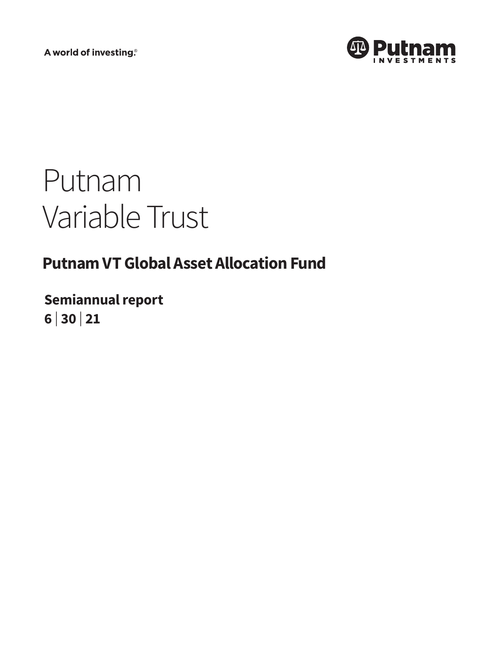A world of investing®



# Putnam Variable Trust

# **Putnam VT Global Asset Allocation Fund**

**Semiannual report 6 <sup>|</sup> 30 <sup>|</sup> 21**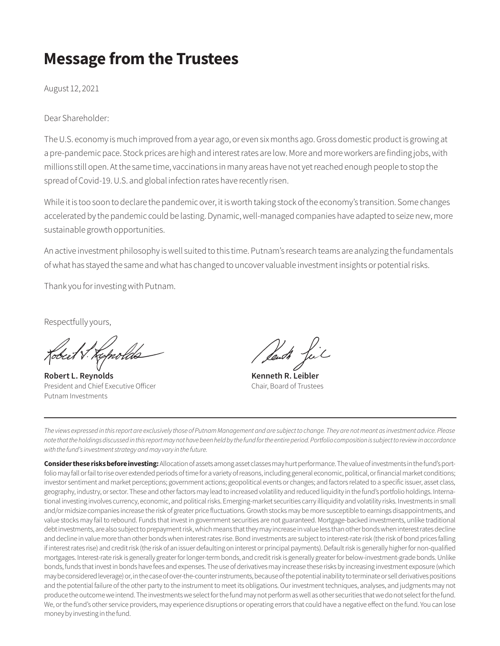# **Message from the Trustees**

August 12, 2021

Dear Shareholder:

The U.S. economy is much improved from a year ago, or even six months ago. Gross domestic product is growing at a pre-pandemic pace. Stock prices are high and interest rates are low. More and more workers are finding jobs, with millions still open. At the same time, vaccinations in many areas have not yet reached enough people to stop the spread of Covid-19. U.S. and global infection rates have recently risen.

While it is too soon to declare the pandemic over, it is worth taking stock of the economy's transition. Some changes accelerated by the pandemic could be lasting. Dynamic, well-managed companies have adapted to seize new, more sustainable growth opportunities.

An active investment philosophy is well suited to this time. Putnam's research teams are analyzing the fundamentals of what has stayed the same and what has changed to uncover valuable investment insights or potential risks.

Thank you for investing with Putnam.

Respectfully yours,

**Robert L. Reynolds Kenneth R. Leibler** President and Chief Executive Officer Chair, Board of Trustees Putnam Investments

*The views expressed in this report are exclusively those of Putnam Management and are subject to change. They are not meant as investment advice. Please note that the holdings discussed in this report may not have been held by the fund for the entire period. Portfolio composition is subject to review in accordance with the fund's investment strategy and may vary in the future.*

**Consider these risks before investing:** Allocation of assets among asset classes may hurt performance. The value of investments in the fund's portfolio may fall or fail to rise over extended periods of time for a variety of reasons, including general economic, political, or financial market conditions; investor sentiment and market perceptions; government actions; geopolitical events or changes; and factors related to a specific issuer, asset class, geography, industry, or sector. These and other factors may lead to increased volatility and reduced liquidity in the fund's portfolio holdings. International investing involves currency, economic, and political risks. Emerging-market securities carry illiquidity and volatility risks. Investments in small and/or midsize companies increase the risk of greater price fluctuations. Growth stocks may be more susceptible to earnings disappointments, and value stocks may fail to rebound. Funds that invest in government securities are not guaranteed. Mortgage-backed investments, unlike traditional debt investments, are also subject to prepayment risk, which means that they may increase in value less than other bonds when interest rates decline and decline in value more than other bonds when interest rates rise. Bond investments are subject to interest-rate risk (the risk of bond prices falling if interest rates rise) and credit risk (the risk of an issuer defaulting on interest or principal payments). Default risk is generally higher for non-qualified mortgages. Interest-rate risk is generally greater for longer-term bonds, and credit risk is generally greater for below-investment-grade bonds. Unlike bonds, funds that invest in bonds have fees and expenses. The use of derivatives may increase these risks by increasing investment exposure (which may be considered leverage) or, in the case of over-the-counter instruments, because of the potential inability to terminate or sell derivatives positions and the potential failure of the other party to the instrument to meet its obligations. Our investment techniques, analyses, and judgments may not produce the outcome we intend. The investments we select for the fund may not perform as well as other securities that we do not select for the fund. We, or the fund's other service providers, may experience disruptions or operating errors that could have a negative effect on the fund. You can lose money by investing in the fund.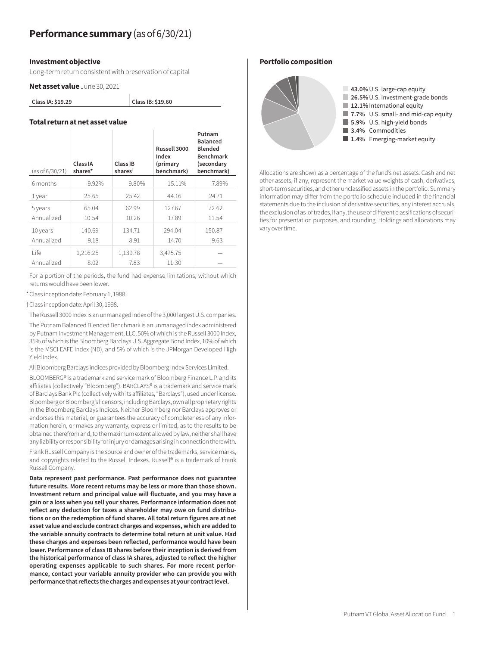# **Investment objective**

Long-term return consistent with preservation of capital

**Net asset value** June 30, 2021

| Class IA: \$19.29 |  |
|-------------------|--|
|-------------------|--|

**Class IA: \$19.29 Class IB: \$19.60**

## **Total return at net asset value**

| (as of 6/30/21) | Class IA<br>shares* | Class IB<br>shares <sup>t</sup> | Russell 3000<br>Index<br>(primary<br>benchmark) | Putnam<br><b>Balanced</b><br>Blended<br><b>Benchmark</b><br>(secondary<br>benchmark) |
|-----------------|---------------------|---------------------------------|-------------------------------------------------|--------------------------------------------------------------------------------------|
| 6 months        | 9.92%               | 9.80%                           | 15.11%                                          | 7.89%                                                                                |
| 1 year          | 25.65               | 25.42                           | 44.16                                           | 24.71                                                                                |
| 5 years         | 65.04               | 62.99                           | 127.67                                          | 72.62                                                                                |
| Annualized      | 10.54               | 10.26                           | 17.89                                           | 11.54                                                                                |
| 10 years        | 140.69              | 134.71                          | 294.04                                          | 150.87                                                                               |
| Annualized      | 9.18                | 8.91                            | 14.70                                           | 9.63                                                                                 |
| I ife           | 1,216.25            | 1,139.78                        | 3,475.75                                        |                                                                                      |
| Annualized      | 8.02                | 7.83                            | 11.30                                           |                                                                                      |

For a portion of the periods, the fund had expense limitations, without which returns would have been lower.

\*Class inception date: February 1, 1988.

†Class inception date: April 30, 1998.

The Russell 3000 Index is an unmanaged index of the 3,000 largest U.S. companies.

The Putnam Balanced Blended Benchmark is an unmanaged index administered by Putnam Investment Management, LLC, 50% of which is the Russell 3000 Index, 35% of which is the Bloomberg Barclays U.S. Aggregate Bond Index, 10% of which is the MSCI EAFE Index (ND), and 5% of which is the JPMorgan Developed High Yield Index.

All Bloomberg Barclays indices provided by Bloomberg Index Services Limited.

BLOOMBERG® is a trademark and service mark of Bloomberg Finance L.P. and its affiliates (collectively "Bloomberg"). BARCLAYS® is a trademark and service mark of Barclays Bank Plc (collectively with its affiliates, "Barclays"), used under license. Bloomberg or Bloomberg's licensors, including Barclays, own all proprietary rights in the Bloomberg Barclays Indices. Neither Bloomberg nor Barclays approves or endorses this material, or guarantees the accuracy of completeness of any information herein, or makes any warranty, express or limited, as to the results to be obtained therefrom and, to the maximum extent allowed by law, neither shall have any liability or responsibility for injury or damages arising in connection therewith.

Frank Russell Company is the source and owner of the trademarks, service marks, and copyrights related to the Russell Indexes. Russell® is a trademark of Frank Russell Company.

**Data represent past performance. Past performance does not guarantee future results. More recent returns may be less or more than those shown. Investment return and principal value will fluctuate, and you may have a gain or a loss when you sell your shares. Performance information does not reflect any deduction for taxes a shareholder may owe on fund distributions or on the redemption of fund shares. All total return figures are at net asset value and exclude contract charges and expenses, which are added to the variable annuity contracts to determine total return at unit value. Had these charges and expenses been reflected, performance would have been lower. Performance of class IB shares before their inception is derived from the historical performance of class IA shares, adjusted to reflect the higher operating expenses applicable to such shares. For more recent performance, contact your variable annuity provider who can provide you with performance that reflects the charges and expenses at your contract level.**

**Portfolio composition**



Allocations are shown as a percentage of the fund's net assets. Cash and net other assets, if any, represent the market value weights of cash, derivatives, short-term securities, and other unclassified assets in the portfolio. Summary information may differ from the portfolio schedule included in the financial statements due to the inclusion of derivative securities, any interest accruals, the exclusion of as-of trades, if any, the use of different classifications of securities for presentation purposes, and rounding. Holdings and allocations may vary over time.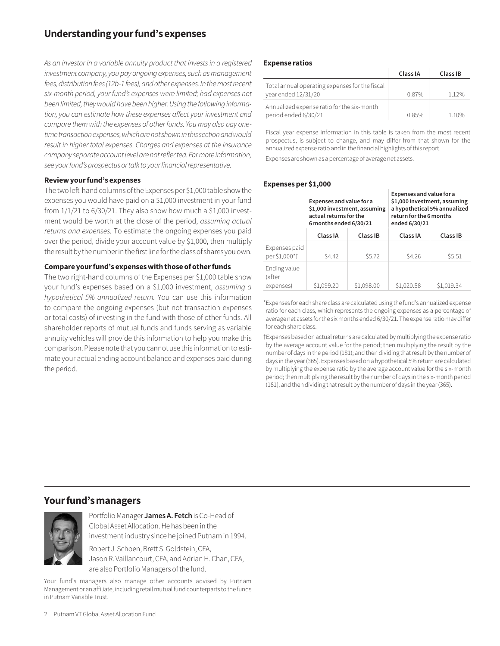# **Understanding your fund's expenses**

*As an investor in a variable annuity product that invests in a registered investment company, you pay ongoing expenses, such as management fees, distribution fees (12b-1 fees), and other expenses. In the most recent six-month period, your fund's expenses were limited; had expenses not been limited, they would have been higher. Using the following information, you can estimate how these expenses affect your investment and compare them with the expenses of other funds. You may also pay onetime transaction expenses, which are not shown in this section and would result in higher total expenses. Charges and expenses at the insurance company separate account level are not reflected. For more information, see your fund's prospectus or talk to your financial representative.*

# **Review your fund's expenses**

The two left-hand columns of the Expenses per \$1,000 table show the expenses you would have paid on a \$1,000 investment in your fund from  $1/1/21$  to  $6/30/21$ . They also show how much a \$1,000 investment would be worth at the close of the period, *assuming actual returns and expenses.* To estimate the ongoing expenses you paid over the period, divide your account value by \$1,000, then multiply the result by the number in the first line for the class of shares you own.

# **Compare your fund's expenses with those of other funds**

The two right-hand columns of the Expenses per \$1,000 table show your fund's expenses based on a \$1,000 investment, *assuming a hypothetical 5% annualized return.* You can use this information to compare the ongoing expenses (but not transaction expenses or total costs) of investing in the fund with those of other funds. All shareholder reports of mutual funds and funds serving as variable annuity vehicles will provide this information to help you make this comparison. Please note that you cannot use this information to estimate your actual ending account balance and expenses paid during the period.

# **Expense ratios**

|                                                                       | Class IA | Class IB |
|-----------------------------------------------------------------------|----------|----------|
| Total annual operating expenses for the fiscal<br>year ended 12/31/20 | 0.87%    | 1 1 2 %  |
| Annualized expense ratio for the six-month<br>period ended 6/30/21    | 0.85%    | 110%     |

Fiscal year expense information in this table is taken from the most recent prospectus, is subject to change, and may differ from that shown for the annualized expense ratio and in the financial highlights of this report.

Expenses are shown as a percentage of average net assets.

# **Expenses per \$1,000**

|                                     | Expenses and value for a<br>\$1,000 investment, assuming<br>actual returns for the<br>6 months ended 6/30/21 |            | <b>Expenses and value for a</b><br>\$1,000 investment, assuming<br>return for the 6 months<br>ended 6/30/21 | a hypothetical 5% annualized |
|-------------------------------------|--------------------------------------------------------------------------------------------------------------|------------|-------------------------------------------------------------------------------------------------------------|------------------------------|
|                                     | Class IA                                                                                                     | Class IB   | Class IA                                                                                                    | Class IB                     |
| Expenses paid<br>per \$1,000*†      | \$4.42                                                                                                       | \$5.72     | \$4.26                                                                                                      | \$5.51                       |
| Ending value<br>(after<br>expenses) | \$1,099.20                                                                                                   | \$1,098.00 | \$1,020.58                                                                                                  | \$1,019.34                   |

\*Expenses for each share class are calculated using the fund's annualized expense ratio for each class, which represents the ongoing expenses as a percentage of average net assets for the six months ended 6/30/21. The expense ratio may differ for each share class.

†Expenses based on actual returns are calculated by multiplying the expense ratio by the average account value for the period; then multiplying the result by the number of days in the period (181); and then dividing that result by the number of days in the year (365). Expenses based on a hypothetical 5% return are calculated by multiplying the expense ratio by the average account value for the six-month period; then multiplying the result by the number of days in the six-month period (181); and then dividing that result by the number of days in the year (365).

# **Your fund's managers**



Portfolio Manager **James A. Fetch** is Co-Head of Global Asset Allocation. He has been in the investment industry since he joined Putnam in 1994. Robert J. Schoen, Brett S. Goldstein, CFA, Jason R. Vaillancourt, CFA, and Adrian H. Chan, CFA, are also Portfolio Managers of the fund.

Your fund's managers also manage other accounts advised by Putnam Management or an affiliate, including retail mutual fund counterparts to the funds in Putnam Variable Trust.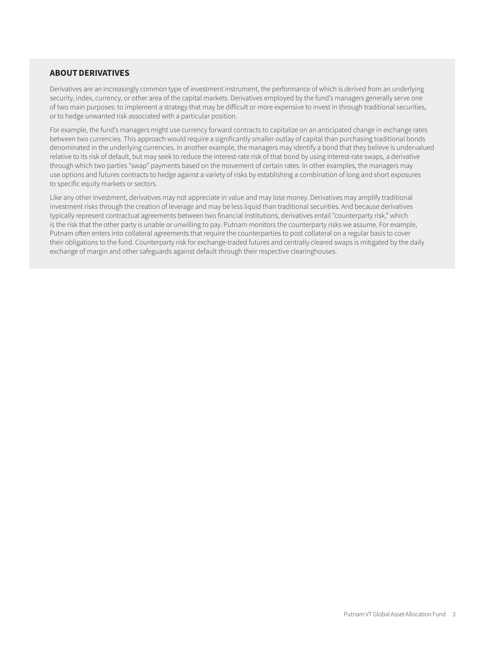# **ABOUT DERIVATIVES**

Derivatives are an increasingly common type of investment instrument, the performance of which is *derive*d from an underlying security, index, currency, or other area of the capital markets. Derivatives employed by the fund's managers generally serve one of two main purposes: to implement a strategy that may be difficult or more expensive to invest in through traditional securities, or to hedge unwanted risk associated with a particular position.

For example, the fund's managers might use currency forward contracts to capitalize on an anticipated change in exchange rates between two currencies. This approach would require a significantly smaller outlay of capital than purchasing traditional bonds denominated in the underlying currencies. In another example, the managers may identify a bond that they believe is undervalued relative to its risk of default, but may seek to reduce the interest-rate risk of that bond by using interest-rate swaps, a derivative through which two parties "swap" payments based on the movement of certain rates. In other examples, the managers may use options and futures contracts to hedge against a variety of risks by establishing a combination of long and short exposures to specific equity markets or sectors.

Like any other investment, derivatives may not appreciate in value and may lose money. Derivatives may amplify traditional investment risks through the creation of leverage and may be less liquid than traditional securities. And because derivatives typically represent contractual agreements between two financial institutions, derivatives entail "counterparty risk," which is the risk that the other party is unable or unwilling to pay. Putnam monitors the counterparty risks we assume. For example, Putnam often enters into collateral agreements that require the counterparties to post collateral on a regular basis to cover their obligations to the fund. Counterparty risk for exchange-traded futures and centrally cleared swaps is mitigated by the daily exchange of margin and other safeguards against default through their respective clearinghouses.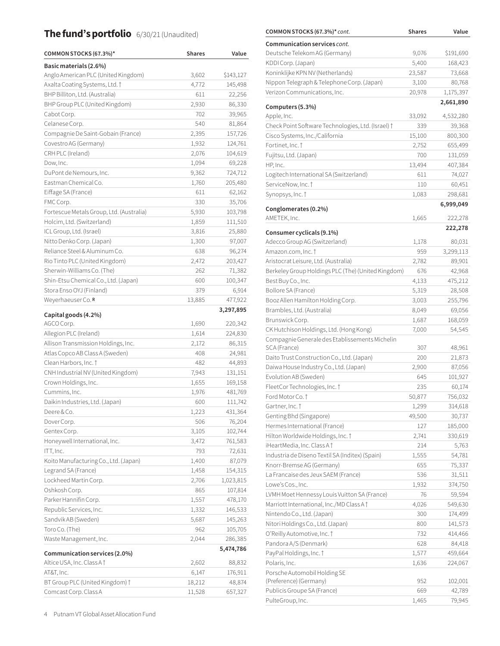# **The fund's portfolio** 6/30/21 (Unaudited)

| Basic materials (2.6%)<br>Anglo American PLC (United Kingdom)<br>\$143,127<br>3,602<br>4,772<br>Axalta Coating Systems, Ltd. †<br>145,498<br>BHP Billiton, Ltd. (Australia)<br>611<br>22,256<br>BHP Group PLC (United Kingdom)<br>2,930<br>86,330<br>Cabot Corp.<br>702<br>39,965<br>Celanese Corp.<br>540<br>81,864<br>Compagnie De Saint-Gobain (France)<br>2,395<br>157,726<br>Covestro AG (Germany)<br>1,932<br>124,761<br>CRH PLC (Ireland)<br>2,076<br>104,619<br>Dow, Inc.<br>1,094<br>69,228<br>DuPont de Nemours, Inc.<br>9,362<br>724,712<br>Eastman Chemical Co.<br>1,760<br>205,480<br>Eiffage SA (France)<br>611<br>62,162<br>FMC Corp.<br>330<br>35,706<br>Fortescue Metals Group, Ltd. (Australia)<br>5,930<br>103,798<br>Holcim, Ltd. (Switzerland)<br>1,859<br>111,510<br>ICL Group, Ltd. (Israel)<br>3,816<br>25,880<br>Nitto Denko Corp. (Japan)<br>1,300<br>97,007<br>Reliance Steel & Aluminum Co.<br>638<br>96,274<br>Rio Tinto PLC (United Kingdom)<br>2,472<br>203,427<br>Sherwin-Williams Co. (The)<br>262<br>71,382<br>Shin-Etsu Chemical Co., Ltd. (Japan)<br>600<br>100,347<br>Stora Enso OYJ (Finland)<br>379<br>6,914<br>Weyerhaeuser Co. R<br>13,885<br>477,922<br>3,297,895<br>Capital goods (4.2%)<br>AGCO Corp.<br>1,690<br>220,342<br>Allegion PLC (Ireland)<br>1,614<br>224,830<br>Allison Transmission Holdings, Inc.<br>2,172<br>86,315<br>Atlas Copco AB Class A (Sweden)<br>408<br>24,981<br>Clean Harbors, Inc. t<br>482<br>44,893<br>CNH Industrial NV (United Kingdom)<br>7,943<br>131,151<br>Crown Holdings, Inc.<br>1,655<br>169,158<br>Cummins, Inc.<br>1,976<br>481,769<br>Daikin Industries, Ltd. (Japan)<br>600<br>111,742<br>Deere & Co.<br>1,223<br>431,364<br>Dover Corp.<br>506<br>76,204<br>Gentex Corp.<br>3,105<br>102,744<br>Honeywell International, Inc.<br>3,472<br>761,583<br>ITT, Inc.<br>793<br>72,631<br>Koito Manufacturing Co., Ltd. (Japan)<br>1,400<br>87,079<br>Legrand SA (France)<br>1,458<br>154,315<br>Lockheed Martin Corp.<br>2,706<br>1,023,815<br>Oshkosh Corp.<br>865<br>107,814<br>Parker Hannifin Corp.<br>1,557<br>478,170<br>Republic Services, Inc.<br>1,332<br>146,533<br>Sandvik AB (Sweden)<br>5,687<br>145,263<br>Toro Co. (The)<br>962<br>105,705<br>Waste Management, Inc.<br>2,044<br>286,385<br>5,474,786<br>Communication services (2.0%)<br>Altice USA, Inc. Class A †<br>2,602<br>88,832<br>6,147<br>AT&T, Inc.<br>176,911<br>BT Group PLC (United Kingdom) †<br>18,212<br>48,874 | COMMON STOCKS (67.3%)* | <b>Shares</b> | Value   |
|---------------------------------------------------------------------------------------------------------------------------------------------------------------------------------------------------------------------------------------------------------------------------------------------------------------------------------------------------------------------------------------------------------------------------------------------------------------------------------------------------------------------------------------------------------------------------------------------------------------------------------------------------------------------------------------------------------------------------------------------------------------------------------------------------------------------------------------------------------------------------------------------------------------------------------------------------------------------------------------------------------------------------------------------------------------------------------------------------------------------------------------------------------------------------------------------------------------------------------------------------------------------------------------------------------------------------------------------------------------------------------------------------------------------------------------------------------------------------------------------------------------------------------------------------------------------------------------------------------------------------------------------------------------------------------------------------------------------------------------------------------------------------------------------------------------------------------------------------------------------------------------------------------------------------------------------------------------------------------------------------------------------------------------------------------------------------------------------------------------------------------------------------------------------------------------------------------------------------------------------------------------------------------------------------------------------------------------------------------------------------------------------------------------------------------------------------------------------------------|------------------------|---------------|---------|
|                                                                                                                                                                                                                                                                                                                                                                                                                                                                                                                                                                                                                                                                                                                                                                                                                                                                                                                                                                                                                                                                                                                                                                                                                                                                                                                                                                                                                                                                                                                                                                                                                                                                                                                                                                                                                                                                                                                                                                                                                                                                                                                                                                                                                                                                                                                                                                                                                                                                                 |                        |               |         |
|                                                                                                                                                                                                                                                                                                                                                                                                                                                                                                                                                                                                                                                                                                                                                                                                                                                                                                                                                                                                                                                                                                                                                                                                                                                                                                                                                                                                                                                                                                                                                                                                                                                                                                                                                                                                                                                                                                                                                                                                                                                                                                                                                                                                                                                                                                                                                                                                                                                                                 |                        |               |         |
|                                                                                                                                                                                                                                                                                                                                                                                                                                                                                                                                                                                                                                                                                                                                                                                                                                                                                                                                                                                                                                                                                                                                                                                                                                                                                                                                                                                                                                                                                                                                                                                                                                                                                                                                                                                                                                                                                                                                                                                                                                                                                                                                                                                                                                                                                                                                                                                                                                                                                 |                        |               |         |
|                                                                                                                                                                                                                                                                                                                                                                                                                                                                                                                                                                                                                                                                                                                                                                                                                                                                                                                                                                                                                                                                                                                                                                                                                                                                                                                                                                                                                                                                                                                                                                                                                                                                                                                                                                                                                                                                                                                                                                                                                                                                                                                                                                                                                                                                                                                                                                                                                                                                                 |                        |               |         |
|                                                                                                                                                                                                                                                                                                                                                                                                                                                                                                                                                                                                                                                                                                                                                                                                                                                                                                                                                                                                                                                                                                                                                                                                                                                                                                                                                                                                                                                                                                                                                                                                                                                                                                                                                                                                                                                                                                                                                                                                                                                                                                                                                                                                                                                                                                                                                                                                                                                                                 |                        |               |         |
|                                                                                                                                                                                                                                                                                                                                                                                                                                                                                                                                                                                                                                                                                                                                                                                                                                                                                                                                                                                                                                                                                                                                                                                                                                                                                                                                                                                                                                                                                                                                                                                                                                                                                                                                                                                                                                                                                                                                                                                                                                                                                                                                                                                                                                                                                                                                                                                                                                                                                 |                        |               |         |
|                                                                                                                                                                                                                                                                                                                                                                                                                                                                                                                                                                                                                                                                                                                                                                                                                                                                                                                                                                                                                                                                                                                                                                                                                                                                                                                                                                                                                                                                                                                                                                                                                                                                                                                                                                                                                                                                                                                                                                                                                                                                                                                                                                                                                                                                                                                                                                                                                                                                                 |                        |               |         |
|                                                                                                                                                                                                                                                                                                                                                                                                                                                                                                                                                                                                                                                                                                                                                                                                                                                                                                                                                                                                                                                                                                                                                                                                                                                                                                                                                                                                                                                                                                                                                                                                                                                                                                                                                                                                                                                                                                                                                                                                                                                                                                                                                                                                                                                                                                                                                                                                                                                                                 |                        |               |         |
|                                                                                                                                                                                                                                                                                                                                                                                                                                                                                                                                                                                                                                                                                                                                                                                                                                                                                                                                                                                                                                                                                                                                                                                                                                                                                                                                                                                                                                                                                                                                                                                                                                                                                                                                                                                                                                                                                                                                                                                                                                                                                                                                                                                                                                                                                                                                                                                                                                                                                 |                        |               |         |
|                                                                                                                                                                                                                                                                                                                                                                                                                                                                                                                                                                                                                                                                                                                                                                                                                                                                                                                                                                                                                                                                                                                                                                                                                                                                                                                                                                                                                                                                                                                                                                                                                                                                                                                                                                                                                                                                                                                                                                                                                                                                                                                                                                                                                                                                                                                                                                                                                                                                                 |                        |               |         |
|                                                                                                                                                                                                                                                                                                                                                                                                                                                                                                                                                                                                                                                                                                                                                                                                                                                                                                                                                                                                                                                                                                                                                                                                                                                                                                                                                                                                                                                                                                                                                                                                                                                                                                                                                                                                                                                                                                                                                                                                                                                                                                                                                                                                                                                                                                                                                                                                                                                                                 |                        |               |         |
|                                                                                                                                                                                                                                                                                                                                                                                                                                                                                                                                                                                                                                                                                                                                                                                                                                                                                                                                                                                                                                                                                                                                                                                                                                                                                                                                                                                                                                                                                                                                                                                                                                                                                                                                                                                                                                                                                                                                                                                                                                                                                                                                                                                                                                                                                                                                                                                                                                                                                 |                        |               |         |
|                                                                                                                                                                                                                                                                                                                                                                                                                                                                                                                                                                                                                                                                                                                                                                                                                                                                                                                                                                                                                                                                                                                                                                                                                                                                                                                                                                                                                                                                                                                                                                                                                                                                                                                                                                                                                                                                                                                                                                                                                                                                                                                                                                                                                                                                                                                                                                                                                                                                                 |                        |               |         |
|                                                                                                                                                                                                                                                                                                                                                                                                                                                                                                                                                                                                                                                                                                                                                                                                                                                                                                                                                                                                                                                                                                                                                                                                                                                                                                                                                                                                                                                                                                                                                                                                                                                                                                                                                                                                                                                                                                                                                                                                                                                                                                                                                                                                                                                                                                                                                                                                                                                                                 |                        |               |         |
|                                                                                                                                                                                                                                                                                                                                                                                                                                                                                                                                                                                                                                                                                                                                                                                                                                                                                                                                                                                                                                                                                                                                                                                                                                                                                                                                                                                                                                                                                                                                                                                                                                                                                                                                                                                                                                                                                                                                                                                                                                                                                                                                                                                                                                                                                                                                                                                                                                                                                 |                        |               |         |
|                                                                                                                                                                                                                                                                                                                                                                                                                                                                                                                                                                                                                                                                                                                                                                                                                                                                                                                                                                                                                                                                                                                                                                                                                                                                                                                                                                                                                                                                                                                                                                                                                                                                                                                                                                                                                                                                                                                                                                                                                                                                                                                                                                                                                                                                                                                                                                                                                                                                                 |                        |               |         |
|                                                                                                                                                                                                                                                                                                                                                                                                                                                                                                                                                                                                                                                                                                                                                                                                                                                                                                                                                                                                                                                                                                                                                                                                                                                                                                                                                                                                                                                                                                                                                                                                                                                                                                                                                                                                                                                                                                                                                                                                                                                                                                                                                                                                                                                                                                                                                                                                                                                                                 |                        |               |         |
|                                                                                                                                                                                                                                                                                                                                                                                                                                                                                                                                                                                                                                                                                                                                                                                                                                                                                                                                                                                                                                                                                                                                                                                                                                                                                                                                                                                                                                                                                                                                                                                                                                                                                                                                                                                                                                                                                                                                                                                                                                                                                                                                                                                                                                                                                                                                                                                                                                                                                 |                        |               |         |
|                                                                                                                                                                                                                                                                                                                                                                                                                                                                                                                                                                                                                                                                                                                                                                                                                                                                                                                                                                                                                                                                                                                                                                                                                                                                                                                                                                                                                                                                                                                                                                                                                                                                                                                                                                                                                                                                                                                                                                                                                                                                                                                                                                                                                                                                                                                                                                                                                                                                                 |                        |               |         |
|                                                                                                                                                                                                                                                                                                                                                                                                                                                                                                                                                                                                                                                                                                                                                                                                                                                                                                                                                                                                                                                                                                                                                                                                                                                                                                                                                                                                                                                                                                                                                                                                                                                                                                                                                                                                                                                                                                                                                                                                                                                                                                                                                                                                                                                                                                                                                                                                                                                                                 |                        |               |         |
|                                                                                                                                                                                                                                                                                                                                                                                                                                                                                                                                                                                                                                                                                                                                                                                                                                                                                                                                                                                                                                                                                                                                                                                                                                                                                                                                                                                                                                                                                                                                                                                                                                                                                                                                                                                                                                                                                                                                                                                                                                                                                                                                                                                                                                                                                                                                                                                                                                                                                 |                        |               |         |
|                                                                                                                                                                                                                                                                                                                                                                                                                                                                                                                                                                                                                                                                                                                                                                                                                                                                                                                                                                                                                                                                                                                                                                                                                                                                                                                                                                                                                                                                                                                                                                                                                                                                                                                                                                                                                                                                                                                                                                                                                                                                                                                                                                                                                                                                                                                                                                                                                                                                                 |                        |               |         |
|                                                                                                                                                                                                                                                                                                                                                                                                                                                                                                                                                                                                                                                                                                                                                                                                                                                                                                                                                                                                                                                                                                                                                                                                                                                                                                                                                                                                                                                                                                                                                                                                                                                                                                                                                                                                                                                                                                                                                                                                                                                                                                                                                                                                                                                                                                                                                                                                                                                                                 |                        |               |         |
|                                                                                                                                                                                                                                                                                                                                                                                                                                                                                                                                                                                                                                                                                                                                                                                                                                                                                                                                                                                                                                                                                                                                                                                                                                                                                                                                                                                                                                                                                                                                                                                                                                                                                                                                                                                                                                                                                                                                                                                                                                                                                                                                                                                                                                                                                                                                                                                                                                                                                 |                        |               |         |
|                                                                                                                                                                                                                                                                                                                                                                                                                                                                                                                                                                                                                                                                                                                                                                                                                                                                                                                                                                                                                                                                                                                                                                                                                                                                                                                                                                                                                                                                                                                                                                                                                                                                                                                                                                                                                                                                                                                                                                                                                                                                                                                                                                                                                                                                                                                                                                                                                                                                                 |                        |               |         |
|                                                                                                                                                                                                                                                                                                                                                                                                                                                                                                                                                                                                                                                                                                                                                                                                                                                                                                                                                                                                                                                                                                                                                                                                                                                                                                                                                                                                                                                                                                                                                                                                                                                                                                                                                                                                                                                                                                                                                                                                                                                                                                                                                                                                                                                                                                                                                                                                                                                                                 |                        |               |         |
|                                                                                                                                                                                                                                                                                                                                                                                                                                                                                                                                                                                                                                                                                                                                                                                                                                                                                                                                                                                                                                                                                                                                                                                                                                                                                                                                                                                                                                                                                                                                                                                                                                                                                                                                                                                                                                                                                                                                                                                                                                                                                                                                                                                                                                                                                                                                                                                                                                                                                 |                        |               |         |
|                                                                                                                                                                                                                                                                                                                                                                                                                                                                                                                                                                                                                                                                                                                                                                                                                                                                                                                                                                                                                                                                                                                                                                                                                                                                                                                                                                                                                                                                                                                                                                                                                                                                                                                                                                                                                                                                                                                                                                                                                                                                                                                                                                                                                                                                                                                                                                                                                                                                                 |                        |               |         |
|                                                                                                                                                                                                                                                                                                                                                                                                                                                                                                                                                                                                                                                                                                                                                                                                                                                                                                                                                                                                                                                                                                                                                                                                                                                                                                                                                                                                                                                                                                                                                                                                                                                                                                                                                                                                                                                                                                                                                                                                                                                                                                                                                                                                                                                                                                                                                                                                                                                                                 |                        |               |         |
|                                                                                                                                                                                                                                                                                                                                                                                                                                                                                                                                                                                                                                                                                                                                                                                                                                                                                                                                                                                                                                                                                                                                                                                                                                                                                                                                                                                                                                                                                                                                                                                                                                                                                                                                                                                                                                                                                                                                                                                                                                                                                                                                                                                                                                                                                                                                                                                                                                                                                 |                        |               |         |
|                                                                                                                                                                                                                                                                                                                                                                                                                                                                                                                                                                                                                                                                                                                                                                                                                                                                                                                                                                                                                                                                                                                                                                                                                                                                                                                                                                                                                                                                                                                                                                                                                                                                                                                                                                                                                                                                                                                                                                                                                                                                                                                                                                                                                                                                                                                                                                                                                                                                                 |                        |               |         |
|                                                                                                                                                                                                                                                                                                                                                                                                                                                                                                                                                                                                                                                                                                                                                                                                                                                                                                                                                                                                                                                                                                                                                                                                                                                                                                                                                                                                                                                                                                                                                                                                                                                                                                                                                                                                                                                                                                                                                                                                                                                                                                                                                                                                                                                                                                                                                                                                                                                                                 |                        |               |         |
|                                                                                                                                                                                                                                                                                                                                                                                                                                                                                                                                                                                                                                                                                                                                                                                                                                                                                                                                                                                                                                                                                                                                                                                                                                                                                                                                                                                                                                                                                                                                                                                                                                                                                                                                                                                                                                                                                                                                                                                                                                                                                                                                                                                                                                                                                                                                                                                                                                                                                 |                        |               |         |
|                                                                                                                                                                                                                                                                                                                                                                                                                                                                                                                                                                                                                                                                                                                                                                                                                                                                                                                                                                                                                                                                                                                                                                                                                                                                                                                                                                                                                                                                                                                                                                                                                                                                                                                                                                                                                                                                                                                                                                                                                                                                                                                                                                                                                                                                                                                                                                                                                                                                                 |                        |               |         |
|                                                                                                                                                                                                                                                                                                                                                                                                                                                                                                                                                                                                                                                                                                                                                                                                                                                                                                                                                                                                                                                                                                                                                                                                                                                                                                                                                                                                                                                                                                                                                                                                                                                                                                                                                                                                                                                                                                                                                                                                                                                                                                                                                                                                                                                                                                                                                                                                                                                                                 |                        |               |         |
|                                                                                                                                                                                                                                                                                                                                                                                                                                                                                                                                                                                                                                                                                                                                                                                                                                                                                                                                                                                                                                                                                                                                                                                                                                                                                                                                                                                                                                                                                                                                                                                                                                                                                                                                                                                                                                                                                                                                                                                                                                                                                                                                                                                                                                                                                                                                                                                                                                                                                 |                        |               |         |
|                                                                                                                                                                                                                                                                                                                                                                                                                                                                                                                                                                                                                                                                                                                                                                                                                                                                                                                                                                                                                                                                                                                                                                                                                                                                                                                                                                                                                                                                                                                                                                                                                                                                                                                                                                                                                                                                                                                                                                                                                                                                                                                                                                                                                                                                                                                                                                                                                                                                                 |                        |               |         |
|                                                                                                                                                                                                                                                                                                                                                                                                                                                                                                                                                                                                                                                                                                                                                                                                                                                                                                                                                                                                                                                                                                                                                                                                                                                                                                                                                                                                                                                                                                                                                                                                                                                                                                                                                                                                                                                                                                                                                                                                                                                                                                                                                                                                                                                                                                                                                                                                                                                                                 |                        |               |         |
|                                                                                                                                                                                                                                                                                                                                                                                                                                                                                                                                                                                                                                                                                                                                                                                                                                                                                                                                                                                                                                                                                                                                                                                                                                                                                                                                                                                                                                                                                                                                                                                                                                                                                                                                                                                                                                                                                                                                                                                                                                                                                                                                                                                                                                                                                                                                                                                                                                                                                 |                        |               |         |
|                                                                                                                                                                                                                                                                                                                                                                                                                                                                                                                                                                                                                                                                                                                                                                                                                                                                                                                                                                                                                                                                                                                                                                                                                                                                                                                                                                                                                                                                                                                                                                                                                                                                                                                                                                                                                                                                                                                                                                                                                                                                                                                                                                                                                                                                                                                                                                                                                                                                                 |                        |               |         |
|                                                                                                                                                                                                                                                                                                                                                                                                                                                                                                                                                                                                                                                                                                                                                                                                                                                                                                                                                                                                                                                                                                                                                                                                                                                                                                                                                                                                                                                                                                                                                                                                                                                                                                                                                                                                                                                                                                                                                                                                                                                                                                                                                                                                                                                                                                                                                                                                                                                                                 |                        |               |         |
|                                                                                                                                                                                                                                                                                                                                                                                                                                                                                                                                                                                                                                                                                                                                                                                                                                                                                                                                                                                                                                                                                                                                                                                                                                                                                                                                                                                                                                                                                                                                                                                                                                                                                                                                                                                                                                                                                                                                                                                                                                                                                                                                                                                                                                                                                                                                                                                                                                                                                 |                        |               |         |
|                                                                                                                                                                                                                                                                                                                                                                                                                                                                                                                                                                                                                                                                                                                                                                                                                                                                                                                                                                                                                                                                                                                                                                                                                                                                                                                                                                                                                                                                                                                                                                                                                                                                                                                                                                                                                                                                                                                                                                                                                                                                                                                                                                                                                                                                                                                                                                                                                                                                                 |                        |               |         |
|                                                                                                                                                                                                                                                                                                                                                                                                                                                                                                                                                                                                                                                                                                                                                                                                                                                                                                                                                                                                                                                                                                                                                                                                                                                                                                                                                                                                                                                                                                                                                                                                                                                                                                                                                                                                                                                                                                                                                                                                                                                                                                                                                                                                                                                                                                                                                                                                                                                                                 |                        |               |         |
|                                                                                                                                                                                                                                                                                                                                                                                                                                                                                                                                                                                                                                                                                                                                                                                                                                                                                                                                                                                                                                                                                                                                                                                                                                                                                                                                                                                                                                                                                                                                                                                                                                                                                                                                                                                                                                                                                                                                                                                                                                                                                                                                                                                                                                                                                                                                                                                                                                                                                 |                        |               |         |
|                                                                                                                                                                                                                                                                                                                                                                                                                                                                                                                                                                                                                                                                                                                                                                                                                                                                                                                                                                                                                                                                                                                                                                                                                                                                                                                                                                                                                                                                                                                                                                                                                                                                                                                                                                                                                                                                                                                                                                                                                                                                                                                                                                                                                                                                                                                                                                                                                                                                                 |                        |               |         |
|                                                                                                                                                                                                                                                                                                                                                                                                                                                                                                                                                                                                                                                                                                                                                                                                                                                                                                                                                                                                                                                                                                                                                                                                                                                                                                                                                                                                                                                                                                                                                                                                                                                                                                                                                                                                                                                                                                                                                                                                                                                                                                                                                                                                                                                                                                                                                                                                                                                                                 |                        |               |         |
|                                                                                                                                                                                                                                                                                                                                                                                                                                                                                                                                                                                                                                                                                                                                                                                                                                                                                                                                                                                                                                                                                                                                                                                                                                                                                                                                                                                                                                                                                                                                                                                                                                                                                                                                                                                                                                                                                                                                                                                                                                                                                                                                                                                                                                                                                                                                                                                                                                                                                 |                        |               |         |
|                                                                                                                                                                                                                                                                                                                                                                                                                                                                                                                                                                                                                                                                                                                                                                                                                                                                                                                                                                                                                                                                                                                                                                                                                                                                                                                                                                                                                                                                                                                                                                                                                                                                                                                                                                                                                                                                                                                                                                                                                                                                                                                                                                                                                                                                                                                                                                                                                                                                                 |                        |               |         |
|                                                                                                                                                                                                                                                                                                                                                                                                                                                                                                                                                                                                                                                                                                                                                                                                                                                                                                                                                                                                                                                                                                                                                                                                                                                                                                                                                                                                                                                                                                                                                                                                                                                                                                                                                                                                                                                                                                                                                                                                                                                                                                                                                                                                                                                                                                                                                                                                                                                                                 |                        |               |         |
|                                                                                                                                                                                                                                                                                                                                                                                                                                                                                                                                                                                                                                                                                                                                                                                                                                                                                                                                                                                                                                                                                                                                                                                                                                                                                                                                                                                                                                                                                                                                                                                                                                                                                                                                                                                                                                                                                                                                                                                                                                                                                                                                                                                                                                                                                                                                                                                                                                                                                 |                        |               |         |
|                                                                                                                                                                                                                                                                                                                                                                                                                                                                                                                                                                                                                                                                                                                                                                                                                                                                                                                                                                                                                                                                                                                                                                                                                                                                                                                                                                                                                                                                                                                                                                                                                                                                                                                                                                                                                                                                                                                                                                                                                                                                                                                                                                                                                                                                                                                                                                                                                                                                                 |                        |               |         |
|                                                                                                                                                                                                                                                                                                                                                                                                                                                                                                                                                                                                                                                                                                                                                                                                                                                                                                                                                                                                                                                                                                                                                                                                                                                                                                                                                                                                                                                                                                                                                                                                                                                                                                                                                                                                                                                                                                                                                                                                                                                                                                                                                                                                                                                                                                                                                                                                                                                                                 |                        |               |         |
|                                                                                                                                                                                                                                                                                                                                                                                                                                                                                                                                                                                                                                                                                                                                                                                                                                                                                                                                                                                                                                                                                                                                                                                                                                                                                                                                                                                                                                                                                                                                                                                                                                                                                                                                                                                                                                                                                                                                                                                                                                                                                                                                                                                                                                                                                                                                                                                                                                                                                 | Comcast Corp. Class A  | 11,528        | 657,327 |

| COMMON STOCKS (67.3%)* cont.                                   | <b>Shares</b> | Value              |
|----------------------------------------------------------------|---------------|--------------------|
| Communication services cont.                                   |               |                    |
| Deutsche Telekom AG (Germany)                                  | 9,076         | \$191,690          |
| KDDI Corp. (Japan)                                             | 5,400         | 168,423            |
| Koninklijke KPN NV (Netherlands)                               | 23,587        | 73,668             |
| Nippon Telegraph & Telephone Corp. (Japan)                     | 3,100         | 80,768             |
| Verizon Communications, Inc.                                   | 20,978        | 1,175,397          |
|                                                                |               | 2,661,890          |
| Computers (5.3%)<br>Apple, Inc.                                | 33,092        | 4,532,280          |
| Check Point Software Technologies, Ltd. (Israel) †             | 339           | 39,368             |
| Cisco Systems, Inc./California                                 | 15,100        | 800,300            |
| Fortinet, Inc. †                                               | 2,752         | 655,499            |
| Fujitsu, Ltd. (Japan)                                          | 700           | 131,059            |
| HP, Inc.                                                       | 13,494        | 407,384            |
| Logitech International SA (Switzerland)                        | 611           | 74,027             |
| ServiceNow, Inc. t                                             | 110           | 60,451             |
| Synopsys, Inc. †                                               | 1,083         | 298,681            |
|                                                                |               | 6,999,049          |
| Conglomerates (0.2%)                                           |               |                    |
| AMETEK, Inc.                                                   | 1,665         | 222,278            |
| Consumer cyclicals (9.1%)                                      |               | 222,278            |
| Adecco Group AG (Switzerland)                                  | 1,178         | 80,031             |
| Amazon.com, Inc. †                                             | 959           | 3,299,113          |
| Aristocrat Leisure, Ltd. (Australia)                           | 2,782         | 89,901             |
| Berkeley Group Holdings PLC (The) (United Kingdom)             | 676           | 42,968             |
| Best Buy Co., Inc.                                             | 4,133         | 475,212            |
| Bollore SA (France)                                            | 5,319         | 28,508             |
| Booz Allen Hamilton Holding Corp.                              | 3,003         | 255,796            |
| Brambles, Ltd. (Australia)                                     | 8,049         | 69,056             |
| Brunswick Corp.                                                | 1,687         | 168,059            |
| CK Hutchison Holdings, Ltd. (Hong Kong)                        | 7,000         | 54,545             |
| Compagnie Generale des Etablissements Michelin<br>SCA (France) | 307           | 48,961             |
| Daito Trust Construction Co., Ltd. (Japan)                     | 200           | 21,873             |
| Daiwa House Industry Co., Ltd. (Japan)                         | 2,900         | 87,056             |
| Evolution AB (Sweden)                                          | 645           | 101,927            |
| FleetCorTechnologies, Inc. 1                                   | 235           | 60,174             |
| Ford Motor Co. <sup>†</sup>                                    | 50,877        | 756,032            |
| Gartner, Inc. †                                                | 1,299         | 314,618            |
| Genting Bhd (Singapore)                                        | 49,500        | 30,737             |
| Hermes International (France)                                  | 127           | 185,000            |
| Hilton Worldwide Holdings, Inc. 1                              | 2,741         | 330,619            |
| iHeartMedia, Inc. Class A                                      | 214           | 5,763              |
| Industria de Diseno Textil SA (Inditex) (Spain)                | 1,555         | 54,781             |
| Knorr-Bremse AG (Germany)                                      | 655           | 75,337             |
| La Francaise des Jeux SAEM (France)                            | 536           | 31,511             |
| Lowe's Cos., Inc.                                              | 1,932         | 374,750            |
| LVMH Moet Hennessy Louis Vuitton SA (France)                   | 76            | 59,594             |
| Marriott International, Inc./MD Class A †                      | 4,026         | 549,630            |
| Nintendo Co., Ltd. (Japan)                                     | 300           |                    |
| Nitori Holdings Co., Ltd. (Japan)                              | 800           | 174,499<br>141,573 |
| O'Reilly Automotive, Inc. 1                                    | 732           | 414,466            |
| Pandora A/S (Denmark)                                          |               |                    |
| PayPal Holdings, Inc. 1                                        | 628           | 84,418             |
| Polaris, Inc.                                                  | 1,577         | 459,664            |
| Porsche Automobil Holding SE                                   | 1,636         | 224,067            |
| (Preference) (Germany)                                         | 952           | 102,001            |
| Publicis Groupe SA (France)                                    | 669           | 42,789             |
| PulteGroup, Inc.                                               | 1,465         | 79,945             |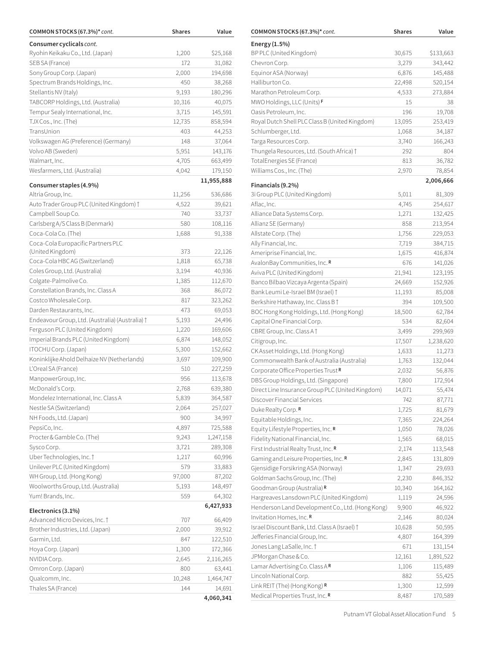| COMMON STOCKS (67.3%)* cont.                            | <b>Shares</b> | Value               |
|---------------------------------------------------------|---------------|---------------------|
| Consumer cyclicals cont.                                |               |                     |
| Ryohin Keikaku Co., Ltd. (Japan)                        | 1,200         | \$25,168            |
| SEB SA (France)                                         | 172           | 31,082              |
| Sony Group Corp. (Japan)                                | 2,000         | 194,698             |
| Spectrum Brands Holdings, Inc.                          | 450           | 38,268              |
| Stellantis NV (Italy)                                   | 9,193         | 180,296             |
| TABCORP Holdings, Ltd. (Australia)                      | 10,316        | 40,075              |
| Tempur Sealy International, Inc.                        | 3,715         | 145,591             |
| TJX Cos., Inc. (The)                                    | 12,735        | 858,594             |
| TransUnion                                              | 403           | 44,253              |
| Volkswagen AG (Preference) (Germany)                    | 148           | 37,064              |
| Volvo AB (Sweden)                                       | 5,951         | 143,176             |
| Walmart, Inc.                                           | 4,705         | 663,499             |
| Wesfarmers, Ltd. (Australia)                            | 4,042         | 179,150             |
|                                                         |               | 11,955,888          |
| Consumer staples (4.9%)                                 |               |                     |
| Altria Group, Inc.                                      | 11,256        | 536,686             |
| Auto Trader Group PLC (United Kingdom) †                | 4,522         | 39,621              |
| Campbell Soup Co.                                       | 740           | 33,737              |
| Carlsberg A/S Class B (Denmark)                         | 580           | 108,116             |
| Coca-Cola Co. (The)                                     | 1,688         | 91,338              |
| Coca-Cola Europacific Partners PLC<br>(United Kingdom)  | 373           | 22,126              |
| Coca-Cola HBCAG (Switzerland)                           | 1,818         | 65,738              |
| Coles Group, Ltd. (Australia)                           | 3,194         | 40,936              |
| Colgate-Palmolive Co.                                   | 1,385         | 112,670             |
| Constellation Brands, Inc. Class A                      | 368           | 86,072              |
| Costco Wholesale Corp.                                  | 817           | 323,262             |
| Darden Restaurants, Inc.                                | 473           | 69,053              |
| Endeavour Group, Ltd. (Australia) (Australia) †         | 5,193         | 24,496              |
| Ferguson PLC (United Kingdom)                           | 1,220         | 169,606             |
| Imperial Brands PLC (United Kingdom)                    | 6,874         | 148,052             |
| ITOCHU Corp. (Japan)                                    | 5,300         | 152,662             |
| Koninklijke Ahold Delhaize NV (Netherlands)             | 3,697         | 109,900             |
| L'Oreal SA (France)                                     | 510           | 227,259             |
| ManpowerGroup, Inc.                                     | 956           | 113,678             |
| McDonald's Corp.                                        | 2,768         | 639,380             |
| Mondelez International, Inc. Class A                    | 5,839         | 364,587             |
| Nestle SA (Switzerland)                                 | 2,064         | 257,027             |
| NH Foods, Ltd. (Japan)                                  | 900           |                     |
| PepsiCo, Inc.                                           | 4,897         | 34,997<br>725,588   |
| Procter & Gamble Co. (The)                              | 9,243         | 1,247,158           |
| Sysco Corp.                                             | 3,721         | 289,308             |
| Uber Technologies, Inc. †                               | 1,217         |                     |
| Unilever PLC (United Kingdom)                           | 579           | 60,996              |
| WH Group, Ltd. (Hong Kong)                              | 97,000        | 33,883<br>87,202    |
|                                                         | 5,193         |                     |
| Woolworths Group, Ltd. (Australia)<br>Yum! Brands, Inc. |               | 148,497             |
|                                                         | 559           | 64,302<br>6,427,933 |
| Electronics (3.1%)                                      |               |                     |
| Advanced Micro Devices, Inc. 1                          | 707           | 66,409              |
| Brother Industries, Ltd. (Japan)                        | 2,000         | 39,912              |
| Garmin, Ltd.                                            | 847           | 122,510             |
| Hoya Corp. (Japan)                                      | 1,300         | 172,366             |
| NVIDIA Corp.                                            | 2,645         | 2,116,265           |
| Omron Corp. (Japan)                                     | 800           | 63,441              |
| Qualcomm, Inc.                                          | 10,248        | 1,464,747           |
| Thales SA (France)                                      | 144           | 14,691              |
|                                                         |               | 4,060,341           |

| COMMON STOCKS (67.3%)* cont.                     | <b>Shares</b> | Value     |
|--------------------------------------------------|---------------|-----------|
| Energy (1.5%)                                    |               |           |
| BP PLC (United Kingdom)                          | 30,675        | \$133,663 |
| Chevron Corp.                                    | 3,279         | 343,442   |
| Equinor ASA (Norway)                             | 6,876         | 145,488   |
| Halliburton Co.                                  | 22,498        | 520,154   |
| Marathon Petroleum Corp.                         | 4,533         | 273,884   |
| MWO Holdings, LLC (Units) F                      | 15            | 38        |
| Oasis Petroleum, Inc.                            | 196           | 19,708    |
| Royal Dutch Shell PLC Class B (United Kingdom)   | 13,095        | 253,419   |
| Schlumberger, Ltd.                               | 1,068         | 34,187    |
| Targa Resources Corp.                            | 3,740         | 166,243   |
| Thungela Resources, Ltd. (South Africa) †        | 292           | 804       |
| TotalEnergies SE (France)                        | 813           | 36,782    |
| Williams Cos., Inc. (The)                        | 2,970         | 78,854    |
| Financials (9.2%)                                |               | 2,006,666 |
| 3i Group PLC (United Kingdom)                    | 5,011         | 81,309    |
| Aflac, Inc.                                      | 4,745         | 254,617   |
| Alliance Data Systems Corp.                      | 1,271         | 132,425   |
| Allianz SE (Germany)                             | 858           | 213,954   |
| Allstate Corp. (The)                             | 1,756         | 229,053   |
| Ally Financial, Inc.                             | 7,719         | 384,715   |
| Ameriprise Financial, Inc.                       | 1,675         | 416,874   |
| AvalonBay Communities, Inc. R                    | 676           | 141,026   |
| Aviva PLC (United Kingdom)                       | 21,941        | 123,195   |
| Banco Bilbao Vizcaya Argenta (Spain)             | 24,669        | 152,926   |
| Bank Leumi Le-Israel BM (Israel) †               | 11,193        | 85,008    |
| Berkshire Hathaway, Inc. Class B +               | 394           | 109,500   |
| BOC Hong Kong Holdings, Ltd. (Hong Kong)         | 18,500        | 62,784    |
| Capital One Financial Corp.                      | 534           | 82,604    |
| CBRE Group, Inc. Class A                         | 3,499         | 299,969   |
| Citigroup, Inc.                                  | 17,507        | 1,238,620 |
| CK Asset Holdings, Ltd. (Hong Kong)              | 1,633         | 11,273    |
| Commonwealth Bank of Australia (Australia)       | 1,763         | 132,044   |
| Corporate Office Properties Trust <sup>R</sup>   | 2,032         | 56,876    |
| DBS Group Holdings, Ltd. (Singapore)             | 7,800         | 172,914   |
| Direct Line Insurance Group PLC (United Kingdom) | 14,071        | 55,474    |
| Discover Financial Services                      | 742           | 87,771    |
| Duke Realty Corp. R                              | 1,725         | 81,679    |
| Equitable Holdings, Inc.                         | 7,365         | 224,264   |
| Equity Lifestyle Properties, Inc. R              | 1,050         | 78,026    |
| Fidelity National Financial, Inc.                | 1,565         | 68,015    |
| First Industrial Realty Trust, Inc. R            | 2,174         | 113,548   |
| Gaming and Leisure Properties, Inc. R            | 2,845         | 131,809   |
| Gjensidige Forsikring ASA (Norway)               | 1,347         | 29,693    |
| Goldman Sachs Group, Inc. (The)                  | 2,230         | 846,352   |
| Goodman Group (Australia) R                      | 10,340        | 164,162   |
| Hargreaves Lansdown PLC (United Kingdom)         | 1,119         | 24,596    |
| Henderson Land Development Co., Ltd. (Hong Kong) | 9,900         | 46,922    |
| Invitation Homes, Inc. R                         | 2,146         | 80,024    |
| Israel Discount Bank, Ltd. Class A (Israel) †    | 10,628        | 50,595    |
| Jefferies Financial Group, Inc.                  | 4,807         | 164,399   |
| Jones Lang LaSalle, Inc. 1                       | 671           | 131,154   |
| JPMorgan Chase & Co.                             | 12,161        | 1,891,522 |
| Lamar Advertising Co. Class AR                   | 1,106         | 115,489   |
| Lincoln National Corp.                           | 882           | 55,425    |
| Link REIT (The) (Hong Kong) R                    | 1,300         | 12,599    |
| Medical Properties Trust, Inc. R                 | 8,487         | 170,589   |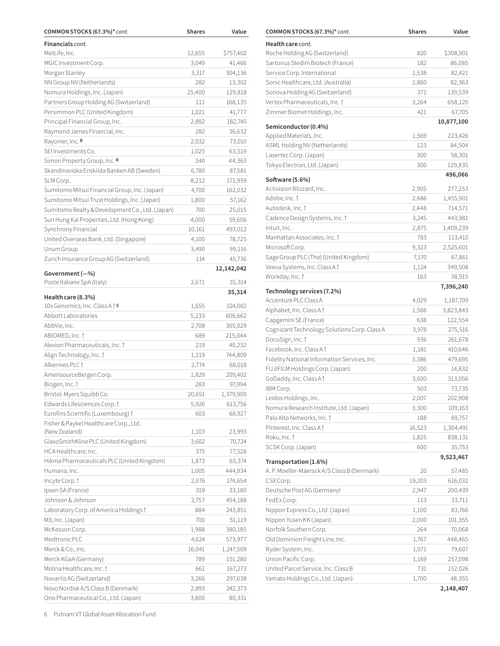| COMMON STOCKS (67.3%)* cont.                    | <b>Shares</b> | Value      | COMMON STOCKS (67.3%)* cont.                                          | <b>Shares</b>   | Value             |
|-------------------------------------------------|---------------|------------|-----------------------------------------------------------------------|-----------------|-------------------|
| Financials cont.                                |               |            | Health care cont.                                                     |                 |                   |
| MetLife, Inc.                                   | 12,655        | \$757,402  | Roche Holding AG (Switzerland)                                        | 820             | \$308,901         |
| MGIC Investment Corp.                           | 3,049         | 41,466     | Sartorius Stedim Biotech (France)                                     | 182             | 86,085            |
| Morgan Stanley                                  | 3,317         | 304,136    | Service Corp. International                                           | 1,538           | 82,421            |
| NN Group NV (Netherlands)                       | 282           | 13,302     | Sonic Healthcare, Ltd. (Australia)                                    | 2,860           | 82,363            |
| Nomura Holdings, Inc. (Japan)                   | 25,400        | 129,818    | Sonova Holding AG (Switzerland)                                       | 371             | 139,539           |
| Partners Group Holding AG (Switzerland)         | 111           | 168,135    | Vertex Pharmaceuticals, Inc. 1                                        | 3,264           | 658,120           |
| Persimmon PLC (United Kingdom)                  | 1,021         | 41,777     | Zimmer Biomet Holdings, Inc.                                          | 421             | 67,705            |
| Principal Financial Group, Inc.                 | 2,892         | 182,745    |                                                                       |                 | 10,877,100        |
| Raymond James Financial, Inc.                   | 282           | 36,632     | Semiconductor (0.4%)                                                  |                 |                   |
| Rayonier, Inc. R                                | 2,032         | 73,010     | Applied Materials, Inc.                                               | 1,569           | 223,426           |
| SEI Investments Co.                             | 1,025         | 63,519     | ASML Holding NV (Netherlands)                                         | 123             | 84,504            |
| Simon Property Group, Inc. R                    | 340           | 44,363     | Lasertec Corp. (Japan)                                                | 300             | 58,301            |
| Skandinaviska Enskilda Banken AB (Sweden)       | 6,780         | 87,581     | Tokyo Electron, Ltd. (Japan)                                          | 300             | 129,835           |
| SLM Corp.                                       | 8,212         | 171,959    | Software (5.6%)                                                       |                 | 496,066           |
| Sumitomo Mitsui Financial Group, Inc. (Japan)   | 4,700         | 162,032    | Activision Blizzard, Inc.                                             | 2,905           | 277,253           |
| Sumitomo Mitsui Trust Holdings, Inc. (Japan)    | 1,800         | 57,162     | Adobe, Inc. †                                                         | 2,486           | 1,455,901         |
| Sumitomo Realty & Development Co., Ltd. (Japan) | 700           | 25,015     | Autodesk, Inc. †                                                      | 2,448           | 714,571           |
| Sun Hung Kai Properties, Ltd. (Hong Kong)       | 4,000         | 59,606     | Cadence Design Systems, Inc. 1                                        | 3,245           | 443,981           |
| Synchrony Financial                             | 10,161        | 493,012    | Intuit, Inc.                                                          | 2,875           | 1,409,239         |
| United Overseas Bank, Ltd. (Singapore)          | 4,100         | 78,725     | Manhattan Associates, Inc. 1                                          | 783             | 113,410           |
| Unum Group                                      | 3,490         | 99,116     | Microsoft Corp.                                                       | 9,323           | 2,525,601         |
| Zurich Insurance Group AG (Switzerland)         | 114           | 45,736     | Sage Group PLC (The) (United Kingdom)                                 | 7,170           | 67,861            |
|                                                 |               | 12,142,042 | Veeva Systems, Inc. Class A                                           | 1,124           | 349,508           |
| Government $(-%)$                               |               |            | Workday, Inc. †                                                       | 163             | 38,915            |
| Poste Italiane SpA (Italy)                      | 2,671         | 35,314     |                                                                       |                 | 7,396,240         |
| Health care (8.3%)                              |               | 35,314     | Technology services (7.2%)                                            |                 |                   |
| 10x Genomics, Inc. Class A   S                  | 1,655         | 324,082    | Accenture PLC Class A                                                 | 4,029           | 1,187,709         |
| Abbott Laboratories                             | 5,233         | 606,662    | Alphabet, Inc. Class A <sup>+</sup>                                   | 1,566           | 3,823,843         |
| AbbVie, Inc.                                    | 2,708         | 305,029    | Capgemini SE (France)                                                 | 638             | 122,554           |
| ABIOMED, Inc. †                                 | 689           | 215,044    | Cognizant Technology Solutions Corp. Class A                          | 3,978           | 275,516           |
| Alexion Pharmaceuticals, Inc. 1                 | 219           | 40,232     | DocuSign, Inc. †                                                      | 936             | 261,678           |
| Align Technology, Inc. 1                        | 1,219         | 744,809    | Facebook, Inc. Class A                                                | 1,181           | 410,646           |
| Alkermes PLC                                    | 2,774         | 68,018     | Fidelity National Information Services, Inc.                          | 3,386           | 479,695           |
| AmerisourceBergen Corp.                         | 1,829         | 209,402    | FUJIFILM Holdings Corp. (Japan)                                       | 200             | 14,832<br>313,056 |
| Biogen, Inc. †                                  | 283           | 97,994     | GoDaddy, Inc. Class At                                                | 3,600           |                   |
| Bristol-Myers Squibb Co.                        | 20,651        | 1,379,900  | IBM Corp.                                                             | 503             | 73,735            |
| Edwards Lifesciences Corp. †                    | 5,926         | 613,756    | Leidos Holdings, Inc.                                                 | 2,007           | 202,908           |
| Eurofins Scientific (Luxembourg) †              | 603           | 68,927     | Nomura Research Institute, Ltd. (Japan)<br>Palo Alto Networks, Inc. † | 3,300           | 109,163           |
| Fisher & Paykel Healthcare Corp., Ltd.          |               |            | Pinterest, Inc. Class A <sup>+</sup>                                  | 188             | 69,757            |
| (New Zealand)                                   | 1,103         | 23,993     |                                                                       | 16,523<br>1,825 | 1,304,491         |
| GlaxoSmithKline PLC (United Kingdom)            | 3,602         | 70,724     | Roku, Inc. †<br>SCSK Corp. (Japan)                                    | 600             | 838,131<br>35,753 |
| HCA Healthcare, Inc.                            | 375           | 77,528     |                                                                       |                 | 9,523,467         |
| Hikma Pharmaceuticals PLC (United Kingdom)      | 1,873         | 63,374     | Transportation (1.6%)                                                 |                 |                   |
| Humana, Inc.                                    | 1,005         | 444,934    | A. P. Moeller-Maersck A/S Class B (Denmark)                           | 20              | 57,485            |
| Incyte Corp. †                                  | 2,076         | 174,654    | CSX Corp.                                                             | 19,203          | 616,032           |
| Ipsen SA (France)                               | 319           | 33,180     | Deutsche Post AG (Germany)                                            | 2,947           | 200,439           |
| Johnson & Johnson                               | 2,757         | 454,188    | FedEx Corp.                                                           | 113             | 33,711            |
| Laboratory Corp. of America Holdings †          | 884           | 243,851    | Nippon Express Co., Ltd. (Japan)                                      | 1,100           | 83,766            |
| M3, Inc. (Japan)                                | 700           | 51,119     | Nippon Yusen KK (Japan)                                               | 2,000           | 101,355           |
| McKesson Corp.                                  | 1,988         | 380,185    | Norfolk Southern Corp.                                                | 264             | 70,068            |
| Medtronic PLC                                   | 4,624         | 573,977    | Old Dominion Freight Line, Inc.                                       | 1,767           | 448,465           |
| Merck & Co., Inc.                               | 16,041        | 1,247,509  | Ryder System, Inc.                                                    | 1,071           | 79,607            |
| Merck KGaA (Germany)                            | 789           | 151,280    | Union Pacific Corp.                                                   | 1,169           | 257,098           |
| Molina Healthcare, Inc. †                       | 661           | 167,273    | United Parcel Service, Inc. Class B                                   | 731             | 152,026           |
| Novartis AG (Switzerland)                       | 3,266         | 297,638    | Yamato Holdings Co., Ltd. (Japan)                                     | 1,700           | 48,355            |
| Novo Nordisk A/S Class B (Denmark)              | 2,893         | 242,373    |                                                                       |                 | 2,148,407         |
| Ono Pharmaceutical Co., Ltd. (Japan)            | 3,600         | 80,331     |                                                                       |                 |                   |

| COMMON STOCKS (67.3%)* cont.                                        | <b>Shares</b> | Value      |
|---------------------------------------------------------------------|---------------|------------|
| Health care cont.                                                   |               |            |
| Roche Holding AG (Switzerland)                                      | 820           | \$308,901  |
| Sartorius Stedim Biotech (France)                                   | 182           | 86,085     |
| Service Corp. International                                         | 1,538         | 82,421     |
| Sonic Healthcare, Ltd. (Australia)                                  | 2,860         | 82,363     |
| Sonova Holding AG (Switzerland)                                     | 371           | 139,539    |
| Vertex Pharmaceuticals, Inc. †                                      | 3,264         | 658,120    |
| Zimmer Biomet Holdings, Inc.                                        | 421           | 67,705     |
|                                                                     |               | 10,877,100 |
| Semiconductor (0.4%)<br>Applied Materials, Inc.                     | 1,569         | 223,426    |
| ASML Holding NV (Netherlands)                                       | 123           | 84,504     |
| Lasertec Corp. (Japan)                                              | 300           | 58,301     |
| Tokyo Electron, Ltd. (Japan)                                        | 300           | 129,835    |
|                                                                     |               | 496,066    |
| Software (5.6%)                                                     |               |            |
| Activision Blizzard, Inc.                                           | 2,905         | 277,253    |
| Adobe, Inc. †                                                       | 2,486         | 1,455,901  |
| Autodesk, Inc. †                                                    | 2,448         | 714,571    |
| Cadence Design Systems, Inc. †                                      | 3,245         | 443,981    |
| Intuit, Inc.                                                        | 2,875         | 1,409,239  |
| Manhattan Associates, Inc. †                                        | 783           | 113,410    |
| Microsoft Corp.                                                     | 9,323         | 2,525,601  |
| Sage Group PLC (The) (United Kingdom)                               | 7,170         | 67,861     |
| Veeva Systems, Inc. Class At                                        | 1,124         | 349,508    |
| Workday, Inc. †                                                     | 163           | 38,915     |
| Technology services (7.2%)                                          |               | 7,396,240  |
| Accenture PLC Class A                                               | 4,029         | 1,187,709  |
| Alphabet, Inc. Class A <sup>t</sup>                                 | 1,566         | 3,823,843  |
| Capgemini SE (France)                                               | 638           | 122,554    |
| Cognizant Technology Solutions Corp. Class A                        | 3,978         | 275,516    |
| DocuSign, Inc. †                                                    | 936           | 261,678    |
| Facebook, Inc. Class A <sup>+</sup>                                 | 1,181         | 410,646    |
| Fidelity National Information Services, Inc.                        | 3,386         | 479,695    |
| FUJIFILM Holdings Corp. (Japan)                                     | 200           | 14,832     |
| GoDaddy, Inc. Class A <sup>+</sup>                                  | 3,600         | 313,056    |
| IBM Corp.                                                           | 503           | 73,735     |
| Leidos Holdings, Inc.                                               | 2,007         | 202,908    |
| Nomura Research Institute, Ltd. (Japan)                             | 3,300         | 109,163    |
| Palo Alto Networks, Inc. †                                          | 188           | 69,757     |
| Pinterest, Inc. Class A                                             | 16,523        | 1,304,491  |
| Roku, Inc. †                                                        | 1,825         | 838,131    |
| SCSK Corp. (Japan)                                                  | 600           | 35,753     |
|                                                                     |               | 9,523,467  |
| Transportation (1.6%)<br>A.P. Moeller-Maersck A/S Class B (Denmark) | 20            | 57,485     |
| CSX Corp.                                                           | 19,203        | 616,032    |
| Deutsche Post AG (Germany)                                          | 2,947         | 200,439    |
| FedEx Corp.                                                         | 113           | 33,711     |
| Nippon Express Co., Ltd. (Japan)                                    | 1,100         | 83,766     |
| Nippon Yusen KK (Japan)                                             | 2,000         | 101,355    |
| Norfolk Southern Corp.                                              | 264           | 70,068     |
| Old Dominion Freight Line, Inc.                                     | 1,767         | 448,465    |
| Ryder System, Inc.                                                  | 1,071         | 79,607     |
| Union Pacific Corp.                                                 | 1,169         | 257,098    |
| United Parcel Service, Inc. Class B                                 | 731           | 152,026    |
| Yamato Holdings Co., Ltd. (Japan)                                   | 1,700         | 48,355     |
|                                                                     |               | 2,148,407  |
|                                                                     |               |            |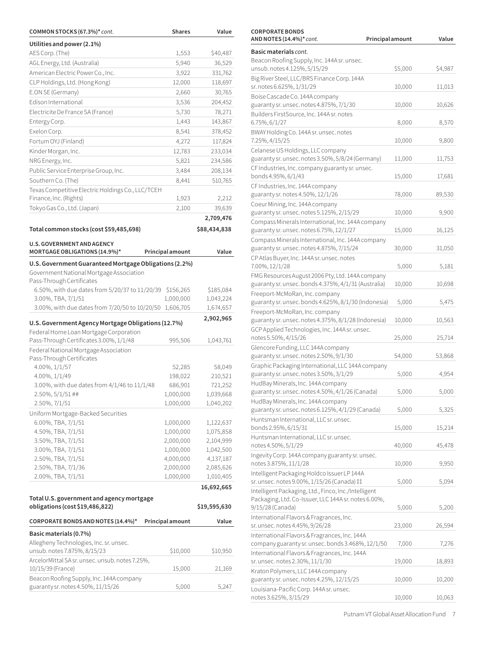| COMMON STOCKS (67.3%)* cont.                                                   | <b>Shares</b>           | Value        |
|--------------------------------------------------------------------------------|-------------------------|--------------|
| Utilities and power (2.1%)                                                     |                         |              |
| AES Corp. (The)                                                                | 1,553                   | \$40,487     |
| AGL Energy, Ltd. (Australia)                                                   | 5,940                   | 36,529       |
| American Electric Power Co., Inc.                                              | 3,922                   | 331,762      |
| CLP Holdings, Ltd. (Hong Kong)                                                 | 12,000                  | 118,697      |
| E.ON SE (Germany)                                                              | 2,660                   | 30,765       |
| Edison International                                                           | 3,536                   | 204,452      |
| Electricite De France SA (France)                                              | 5,730                   | 78,271       |
| Entergy Corp.                                                                  | 1,443                   | 143,867      |
| Exelon Corp.                                                                   | 8,541                   | 378,452      |
| Fortum OYJ (Finland)                                                           | 4,272                   | 117,824      |
| Kinder Morgan, Inc.                                                            | 12,783                  | 233,034      |
| NRG Energy, Inc.                                                               | 5,821                   | 234,586      |
| Public Service Enterprise Group, Inc.                                          | 3,484                   | 208,134      |
| Southern Co. (The)                                                             | 8,441                   | 510,765      |
| Texas Competitive Electric Holdings Co., LLC/TCEH                              |                         |              |
| Finance, Inc. (Rights)                                                         | 1,923                   | 2,212        |
| Tokyo Gas Co., Ltd. (Japan)                                                    | 2,100                   | 39,639       |
|                                                                                |                         | 2,709,476    |
| Total common stocks (cost \$59,485,698)                                        |                         | \$88,434,838 |
|                                                                                |                         |              |
| <b>U.S. GOVERNMENT AND AGENCY</b><br>MORTGAGE OBLIGATIONS (14.9%)*             | <b>Principal amount</b> | Value        |
|                                                                                |                         |              |
| U.S. Government Guaranteed Mortgage Obligations (2.2%)                         |                         |              |
| Government National Mortgage Association<br>Pass-Through Certificates          |                         |              |
| 6.50%, with due dates from 5/20/37 to 11/20/39 \$156,265                       |                         | \$185,084    |
| 3.00%, TBA, 7/1/51                                                             | 1,000,000               | 1,043,224    |
| 3.00%, with due dates from 7/20/50 to 10/20/50 1,606,705                       |                         | 1,674,657    |
|                                                                                |                         |              |
|                                                                                |                         | 2,902,965    |
| U.S. Government Agency Mortgage Obligations (12.7%)                            |                         |              |
| Federal Home Loan Mortgage Corporation                                         |                         |              |
| Pass-Through Certificates 3.00%, 1/1/48                                        | 995,506                 | 1,043,761    |
| Federal National Mortgage Association<br>Pass-Through Certificates             |                         |              |
| 4.00%, 1/1/57                                                                  | 52,285                  | 58,049       |
| 4.00%, 1/1/49                                                                  | 198,022                 | 210,521      |
| 3.00%, with due dates from 4/1/46 to 11/1/48                                   | 686,901                 | 721,252      |
| 2.50%, 5/1/51 ##                                                               | 1,000,000               | 1,039,668    |
| 2.50%, 7/1/51                                                                  | 1,000,000               | 1,040,202    |
| Uniform Mortgage-Backed Securities                                             |                         |              |
| 6.00%, TBA, 7/1/51                                                             | 1,000,000               | 1,122,637    |
| 4.50%, TBA, 7/1/51                                                             | 1,000,000               | 1,075,858    |
| 3.50%, TBA, 7/1/51                                                             | 2,000,000               | 2,104,999    |
| 3.00%, TBA, 7/1/51                                                             | 1,000,000               | 1,042,500    |
| 2.50%, TBA, 7/1/51                                                             | 4,000,000               | 4,137,187    |
| 2.50%, TBA, 7/1/36                                                             | 2,000,000               | 2,085,626    |
| 2.00%, TBA, 7/1/51                                                             | 1,000,000               | 1,010,405    |
|                                                                                |                         | 16,692,665   |
| Total U.S. government and agency mortgage                                      |                         |              |
| obligations (cost \$19,486,822)                                                |                         | \$19,595,630 |
| CORPORATE BONDS AND NOTES (14.4%)*                                             | <b>Principal amount</b> | Value        |
| Basic materials (0.7%)                                                         |                         |              |
| Allegheny Technologies, Inc. sr. unsec.                                        |                         |              |
| unsub. notes 7.875%, 8/15/23                                                   | \$10,000                | \$10,950     |
| ArcelorMittal SA sr. unsec. unsub. notes 7.25%,                                |                         |              |
| 10/15/39 (France)                                                              | 15,000                  | 21,169       |
| Beacon Roofing Supply, Inc. 144A company<br>guaranty sr. notes 4.50%, 11/15/26 | 5,000                   | 5,247        |

| <b>CORPORATE BONDS</b><br>AND NOTES (14.4%)* cont.                                                       | <b>Principal amount</b> | Value   |
|----------------------------------------------------------------------------------------------------------|-------------------------|---------|
| Basic materials cont.                                                                                    |                         |         |
| Beacon Roofing Supply, Inc. 144A sr. unsec.                                                              |                         |         |
| unsub. notes 4.125%, 5/15/29                                                                             | \$5,000                 | \$4,987 |
| Big River Steel, LLC/BRS Finance Corp. 144A<br>sr. notes 6.625%, 1/31/29                                 | 10,000                  | 11,013  |
| Boise Cascade Co. 144A company                                                                           |                         |         |
| guaranty sr. unsec. notes 4.875%, 7/1/30                                                                 | 10,000                  | 10,626  |
| Builders FirstSource, Inc. 144A sr. notes<br>6.75%, 6/1/27                                               | 8,000                   | 8,570   |
| BWAY Holding Co. 144A sr. unsec. notes<br>7.25%, 4/15/25                                                 | 10,000                  | 9,800   |
| Celanese US Holdings, LLC company<br>guaranty sr. unsec. notes 3.50%, 5/8/24 (Germany)                   | 11,000                  | 11,753  |
| CF Industries, Inc. company guaranty sr. unsec.                                                          |                         |         |
| bonds 4.95%, 6/1/43                                                                                      | 15,000                  | 17,681  |
| CF Industries, Inc. 144A company<br>guaranty sr. notes 4.50%, 12/1/26                                    | 78,000                  | 89,530  |
| Coeur Mining, Inc. 144A company<br>guaranty sr. unsec. notes 5.125%, 2/15/29                             | 10,000                  | 9,900   |
| Compass Minerals International, Inc. 144A company                                                        |                         |         |
| guaranty sr. unsec. notes 6.75%, 12/1/27                                                                 | 15,000                  | 16,125  |
| Compass Minerals International, Inc. 144A company<br>guaranty sr. unsec. notes 4.875%, 7/15/24           | 30,000                  | 31,050  |
| CP Atlas Buyer, Inc. 144A sr. unsec. notes                                                               |                         |         |
| 7.00%, 12/1/28                                                                                           | 5,000                   | 5,181   |
| FMG Resources August 2006 Pty, Ltd. 144A company<br>guaranty sr. unsec. bonds 4.375%, 4/1/31 (Australia) | 10,000                  | 10,698  |
| Freeport-McMoRan, Inc. company<br>guaranty sr. unsec. bonds 4.625%, 8/1/30 (Indonesia)                   | 5,000                   | 5,475   |
| Freeport-McMoRan, Inc. company                                                                           |                         |         |
| guaranty sr. unsec. notes 4.375%, 8/1/28 (Indonesia)                                                     | 10,000                  | 10,563  |
| GCP Applied Technologies, Inc. 144A sr. unsec.<br>notes 5.50%, 4/15/26                                   | 25,000                  | 25,714  |
| Glencore Funding, LLC 144A company<br>guaranty sr. unsec. notes 2.50%, 9/1/30                            | 54,000                  |         |
| Graphic Packaging International, LLC 144A company                                                        |                         | 53,868  |
| guaranty sr. unsec. notes 3.50%, 3/1/29                                                                  | 5,000                   | 4,954   |
| HudBay Minerals, Inc. 144A company                                                                       |                         |         |
| guaranty sr. unsec. notes 4.50%, 4/1/26 (Canada)                                                         | 5,000                   | 5,000   |
| HudBay Minerals, Inc. 144A company<br>guaranty sr. unsec. notes 6.125%, 4/1/29 (Canada)                  | 5,000                   | 5,325   |
| Huntsman International, LLC sr. unsec.<br>bonds 2.95%, 6/15/31                                           | 15,000                  | 15,214  |
| Huntsman International, LLC sr. unsec.                                                                   |                         |         |
| notes 4.50%, 5/1/29                                                                                      | 40,000                  | 45,478  |
| Ingevity Corp. 144A company guaranty sr. unsec.<br>notes 3.875%, 11/1/28                                 | 10,000                  | 9,950   |
| Intelligent Packaging Holdco Issuer LP 144A                                                              |                         |         |
| sr. unsec. notes 9.00%, 1/15/26 (Canada) #                                                               | 5,000                   | 5,094   |
| Intelligent Packaging, Ltd., Finco, Inc./Intelligent                                                     |                         |         |
| Packaging, Ltd. Co-Issuer, LLC 144A sr. notes 6.00%,<br>9/15/28 (Canada)                                 | 5,000                   | 5,200   |
| International Flavors & Fragrances, Inc.                                                                 |                         |         |
| sr. unsec. notes 4.45%, 9/26/28                                                                          | 23,000                  | 26,594  |
| International Flavors & Fragrances, Inc. 144A<br>company guaranty sr. unsec. bonds 3.468%, 12/1/50       | 7,000                   | 7,276   |
| International Flavors & Fragrances, Inc. 144A                                                            |                         |         |
| sr. unsec. notes 2.30%, 11/1/30                                                                          | 19,000                  | 18,893  |
| Kraton Polymers, LLC 144A company                                                                        |                         |         |
| guaranty sr. unsec. notes 4.25%, 12/15/25                                                                | 10,000                  | 10,200  |
| Louisiana-Pacific Corp. 144A sr. unsec.<br>notes 3.625%, 3/15/29                                         | 10,000                  | 10,063  |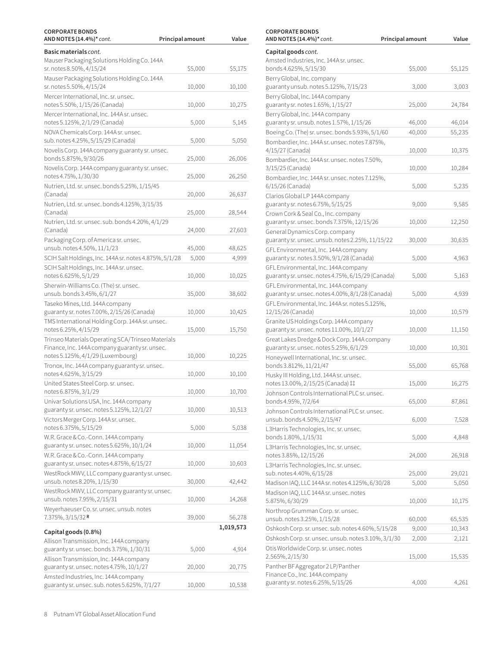| <b>CORPORATE BONDS</b><br>AND NOTES (14.4%)* cont.     | Principal amount | Value     |
|--------------------------------------------------------|------------------|-----------|
| Basic materials cont.                                  |                  |           |
| Mauser Packaging Solutions Holding Co. 144A            |                  |           |
| sr. notes 8.50%, 4/15/24                               | \$5,000          | \$5,175   |
| Mauser Packaging Solutions Holding Co. 144A            |                  |           |
| sr. notes 5.50%, 4/15/24                               | 10,000           | 10,100    |
| Mercer International, Inc. sr. unsec.                  |                  |           |
| notes 5.50%, 1/15/26 (Canada)                          | 10,000           | 10,275    |
| Mercer International, Inc. 144A sr. unsec.             |                  |           |
| notes 5.125%, 2/1/29 (Canada)                          | 5,000            | 5,145     |
| NOVA Chemicals Corp. 144A sr. unsec.                   |                  |           |
| sub. notes 4.25%, 5/15/29 (Canada)                     | 5,000            | 5,050     |
| Novelis Corp. 144A company guaranty sr. unsec.         |                  |           |
| bonds 5.875%, 9/30/26                                  | 25,000           | 26,006    |
| Novelis Corp. 144A company guaranty sr. unsec.         |                  |           |
| notes 4.75%, 1/30/30                                   | 25,000           | 26,250    |
| Nutrien, Ltd. sr. unsec. bonds 5.25%, 1/15/45          |                  |           |
| (Canada)                                               | 20,000           | 26,637    |
| Nutrien, Ltd. sr. unsec. bonds 4.125%, 3/15/35         |                  |           |
| (Canada)                                               | 25,000           | 28,544    |
| Nutrien, Ltd. sr. unsec. sub. bonds 4.20%, 4/1/29      |                  |           |
| (Canada)                                               | 24,000           | 27,603    |
| Packaging Corp. of America sr. unsec.                  |                  |           |
| unsub. notes 4.50%, 11/1/23                            | 45,000           | 48,625    |
| SCIH Salt Holdings, Inc. 144A sr. notes 4.875%, 5/1/28 | 5,000            | 4,999     |
| SCIH Salt Holdings, Inc. 144A sr. unsec.               |                  |           |
| notes 6.625%, 5/1/29                                   | 10,000           | 10,025    |
| Sherwin-Williams Co. (The) sr. unsec.                  |                  |           |
| unsub. bonds 3.45%, 6/1/27                             | 35,000           | 38,602    |
| Taseko Mines, Ltd. 144A company                        |                  |           |
| guaranty sr. notes 7.00%, 2/15/26 (Canada)             | 10,000           | 10,425    |
| TMS International Holding Corp. 144A sr. unsec.        |                  |           |
| notes 6.25%, 4/15/29                                   | 15,000           | 15,750    |
| Trinseo Materials Operating SCA/Trinseo Materials      |                  |           |
| Finance, Inc. 144A company guaranty sr. unsec.         |                  |           |
| notes 5.125%, 4/1/29 (Luxembourg)                      | 10,000           | 10,225    |
| Tronox, Inc. 144A company guaranty sr. unsec.          |                  |           |
| notes 4.625%, 3/15/29                                  | 10,000           | 10,100    |
| United States Steel Corp. sr. unsec.                   |                  |           |
| notes 6.875%, 3/1/29                                   | 10,000           | 10,700    |
| Univar Solutions USA, Inc. 144A company                |                  |           |
| guaranty sr. unsec. notes 5.125%, 12/1/27              | 10,000           | 10,513    |
| Victors Merger Corp. 144A sr. unsec.                   |                  |           |
| notes 6.375%, 5/15/29                                  | 5,000            | 5,038     |
| W.R. Grace & Co.-Conn. 144A company                    |                  |           |
| guaranty sr. unsec. notes 5.625%, 10/1/24              | 10,000           | 11,054    |
| W.R. Grace & Co.-Conn. 144A company                    |                  |           |
| guaranty sr. unsec. notes 4.875%, 6/15/27              | 10,000           | 10,603    |
| WestRock MWV, LLC company guaranty sr. unsec.          |                  |           |
| unsub. notes 8.20%, 1/15/30                            | 30,000           | 42,442    |
| WestRock MWV, LLC company guaranty sr. unsec.          |                  |           |
| unsub. notes 7.95%, 2/15/31                            | 10,000           | 14,268    |
| Weyerhaeuser Co. sr. unsec. unsub. notes               |                  |           |
| 7.375%, 3/15/32R                                       | 39,000           | 56,278    |
|                                                        |                  | 1,019,573 |
| Capital goods (0.8%)                                   |                  |           |
| Allison Transmission, Inc. 144A company                |                  |           |
| guaranty sr. unsec. bonds 3.75%, 1/30/31               | 5,000            | 4,914     |
| Allison Transmission, Inc. 144A company                |                  |           |
| guaranty sr. unsec. notes 4.75%, 10/1/27               | 20,000           | 20,775    |
| Amsted Industries, Inc. 144A company                   |                  |           |
| guaranty sr. unsec. sub. notes 5.625%, 7/1/27          | 10,000           | 10,538    |

| <b>CORPORATE BONDS</b><br>AND NOTES (14.4%)* cont.                           | <b>Principal amount</b> | Value   |
|------------------------------------------------------------------------------|-------------------------|---------|
| Capital goods cont.                                                          |                         |         |
| Amsted Industries, Inc. 144A sr. unsec.                                      |                         |         |
| bonds 4.625%, 5/15/30                                                        | \$5,000                 | \$5,125 |
| Berry Global, Inc. company                                                   |                         |         |
| guaranty unsub. notes 5.125%, 7/15/23                                        | 3,000                   | 3,003   |
| Berry Global, Inc. 144A company                                              |                         |         |
| guaranty sr. notes 1.65%, 1/15/27                                            | 25,000                  | 24,784  |
| Berry Global, Inc. 144A company                                              |                         |         |
| guaranty sr. unsub. notes 1.57%, 1/15/26                                     | 46,000                  | 46,014  |
| Boeing Co. (The) sr. unsec. bonds 5.93%, 5/1/60                              | 40,000                  | 55,235  |
| Bombardier, Inc. 144Asr. unsec. notes 7.875%,                                |                         |         |
| 4/15/27 (Canada)                                                             | 10,000                  | 10,375  |
| Bombardier, Inc. 144A sr. unsec. notes 7.50%,<br>3/15/25 (Canada)            | 10,000                  | 10,284  |
| Bombardier, Inc. 144A sr. unsec. notes 7.125%,                               |                         |         |
| 6/15/26 (Canada)                                                             | 5,000                   | 5,235   |
| Clarios Global LP 144A company                                               |                         |         |
| guaranty sr. notes 6.75%, 5/15/25                                            | 9,000                   | 9,585   |
| Crown Cork & Seal Co., Inc. company                                          |                         |         |
| guaranty sr. unsec. bonds 7.375%, 12/15/26                                   | 10,000                  | 12,250  |
| General Dynamics Corp. company                                               |                         |         |
| guaranty sr. unsec. unsub. notes 2.25%, 11/15/22                             | 30,000                  | 30,635  |
| GFL Environmental, Inc. 144A company                                         |                         |         |
| guaranty sr. notes 3.50%, 9/1/28 (Canada)                                    | 5,000                   | 4,963   |
| GFL Environmental, Inc. 144A company                                         |                         |         |
| guaranty sr. unsec. notes 4.75%, 6/15/29 (Canada)                            | 5,000                   | 5,163   |
| GFL Environmental, Inc. 144A company                                         |                         |         |
| guaranty sr. unsec. notes 4.00%, 8/1/28 (Canada)                             | 5,000                   | 4,939   |
| GFL Environmental, Inc. 144Asr. notes 5.125%,                                |                         |         |
| 12/15/26 (Canada)                                                            | 10,000                  | 10,579  |
| Granite US Holdings Corp. 144A company                                       |                         |         |
| guaranty sr. unsec. notes 11.00%, 10/1/27                                    | 10,000                  | 11,150  |
| Great Lakes Dredge & Dock Corp. 144A company                                 |                         |         |
| guaranty sr. unsec. notes 5.25%, 6/1/29                                      | 10,000                  | 10,301  |
| Honeywell International, Inc. sr. unsec.                                     |                         |         |
| bonds 3.812%, 11/21/47                                                       | 55,000                  | 65,768  |
| Husky III Holding, Ltd. 144A sr. unsec.                                      |                         |         |
| notes 13.00%, 2/15/25 (Canada) ##                                            | 15,000                  | 16,275  |
| Johnson Controls International PLC sr. unsec<br>bonds 4.95%, 7/2/64          | 65,000                  |         |
|                                                                              |                         | 87,861  |
| Johnson Controls International PLC sr. unsec.<br>unsub. bonds 4.50%, 2/15/47 | 6,000                   | 7,528   |
| L3Harris Technologies, Inc. sr. unsec.                                       |                         |         |
| bonds 1.80%, 1/15/31                                                         | 5,000                   | 4,848   |
| L3Harris Technologies, Inc. sr. unsec.                                       |                         |         |
| notes 3.85%, 12/15/26                                                        | 24,000                  | 26,918  |
| L3Harris Technologies, Inc. sr. unsec.                                       |                         |         |
| sub. notes 4.40%, 6/15/28                                                    | 25,000                  | 29,021  |
| Madison IAQ, LLC 144A sr. notes 4.125%, 6/30/28                              | 5,000                   | 5,050   |
| Madison IAQ, LLC 144A sr. unsec. notes                                       |                         |         |
| 5.875%, 6/30/29                                                              | 10,000                  | 10,175  |
| Northrop Grumman Corp. sr. unsec.                                            |                         |         |
| unsub. notes 3.25%, 1/15/28                                                  | 60,000                  | 65,535  |
| Oshkosh Corp. sr. unsec. sub. notes 4.60%, 5/15/28                           | 9,000                   | 10,343  |
| Oshkosh Corp. sr. unsec. unsub. notes 3.10%, 3/1/30                          | 2,000                   | 2,121   |
| Otis Worldwide Corp. sr. unsec. notes                                        |                         |         |
| 2.565%, 2/15/30                                                              | 15,000                  | 15,535  |
| Panther BF Aggregator 2 LP/Panther                                           |                         |         |
| Finance Co., Inc. 144A company<br>guaranty sr. notes 6.25%, 5/15/26          | 4,000                   | 4,261   |
|                                                                              |                         |         |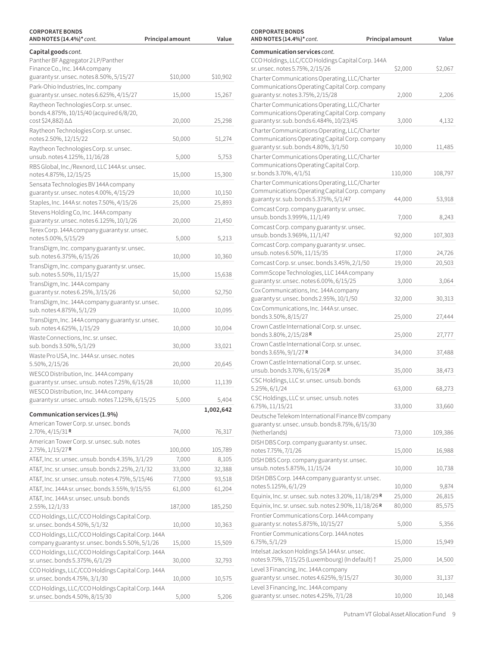| <b>CORPORATE BONDS</b><br>AND NOTES (14.4%)* cont.                                  | Principal amount | Value     |
|-------------------------------------------------------------------------------------|------------------|-----------|
| Capital goods cont.                                                                 |                  |           |
| Panther BF Aggregator 2 LP/Panther                                                  |                  |           |
| Finance Co., Inc. 144A company                                                      |                  |           |
| guaranty sr. unsec. notes 8.50%, 5/15/27                                            | \$10,000         | \$10,902  |
| Park-Ohio Industries, Inc. company<br>guaranty sr. unsec. notes 6.625%, 4/15/27     | 15,000           | 15,267    |
| Raytheon Technologies Corp. sr. unsec.                                              |                  |           |
| bonds 4.875%, 10/15/40 (acquired 6/8/20,                                            |                  |           |
| cost \$24,882) ∆∆                                                                   | 20,000           | 25,298    |
| Raytheon Technologies Corp. sr. unsec.                                              |                  |           |
| notes 2.50%, 12/15/22                                                               | 50,000           | 51,274    |
| Raytheon Technologies Corp. sr. unsec.<br>unsub. notes 4.125%, 11/16/28             | 5,000            | 5,753     |
| RBS Global, Inc./Rexnord, LLC 144A sr. unsec.                                       |                  |           |
| notes 4.875%, 12/15/25                                                              | 15,000           | 15,300    |
| Sensata Technologies BV 144A company<br>guaranty sr. unsec. notes 4.00%, 4/15/29    | 10,000           | 10,150    |
| Staples, Inc. 144A sr. notes 7.50%, 4/15/26                                         | 25,000           | 25,893    |
| Stevens Holding Co, Inc. 144A company                                               |                  |           |
| guaranty sr. unsec. notes 6.125%, 10/1/26                                           | 20,000           | 21,450    |
| Terex Corp. 144A company guaranty sr. unsec.                                        |                  |           |
| notes 5.00%, 5/15/29                                                                | 5,000            | 5,213     |
| TransDigm, Inc. company guaranty sr. unsec.                                         |                  |           |
| sub. notes 6.375%, 6/15/26                                                          | 10,000           | 10,360    |
| TransDigm, Inc. company guaranty sr. unsec.                                         |                  |           |
| sub. notes 5.50%, 11/15/27                                                          | 15,000           | 15,638    |
| TransDigm, Inc. 144A company<br>guaranty sr. notes 6.25%, 3/15/26                   | 50,000           | 52,750    |
| TransDigm, Inc. 144A company guaranty sr. unsec.                                    |                  |           |
| sub. notes 4.875%, 5/1/29                                                           | 10,000           | 10,095    |
| TransDigm, Inc. 144A company guaranty sr. unsec.                                    |                  |           |
| sub. notes 4.625%, 1/15/29                                                          | 10,000           | 10,004    |
| Waste Connections, Inc. sr. unsec.                                                  |                  |           |
| sub. bonds 3.50%, 5/1/29                                                            | 30,000           | 33,021    |
| Waste Pro USA, Inc. 144A sr. unsec. notes<br>5.50%, 2/15/26                         | 20,000           | 20,645    |
| WESCO Distribution, Inc. 144A company                                               |                  |           |
| guaranty sr. unsec. unsub. notes 7.25%, 6/15/28                                     | 10,000           | 11,139    |
| WESCO Distribution, Inc. 144A company                                               |                  |           |
| guaranty sr. unsec. unsub. notes 7.125%, 6/15/25                                    | 5,000            | 5,404     |
| Communication services (1.9%)                                                       |                  | 1,002,642 |
| American Tower Corp. sr. unsec. bonds                                               |                  |           |
| 2.70%, 4/15/31 R                                                                    | 74,000           | 76,317    |
| American Tower Corp. sr. unsec. sub. notes                                          |                  |           |
| 2.75%, 1/15/27R                                                                     | 100,000          | 105,789   |
| AT&T, Inc. sr. unsec. unsub. bonds 4.35%, 3/1/29                                    | 7,000            | 8,105     |
| AT&T, Inc. sr. unsec. unsub. bonds 2.25%, 2/1/32                                    | 33,000           | 32,388    |
| AT&T, Inc. sr. unsec. unsub. notes 4.75%, 5/15/46                                   | 77,000           | 93,518    |
| AT&T, Inc. 144A sr. unsec. bonds 3.55%, 9/15/55                                     | 61,000           | 61,204    |
| AT&T, Inc. 144A sr. unsec. unsub. bonds<br>2.55%, 12/1/33                           | 187,000          | 185,250   |
| CCO Holdings, LLC/CCO Holdings Capital Corp.                                        |                  |           |
| sr. unsec. bonds 4.50%, 5/1/32                                                      | 10,000           | 10,363    |
| CCO Holdings, LLC/CCO Holdings Capital Corp. 144A                                   |                  |           |
| company guaranty sr. unsec. bonds 5.50%, 5/1/26                                     | 15,000           | 15,509    |
| CCO Holdings, LLC/CCO Holdings Capital Corp. 144A                                   |                  |           |
| sr. unsec. bonds 5.375%, 6/1/29                                                     | 30,000           | 32,793    |
| CCO Holdings, LLC/CCO Holdings Capital Corp. 144A<br>sr. unsec. bonds 4.75%, 3/1/30 | 10,000           | 10,575    |
| CCO Holdings, LLC/CCO Holdings Capital Corp. 144A                                   |                  |           |
| sr. unsec. bonds 4.50%, 8/15/30                                                     | 5,000            | 5,206     |
|                                                                                     |                  |           |

| <b>CORPORATE BONDS</b><br>AND NOTES (14.4%)* cont.                                                                                          | <b>Principal amount</b> | Value   |
|---------------------------------------------------------------------------------------------------------------------------------------------|-------------------------|---------|
| Communication services cont.                                                                                                                |                         |         |
| CCO Holdings, LLC/CCO Holdings Capital Corp. 144A<br>sr. unsec. notes 5.75%, 2/15/26                                                        | \$2,000                 | \$2,067 |
| Charter Communications Operating, LLC/Charter<br>Communications Operating Capital Corp. company                                             |                         |         |
| guaranty sr. notes 3.75%, 2/15/28                                                                                                           | 2,000                   | 2,206   |
| Charter Communications Operating, LLC/Charter<br>Communications Operating Capital Corp. company<br>guaranty sr. sub. bonds 6.484%, 10/23/45 | 3,000                   | 4,132   |
| Charter Communications Operating, LLC/Charter<br>Communications Operating Capital Corp. company<br>guaranty sr. sub. bonds 4.80%, 3/1/50    | 10,000                  | 11,485  |
| Charter Communications Operating, LLC/Charter<br>Communications Operating Capital Corp.<br>sr. bonds 3.70%, 4/1/51                          | 110,000                 | 108,797 |
| Charter Communications Operating, LLC/Charter                                                                                               |                         |         |
| Communications Operating Capital Corp. company<br>guaranty sr. sub. bonds 5.375%, 5/1/47                                                    | 44,000                  | 53,918  |
| Comcast Corp. company guaranty sr. unsec.<br>unsub. bonds 3.999%, 11/1/49                                                                   | 7,000                   | 8,243   |
| Comcast Corp. company guaranty sr. unsec.<br>unsub. bonds 3.969%, 11/1/47                                                                   | 92,000                  | 107,303 |
| Comcast Corp. company guaranty sr. unsec.<br>unsub. notes 6.50%, 11/15/35                                                                   | 17,000                  | 24,726  |
| Comcast Corp. sr. unsec. bonds 3.45%, 2/1/50                                                                                                | 19,000                  | 20,503  |
| CommScope Technologies, LLC 144A company<br>guaranty sr. unsec. notes 6.00%, 6/15/25                                                        | 3,000                   | 3,064   |
| Cox Communications, Inc. 144A company<br>guaranty sr. unsec. bonds 2.95%, 10/1/50                                                           | 32,000                  | 30,313  |
| Cox Communications, Inc. 144A sr. unsec.<br>bonds 3.50%, 8/15/27                                                                            | 25,000                  | 27,444  |
| Crown Castle International Corp. sr. unsec.<br>bonds 3.80%, 2/15/28 R                                                                       | 25,000                  | 27,777  |
| Crown Castle International Corp. sr. unsec.<br>bonds 3.65%, 9/1/27R                                                                         | 34,000                  | 37,488  |
| Crown Castle International Corp. sr. unsec.<br>unsub. bonds 3.70%, 6/15/26 R                                                                | 35,000                  | 38,473  |
| CSC Holdings, LLC sr. unsec. unsub. bonds<br>5.25%, 6/1/24                                                                                  | 63,000                  | 68,273  |
| CSC Holdings, LLC sr. unsec. unsub. notes<br>6.75%, 11/15/21                                                                                | 33,000                  | 33,660  |
| Deutsche Telekom International Finance BV company<br>guaranty sr. unsec. unsub. bonds 8.75%, 6/15/30<br>(Netherlands)                       | 73,000                  |         |
| DISH DBS Corp. company guaranty sr. unsec.                                                                                                  |                         | 109,386 |
| notes 7.75%, 7/1/26<br>DISH DBS Corp. company guaranty sr. unsec.                                                                           | 15,000                  | 16,988  |
| unsub. notes 5.875%, 11/15/24<br>DISH DBS Corp. 144A company guaranty sr. unsec.                                                            | 10,000                  | 10,738  |
| notes 5.125%, 6/1/29                                                                                                                        | 10,000                  | 9,874   |
| Equinix, Inc. sr. unsec. sub. notes 3.20%, 11/18/29 R                                                                                       | 25,000                  | 26,815  |
| Equinix, Inc. sr. unsec. sub. notes 2.90%, 11/18/26R                                                                                        | 80,000                  | 85,575  |
| Frontier Communications Corp. 144A company<br>guaranty sr. notes 5.875%, 10/15/27                                                           | 5,000                   | 5,356   |
| Frontier Communications Corp. 144A notes<br>6.75%, 5/1/29                                                                                   | 15,000                  | 15,949  |
| Intelsat Jackson Holdings SA 144A sr. unsec.<br>notes 9.75%, 7/15/25 (Luxembourg) (In default) †                                            | 25,000                  | 14,500  |
| Level 3 Financing, Inc. 144A company<br>guaranty sr. unsec. notes 4.625%, 9/15/27                                                           | 30,000                  | 31,137  |
| Level 3 Financing, Inc. 144A company<br>guaranty sr. unsec. notes 4.25%, 7/1/28                                                             | 10,000                  | 10,148  |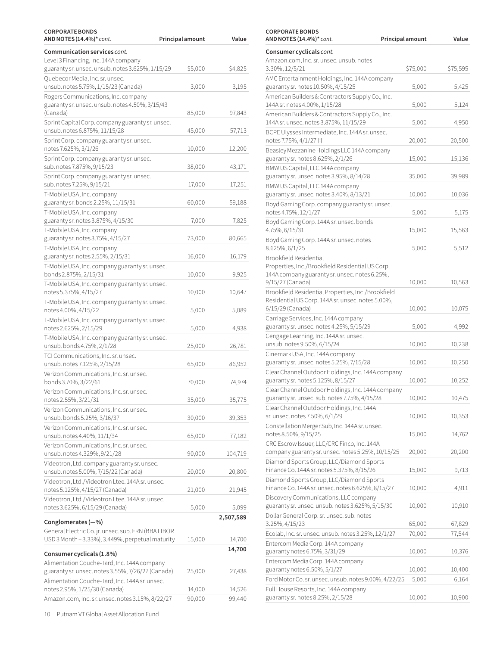| <b>CORPORATE BONDS</b><br>AND NOTES (14.4%)* cont.                                | <b>Principal amount</b> | Value     |
|-----------------------------------------------------------------------------------|-------------------------|-----------|
| Communication services cont.                                                      |                         |           |
| Level 3 Financing, Inc. 144A company                                              |                         |           |
| guaranty sr. unsec. unsub. notes 3.625%, 1/15/29                                  | \$5,000                 | \$4,825   |
| Quebecor Media, Inc. sr. unsec.                                                   |                         |           |
| unsub. notes 5.75%, 1/15/23 (Canada)                                              | 3,000                   | 3,195     |
| Rogers Communications, Inc. company                                               |                         |           |
| guaranty sr. unsec. unsub. notes 4.50%, 3/15/43                                   |                         |           |
| (Canada)                                                                          | 85,000                  | 97,843    |
| Sprint Capital Corp. company guaranty sr. unsec.                                  |                         |           |
| unsub. notes 6.875%, 11/15/28                                                     | 45,000                  | 57,713    |
| Sprint Corp. company guaranty sr. unsec.                                          |                         |           |
| notes 7.625%, 3/1/26                                                              | 10,000                  | 12,200    |
| Sprint Corp. company guaranty sr. unsec.                                          |                         |           |
| sub. notes 7.875%, 9/15/23                                                        | 38,000                  | 43,171    |
| Sprint Corp. company guaranty sr. unsec.                                          |                         |           |
| sub. notes 7.25%, 9/15/21                                                         | 17,000                  | 17,251    |
| T-Mobile USA, Inc. company                                                        |                         |           |
| guaranty sr. bonds 2.25%, 11/15/31                                                | 60,000                  | 59,188    |
| T-Mobile USA, Inc. company                                                        |                         |           |
| guaranty sr. notes 3.875%, 4/15/30                                                | 7,000                   | 7,825     |
| T-Mobile USA, Inc. company                                                        |                         |           |
| guaranty sr. notes 3.75%, 4/15/27                                                 | 73,000                  | 80,665    |
| T-Mobile USA, Inc. company                                                        |                         |           |
| guaranty sr. notes 2.55%, 2/15/31                                                 | 16,000                  | 16,179    |
| T-Mobile USA, Inc. company guaranty sr. unsec.                                    |                         |           |
| bonds 2.875%, 2/15/31                                                             | 10,000                  | 9,925     |
| T-Mobile USA, Inc. company guaranty sr. unsec.                                    |                         |           |
| notes 5.375%, 4/15/27                                                             | 10,000                  | 10,647    |
| T-Mobile USA, Inc. company guaranty sr. unsec.                                    |                         |           |
| notes 4.00%, 4/15/22                                                              | 5,000                   | 5,089     |
| T-Mobile USA, Inc. company guaranty sr. unsec.                                    |                         |           |
| notes 2.625%, 2/15/29                                                             | 5,000                   | 4,938     |
| T-Mobile USA, Inc. company guaranty sr. unsec.                                    |                         |           |
| unsub. bonds 4.75%, 2/1/28                                                        | 25,000                  | 26,781    |
| TCI Communications, Inc. sr. unsec.                                               |                         |           |
| unsub. notes 7.125%, 2/15/28                                                      | 65,000                  | 86,952    |
| Verizon Communications, Inc. sr. unsec.                                           |                         |           |
| bonds 3.70%, 3/22/61                                                              | 70,000                  | 74,974    |
| Verizon Communications, Inc. sr. unsec.                                           |                         |           |
| notes 2.55%, 3/21/31                                                              | 35,000                  | 35,775    |
| Verizon Communications, Inc. sr. unsec.                                           |                         |           |
| unsub. bonds 5.25%, 3/16/37                                                       | 30,000                  | 39,353    |
| Verizon Communications, Inc. sr. unsec.                                           |                         |           |
| unsub. notes 4.40%, 11/1/34                                                       | 65,000                  | 77,182    |
| Verizon Communications, Inc. sr. unsec.                                           |                         |           |
| unsub. notes 4.329%, 9/21/28                                                      | 90,000                  | 104,719   |
| Videotron, Ltd. company guaranty sr. unsec.                                       |                         |           |
| unsub. notes 5.00%, 7/15/22 (Canada)                                              | 20,000                  | 20,800    |
| Videotron, Ltd./Videotron Ltee. 144A sr. unsec.<br>notes 5.125%, 4/15/27 (Canada) |                         |           |
|                                                                                   | 21,000                  | 21,945    |
| Videotron, Ltd./Videotron Ltee. 144A sr. unsec.<br>notes 3.625%, 6/15/29 (Canada) |                         |           |
|                                                                                   | 5,000                   | 5,099     |
| Conglomerates (-%)                                                                |                         | 2,507,589 |
| General Electric Co. jr. unsec. sub. FRN (BBA LIBOR                               |                         |           |
| USD 3 Month + 3.33%), 3.449%, perpetual maturity                                  | 15,000                  | 14,700    |
|                                                                                   |                         | 14,700    |
| Consumer cyclicals (1.8%)                                                         |                         |           |
| Alimentation Couche-Tard, Inc. 144A company                                       |                         |           |
| guaranty sr. unsec. notes 3.55%, 7/26/27 (Canada)                                 | 25,000                  | 27,438    |
| Alimentation Couche-Tard, Inc. 144A sr. unsec.                                    |                         |           |
| notes 2.95%, 1/25/30 (Canada)                                                     | 14,000                  | 14,526    |
| Amazon.com, Inc. sr. unsec. notes 3.15%, 8/22/27                                  | 90,000                  | 99,440    |

| <b>CORPORATE BONDS</b><br>AND NOTES (14.4%)* cont.                                                 | <b>Principal amount</b> | Value            |
|----------------------------------------------------------------------------------------------------|-------------------------|------------------|
| Consumer cyclicals cont.                                                                           |                         |                  |
| Amazon.com, Inc. sr. unsec. unsub. notes<br>3.30%, 12/5/21                                         | \$75,000                | \$75,595         |
| AMC Entertainment Holdings, Inc. 144A company<br>guaranty sr. notes 10.50%, 4/15/25                | 5,000                   | 5,425            |
| American Builders & Contractors Supply Co., Inc.                                                   |                         |                  |
| 144A sr. notes 4.00%, 1/15/28                                                                      | 5,000                   | 5,124            |
| American Builders & Contractors Supply Co., Inc.<br>144A sr. unsec. notes 3.875%, 11/15/29         | 5,000                   | 4,950            |
| BCPE Ulysses Intermediate, Inc. 144A sr. unsec.<br>notes 7.75%, 4/1/27 ‡‡                          | 20,000                  | 20,500           |
| Beasley Mezzanine Holdings LLC 144A company<br>guaranty sr. notes 8.625%, 2/1/26                   | 15,000                  | 15,136           |
| BMW US Capital, LLC 144A company                                                                   |                         |                  |
| guaranty sr. unsec. notes 3.95%, 8/14/28                                                           | 35,000                  | 39,989           |
| BMW US Capital, LLC 144A company<br>guaranty sr. unsec. notes 3.40%, 8/13/21                       | 10,000                  | 10,036           |
| Boyd Gaming Corp. company guaranty sr. unsec.<br>notes 4.75%, 12/1/27                              | 5,000                   | 5,175            |
| Boyd Gaming Corp. 144A sr. unsec. bonds<br>4.75%, 6/15/31                                          | 15,000                  | 15,563           |
| Boyd Gaming Corp. 144A sr. unsec. notes                                                            |                         |                  |
| 8.625%, 6/1/25                                                                                     | 5,000                   | 5,512            |
| Brookfield Residential<br>Properties, Inc./Brookfield Residential US Corp.                         |                         |                  |
| 144A company guaranty sr. unsec. notes 6.25%,<br>9/15/27 (Canada)                                  | 10,000                  | 10,563           |
| Brookfield Residential Properties, Inc./Brookfield                                                 |                         |                  |
| Residential US Corp. 144A sr. unsec. notes 5.00%,<br>6/15/29 (Canada)                              | 10,000                  | 10,075           |
| Carriage Services, Inc. 144A company                                                               |                         |                  |
| guaranty sr. unsec. notes 4.25%, 5/15/29                                                           | 5,000                   | 4,992            |
| Cengage Learning, Inc. 144A sr. unsec.<br>unsub. notes 9.50%, 6/15/24                              | 10,000                  | 10,238           |
| Cinemark USA, Inc. 144A company<br>guaranty sr. unsec. notes 5.25%, 7/15/28                        | 10,000                  | 10,250           |
| Clear Channel Outdoor Holdings, Inc. 144A company                                                  |                         |                  |
| guaranty sr. notes 5.125%, 8/15/27                                                                 | 10,000                  | 10,252           |
| Clear Channel Outdoor Holdings, Inc. 144A company<br>guaranty sr. unsec. sub. notes 7.75%, 4/15/28 | 10,000                  | 10,475           |
| Clear Channel Outdoor Holdings, Inc. 144A                                                          |                         |                  |
| sr. unsec. notes 7.50%, 6/1/29                                                                     | 10,000                  | 10,353           |
| Constellation Merger Sub, Inc. 144A sr. unsec.<br>notes 8.50%, 9/15/25                             | 15,000                  | 14,762           |
| CRC Escrow Issuer, LLC/CRC Finco, Inc. 144A<br>company guaranty sr. unsec. notes 5.25%, 10/15/25   | 20,000                  | 20,200           |
| Diamond Sports Group, LLC/Diamond Sports<br>Finance Co. 144A sr. notes 5.375%, 8/15/26             | 15,000                  | 9,713            |
| Diamond Sports Group, LLC/Diamond Sports                                                           |                         |                  |
| Finance Co. 144A sr. unsec. notes 6.625%, 8/15/27                                                  | 10,000                  | 4,911            |
| Discovery Communications, LLC company<br>guaranty sr. unsec. unsub. notes 3.625%, 5/15/30          | 10,000                  | 10,910           |
| Dollar General Corp. sr. unsec. sub. notes<br>3.25%, 4/15/23                                       |                         |                  |
| Ecolab, Inc. sr. unsec. unsub. notes 3.25%, 12/1/27                                                | 65,000<br>70,000        | 67,829<br>77,544 |
| Entercom Media Corp. 144A company                                                                  |                         |                  |
| guaranty notes 6.75%, 3/31/29                                                                      | 10,000                  | 10,376           |
| Entercom Media Corp. 144A company                                                                  |                         |                  |
| guaranty notes 6.50%, 5/1/27<br>Ford Motor Co. sr. unsec. unsub. notes 9.00%, 4/22/25              | 10,000<br>5,000         | 10,400<br>6,164  |
| Full House Resorts, Inc. 144A company                                                              |                         |                  |
| guaranty sr. notes 8.25%, 2/15/28                                                                  | 10,000                  | 10,900           |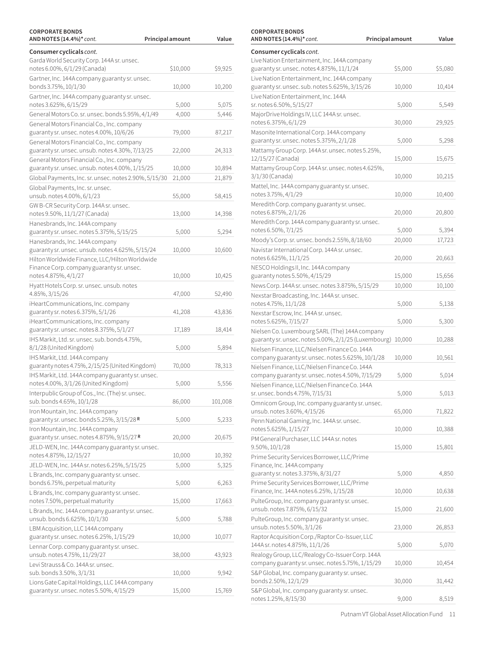| <b>CORPORATE BONDS</b><br>AND NOTES (14.4%)* cont.                                                                  | Principal amount | Value          |
|---------------------------------------------------------------------------------------------------------------------|------------------|----------------|
| Consumer cyclicals cont.                                                                                            |                  |                |
| Garda World Security Corp. 144A sr. unsec.                                                                          |                  |                |
| notes 6.00%, 6/1/29 (Canada)                                                                                        | \$10,000         | \$9,925        |
| Gartner, Inc. 144A company guaranty sr. unsec.<br>bonds 3.75%, 10/1/30                                              | 10,000           | 10,200         |
| Gartner, Inc. 144A company guaranty sr. unsec.<br>notes 3.625%, 6/15/29                                             |                  |                |
| General Motors Co. sr. unsec. bonds 5.95%, 4/1/49                                                                   | 5,000<br>4,000   | 5,075<br>5,446 |
| General Motors Financial Co., Inc. company<br>guaranty sr. unsec. notes 4.00%, 10/6/26                              | 79,000           | 87,217         |
| General Motors Financial Co., Inc. company                                                                          |                  |                |
| guaranty sr. unsec. unsub. notes 4.30%, 7/13/25                                                                     | 22,000           | 24,313         |
| General Motors Financial Co., Inc. company<br>guaranty sr. unsec. unsub. notes 4.00%, 1/15/25                       | 10,000           | 10,894         |
| Global Payments, Inc. sr. unsec. notes 2.90%, 5/15/30                                                               | 21,000           | 21,879         |
| Global Payments, Inc. sr. unsec.                                                                                    |                  |                |
| unsub. notes 4.00%, 6/1/23                                                                                          | 55,000           | 58,415         |
| GW B-CR Security Corp. 144A sr. unsec.<br>notes 9.50%, 11/1/27 (Canada)                                             | 13,000           | 14,398         |
| Hanesbrands, Inc. 144A company                                                                                      |                  |                |
| guaranty sr. unsec. notes 5.375%, 5/15/25                                                                           | 5,000            | 5,294          |
| Hanesbrands, Inc. 144A company                                                                                      |                  |                |
| guaranty sr. unsec. unsub. notes 4.625%, 5/15/24                                                                    | 10,000           | 10,600         |
| Hilton Worldwide Finance, LLC/Hilton Worldwide<br>Finance Corp. company guaranty sr. unsec.<br>notes 4.875%, 4/1/27 | 10,000           | 10,425         |
| Hyatt Hotels Corp. sr. unsec. unsub. notes                                                                          |                  |                |
| 4.85%, 3/15/26                                                                                                      | 47,000           | 52,490         |
| iHeartCommunications, Inc. company<br>guaranty sr. notes 6.375%, 5/1/26                                             | 41,208           | 43,836         |
| iHeartCommunications, Inc. company<br>guaranty sr. unsec. notes 8.375%, 5/1/27                                      | 17,189           | 18,414         |
| IHS Markit, Ltd. sr. unsec. sub. bonds 4.75%,<br>8/1/28 (United Kingdom)                                            | 5,000            | 5,894          |
| IHS Markit, Ltd. 144A company                                                                                       |                  |                |
| guaranty notes 4.75%, 2/15/25 (United Kingdom)                                                                      | 70,000           | 78,313         |
| IHS Markit, Ltd. 144A company guaranty sr. unsec.<br>notes 4.00%, 3/1/26 (United Kingdom)                           | 5,000            | 5,556          |
| Interpublic Group of Cos., Inc. (The) sr. unsec.<br>sub. bonds 4.65%, 10/1/28                                       | 86,000           | 101,008        |
| Iron Mountain, Inc. 144A company                                                                                    |                  |                |
| guaranty sr. unsec. bonds 5.25%, 3/15/28 <b>R</b>                                                                   | 5,000            | 5,233          |
| Iron Mountain, Inc. 144A company                                                                                    |                  |                |
| guaranty sr. unsec. notes 4.875%, 9/15/27 <b>R</b>                                                                  | 20,000           | 20,675         |
| JELD-WEN, Inc. 144A company guaranty sr. unsec.<br>notes 4.875%, 12/15/27                                           | 10,000           | 10,392         |
| JELD-WEN, Inc. 144A sr. notes 6.25%, 5/15/25                                                                        | 5,000            | 5,325          |
| L Brands, Inc. company guaranty sr. unsec.                                                                          |                  |                |
| bonds 6.75%, perpetual maturity                                                                                     | 5,000            | 6,263          |
| L Brands, Inc. company guaranty sr. unsec.<br>notes 7.50%, perpetual maturity                                       | 15,000           | 17,663         |
| L Brands, Inc. 144A company guaranty sr. unsec.<br>unsub. bonds 6.625%, 10/1/30                                     | 5,000            | 5,788          |
| LBM Acquisition, LLC 144A company<br>guaranty sr. unsec. notes 6.25%, 1/15/29                                       | 10,000           | 10,077         |
| Lennar Corp. company guaranty sr. unsec.                                                                            |                  |                |
| unsub. notes 4.75%, 11/29/27                                                                                        | 38,000           | 43,923         |
| Levi Strauss & Co. 144A sr. unsec.<br>sub. bonds 3.50%, 3/1/31                                                      | 10,000           | 9,942          |
| Lions Gate Capital Holdings, LLC 144A company<br>guaranty sr. unsec. notes 5.50%, 4/15/29                           | 15,000           | 15,769         |
|                                                                                                                     |                  |                |

| <b>CORPORATE BONDS</b><br>AND NOTES (14.4%)* cont.                                                     | <b>Principal amount</b> | Value   |
|--------------------------------------------------------------------------------------------------------|-------------------------|---------|
| Consumer cyclicals cont.                                                                               |                         |         |
| Live Nation Entertainment, Inc. 144A company                                                           |                         |         |
| guaranty sr. unsec. notes 4.875%, 11/1/24                                                              | \$5,000                 | \$5,080 |
| Live Nation Entertainment, Inc. 144A company                                                           |                         |         |
| guaranty sr. unsec. sub. notes 5.625%, 3/15/26                                                         | 10,000                  | 10,414  |
| Live Nation Entertainment, Inc. 144A                                                                   |                         |         |
| sr. notes 6.50%, 5/15/27                                                                               | 5,000                   | 5,549   |
| MajorDrive Holdings IV, LLC 144A sr. unsec.<br>notes 6.375%, 6/1/29                                    | 30,000                  | 29,925  |
| Masonite International Corp. 144A company<br>guaranty sr. unsec. notes 5.375%, 2/1/28                  | 5,000                   | 5,298   |
| Mattamy Group Corp. 144A sr. unsec. notes 5.25%,<br>12/15/27 (Canada)                                  | 15,000                  | 15,675  |
| Mattamy Group Corp. 144A sr. unsec. notes 4.625%,                                                      |                         |         |
| 3/1/30 (Canada)                                                                                        | 10,000                  | 10,215  |
| Mattel, Inc. 144A company guaranty sr. unsec.<br>notes 3.75%, 4/1/29                                   | 10,000                  | 10,400  |
| Meredith Corp. company guaranty sr. unsec.<br>notes 6.875%, 2/1/26                                     | 20,000                  | 20,800  |
| Meredith Corp. 144A company guaranty sr. unsec.                                                        |                         |         |
| notes 6.50%, 7/1/25                                                                                    | 5,000                   | 5,394   |
| Moody's Corp. sr. unsec. bonds 2.55%, 8/18/60                                                          | 20,000                  | 17,723  |
| Navistar International Corp. 144A sr. unsec.                                                           |                         |         |
| notes 6.625%, 11/1/25                                                                                  | 20,000                  | 20,663  |
| NESCO Holdings II, Inc. 144A company                                                                   |                         |         |
| guaranty notes 5.50%, 4/15/29                                                                          | 15,000                  | 15,656  |
| News Corp. 144A sr. unsec. notes 3.875%, 5/15/29                                                       | 10,000                  | 10,100  |
| Nexstar Broadcasting, Inc. 144A sr. unsec.                                                             |                         |         |
| notes 4.75%, 11/1/28                                                                                   | 5,000                   | 5,138   |
| Nexstar Escrow, Inc. 144A sr. unsec.                                                                   |                         |         |
| notes 5.625%, 7/15/27                                                                                  | 5,000                   | 5,300   |
| Nielsen Co. Luxembourg SARL (The) 144A company<br>guaranty sr. unsec. notes 5.00%, 2/1/25 (Luxembourg) | 10,000                  | 10,288  |
| Nielsen Finance, LLC/Nielsen Finance Co. 144A                                                          |                         |         |
| company guaranty sr. unsec. notes 5.625%, 10/1/28                                                      | 10,000                  | 10,561  |
| Nielsen Finance, LLC/Nielsen Finance Co. 144A<br>company guaranty sr. unsec. notes 4.50%, 7/15/29      | 5,000                   | 5,014   |
| Nielsen Finance, LLC/Nielsen Finance Co. 144A                                                          |                         |         |
| sr. unsec. bonds 4.75%, 7/15/31                                                                        | 5,000                   | 5,013   |
| Omnicom Group, Inc. company guaranty sr. unsec.<br>unsub. notes 3.60%, 4/15/26                         | 65,000                  | 71,822  |
| Penn National Gaming, Inc. 144A sr. unsec.<br>notes 5.625%, 1/15/27                                    | 10,000                  | 10,388  |
| PM General Purchaser, LLC 144A sr. notes<br>$9.50\%, 10/1/28$                                          | 15,000                  | 15,801  |
| Prime Security Services Borrower, LLC/Prime                                                            |                         |         |
| Finance, Inc. 144A company                                                                             |                         |         |
| guaranty sr. notes 3.375%, 8/31/27                                                                     | 5,000                   | 4,850   |
| Prime Security Services Borrower, LLC/Prime                                                            |                         |         |
| Finance, Inc. 144A notes 6.25%, 1/15/28                                                                | 10,000                  | 10,638  |
| PulteGroup, Inc. company guaranty sr. unsec.<br>unsub. notes 7.875%, 6/15/32                           | 15,000                  | 21,600  |
| PulteGroup, Inc. company guaranty sr. unsec.<br>unsub. notes 5.50%, 3/1/26                             | 23,000                  | 26,853  |
| Raptor Acquisition Corp./Raptor Co-Issuer, LLC<br>144A sr. notes 4.875%, 11/1/26                       | 5,000                   | 5,070   |
| Realogy Group, LLC/Realogy Co-Issuer Corp. 144A                                                        |                         |         |
| company guaranty sr. unsec. notes 5.75%, 1/15/29                                                       | 10,000                  | 10,454  |
| S&P Global, Inc. company guaranty sr. unsec.<br>bonds 2.50%, 12/1/29                                   | 30,000                  | 31,442  |
| S&P Global, Inc. company guaranty sr. unsec.                                                           |                         |         |
| notes 1.25%, 8/15/30                                                                                   | 9,000                   | 8,519   |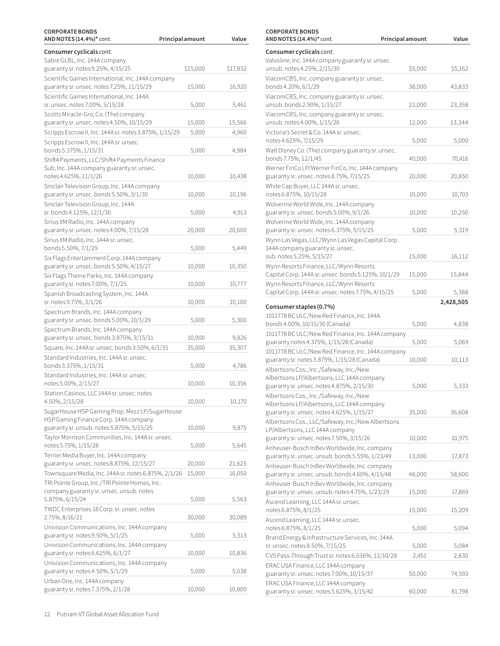| <b>CORPORATE BONDS</b><br>AND NOTES (14.4%)* cont.                             | <b>Principal amount</b> | Value    |
|--------------------------------------------------------------------------------|-------------------------|----------|
| Consumer cyclicals cont.                                                       |                         |          |
| Sabre GLBL, Inc. 144A company                                                  |                         |          |
| guaranty sr. notes 9.25%, 4/15/25                                              | \$15,000                | \$17,832 |
| Scientific Games International, Inc. 144A company                              |                         |          |
| guaranty sr. unsec. notes 7.25%, 11/15/29                                      | 15,000                  | 16,920   |
| Scientific Games International, Inc. 144A                                      |                         |          |
| sr. unsec. notes 7.00%, 5/15/28                                                | 5,000                   | 5,461    |
| Scotts Miracle-Gro, Co. (The) company                                          |                         |          |
| guaranty sr. unsec. notes 4.50%, 10/15/29                                      | 15,000                  | 15,566   |
| Scripps Escrow II, Inc. 144A sr. notes 3.875%, 1/15/29                         | 5,000                   | 4,960    |
| Scripps Escrow II, Inc. 144A sr. unsec.                                        |                         |          |
| bonds 5.375%, 1/15/31                                                          | 5,000                   | 4,984    |
| Shift4 Payments, LLC/Shift4 Payments Finance                                   |                         |          |
| Sub, Inc. 144A company guaranty sr. unsec.                                     |                         |          |
| notes 4.625%, 11/1/26                                                          | 10,000                  | 10,438   |
| Sinclair Television Group, Inc. 144A company                                   |                         |          |
| guaranty sr. unsec. bonds 5.50%, 3/1/30                                        | 10,000                  | 10,196   |
| Sinclair Television Group, Inc. 144A                                           |                         |          |
| sr. bonds 4.125%, 12/1/30                                                      | 5,000                   | 4,913    |
| Sirius XM Radio, Inc. 144A company                                             |                         |          |
| guaranty sr. unsec. notes 4.00%, 7/15/28                                       | 20,000                  | 20,600   |
| Sirius XM Radio, Inc. 144A sr. unsec.                                          |                         |          |
| bonds 5.50%, 7/1/29                                                            | 5,000                   | 5,449    |
| Six Flags Entertainment Corp. 144A company                                     |                         |          |
| guaranty sr. unsec. bonds 5.50%, 4/15/27                                       | 10,000                  | 10,350   |
| Six Flags Theme Parks, Inc. 144A company                                       |                         |          |
| guaranty sr. notes 7.00%, 7/1/25                                               | 10,000                  | 10,777   |
| Spanish Broadcasting System, Inc. 144A                                         |                         |          |
| sr. notes 9.75%, 3/1/26                                                        | 10,000                  | 10,100   |
| Spectrum Brands, Inc. 144A company<br>guaranty sr. unsec. bonds 5.00%, 10/1/29 | 5,000                   | 5,300    |
| Spectrum Brands, Inc. 144A company                                             |                         |          |
| guaranty sr. unsec. bonds 3.875%, 3/15/31                                      | 10,000                  | 9,826    |
| Square, Inc. 144A sr. unsec. bonds 3.50%, 6/1/31                               | 35,000                  | 35,307   |
| Standard Industries, Inc. 144A sr. unsec.                                      |                         |          |
| bonds 3.375%, 1/15/31                                                          | 5,000                   | 4,786    |
| Standard Industries, Inc. 144A sr. unsec.                                      |                         |          |
| notes 5.00%, 2/15/27                                                           | 10,000                  | 10,356   |
| Station Casinos, LLC 144A sr. unsec. notes                                     |                         |          |
| 4.50%, 2/15/28                                                                 | 10,000                  | 10,170   |
| SugarHouse HSP Gaming Prop. Mezz LP/SugarHouse                                 |                         |          |
| HSP Gaming Finance Corp. 144A company                                          |                         |          |
| guaranty sr. unsub. notes 5.875%, 5/15/25                                      | 10,000                  | 9,875    |
| Taylor Morrison Communities, Inc. 144A sr. unsec.                              |                         |          |
| notes 5.75%, 1/15/28                                                           | 5,000                   | 5,645    |
| Terrier Media Buyer, Inc. 144A company                                         |                         |          |
| guaranty sr. unsec. notes 8.875%, 12/15/27                                     | 20,000                  | 21,625   |
| Townsquare Media, Inc. 144A sr. notes 6.875%, 2/1/26                           | 15,000                  | 16,050   |
| TRI Pointe Group, Inc./TRI Pointe Homes, Inc.                                  |                         |          |
| company guaranty sr. unsec. unsub. notes                                       |                         |          |
| 5.875%, 6/15/24                                                                | 5,000                   | 5,563    |
| TWDC Enterprises 18 Corp. sr. unsec. notes                                     |                         |          |
| 2.75%, 8/16/21                                                                 | 30,000                  | 30,089   |
| Univision Communications, Inc. 144A company                                    |                         |          |
| guaranty sr. notes 9.50%, 5/1/25                                               | 5,000                   | 5,513    |
| Univision Communications, Inc. 144A company                                    |                         |          |
| guaranty sr. notes 6.625%, 6/1/27                                              | 10,000                  | 10,836   |
| Univision Communications, Inc. 144A company                                    |                         |          |
| guaranty sr. notes 4.50%, 5/1/29                                               | 5,000                   | 5,038    |
| Urban One, Inc. 144A company                                                   |                         |          |
| guaranty sr. notes 7.375%, 2/1/28                                              | 10,000                  | 10,800   |

| <b>CORPORATE BONDS</b><br>AND NOTES (14.4%)* cont.                                              | Principal amount | Value     |
|-------------------------------------------------------------------------------------------------|------------------|-----------|
| Consumer cyclicals cont.                                                                        |                  |           |
| Valvoline, Inc. 144A company guaranty sr. unsec.<br>unsub. notes 4.25%, 2/15/30                 | \$5,000          | \$5,162   |
| ViacomCBS, Inc. company guaranty sr. unsec.<br>bonds 4.20%, 6/1/29                              | 38,000           | 43,833    |
| ViacomCBS, Inc. company guaranty sr. unsec.<br>unsub. bonds 2.90%, 1/15/27                      | 22,000           | 23,358    |
| ViacomCBS, Inc. company guaranty sr. unsec.                                                     |                  |           |
| unsub. notes 4.00%, 1/15/26<br>Victoria's Secret & Co. 144A sr. unsec.                          | 12,000           | 13,344    |
| notes 4.625%, 7/15/29<br>Walt Disney Co. (The) company guaranty sr. unsec.                      | 5,000            | 5,000     |
| bonds 7.75%, 12/1/45<br>Werner FinCo LP/Werner FinCo, Inc. 144A company                         | 40,000           | 70,416    |
| guaranty sr. unsec. notes 8.75%, 7/15/25                                                        | 20,000           | 20,850    |
| White Cap Buyer, LLC 144A sr. unsec.<br>notes 6.875%, 10/15/28                                  | 10,000           | 10,703    |
| Wolverine World Wide, Inc. 144A company<br>guaranty sr. unsec. bonds 5.00%, 9/1/26              | 10,000           | 10,250    |
| Wolverine World Wide, Inc. 144A company<br>guaranty sr. unsec. notes 6.375%, 5/15/25            | 5,000            | 5,319     |
| Wynn Las Vegas, LLC/Wynn Las Vegas Capital Corp.<br>144A company guaranty sr. unsec.            |                  |           |
| sub. notes 5.25%, 5/15/27                                                                       | 15,000           | 16,112    |
| Wynn Resorts Finance, LLC/Wynn Resorts<br>Capital Corp. 144Asr. unsec. bonds 5.125%, 10/1/29    | 15,000           | 15,844    |
| Wynn Resorts Finance, LLC/Wynn Resorts<br>Capital Corp. 144A sr. unsec. notes 7.75%, 4/15/25    | 5,000            | 5,388     |
| Consumer staples (0.7%)                                                                         |                  | 2,428,505 |
| 1011778 BC ULC/New Red Finance, Inc. 144A                                                       |                  |           |
| bonds 4.00%, 10/15/30 (Canada)                                                                  | 5,000            | 4,838     |
| 1011778 BC ULC/New Red Finance, Inc. 144A company                                               |                  |           |
| guaranty notes 4.375%, 1/15/28 (Canada)<br>1011778 BC ULC/New Red Finance, Inc. 144A company    | 5,000            | 5,069     |
| guaranty sr. notes 3.875%, 1/15/28 (Canada)                                                     | 10,000           | 10,113    |
| Albertsons Cos., Inc./Safeway, Inc./New<br>Albertsons LP/Albertsons, LLC 144A company           |                  |           |
| guaranty sr. unsec. notes 4.875%, 2/15/30<br>Albertsons Cos., Inc./Safeway, Inc./New            | 5,000            | 5,333     |
| Albertsons LP/Albertsons, LLC 144A company                                                      |                  |           |
| guaranty sr. unsec. notes 4.625%, 1/15/27<br>Albertsons Cos., LLC/Safeway, Inc./New Albertsons  | 35,000           | 36,608    |
| LP/Albertsons, LLC 144A company<br>guaranty sr. unsec. notes 7.50%, 3/15/26                     | 10,000           | 10,975    |
| Anheuser-Busch InBev Worldwide, Inc. company                                                    |                  |           |
| guaranty sr. unsec. unsub. bonds 5.55%, 1/23/49                                                 | 13,000           | 17,873    |
| Anheuser-Busch InBev Worldwide, Inc. company<br>guaranty sr. unsec. unsub. bonds 4.60%, 4/15/48 | 48,000           | 58,600    |
| Anheuser-Busch InBev Worldwide, Inc. company<br>guaranty sr. unsec. unsub. notes 4.75%, 1/23/29 | 15,000           | 17,869    |
| Ascend Learning, LLC 144A sr. unsec.<br>notes 6.875%, 8/1/25                                    | 15,000           | 15,209    |
| Ascend Learning, LLC 144A sr. unsec.<br>notes 6.875%, 8/1/25                                    | 5,000            | 5,094     |
| Brand Energy & Infrastructure Services, Inc. 144A                                               |                  |           |
| sr. unsec. notes 8.50%, 7/15/25                                                                 | 5,000            | 5,084     |
| CVS Pass-Through Trust sr. notes 6.036%, 12/10/28<br>ERAC USA Finance, LLC 144A company         | 2,451            | 2,830     |
| guaranty sr. unsec. notes 7.00%, 10/15/37<br>ERAC USA Finance, LLC 144A company                 | 50,000           | 74,593    |
| guaranty sr. unsec. notes 5.625%, 3/15/42                                                       | 60,000           | 81,798    |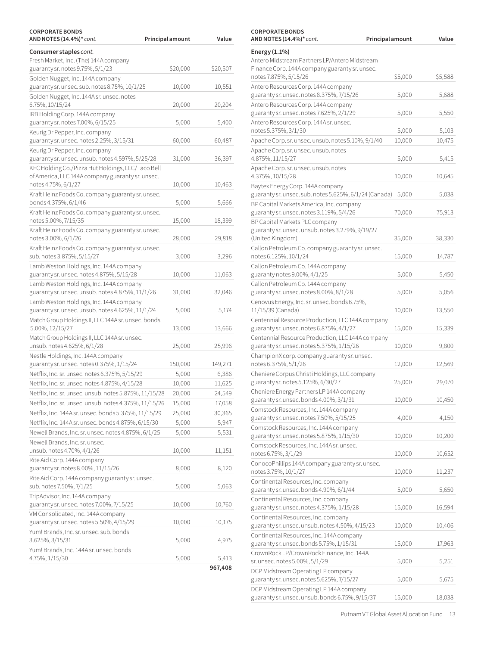| <b>CORPORATE BONDS</b><br>AND NOTES (14.4%)* cont.                                                                           | Principal amount | Value    |
|------------------------------------------------------------------------------------------------------------------------------|------------------|----------|
| Consumer staples cont.                                                                                                       |                  |          |
| Fresh Market, Inc. (The) 144A company                                                                                        |                  |          |
| guaranty sr. notes 9.75%, 5/1/23                                                                                             | \$20,000         | \$20,507 |
| Golden Nugget, Inc. 144A company                                                                                             |                  |          |
| guaranty sr. unsec. sub. notes 8.75%, 10/1/25                                                                                | 10,000           | 10,551   |
| Golden Nugget, Inc. 144A sr. unsec. notes<br>6.75%, 10/15/24                                                                 | 20,000           | 20,204   |
| IRB Holding Corp. 144A company                                                                                               |                  |          |
| guaranty sr. notes 7.00%, 6/15/25                                                                                            | 5,000            | 5,400    |
| Keurig Dr Pepper, Inc. company<br>guaranty sr. unsec. notes 2.25%, 3/15/31                                                   | 60,000           | 60,487   |
| Keurig Dr Pepper, Inc. company<br>guaranty sr. unsec. unsub. notes 4.597%, 5/25/28                                           | 31,000           | 36,397   |
| KFC Holding Co./Pizza Hut Holdings, LLC/Taco Bell<br>of America, LLC 144A company guaranty sr. unsec.<br>notes 4.75%, 6/1/27 | 10,000           | 10,463   |
| Kraft Heinz Foods Co. company guaranty sr. unsec.<br>bonds 4.375%, 6/1/46                                                    | 5,000            | 5,666    |
| Kraft Heinz Foods Co. company guaranty sr. unsec.<br>notes 5.00%, 7/15/35                                                    | 15,000           | 18,399   |
| Kraft Heinz Foods Co. company guaranty sr. unsec.<br>notes 3.00%, 6/1/26                                                     | 28,000           | 29,818   |
| Kraft Heinz Foods Co. company guaranty sr. unsec.<br>sub. notes 3.875%, 5/15/27                                              | 3,000            | 3,296    |
| Lamb Weston Holdings, Inc. 144A company<br>guaranty sr. unsec. notes 4.875%, 5/15/28                                         | 10,000           | 11,063   |
| Lamb Weston Holdings, Inc. 144A company<br>guaranty sr. unsec. unsub. notes 4.875%, 11/1/26                                  | 31,000           | 32,046   |
| Lamb Weston Holdings, Inc. 144A company<br>guaranty sr. unsec. unsub. notes 4.625%, 11/1/24                                  | 5,000            | 5,174    |
| Match Group Holdings II, LLC 144A sr. unsec. bonds<br>5.00%, 12/15/27                                                        | 13,000           | 13,666   |
| Match Group Holdings II, LLC 144A sr. unsec.<br>unsub. notes 4.625%, 6/1/28                                                  | 25,000           | 25,996   |
| Nestle Holdings, Inc. 144A company<br>guaranty sr. unsec. notes 0.375%, 1/15/24                                              | 150,000          | 149,271  |
| Netflix, Inc. sr. unsec. notes 6.375%, 5/15/29                                                                               | 5,000            | 6,386    |
| Netflix, Inc. sr. unsec. notes 4.875%, 4/15/28                                                                               | 10,000           | 11,625   |
| Netflix, Inc. sr. unsec. unsub. notes 5.875%, 11/15/28                                                                       | 20,000           | 24,549   |
| Netflix, Inc. sr. unsec. unsub. notes 4.375%, 11/15/26                                                                       | 15,000           | 17,058   |
| Netflix, Inc. 144A sr. unsec. bonds 5.375%, 11/15/29                                                                         | 25,000           | 30,365   |
| Netflix, Inc. 144A sr. unsec. bonds 4.875%, 6/15/30                                                                          | 5,000            | 5,947    |
| Newell Brands, Inc. sr. unsec. notes 4.875%, 6/1/25                                                                          | 5,000            | 5,531    |
| Newell Brands, Inc. sr. unsec.<br>unsub. notes 4.70%, 4/1/26                                                                 | 10,000           | 11,151   |
| Rite Aid Corp. 144A company<br>guaranty sr. notes 8.00%, 11/15/26                                                            | 8,000            | 8,120    |
| Rite Aid Corp. 144A company guaranty sr. unsec.<br>sub. notes 7.50%, 7/1/25                                                  | 5,000            | 5,063    |
| TripAdvisor, Inc. 144A company<br>guaranty sr. unsec. notes 7.00%, 7/15/25                                                   | 10,000           | 10,760   |
| VM Consolidated, Inc. 144A company<br>guaranty sr. unsec. notes 5.50%, 4/15/29                                               | 10,000           | 10,175   |
| Yum! Brands, Inc. sr. unsec. sub. bonds<br>3.625%, 3/15/31                                                                   | 5,000            | 4,975    |
| Yum! Brands, Inc. 144A sr. unsec. bonds<br>4.75%, 1/15/30                                                                    | 5,000            | 5,413    |
|                                                                                                                              |                  | 967,408  |

| AND NOTES (14.4%)* cont.                                                             | <b>Principal amount</b> | Value   |
|--------------------------------------------------------------------------------------|-------------------------|---------|
| Energy $(1.1\%)$                                                                     |                         |         |
| Antero Midstream Partners LP/Antero Midstream                                        |                         |         |
| Finance Corp. 144A company guaranty sr. unsec.                                       |                         |         |
| notes 7.875%, 5/15/26                                                                | \$5,000                 | \$5,588 |
| Antero Resources Corp. 144A company                                                  |                         |         |
| guaranty sr. unsec. notes 8.375%, 7/15/26                                            | 5,000                   | 5,688   |
| Antero Resources Corp. 144A company                                                  |                         |         |
| guaranty sr. unsec. notes 7.625%, 2/1/29                                             | 5,000                   | 5,550   |
| Antero Resources Corp. 144A sr. unsec.                                               |                         |         |
| notes 5.375%, 3/1/30                                                                 | 5,000                   | 5,103   |
| Apache Corp. sr. unsec. unsub. notes 5.10%, 9/1/40                                   | 10,000                  | 10,475  |
| Apache Corp. sr. unsec. unsub. notes                                                 |                         |         |
| 4.875%, 11/15/27                                                                     | 5,000                   | 5,415   |
| Apache Corp. sr. unsec. unsub. notes                                                 |                         |         |
| 4.375%, 10/15/28                                                                     | 10,000                  | 10,645  |
| Baytex Energy Corp. 144A company                                                     |                         |         |
| guaranty sr. unsec. sub. notes 5.625%, 6/1/24 (Canada)                               | 5,000                   | 5,038   |
| BP Capital Markets America, Inc. company                                             |                         |         |
| guaranty sr. unsec. notes 3.119%, 5/4/26                                             | 70,000                  | 75,913  |
| BP Capital Markets PLC company                                                       |                         |         |
| guaranty sr. unsec. unsub. notes 3.279%, 9/19/27                                     |                         |         |
| (United Kingdom)                                                                     | 35,000                  | 38,330  |
| Callon Petroleum Co. company guaranty sr. unsec.                                     |                         |         |
| notes 6.125%, 10/1/24                                                                | 15,000                  | 14,787  |
| Callon Petroleum Co. 144A company                                                    |                         |         |
| guaranty notes 9.00%, 4/1/25                                                         | 5,000                   | 5,450   |
| Callon Petroleum Co. 144A company                                                    |                         |         |
| guaranty sr. unsec. notes 8.00%, 8/1/28                                              | 5,000                   | 5,056   |
| Cenovus Energy, Inc. sr. unsec. bonds 6.75%,                                         |                         |         |
| 11/15/39 (Canada)                                                                    | 10,000                  | 13,550  |
| Centennial Resource Production, LLC 144A company                                     |                         |         |
| guaranty sr. unsec. notes 6.875%, 4/1/27                                             | 15,000                  | 15,339  |
| Centennial Resource Production, LLC 144A company                                     |                         |         |
| guaranty sr. unsec. notes 5.375%, 1/15/26                                            | 10,000                  | 9,800   |
| ChampionX corp. company guaranty sr. unsec.                                          |                         |         |
| notes 6.375%, 5/1/26                                                                 | 12,000                  | 12,569  |
| Cheniere Corpus Christi Holdings, LLC company                                        |                         |         |
| guaranty sr. notes 5.125%, 6/30/27                                                   | 25,000                  | 29,070  |
| Cheniere Energy Partners LP 144A company                                             |                         |         |
| guaranty sr. unsec. bonds 4.00%, 3/1/31                                              | 10,000                  | 10,450  |
| Comstock Resources, Inc. 144A company                                                |                         |         |
| guaranty sr. unsec. notes 7.50%, 5/15/25                                             | 4,000                   | 4,150   |
| Comstock Resources, Inc. 144A company                                                |                         |         |
| guaranty sr. unsec. notes 5.875%, 1/15/30                                            | 10,000                  | 10,200  |
| Comstock Resources, Inc. 144A sr. unsec.                                             |                         |         |
| notes 6.75%, 3/1/29                                                                  | 10,000                  | 10,652  |
| ConocoPhillips 144A company guaranty sr. unsec.                                      |                         |         |
| notes 3.75%, 10/1/27                                                                 | 10,000                  | 11,237  |
| Continental Resources, Inc. company                                                  |                         |         |
| guaranty sr. unsec. bonds 4.90%, 6/1/44                                              | 5,000                   | 5,650   |
| Continental Resources, Inc. company                                                  |                         |         |
| guaranty sr. unsec. notes 4.375%, 1/15/28                                            | 15,000                  | 16,594  |
| Continental Resources, Inc. company                                                  |                         |         |
| guaranty sr. unsec. unsub. notes 4.50%, 4/15/23                                      | 10,000                  | 10,406  |
| Continental Resources, Inc. 144A company<br>guaranty sr. unsec. bonds 5.75%, 1/15/31 | 15,000                  | 17,963  |
|                                                                                      |                         |         |
| CrownRock LP/CrownRock Finance, Inc. 144A<br>sr. unsec. notes 5.00%, 5/1/29          | 5,000                   | 5,251   |
|                                                                                      |                         |         |
| DCP Midstream Operating LP company<br>guaranty sr. unsec. notes 5.625%, 7/15/27      | 5,000                   | 5,675   |
| DCP Midstream Operating LP 144A company                                              |                         |         |
| guaranty sr. unsec. unsub. bonds 6.75%, 9/15/37                                      | 15,000                  | 18,038  |
|                                                                                      |                         |         |

**CORPORATE BONDS**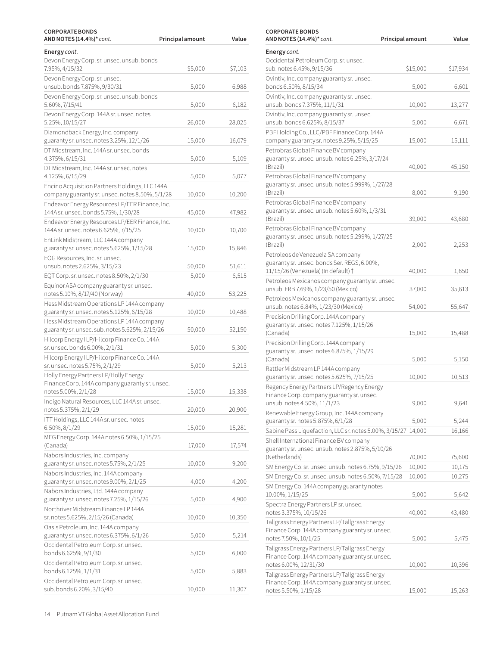| <b>CORPORATE BONDS</b><br>AND NOTES (14.4%)* cont.                                                | <b>Principal amount</b> | Value           |
|---------------------------------------------------------------------------------------------------|-------------------------|-----------------|
| Energy cont.                                                                                      |                         |                 |
| Devon Energy Corp. sr. unsec. unsub. bonds<br>7.95%, 4/15/32                                      | \$5,000                 | \$7,103         |
| Devon Energy Corp. sr. unsec.<br>unsub. bonds 7.875%, 9/30/31                                     | 5,000                   | 6,988           |
| Devon Energy Corp. sr. unsec. unsub. bonds<br>5.60%, 7/15/41                                      | 5,000                   | 6,182           |
| Devon Energy Corp. 144A sr. unsec. notes<br>5.25%, 10/15/27                                       | 26,000                  | 28,025          |
| Diamondback Energy, Inc. company                                                                  |                         |                 |
| guaranty sr. unsec. notes 3.25%, 12/1/26<br>DT Midstream, Inc. 144A sr. unsec. bonds              | 15,000                  | 16,079          |
| 4.375%, 6/15/31                                                                                   | 5,000                   | 5,109           |
| DT Midstream, Inc. 144A sr. unsec. notes<br>4.125%, 6/15/29                                       | 5,000                   | 5,077           |
| Encino Acquisition Partners Holdings, LLC 144A                                                    |                         |                 |
| company guaranty sr. unsec. notes 8.50%, 5/1/28<br>Endeavor Energy Resources LP/EER Finance, Inc. | 10,000                  | 10,200          |
| 144A sr. unsec. bonds 5.75%, 1/30/28                                                              | 45,000                  | 47,982          |
| Endeavor Energy Resources LP/EER Finance, Inc.<br>144A sr. unsec. notes 6.625%, 7/15/25           | 10,000                  | 10,700          |
| EnLink Midstream, LLC 144A company<br>guaranty sr. unsec. notes 5.625%, 1/15/28                   | 15,000                  | 15,846          |
| EOG Resources, Inc. sr. unsec.                                                                    |                         |                 |
| unsub. notes 2.625%, 3/15/23<br>EQT Corp. sr. unsec. notes 8.50%, 2/1/30                          | 50,000<br>5,000         | 51,611<br>6,515 |
| Equinor ASA company guaranty sr. unsec.                                                           |                         |                 |
| notes 5.10%, 8/17/40 (Norway)                                                                     | 40,000                  | 53,225          |
| Hess Midstream Operations LP 144A company<br>guaranty sr. unsec. notes 5.125%, 6/15/28            | 10,000                  | 10,488          |
| Hess Midstream Operations LP 144A company<br>guaranty sr. unsec. sub. notes 5.625%, 2/15/26       | 50,000                  | 52,150          |
| Hilcorp Energy I LP/Hilcorp Finance Co. 144A<br>sr. unsec. bonds 6.00%, 2/1/31                    | 5,000                   | 5,300           |
| Hilcorp Energy I LP/Hilcorp Finance Co. 144A                                                      |                         |                 |
| sr. unsec. notes 5.75%, 2/1/29<br>Holly Energy Partners LP/Holly Energy                           | 5,000                   | 5,213           |
| Finance Corp. 144A company guaranty sr. unsec.<br>notes 5.00%, 2/1/28                             | 15,000                  | 15,338          |
| Indigo Natural Resources, LLC 144A sr. unsec.<br>notes 5.375%, 2/1/29                             | 20,000                  | 20,900          |
| ITT Holdings, LLC 144A sr. unsec. notes                                                           |                         |                 |
| 6.50%, 8/1/29<br>MEG Energy Corp. 144A notes 6.50%, 1/15/25                                       | 15,000                  | 15,281          |
| (Canada)                                                                                          | 17,000                  | 17,574          |
| Nabors Industries, Inc. company<br>guaranty sr. unsec. notes 5.75%, 2/1/25                        | 10,000                  | 9,200           |
| Nabors Industries, Inc. 144A company<br>guaranty sr. unsec. notes 9.00%, 2/1/25                   | 4,000                   | 4,200           |
| Nabors Industries, Ltd. 144A company<br>guaranty sr. unsec. notes 7.25%, 1/15/26                  | 5,000                   | 4,900           |
| Northriver Midstream Finance LP 144A<br>sr. notes 5.625%, 2/15/26 (Canada)                        | 10,000                  | 10,350          |
| Oasis Petroleum, Inc. 144A company<br>guaranty sr. unsec. notes 6.375%, 6/1/26                    | 5,000                   | 5,214           |
| Occidental Petroleum Corp. sr. unsec.                                                             |                         |                 |
| bonds 6.625%, 9/1/30<br>Occidental Petroleum Corp. sr. unsec.                                     | 5,000                   | 6,000           |
| bonds 6.125%, 1/1/31                                                                              | 5,000                   | 5,883           |
| Occidental Petroleum Corp. sr. unsec.<br>sub. bonds 6.20%, 3/15/40                                | 10,000                  | 11,307          |

| <b>CORPORATE BONDS</b><br>AND NOTES (14.4%)* cont.                                                                       | <b>Principal amount</b> | Value            |
|--------------------------------------------------------------------------------------------------------------------------|-------------------------|------------------|
| Energy cont.                                                                                                             |                         |                  |
| Occidental Petroleum Corp. sr. unsec.<br>sub. notes 6.45%, 9/15/36                                                       | \$15,000                | \$17,934         |
| Ovintiv, Inc. company guaranty sr. unsec.<br>bonds 6.50%, 8/15/34                                                        | 5,000                   | 6,601            |
| Ovintiv, Inc. company guaranty sr. unsec.<br>unsub. bonds 7.375%, 11/1/31                                                | 10,000                  | 13,277           |
| Ovintiv, Inc. company guaranty sr. unsec.<br>unsub. bonds 6.625%, 8/15/37                                                | 5,000                   | 6,671            |
| PBF Holding Co., LLC/PBF Finance Corp. 144A<br>company guaranty sr. notes 9.25%, 5/15/25                                 | 15,000                  | 15,111           |
| Petrobras Global Finance BV company<br>guaranty sr. unsec. unsub. notes 6.25%, 3/17/24<br>(Brazil)                       | 40,000                  | 45,150           |
| Petrobras Global Finance BV company<br>guaranty sr. unsec. unsub. notes 5.999%, 1/27/28<br>(Brazil)                      | 8,000                   | 9,190            |
| Petrobras Global Finance BV company                                                                                      |                         |                  |
| guaranty sr. unsec. unsub. notes 5.60%, 1/3/31<br>(Brazil)                                                               | 39,000                  | 43,680           |
| Petrobras Global Finance BV company<br>guaranty sr. unsec. unsub. notes 5.299%, 1/27/25                                  |                         |                  |
| (Brazil)                                                                                                                 | 2,000                   | 2,253            |
| Petroleos de Venezuela SA company<br>guaranty sr. unsec. bonds Ser. REGS, 6.00%,                                         |                         |                  |
| 11/15/26 (Venezuela) (In default) †                                                                                      | 40,000                  | 1,650            |
| Petroleos Mexicanos company guaranty sr. unsec.<br>unsub. FRB 7.69%, 1/23/50 (Mexico)                                    | 37,000                  | 35,613           |
| Petroleos Mexicanos company guaranty sr. unsec.<br>unsub. notes 6.84%, 1/23/30 (Mexico)                                  | 54,000                  | 55,647           |
| Precision Drilling Corp. 144A company<br>guaranty sr. unsec. notes 7.125%, 1/15/26                                       |                         |                  |
| (Canada)<br>Precision Drilling Corp. 144A company                                                                        | 15,000                  | 15,488           |
| guaranty sr. unsec. notes 6.875%, 1/15/29<br>(Canada)                                                                    | 5,000                   | 5,150            |
| Rattler Midstream LP 144A company<br>guaranty sr. unsec. notes 5.625%, 7/15/25                                           | 10,000                  | 10,513           |
| Regency Energy Partners LP/Regency Energy                                                                                |                         |                  |
| Finance Corp. company guaranty sr. unsec.<br>unsub. notes 4.50%, 11/1/23                                                 | 9,000                   | 9,641            |
| Renewable Energy Group, Inc. 144A company<br>guaranty sr. notes 5.875%, 6/1/28                                           | 5,000                   | 5,244            |
| Sabine Pass Liquefaction, LLC sr. notes 5.00%, 3/15/27                                                                   | 14,000                  | 16,166           |
| Shell International Finance BV company<br>guaranty sr. unsec. unsub. notes 2.875%, 5/10/26                               |                         |                  |
| (Netherlands)<br>SM Energy Co. sr. unsec. unsub. notes 6.75%, 9/15/26                                                    | 70,000<br>10,000        | 75,600<br>10,175 |
| SM Energy Co. sr. unsec. unsub. notes 6.50%, 7/15/28                                                                     | 10,000                  | 10,275           |
| SM Energy Co. 144A company guaranty notes<br>10.00%, $1/15/25$                                                           | 5,000                   | 5,642            |
| Spectra Energy Partners LP sr. unsec.<br>notes 3.375%, 10/15/26                                                          | 40,000                  | 43,480           |
| Tallgrass Energy Partners LP/Tallgrass Energy<br>Finance Corp. 144A company guaranty sr. unsec.<br>notes 7.50%, 10/1/25  | 5,000                   | 5,475            |
| Tallgrass Energy Partners LP/Tallgrass Energy<br>Finance Corp. 144A company guaranty sr. unsec.<br>notes 6.00%, 12/31/30 | 10,000                  | 10,396           |
| Tallgrass Energy Partners LP/Tallgrass Energy<br>Finance Corp. 144A company guaranty sr. unsec.<br>notes 5.50%, 1/15/28  | 15,000                  | 15,263           |
|                                                                                                                          |                         |                  |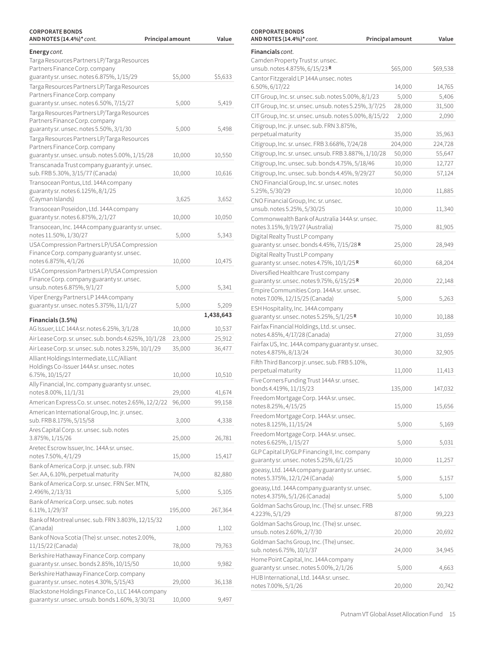| <b>CORPORATE BONDS</b><br>AND NOTES (14.4%)* cont.                                       | <b>Principal amount</b> | Value     |
|------------------------------------------------------------------------------------------|-------------------------|-----------|
| Energy cont.                                                                             |                         |           |
| Targa Resources Partners LP/Targa Resources                                              |                         |           |
| Partners Finance Corp. company                                                           |                         |           |
| guaranty sr. unsec. notes 6.875%, 1/15/29                                                | \$5,000                 | \$5,633   |
| Targa Resources Partners LP/Targa Resources                                              |                         |           |
| Partners Finance Corp. company                                                           |                         |           |
| guaranty sr. unsec. notes 6.50%, 7/15/27                                                 | 5,000                   | 5,419     |
| Targa Resources Partners LP/Targa Resources<br>Partners Finance Corp. company            |                         |           |
| guaranty sr. unsec. notes 5.50%, 3/1/30                                                  | 5,000                   | 5,498     |
| Targa Resources Partners LP/Targa Resources                                              |                         |           |
| Partners Finance Corp. company                                                           |                         |           |
| guaranty sr. unsec. unsub. notes 5.00%, 1/15/28                                          | 10,000                  | 10,550    |
| Transcanada Trust company guaranty jr. unsec.<br>sub. FRB 5.30%, 3/15/77 (Canada)        | 10,000                  | 10,616    |
| Transocean Pontus, Ltd. 144A company                                                     |                         |           |
| guaranty sr. notes 6.125%, 8/1/25                                                        |                         |           |
| (Cayman Islands)                                                                         | 3,625                   | 3,652     |
| Transocean Poseidon, Ltd. 144A company                                                   |                         |           |
| guaranty sr. notes 6.875%, 2/1/27                                                        | 10,000                  | 10,050    |
| Transocean, Inc. 144A company guaranty sr. unsec.                                        |                         |           |
| notes 11.50%, 1/30/27                                                                    | 5,000                   | 5,343     |
| USA Compression Partners LP/USA Compression                                              |                         |           |
| Finance Corp. company guaranty sr. unsec.                                                |                         |           |
| notes 6.875%, 4/1/26                                                                     | 10,000                  | 10,475    |
| USA Compression Partners LP/USA Compression<br>Finance Corp. company guaranty sr. unsec. |                         |           |
| unsub. notes 6.875%, 9/1/27                                                              | 5,000                   | 5,341     |
| Viper Energy Partners LP 144A company                                                    |                         |           |
| guaranty sr. unsec. notes 5.375%, 11/1/27                                                | 5,000                   | 5,209     |
|                                                                                          |                         | 1,438,643 |
| Financials (3.5%)                                                                        |                         |           |
| AG Issuer, LLC 144A sr. notes 6.25%, 3/1/28                                              | 10,000                  | 10,537    |
| Air Lease Corp. sr. unsec. sub. bonds 4.625%, 10/1/28                                    | 23,000                  | 25,912    |
| Air Lease Corp. sr. unsec. sub. notes 3.25%, 10/1/29                                     | 35,000                  | 36,477    |
| Alliant Holdings Intermediate, LLC/Alliant                                               |                         |           |
| Holdings Co-Issuer 144A sr. unsec. notes<br>6.75%, 10/15/27                              | 10,000                  | 10,510    |
| Ally Financial, Inc. company guaranty sr. unsec.                                         |                         |           |
| notes 8.00%, 11/1/31                                                                     | 29,000                  | 41,674    |
| American Express Co. sr. unsec. notes 2.65%, 12/2/22                                     | 96,000                  | 99,158    |
| American International Group, Inc. jr. unsec.                                            |                         |           |
| sub. FRB 8.175%, 5/15/58                                                                 | 3,000                   | 4,338     |
| Ares Capital Corp. sr. unsec. sub. notes                                                 |                         |           |
| 3.875%, 1/15/26                                                                          | 25,000                  | 26,781    |
| Aretec Escrow Issuer, Inc. 144A sr. unsec.                                               |                         |           |
| notes 7.50%, 4/1/29                                                                      | 15,000                  | 15,417    |
| Bank of America Corp. jr. unsec. sub. FRN                                                |                         |           |
| Ser. AA, 6.10%, perpetual maturity                                                       | 74,000                  | 82,880    |
| Bank of America Corp. sr. unsec. FRN Ser. MTN,                                           |                         |           |
| 2.496%, 2/13/31                                                                          | 5,000                   | 5,105     |
| Bank of America Corp. unsec. sub. notes                                                  |                         |           |
| 6.11%, 1/29/37                                                                           | 195,000                 | 267,364   |
| Bank of Montreal unsec. sub. FRN 3.803%, 12/15/32                                        |                         |           |
| (Canada)                                                                                 | 1,000                   | 1,102     |
| Bank of Nova Scotia (The) sr. unsec. notes 2.00%,                                        |                         |           |
| 11/15/22 (Canada)                                                                        | 78,000                  | 79,763    |
| Berkshire Hathaway Finance Corp. company<br>guaranty sr. unsec. bonds 2.85%, 10/15/50    | 10,000                  | 9,982     |
| Berkshire Hathaway Finance Corp. company                                                 |                         |           |
| guaranty sr. unsec. notes 4.30%, 5/15/43                                                 | 29,000                  | 36,138    |
| Blackstone Holdings Finance Co., LLC 144A company                                        |                         |           |
|                                                                                          |                         |           |

| <b>CORPORATE BONDS</b><br>AND NOTES (14.4%)* cont.                           | <b>Principal amount</b> | Value    |
|------------------------------------------------------------------------------|-------------------------|----------|
| Financials cont.                                                             |                         |          |
| Camden Property Trust sr. unsec.                                             |                         |          |
| unsub. notes 4.875%, 6/15/23R                                                | \$65,000                | \$69,538 |
| Cantor Fitzgerald LP 144A unsec. notes                                       |                         |          |
| 6.50%, 6/17/22                                                               | 14,000                  | 14,765   |
| CIT Group, Inc. sr. unsec. sub. notes 5.00%, 8/1/23                          | 5,000                   | 5,406    |
| CIT Group, Inc. sr. unsec. unsub. notes 5.25%, 3/7/25                        | 28,000                  | 31,500   |
| CIT Group, Inc. sr. unsec. unsub. notes 5.00%, 8/15/22                       | 2,000                   | 2,090    |
| Citigroup, Inc. jr. unsec. sub. FRN 3.875%,                                  |                         |          |
| perpetual maturity                                                           | 35,000                  | 35,963   |
| Citigroup, Inc. sr. unsec. FRB 3.668%, 7/24/28                               | 204,000                 | 224,728  |
| Citigroup, Inc. sr. unsec. unsub. FRB 3.887%, 1/10/28                        | 50,000                  | 55,647   |
| Citigroup, Inc. unsec. sub. bonds 4.75%, 5/18/46                             | 10,000                  | 12,727   |
| Citigroup, Inc. unsec. sub. bonds 4.45%, 9/29/27                             | 50,000                  | 57,124   |
| CNO Financial Group, Inc. sr. unsec. notes<br>5.25%, 5/30/29                 | 10,000                  | 11,885   |
| CNO Financial Group, Inc. sr. unsec.                                         |                         |          |
| unsub. notes 5.25%, 5/30/25                                                  | 10,000                  | 11,340   |
| Commonwealth Bank of Australia 144A sr. unsec.                               |                         |          |
| notes 3.15%, 9/19/27 (Australia)                                             | 75,000                  | 81,905   |
| Digital Realty Trust LP company                                              |                         |          |
| guaranty sr. unsec. bonds 4.45%, 7/15/28 R                                   | 25,000                  | 28,949   |
| Digital Realty Trust LP company                                              |                         |          |
| guaranty sr. unsec. notes 4.75%, 10/1/25R                                    | 60,000                  | 68,204   |
| Diversified Healthcare Trust company                                         |                         |          |
| guaranty sr. unsec. notes 9.75%, 6/15/25R                                    | 20,000                  | 22,148   |
| Empire Communities Corp. 144A sr. unsec.<br>notes 7.00%, 12/15/25 (Canada)   | 5,000                   | 5,263    |
| ESH Hospitality, Inc. 144A company                                           |                         |          |
| guaranty sr. unsec. notes 5.25%, 5/1/25R                                     | 10,000                  | 10,188   |
| Fairfax Financial Holdings, Ltd. sr. unsec.<br>notes 4.85%, 4/17/28 (Canada) | 27,000                  | 31,059   |
| Fairfax US, Inc. 144A company guaranty sr. unsec.                            |                         |          |
| notes 4.875%, 8/13/24                                                        | 30,000                  | 32,905   |
| Fifth Third Bancorp jr. unsec. sub. FRB 5.10%,                               |                         |          |
| perpetual maturity                                                           | 11,000                  | 11,413   |
| Five Corners Funding Trust 144A sr. unsec.                                   |                         |          |
| bonds 4.419%, 11/15/23                                                       | 135,000                 | 147,032  |
| Freedom Mortgage Corp. 144A sr. unsec.                                       |                         |          |
| notes 8.25%, 4/15/25                                                         | 15,000                  | 15,656   |
| Freedom Mortgage Corp. 144A sr. unsec.<br>notes 8.125%, 11/15/24             | 5,000                   | 5,169    |
| Freedom Mortgage Corp. 144A sr. unsec.                                       |                         |          |
| notes 6.625%, 1/15/27                                                        | 5,000                   | 5,031    |
| GLP Capital LP/GLP Financing II, Inc. company                                |                         |          |
| guaranty sr. unsec. notes 5.25%, 6/1/25                                      | 10,000                  | 11,257   |
| goeasy, Ltd. 144A company guaranty sr. unsec.                                |                         |          |
| notes 5.375%, 12/1/24 (Canada)                                               | 5,000                   | 5,157    |
| goeasy, Ltd. 144A company guaranty sr. unsec.                                |                         |          |
| notes 4.375%, 5/1/26 (Canada)                                                | 5,000                   | 5,100    |
| Goldman Sachs Group, Inc. (The) sr. unsec. FRB                               |                         |          |
| 4.223%, 5/1/29                                                               | 87,000                  | 99,223   |
| Goldman Sachs Group, Inc. (The) sr. unsec.                                   |                         |          |
| unsub. notes 2.60%, 2/7/30                                                   | 20,000                  | 20,692   |
| Goldman Sachs Group, Inc. (The) unsec.                                       |                         |          |
| sub. notes 6.75%, 10/1/37                                                    | 24,000                  | 34,945   |
| Home Point Capital, Inc. 144A company                                        |                         |          |
| guaranty sr. unsec. notes 5.00%, 2/1/26                                      | 5,000                   | 4,663    |
| HUB International, Ltd. 144A sr. unsec.                                      |                         |          |
| notes 7.00%, 5/1/26                                                          | 20,000                  | 20,742   |
|                                                                              |                         |          |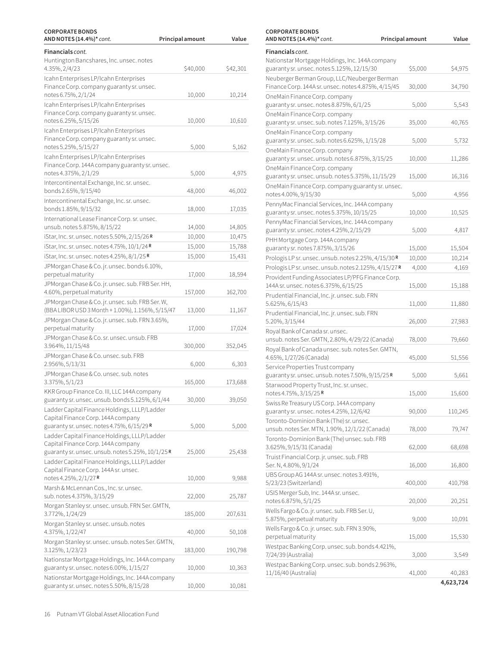| <b>CORPORATE BONDS</b><br>AND NOTES (14.4%)* cont.                                                          | <b>Principal amount</b> | Value    |
|-------------------------------------------------------------------------------------------------------------|-------------------------|----------|
| Financials cont.                                                                                            |                         |          |
| Huntington Bancshares, Inc. unsec. notes<br>4.35%, 2/4/23                                                   | \$40,000                | \$42,301 |
| Icahn Enterprises LP/Icahn Enterprises                                                                      |                         |          |
| Finance Corp. company guaranty sr. unsec.<br>notes 6.75%, 2/1/24                                            | 10,000                  | 10,214   |
| Icahn Enterprises LP/Icahn Enterprises                                                                      |                         |          |
| Finance Corp. company guaranty sr. unsec.<br>notes 6.25%, 5/15/26                                           | 10,000                  | 10,610   |
| Icahn Enterprises LP/Icahn Enterprises<br>Finance Corp. company guaranty sr. unsec.<br>notes 5.25%, 5/15/27 | 5,000                   | 5,162    |
| Icahn Enterprises LP/Icahn Enterprises                                                                      |                         |          |
| Finance Corp. 144A company guaranty sr. unsec.                                                              |                         |          |
| notes 4.375%, 2/1/29                                                                                        | 5,000                   | 4,975    |
| Intercontinental Exchange, Inc. sr. unsec.<br>bonds 2.65%, 9/15/40                                          | 48,000                  | 46,002   |
| Intercontinental Exchange, Inc. sr. unsec.                                                                  |                         |          |
| bonds 1.85%, 9/15/32                                                                                        | 18,000                  | 17,035   |
| International Lease Finance Corp. sr. unsec.<br>unsub. notes 5.875%, 8/15/22                                | 14,000                  | 14,805   |
| iStar, Inc. sr. unsec. notes 5.50%, 2/15/26R                                                                | 10,000                  | 10,475   |
| iStar, Inc. sr. unsec. notes 4.75%, 10/1/24 R                                                               | 15,000                  | 15,788   |
| iStar, Inc. sr. unsec. notes 4.25%, 8/1/25R                                                                 | 15,000                  | 15,431   |
| JPMorgan Chase & Co. jr. unsec. bonds 6.10%,                                                                |                         |          |
| perpetual maturity                                                                                          | 17,000                  | 18,594   |
| JPMorgan Chase & Co. jr. unsec. sub. FRB Ser. HH,                                                           |                         |          |
| 4.60%, perpetual maturity                                                                                   | 157,000                 | 162,700  |
| JPMorgan Chase & Co. jr. unsec. sub. FRB Ser. W,<br>(BBA LIBOR USD 3 Month + 1.00%), 1.156%, 5/15/47        | 13,000                  | 11,167   |
| JPMorgan Chase & Co. jr. unsec. sub. FRN 3.65%,<br>perpetual maturity                                       | 17,000                  | 17,024   |
| JPMorgan Chase & Co. sr. unsec. unsub. FRB<br>3.964%, 11/15/48                                              | 300,000                 | 352,045  |
| JPMorgan Chase & Co. unsec. sub. FRB<br>2.956%, 5/13/31                                                     | 6,000                   | 6,303    |
| JPMorgan Chase & Co. unsec. sub. notes                                                                      |                         |          |
| 3.375%, 5/1/23                                                                                              | 165,000                 | 173,688  |
| KKR Group Finance Co. III. LLC 144A company<br>guaranty sr. unsec. unsub. bonds 5.125%, 6/1/44              | 30,000                  | 39,050   |
| Ladder Capital Finance Holdings, LLLP/Ladder<br>Capital Finance Corp. 144A company                          |                         |          |
| guaranty sr. unsec. notes 4.75%, 6/15/29R                                                                   | 5,000                   | 5,000    |
| Ladder Capital Finance Holdings, LLLP/Ladder<br>Capital Finance Corp. 144A company                          |                         |          |
| guaranty sr. unsec. unsub. notes 5.25%, 10/1/25R<br>Ladder Capital Finance Holdings, LLLP/Ladder            | 25,000                  | 25,438   |
| Capital Finance Corp. 144A sr. unsec.<br>notes 4.25%, 2/1/27 R                                              | 10,000                  | 9,988    |
| Marsh & McLennan Cos., Inc. sr. unsec.                                                                      |                         |          |
| sub. notes 4.375%, 3/15/29                                                                                  | 22,000                  | 25,787   |
| Morgan Stanley sr. unsec. unsub. FRN Ser. GMTN,<br>3.772%, 1/24/29                                          | 185,000                 | 207,631  |
| Morgan Stanley sr. unsec. unsub. notes<br>4.375%, 1/22/47                                                   | 40,000                  | 50,108   |
| Morgan Stanley sr. unsec. unsub. notes Ser. GMTN,                                                           |                         |          |
| 3.125%, 1/23/23                                                                                             | 183,000                 | 190,798  |
| Nationstar Mortgage Holdings, Inc. 144A company<br>guaranty sr. unsec. notes 6.00%, 1/15/27                 | 10,000                  | 10,363   |
| Nationstar Mortgage Holdings, Inc. 144A company<br>guaranty sr. unsec. notes 5.50%, 8/15/28                 | 10,000                  | 10,081   |

| <b>CORPORATE BONDS</b><br>AND NOTES (14.4%)* cont.    | <b>Principal amount</b> | Value     |
|-------------------------------------------------------|-------------------------|-----------|
| Financials cont.                                      |                         |           |
| Nationstar Mortgage Holdings, Inc. 144A company       |                         |           |
| guaranty sr. unsec. notes 5.125%, 12/15/30            | \$5,000                 | \$4,975   |
| Neuberger Berman Group, LLC/Neuberger Berman          |                         |           |
| Finance Corp. 144A sr. unsec. notes 4.875%, 4/15/45   | 30,000                  | 34,790    |
| OneMain Finance Corp. company                         |                         |           |
| guaranty sr. unsec. notes 8.875%, 6/1/25              | 5,000                   | 5,543     |
| OneMain Finance Corp. company                         |                         |           |
| guaranty sr. unsec. sub. notes 7.125%, 3/15/26        | 35,000                  | 40,765    |
| OneMain Finance Corp. company                         |                         |           |
| guaranty sr. unsec. sub. notes 6.625%, 1/15/28        | 5,000                   | 5,732     |
| OneMain Finance Corp. company                         |                         |           |
| guaranty sr. unsec. unsub. notes 6.875%, 3/15/25      | 10,000                  | 11,286    |
| OneMain Finance Corp. company                         |                         |           |
| guaranty sr. unsec. unsub. notes 5.375%, 11/15/29     | 15,000                  | 16,316    |
| OneMain Finance Corp. company guaranty sr. unsec.     |                         |           |
| notes 4.00%, 9/15/30                                  | 5,000                   | 4,956     |
| PennyMac Financial Services, Inc. 144A company        |                         |           |
| guaranty sr. unsec. notes 5.375%, 10/15/25            | 10,000                  | 10,525    |
| PennyMac Financial Services, Inc. 144A company        |                         |           |
| guaranty sr. unsec. notes 4.25%, 2/15/29              | 5,000                   | 4,817     |
| PHH Mortgage Corp. 144A company                       |                         |           |
| guaranty sr. notes 7.875%, 3/15/26                    | 15,000                  | 15,504    |
| Prologis LP sr. unsec. unsub. notes 2.25%, 4/15/30 R  | 10,000                  | 10,214    |
| Prologis LP sr. unsec. unsub. notes 2.125%, 4/15/27 R | 4,000                   | 4,169     |
| Provident Funding Associates LP/PFG Finance Corp.     |                         |           |
| 144A sr. unsec. notes 6.375%, 6/15/25                 | 15,000                  | 15,188    |
| Prudential Financial, Inc. jr. unsec. sub. FRN        |                         |           |
| 5.625%, 6/15/43                                       | 11,000                  | 11,880    |
| Prudential Financial, Inc. jr. unsec. sub. FRN        |                         |           |
| 5.20%, 3/15/44                                        | 26,000                  | 27,983    |
| Royal Bank of Canada sr. unsec.                       |                         |           |
| unsub. notes Ser. GMTN, 2.80%, 4/29/22 (Canada)       | 78,000                  | 79,660    |
| Royal Bank of Canada unsec. sub. notes Ser. GMTN,     |                         |           |
| 4.65%, 1/27/26 (Canada)                               | 45,000                  | 51,556    |
| Service Properties Trust company                      |                         |           |
| guaranty sr. unsec. unsub. notes 7.50%, 9/15/25 R     | 5,000                   | 5,661     |
| Starwood Property Trust, Inc. sr. unsec.              |                         |           |
| notes 4.75%, 3/15/25 <b>R</b>                         | 15,000                  | 15,600    |
| Swiss Re Treasury US Corp. 144A company               |                         |           |
| guaranty sr. unsec. notes 4.25%, 12/6/42              | 90,000                  | 110,245   |
| Toronto-Dominion Bank (The) sr. unsec.                |                         |           |
| unsub. notes Ser. MTN, 1.90%, 12/1/22 (Canada)        | 78,000                  | 79,747    |
| Toronto-Dominion Bank (The) unsec. sub. FRB           |                         |           |
| 3.625%, 9/15/31 (Canada)                              | 62,000                  | 68,698    |
| Truist Financial Corp. jr. unsec. sub. FRB            |                         |           |
| Ser. N, 4.80%, 9/1/24                                 | 16,000                  | 16,800    |
| UBS Group AG 144A sr. unsec. notes 3.491%,            |                         |           |
| 5/23/23 (Switzerland)                                 | 400,000                 | 410,798   |
| USIS Merger Sub, Inc. 144A sr. unsec.                 |                         |           |
| notes 6.875%, 5/1/25                                  | 20,000                  | 20,251    |
| Wells Fargo & Co. jr. unsec. sub. FRB Ser. U,         |                         |           |
| 5.875%, perpetual maturity                            | 9,000                   | 10,091    |
| Wells Fargo & Co. jr. unsec. sub. FRN 3.90%,          |                         |           |
| perpetual maturity                                    | 15,000                  | 15,530    |
| Westpac Banking Corp. unsec. sub. bonds 4.421%,       |                         |           |
| 7/24/39 (Australia)                                   | 3,000                   | 3,549     |
| Westpac Banking Corp. unsec. sub. bonds 2.963%,       |                         |           |
| 11/16/40 (Australia)                                  | 41,000                  | 40,283    |
|                                                       |                         | 4,623,724 |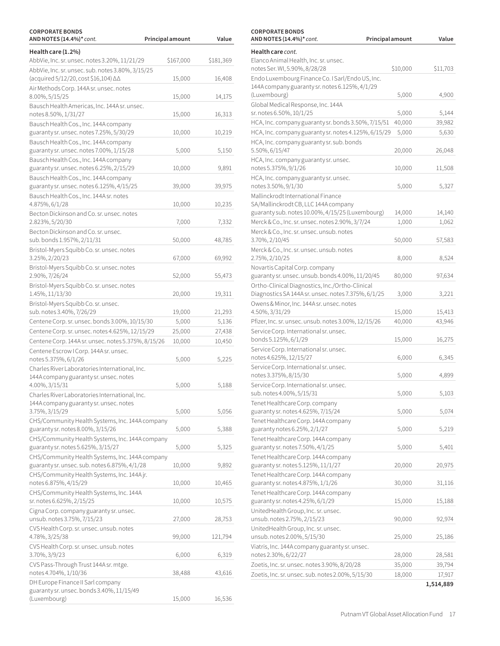| <b>CORPORATE BONDS</b><br>AND NOTES (14.4%)* cont.                                               | <b>Principal amount</b> | Value     |
|--------------------------------------------------------------------------------------------------|-------------------------|-----------|
| Health care $(1.2\%)$                                                                            |                         |           |
| AbbVie, Inc. sr. unsec. notes 3.20%, 11/21/29                                                    | \$167,000               | \$181,369 |
| AbbVie, Inc. sr. unsec. sub. notes 3.80%, 3/15/25<br>(acquired 5/12/20, cost \$16,104) ΔΔ        | 15,000                  | 16,408    |
| Air Methods Corp. 144A sr. unsec. notes<br>8.00%, 5/15/25                                        | 15,000                  | 14,175    |
| Bausch Health Americas, Inc. 144A sr. unsec.<br>notes 8.50%, 1/31/27                             | 15,000                  | 16,313    |
| Bausch Health Cos., Inc. 144A company<br>guaranty sr. unsec. notes 7.25%, 5/30/29                | 10,000                  | 10,219    |
| Bausch Health Cos., Inc. 144A company<br>guaranty sr. unsec. notes 7.00%, 1/15/28                | 5,000                   | 5,150     |
| Bausch Health Cos., Inc. 144A company<br>guaranty sr. unsec. notes 6.25%, 2/15/29                | 10,000                  | 9,891     |
| Bausch Health Cos., Inc. 144A company                                                            |                         |           |
| guaranty sr. unsec. notes 6.125%, 4/15/25<br>Bausch Health Cos., Inc. 144A sr. notes             | 39,000                  | 39,975    |
| 4.875%, 6/1/28<br>Becton Dickinson and Co. sr. unsec. notes                                      | 10,000                  | 10,235    |
| 2.823%, 5/20/30                                                                                  | 7,000                   | 7,332     |
| Becton Dickinson and Co. sr. unsec.<br>sub. bonds 1.957%, 2/11/31                                | 50,000                  | 48,785    |
| Bristol-Myers Squibb Co. sr. unsec. notes<br>3.25%, 2/20/23                                      | 67,000                  | 69,992    |
| Bristol-Myers Squibb Co. sr. unsec. notes<br>2.90%, 7/26/24                                      | 52,000                  | 55,473    |
| Bristol-Myers Squibb Co. sr. unsec. notes<br>1.45%, 11/13/30                                     | 20,000                  | 19,311    |
| Bristol-Myers Squibb Co. sr. unsec.<br>sub. notes 3.40%, 7/26/29                                 | 19,000                  | 21,293    |
| Centene Corp. sr. unsec. bonds 3.00%, 10/15/30                                                   | 5,000                   | 5,136     |
| Centene Corp. sr. unsec. notes 4.625%, 12/15/29                                                  | 25,000                  | 27,438    |
| Centene Corp. 144A sr. unsec. notes 5.375%, 8/15/26                                              | 10,000                  | 10,450    |
| Centene Escrow I Corp. 144A sr. unsec.<br>notes 5.375%, 6/1/26                                   | 5,000                   | 5,225     |
| Charles River Laboratories International, Inc.                                                   |                         |           |
| 144A company guaranty sr. unsec. notes<br>4.00%, 3/15/31                                         | 5,000                   | 5,188     |
| Charles River Laboratories International, Inc.<br>144A company guaranty sr. unsec. notes         |                         |           |
| 3.75%, 3/15/29                                                                                   | 5,000                   | 5,056     |
| CHS/Community Health Systems, Inc. 144A company<br>guaranty sr. notes 8.00%, 3/15/26             | 5,000                   | 5,388     |
| CHS/Community Health Systems, Inc. 144A company<br>guaranty sr. notes 5.625%, 3/15/27            | 5,000                   | 5,325     |
| CHS/Community Health Systems, Inc. 144A company<br>guaranty sr. unsec. sub. notes 6.875%, 4/1/28 | 10,000                  | 9,892     |
| CHS/Community Health Systems, Inc. 144A jr.<br>notes 6.875%, 4/15/29                             | 10,000                  | 10,465    |
| CHS/Community Health Systems, Inc. 144A<br>sr. notes 6.625%, 2/15/25                             | 10,000                  | 10,575    |
| Cigna Corp. company guaranty sr. unsec.<br>unsub. notes 3.75%, 7/15/23                           | 27,000                  | 28,753    |
| CVS Health Corp. sr. unsec. unsub. notes<br>4.78%, 3/25/38                                       | 99,000                  | 121,794   |
| CVS Health Corp. sr. unsec. unsub. notes<br>3.70%, 3/9/23                                        | 6,000                   | 6,319     |
| CVS Pass-Through Trust 144A sr. mtge.<br>notes 4.704%, 1/10/36                                   | 38,488                  | 43,616    |
| DH Europe Finance II Sarl company<br>guaranty sr. unsec. bonds 3.40%, 11/15/49                   |                         |           |
| (Luxembourg)                                                                                     | 15,000                  | 16,536    |

| <b>CORPORATE BONDS</b><br>AND NOTES (14.4%)* cont.                                                     | <b>Principal amount</b> | Value     |
|--------------------------------------------------------------------------------------------------------|-------------------------|-----------|
| Health care cont.                                                                                      |                         |           |
| Elanco Animal Health, Inc. sr. unsec.                                                                  |                         |           |
| notes Ser. WI, 5.90%, 8/28/28                                                                          | \$10,000                | \$11,703  |
| Endo Luxembourg Finance Co. I Sarl/Endo US, Inc.                                                       |                         |           |
| 144A company guaranty sr. notes 6.125%, 4/1/29                                                         |                         |           |
| (Luxembourg)                                                                                           | 5,000                   | 4,900     |
| Global Medical Response, Inc. 144A                                                                     |                         |           |
| sr. notes 6.50%, 10/1/25                                                                               | 5,000                   | 5,144     |
| HCA, Inc. company guaranty sr. bonds 3.50%, 7/15/51                                                    | 40,000                  | 39,982    |
| HCA, Inc. company guaranty sr. notes 4.125%, 6/15/29                                                   | 5,000                   | 5,630     |
| HCA, Inc. company guaranty sr. sub. bonds<br>5.50%, 6/15/47                                            | 20,000                  | 26,048    |
| HCA, Inc. company guaranty sr. unsec.<br>notes 5.375%, 9/1/26                                          | 10,000                  | 11,508    |
| HCA, Inc. company guaranty sr. unsec.                                                                  |                         |           |
| notes 3.50%, 9/1/30                                                                                    | 5,000                   | 5,327     |
| Mallinckrodt International Finance                                                                     |                         |           |
| SA/Mallinckrodt CB, LLC 144A company                                                                   |                         |           |
| guaranty sub. notes 10.00%, 4/15/25 (Luxembourg)                                                       | 14,000                  | 14,140    |
| Merck & Co., Inc. sr. unsec. notes 2.90%, 3/7/24                                                       | 1,000                   | 1,062     |
| Merck & Co., Inc. sr. unsec. unsub. notes                                                              |                         |           |
| 3.70%, 2/10/45                                                                                         | 50,000                  | 57,583    |
| Merck & Co., Inc. sr. unsec. unsub. notes                                                              |                         |           |
| 2.75%, 2/10/25                                                                                         | 8,000                   | 8,524     |
| Novartis Capital Corp. company<br>guaranty sr. unsec. unsub. bonds 4.00%, 11/20/45                     |                         |           |
|                                                                                                        | 80,000                  | 97,634    |
| Ortho-Clinical Diagnostics, Inc./Ortho-Clinical<br>Diagnostics SA 144A sr. unsec. notes 7.375%, 6/1/25 | 3,000                   | 3,221     |
| Owens & Minor, Inc. 144A sr. unsec. notes                                                              |                         |           |
| 4.50%, 3/31/29                                                                                         | 15,000                  | 15,413    |
| Pfizer, Inc. sr. unsec. unsub. notes 3.00%, 12/15/26                                                   | 40,000                  | 43,946    |
| Service Corp. International sr. unsec.                                                                 |                         |           |
| bonds 5.125%, 6/1/29                                                                                   | 15,000                  | 16,275    |
| Service Corp. International sr. unsec.                                                                 |                         |           |
| notes 4.625%, 12/15/27                                                                                 | 6,000                   | 6,345     |
| Service Corp. International sr. unsec.                                                                 |                         |           |
| notes 3.375%, 8/15/30                                                                                  | 5,000                   | 4,899     |
| Service Corp. International sr. unsec.                                                                 |                         |           |
| sub. notes 4.00%, 5/15/31                                                                              | 5,000                   | 5,103     |
| Tenet Healthcare Corp. company                                                                         |                         |           |
| guaranty sr. notes 4.625%, 7/15/24                                                                     | 5,000                   | 5,074     |
| Tenet Healthcare Corp. 144A company<br>guaranty notes 6.25%, 2/1/27                                    | 5,000                   | 5,219     |
| Tenet Healthcare Corp. 144A company                                                                    |                         |           |
| guaranty sr. notes 7.50%, 4/1/25                                                                       | 5,000                   | 5,401     |
| Tenet Healthcare Corp. 144A company                                                                    |                         |           |
| guaranty sr. notes 5.125%, 11/1/27                                                                     | 20,000                  | 20,975    |
| Tenet Healthcare Corp. 144A company                                                                    |                         |           |
| guaranty sr. notes 4.875%, 1/1/26                                                                      | 30,000                  | 31,116    |
| Tenet Healthcare Corp. 144A company                                                                    |                         |           |
| guaranty sr. notes 4.25%, 6/1/29                                                                       | 15,000                  | 15,188    |
| UnitedHealth Group, Inc. sr. unsec.                                                                    |                         |           |
| unsub. notes 2.75%, 2/15/23                                                                            | 90,000                  | 92,974    |
| UnitedHealth Group, Inc. sr. unsec.                                                                    |                         |           |
| unsub. notes 2.00%, 5/15/30                                                                            | 25,000                  | 25,186    |
| Viatris, Inc. 144A company guaranty sr. unsec.                                                         |                         |           |
| notes 2.30%, 6/22/27                                                                                   | 28,000                  | 28,581    |
| Zoetis, Inc. sr. unsec. notes 3.90%, 8/20/28                                                           | 35,000                  | 39,794    |
| Zoetis, Inc. sr. unsec. sub. notes 2.00%, 5/15/30                                                      | 18,000                  | 17,917    |
|                                                                                                        |                         | 1,514,889 |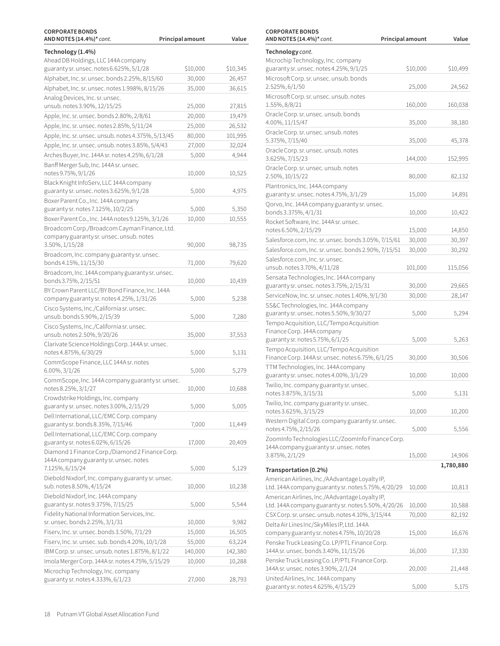| <b>CORPORATE BONDS</b><br>AND NOTES (14.4%)* cont.                                                         | Principal amount | Value    |
|------------------------------------------------------------------------------------------------------------|------------------|----------|
| Technology (1.4%)                                                                                          |                  |          |
| Ahead DB Holdings, LLC 144A company                                                                        |                  |          |
| guaranty sr. unsec. notes 6.625%, 5/1/28                                                                   | \$10,000         | \$10,345 |
| Alphabet, Inc. sr. unsec. bonds 2.25%, 8/15/60                                                             | 30,000           | 26,457   |
| Alphabet, Inc. sr. unsec. notes 1.998%, 8/15/26                                                            | 35,000           | 36,615   |
| Analog Devices, Inc. sr. unsec.<br>unsub. notes 3.90%, 12/15/25                                            | 25,000           | 27,815   |
| Apple, Inc. sr. unsec. bonds 2.80%, 2/8/61                                                                 | 20,000           | 19,479   |
| Apple, Inc. sr. unsec. notes 2.85%, 5/11/24                                                                | 25,000           | 26,532   |
| Apple, Inc. sr. unsec. unsub. notes 4.375%, 5/13/45                                                        | 80,000           | 101,995  |
| Apple, Inc. sr. unsec. unsub. notes 3.85%, 5/4/43                                                          | 27,000           | 32,024   |
| Arches Buyer, Inc. 144A sr. notes 4.25%, 6/1/28                                                            | 5,000            | 4,944    |
| Banff Merger Sub, Inc. 144A sr. unsec.<br>notes 9.75%, 9/1/26                                              | 10,000           | 10,525   |
| Black Knight InfoServ, LLC 144A company                                                                    |                  |          |
| guaranty sr. unsec. notes 3.625%, 9/1/28                                                                   | 5,000            | 4,975    |
| Boxer Parent Co., Inc. 144A company<br>guaranty sr. notes 7.125%, 10/2/25                                  | 5,000            | 5,350    |
| Boxer Parent Co., Inc. 144A notes 9.125%, 3/1/26                                                           |                  | 10,555   |
|                                                                                                            | 10,000           |          |
| Broadcom Corp./Broadcom Cayman Finance, Ltd.<br>company guaranty sr. unsec. unsub. notes<br>3.50%, 1/15/28 | 90,000           | 98,735   |
| Broadcom, Inc. company guaranty sr. unsec.                                                                 |                  |          |
| bonds 4.15%, 11/15/30                                                                                      | 71,000           | 79,620   |
| Broadcom, Inc. 144A company guaranty sr. unsec.<br>bonds 3.75%, 2/15/51                                    | 10,000           | 10,439   |
| BY Crown Parent LLC/BY Bond Finance, Inc. 144A<br>company guaranty sr. notes 4.25%, 1/31/26                | 5,000            | 5,238    |
| Cisco Systems, Inc./California sr. unsec.<br>unsub. bonds 5.90%, 2/15/39                                   | 5,000            | 7,280    |
| Cisco Systems, Inc./California sr. unsec.<br>unsub. notes 2.50%, 9/20/26                                   | 35,000           | 37,553   |
| Clarivate Science Holdings Corp. 144A sr. unsec.<br>notes 4.875%, 6/30/29                                  | 5,000            | 5,131    |
| CommScope Finance, LLC 144A sr. notes<br>6.00%, 3/1/26                                                     | 5,000            | 5,279    |
| CommScope, Inc. 144A company guaranty sr. unsec.<br>notes 8.25%, 3/1/27                                    | 10,000           | 10,688   |
| Crowdstrike Holdings, Inc. company                                                                         |                  |          |
| guaranty sr. unsec. notes 3.00%, 2/15/29                                                                   | 5,000            | 5,005    |
| Dell International, LLC/EMC Corp. company<br>guaranty sr. bonds 8.35%, 7/15/46                             | 7,000            | 11,449   |
| Dell International, LLC/EMC Corp. company                                                                  |                  |          |
| guaranty sr. notes 6.02%, 6/15/26                                                                          | 17,000           | 20,409   |
| Diamond 1 Finance Corp./Diamond 2 Finance Corp.<br>144A company guaranty sr. unsec. notes                  |                  |          |
| 7.125%, 6/15/24                                                                                            | 5,000            | 5,129    |
| Diebold Nixdorf, Inc. company guaranty sr. unsec.<br>sub. notes 8.50%, 4/15/24                             | 10,000           | 10,238   |
| Diebold Nixdorf, Inc. 144A company<br>guaranty sr. notes 9.375%, 7/15/25                                   | 5,000            | 5,544    |
| Fidelity National Information Services, Inc.                                                               |                  |          |
| sr. unsec. bonds 2.25%, 3/1/31                                                                             | 10,000           | 9,982    |
| Fiserv, Inc. sr. unsec. bonds 3.50%, 7/1/29                                                                | 15,000           | 16,505   |
| Fiserv, Inc. sr. unsec. sub. bonds 4.20%, 10/1/28                                                          | 55,000           | 63,224   |
| IBM Corp. sr. unsec. unsub. notes 1.875%, 8/1/22                                                           | 140,000          | 142,380  |
| Imola Merger Corp. 144A sr. notes 4.75%, 5/15/29<br>Microchip Technology, Inc. company                     | 10,000           | 10,288   |
| guaranty sr. notes 4.333%, 6/1/23                                                                          | 27,000           | 28,793   |

| <b>CORPORATE BONDS</b><br>AND NOTES (14.4%)* cont.                                                    | <b>Principal amount</b> | Value               |
|-------------------------------------------------------------------------------------------------------|-------------------------|---------------------|
| Technology cont.                                                                                      |                         |                     |
| Microchip Technology, Inc. company                                                                    |                         |                     |
| guaranty sr. unsec. notes 4.25%, 9/1/25                                                               | \$10,000                | \$10,499            |
| Microsoft Corp. sr. unsec. unsub. bonds<br>2.525%, 6/1/50                                             | 25,000                  | 24,562              |
| Microsoft Corp. sr. unsec. unsub. notes<br>1.55%, 8/8/21                                              | 160,000                 | 160,038             |
| Oracle Corp. sr. unsec. unsub. bonds<br>4.00%, 11/15/47                                               | 35,000                  | 38,180              |
| Oracle Corp. sr. unsec. unsub. notes<br>5.375%, 7/15/40                                               | 35,000                  | 45,378              |
| Oracle Corp. sr. unsec. unsub. notes<br>3.625%, 7/15/23                                               | 144,000                 | 152,995             |
| Oracle Corp. sr. unsec. unsub. notes<br>2.50%, 10/15/22                                               | 80,000                  | 82,132              |
| Plantronics, Inc. 144A company<br>guaranty sr. unsec. notes 4.75%, 3/1/29                             | 15,000                  | 14,891              |
| Qorvo, Inc. 144A company guaranty sr. unsec.<br>bonds 3.375%, 4/1/31                                  | 10,000                  | 10,422              |
| Rocket Software, Inc. 144A sr. unsec.<br>notes 6.50%, 2/15/29                                         | 15,000                  | 14,850              |
| Salesforce.com, Inc. sr. unsec. bonds 3.05%, 7/15/61                                                  | 30,000                  | 30,397              |
| Salesforce.com, Inc. sr. unsec. bonds 2.90%, 7/15/51                                                  | 30,000                  | 30,292              |
| Salesforce.com, Inc. sr. unsec.                                                                       |                         |                     |
| unsub. notes 3.70%, 4/11/28                                                                           | 101,000                 | 115,056             |
| Sensata Technologies, Inc. 144A company<br>guaranty sr. unsec. notes 3.75%, 2/15/31                   | 30,000                  | 29,665              |
| ServiceNow, Inc. sr. unsec. notes 1.40%, 9/1/30                                                       | 30,000                  | 28,147              |
| SS&C Technologies, Inc. 144A company<br>guaranty sr. unsec. notes 5.50%, 9/30/27                      | 5,000                   | 5,294               |
| Tempo Acquisition, LLC/Tempo Acquisition<br>Finance Corp. 144A company                                |                         |                     |
| guaranty sr. notes 5.75%, 6/1/25                                                                      | 5,000                   | 5,263               |
| Tempo Acquisition, LLC/Tempo Acquisition<br>Finance Corp. 144A sr. unsec. notes 6.75%, 6/1/25         | 30,000                  | 30,506              |
| TTM Technologies, Inc. 144A company<br>guaranty sr. unsec. notes 4.00%, 3/1/29                        | 10,000                  | 10,000              |
| Twilio, Inc. company guaranty sr. unsec.<br>notes 3.875%, 3/15/31                                     | 5,000                   | 5,131               |
| Twilio, Inc. company guaranty sr. unsec.<br>notes 3.625%, 3/15/29                                     | 10,000                  | 10,200              |
| Western Digital Corp. company guaranty sr. unsec.                                                     |                         |                     |
| notes 4.75%, 2/15/26                                                                                  | 5,000                   | 5,556               |
| ZoomInfo Technologies LLC/ZoomInfo Finance Corp.<br>144A company guaranty sr. unsec. notes            | 15,000                  |                     |
| 3.875%, 2/1/29                                                                                        |                         | 14,906<br>1,780,880 |
| Transportation (0.2%)<br>American Airlines, Inc./AAdvantage Loyalty IP,                               |                         |                     |
| Ltd. 144A company guaranty sr. notes 5.75%, 4/20/29<br>American Airlines, Inc./AAdvantage Loyalty IP, | 10,000                  | 10,813              |
| Ltd. 144A company guaranty sr. notes 5.50%, 4/20/26                                                   | 10,000                  | 10,588              |
| CSX Corp. sr. unsec. unsub. notes 4.10%, 3/15/44                                                      | 70,000                  | 82,192              |
| Delta Air Lines Inc/SkyMiles IP, Ltd. 144A<br>company guaranty sr. notes 4.75%, 10/20/28              | 15,000                  | 16,676              |
| Penske Truck Leasing Co. LP/PTL Finance Corp.<br>144A sr. unsec. bonds 3.40%, 11/15/26                | 16,000                  | 17,330              |
| Penske Truck Leasing Co. LP/PTL Finance Corp.<br>144A sr. unsec. notes 3.90%, 2/1/24                  | 20,000                  | 21,448              |
| United Airlines, Inc. 144A company<br>guaranty sr. notes 4.625%, 4/15/29                              | 5,000                   | 5,175               |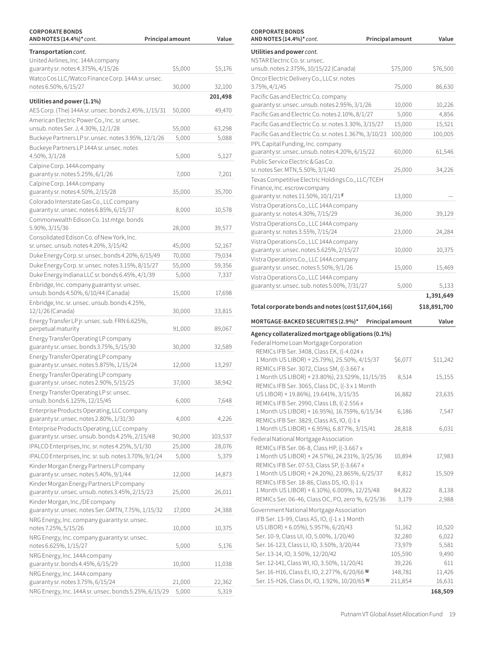| <b>CORPORATE BONDS</b><br>AND NOTES (14.4%)* cont.                                  | <b>Principal amount</b> | Value   |
|-------------------------------------------------------------------------------------|-------------------------|---------|
| Transportation cont.                                                                |                         |         |
| United Airlines, Inc. 144A company                                                  |                         |         |
| guaranty sr. notes 4.375%, 4/15/26                                                  | \$5,000                 | \$5,176 |
| Watco Cos LLC/Watco Finance Corp. 144A sr. unsec.                                   |                         |         |
| notes 6.50%, 6/15/27                                                                | 30,000                  | 32,100  |
| Utilities and power (1.1%)                                                          |                         | 201,498 |
| AES Corp. (The) 144A sr. unsec. bonds 2.45%, 1/15/31                                | 50,000                  | 49,470  |
| American Electric Power Co., Inc. sr. unsec.                                        |                         |         |
| unsub. notes Ser. J, 4.30%, 12/1/28                                                 | 55,000                  | 63,298  |
| Buckeye Partners LP sr. unsec. notes 3.95%, 12/1/26                                 | 5,000                   | 5,088   |
| Buckeye Partners LP 144A sr. unsec. notes<br>4.50%, 3/1/28                          | 5,000                   | 5,127   |
| Calpine Corp. 144A company                                                          |                         |         |
| guaranty sr. notes 5.25%, 6/1/26                                                    | 7,000                   | 7,201   |
| Calpine Corp. 144A company                                                          |                         |         |
| guaranty sr. notes 4.50%, 2/15/28                                                   | 35,000                  | 35,700  |
| Colorado Interstate Gas Co., LLC company                                            |                         |         |
| guaranty sr. unsec. notes 6.85%, 6/15/37                                            | 8,000                   | 10,578  |
| Commonwealth Edison Co. 1st mtge. bonds                                             |                         |         |
| 5.90%, 3/15/36                                                                      | 28,000                  | 39,577  |
| Consolidated Edison Co. of New York, Inc.                                           |                         |         |
| sr. unsec. unsub. notes 4.20%, 3/15/42                                              | 45,000                  | 52,167  |
| Duke Energy Corp. sr. unsec. bonds 4.20%, 6/15/49                                   | 70,000                  | 79,034  |
| Duke Energy Corp. sr. unsec. notes 3.15%, 8/15/27                                   | 55,000                  | 59,356  |
| Duke Energy Indiana LLC sr. bonds 6.45%, 4/1/39                                     | 5,000                   | 7,337   |
| Enbridge, Inc. company guaranty sr. unsec.<br>unsub. bonds 4.50%, 6/10/44 (Canada)  | 15,000                  | 17,698  |
| Enbridge, Inc. sr. unsec. unsub. bonds 4.25%,                                       |                         |         |
| 12/1/26 (Canada)                                                                    | 30,000                  | 33,815  |
| Energy Transfer LP jr. unsec. sub. FRN 6.625%,<br>perpetual maturity                | 91,000                  | 89,067  |
| Energy Transfer Operating LP company                                                |                         |         |
| guaranty sr. unsec. bonds 3.75%, 5/15/30                                            | 30,000                  | 32,589  |
| Energy Transfer Operating LP company                                                |                         |         |
| guaranty sr. unsec. notes 5.875%, 1/15/24                                           | 12,000                  | 13,297  |
| Energy Transfer Operating LP company                                                |                         |         |
| guaranty sr. unsec. notes 2.90%, 5/15/25                                            | 37,000                  | 38,942  |
| Energy Transfer Operating LP sr. unsec.                                             |                         |         |
| unsub. bonds 6.125%, 12/15/45                                                       | 6,000                   | 7,648   |
| Enterprise Products Operating, LLC company                                          |                         |         |
| guaranty sr. unsec. notes 2.80%, 1/31/30                                            | 4,000                   | 4,226   |
| Enterprise Products Operating, LLC company                                          | 90,000                  |         |
| guaranty sr. unsec. unsub. bonds 4.25%, 2/15/48                                     |                         | 103,537 |
| IPALCO Enterprises, Inc. sr. notes 4.25%, 5/1/30                                    | 25,000                  | 28,076  |
| IPALCO Enterprises, Inc. sr. sub. notes 3.70%, 9/1/24                               | 5,000                   | 5,379   |
| Kinder Morgan Energy Partners LP company<br>guaranty sr. unsec. notes 5.40%, 9/1/44 | 12,000                  | 14,873  |
| Kinder Morgan Energy Partners LP company                                            |                         |         |
| guaranty sr. unsec. unsub. notes 3.45%, 2/15/23                                     | 25,000                  | 26,011  |
| Kinder Morgan, Inc./DE company                                                      |                         |         |
| guaranty sr. unsec. notes Ser. GMTN, 7.75%, 1/15/32                                 | 17,000                  | 24,388  |
| NRG Energy, Inc. company guaranty sr. unsec.                                        |                         |         |
| notes 7.25%, 5/15/26                                                                | 10,000                  | 10,375  |
| NRG Energy, Inc. company guaranty sr. unsec.                                        |                         |         |
| notes 6.625%, 1/15/27                                                               | 5,000                   | 5,176   |
| NRG Energy, Inc. 144A company                                                       |                         |         |
| guaranty sr. bonds 4.45%, 6/15/29                                                   | 10,000                  | 11,038  |
| NRG Energy, Inc. 144A company                                                       |                         |         |
| guaranty sr. notes 3.75%, 6/15/24                                                   | 21,000                  | 22,362  |
| NRG Energy, Inc. 144A sr. unsec. bonds 5.25%, 6/15/29                               | 5,000                   | 5,319   |

| <b>CORPORATE BONDS</b><br>AND NOTES (14.4%)* cont.                                          | <b>Principal amount</b> | Value             |
|---------------------------------------------------------------------------------------------|-------------------------|-------------------|
| Utilities and power cont.                                                                   |                         |                   |
| NSTAR Electric Co. sr. unsec.                                                               |                         |                   |
| unsub. notes 2.375%, 10/15/22 (Canada)                                                      | \$75,000                | \$76,500          |
| Oncor Electric Delivery Co., LLC sr. notes                                                  |                         |                   |
| 3.75%, 4/1/45                                                                               | 75,000                  | 86,630            |
| Pacific Gas and Electric Co. company                                                        |                         |                   |
| guaranty sr. unsec. unsub. notes 2.95%, 3/1/26                                              | 10,000                  | 10,226            |
| Pacific Gas and Electric Co. notes 2.10%, 8/1/27                                            | 5,000                   | 4,856             |
| Pacific Gas and Electric Co. sr. notes 3.30%, 3/15/27                                       | 15,000                  | 15,521            |
| Pacific Gas and Electric Co. sr. notes 1.367%, 3/10/23                                      | 100,000                 | 100,005           |
| PPL Capital Funding, Inc. company                                                           |                         |                   |
| guaranty sr. unsec. unsub. notes 4.20%, 6/15/22                                             | 60,000                  | 61,546            |
| Public Service Electric & Gas Co.                                                           |                         |                   |
| sr. notes Ser. MTN, 5.50%, 3/1/40                                                           | 25,000                  | 34,226            |
| Texas Competitive Electric Holdings Co., LLC/TCEH                                           |                         |                   |
| Finance, Inc. escrow company                                                                |                         |                   |
| guaranty sr. notes 11.50%, 10/1/21F                                                         | 13,000                  |                   |
| Vistra Operations Co., LLC 144A company                                                     |                         |                   |
| guaranty sr. notes 4.30%, 7/15/29                                                           | 36,000                  | 39,129            |
| Vistra Operations Co., LLC 144A company                                                     |                         |                   |
| guaranty sr. notes 3.55%, 7/15/24                                                           | 23,000                  | 24,284            |
| Vistra Operations Co., LLC 144A company                                                     |                         |                   |
| guaranty sr. unsec. notes 5.625%, 2/15/27                                                   | 10,000                  | 10,375            |
| Vistra Operations Co., LLC 144A company<br>guaranty sr. unsec. notes 5.50%, 9/1/26          | 15,000                  |                   |
| Vistra Operations Co., LLC 144A company                                                     |                         | 15,469            |
| guaranty sr. unsec. sub. notes 5.00%, 7/31/27                                               | 5,000                   | 5,133             |
|                                                                                             |                         | 1,391,649         |
|                                                                                             |                         |                   |
| Total corporate bonds and notes (cost \$17,604,166)                                         |                         | \$18,891,700      |
|                                                                                             |                         |                   |
| MORTGAGE-BACKED SECURITIES (2.9%)*                                                          | <b>Principal amount</b> | Value             |
|                                                                                             |                         |                   |
| Agency collateralized mortgage obligations (0.1%)                                           |                         |                   |
| Federal Home Loan Mortgage Corporation                                                      |                         |                   |
| REMICs IFB Ser. 3408, Class EK, ((-4.024 x<br>1 Month US LIBOR) + 25.79%), 25.50%, 4/15/37  | \$6,077                 | \$11,242          |
| REMICs IFB Ser. 3072, Class SM, ((-3.667 x                                                  |                         |                   |
| 1 Month US LIBOR) + 23.80%), 23.529%, 11/15/35                                              | 8,514                   | 15,155            |
| REMICs IFB Ser. 3065, Class DC, ((-3 x 1 Month                                              |                         |                   |
| US LIBOR) + 19.86%), 19.641%, 3/15/35                                                       | 16,882                  | 23,635            |
| REMICs IFB Ser. 2990, Class LB, ((-2.556 x                                                  |                         |                   |
| 1 Month US LIBOR) + 16.95%), 16.759%, 6/15/34                                               | 6,186                   | 7,547             |
| REMICs IFB Ser. 3829, Class AS, IO, ((-1 x                                                  |                         |                   |
| 1 Month US LIBOR) + 6.95%), 6.877%, 3/15/41                                                 | 28,818                  | 6,031             |
| Federal National Mortgage Association                                                       |                         |                   |
| REMICs IFB Ser. 06-8, Class HP, ((-3.667 x                                                  |                         |                   |
| 1 Month US LIBOR) + 24.57%), 24.231%, 3/25/36                                               | 10,894                  | 17,983            |
| REMICs IFB Ser. 07-53, Class SP, ((-3.667 x                                                 |                         |                   |
| 1 Month US LIBOR) + 24.20%), 23.865%, 6/25/37                                               | 8,812                   | 15,509            |
| REMICs IFB Ser. 18-86, Class DS, IO, ((-1 x<br>1 Month US LIBOR) + 6.10%), 6.009%, 12/25/48 | 84,822                  | 8,138             |
| REMICs Ser. 06-46, Class OC, PO, zero %, 6/25/36                                            | 3,179                   | 2,988             |
|                                                                                             |                         |                   |
| Government National Mortgage Association<br>IFB Ser. 13-99, Class AS, IO, ((-1 x 1 Month    |                         |                   |
| US LIBOR) + 6.05%), 5.957%, 6/20/43                                                         | 51,162                  | 10,520            |
| Ser. 10-9, Class UI, IO, 5.00%, 1/20/40                                                     | 32,280                  | 6,022             |
| Ser. 16-123, Class LI, IO, 3.50%, 3/20/44                                                   | 73,979                  | 5,581             |
| Ser. 13-14, IO, 3.50%, 12/20/42                                                             | 105,590                 | 9,490             |
| Ser. 12-141, Class WI, IO, 3.50%, 11/20/41                                                  | 39,226                  | 611               |
| Ser. 16-H16, Class EI, IO, 2.277%, 6/20/66 W                                                | 148,781                 | 11,426            |
| Ser. 15-H26, Class DI, IO, 1.92%, 10/20/65 W                                                | 211,854                 | 16,631<br>168,509 |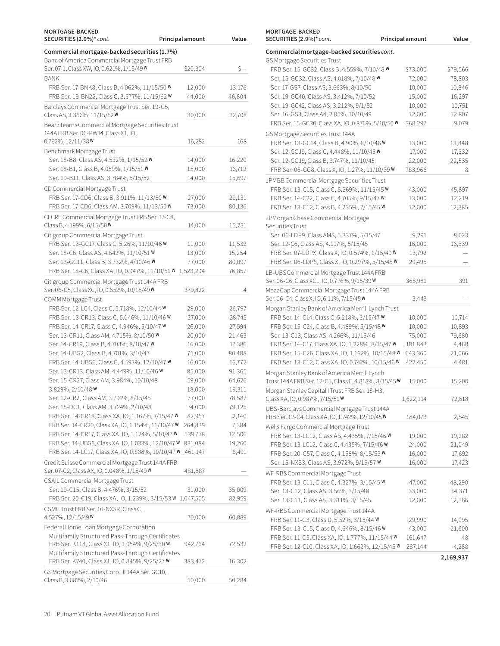| <b>MORTGAGE-BACKED</b><br>SECURITIES (2.9%)* cont.                                              | <b>Principal amount</b> | Value          |
|-------------------------------------------------------------------------------------------------|-------------------------|----------------|
| Commercial mortgage-backed securities (1.7%)                                                    |                         |                |
| Banc of America Commercial Mortgage Trust FRB                                                   |                         |                |
| Ser. 07-1, Class XW, IO, 0.621%, 1/15/49 W                                                      | \$20,304                | \$—            |
| BANK                                                                                            |                         |                |
| FRB Ser. 17-BNK8, Class B, 4.062%, 11/15/50 W                                                   | 12,000                  | 13,176         |
| FRB Ser. 19-BN22, Class C, 3.577%, 11/15/62 W                                                   | 44,000                  | 46,804         |
| Barclays Commercial Mortgage Trust Ser. 19-C5,                                                  |                         |                |
| Class AS, 3.366%, 11/15/52 W                                                                    | 30,000                  | 32,708         |
| Bear Stearns Commercial Mortgage Securities Trust                                               |                         |                |
| 144A FRB Ser. 06-PW14, Class X1, IO,                                                            |                         |                |
| $0.762\%, 12/11/38$ W                                                                           | 16,282                  | 168            |
| Benchmark Mortgage Trust                                                                        |                         |                |
| Ser. 18-B8, Class AS, 4.532%, 1/15/52 W                                                         | 14,000                  | 16,220         |
| Ser. 18-B1, Class B, 4.059%, 1/15/51 W                                                          | 15,000                  | 16,712         |
| Ser. 19-B11, Class AS, 3.784%, 5/15/52                                                          | 14,000                  | 15,697         |
| CD Commercial Mortgage Trust                                                                    |                         |                |
| FRB Ser. 17-CD6, Class B, 3.911%, 11/13/50 W                                                    | 27,000                  | 29,131         |
| FRB Ser. 17-CD6, Class AM, 3.709%, 11/13/50 W                                                   | 73,000                  | 80,136         |
| CFCRE Commercial Mortgage Trust FRB Ser. 17-C8,                                                 |                         |                |
| Class B, 4.199%, 6/15/50 W                                                                      | 14,000                  | 15,231         |
| Citigroup Commercial Mortgage Trust                                                             |                         |                |
| FRB Ser. 13-GC17, Class C, 5.26%, 11/10/46 W                                                    | 11,000                  | 11,532         |
| Ser. 18-C6, Class AS, 4.642%, 11/10/51 W                                                        | 13,000                  | 15,254         |
| Ser. 13-GC11, Class B, 3.732%, 4/10/46 W                                                        | 77,000                  | 80,097         |
| FRB Ser. 18-C6, Class XA, IO, 0.947%, 11/10/51 W                                                | 1,523,294               | 76,857         |
| Citigroup Commercial Mortgage Trust 144A FRB                                                    |                         |                |
| Ser. 06-C5, Class XC, IO, 0.652%, 10/15/49 W                                                    | 379,822                 | 4              |
| COMM Mortgage Trust                                                                             |                         |                |
| FRB Ser. 12-LC4, Class C, 5.718%, 12/10/44 W                                                    | 29,000                  | 26,797         |
| FRB Ser. 13-CR13, Class C, 5.046%, 11/10/46 W                                                   | 27,000                  | 28,745         |
| FRB Ser. 14-CR17, Class C, 4.946%, 5/10/47 W                                                    | 26,000                  | 27,594         |
| Ser. 13-CR11, Class AM, 4.715%, 8/10/50 W                                                       | 20,000                  | 21,463         |
| Ser. 14-CR19, Class B, 4.703%, 8/10/47 W                                                        | 16,000                  | 17,386         |
| Ser. 14-UBS2, Class B, 4.701%, 3/10/47                                                          | 75,000                  | 80,488         |
| FRB Ser. 14-UBS6, Class C, 4.593%, 12/10/47 W                                                   | 16,000                  | 16,772         |
| Ser. 13-CR13, Class AM, 4.449%, 11/10/46 W                                                      | 85,000                  | 91,365         |
| Ser. 15-CR27, Class AM, 3.984%, 10/10/48                                                        | 59,000                  | 64,626         |
| 3.829%, 2/10/48 W                                                                               | 18,000                  | 19,311         |
| Ser. 12-CR2, Class AM, 3.791%, 8/15/45                                                          | 77,000                  | 78,587         |
| Ser. 15-DC1, Class AM, 3.724%, 2/10/48                                                          |                         | 79,125         |
| FRB Ser. 14-CR18, Class XA, IO, 1.167%, 7/15/47 W                                               | 74,000                  |                |
|                                                                                                 | 82,957                  | 2,140<br>7,384 |
| FRB Ser. 14-CR20, Class XA, IO, 1.154%, 11/10/47 W                                              | 264,839                 |                |
| FRB Ser. 14-CR17, Class XA, IO, 1.124%, 5/10/47 W                                               | 539,778                 | 12,506         |
| FRB Ser. 14-UBS6, Class XA, IO, 1.033%, 12/10/47 W                                              | 831,084                 | 19,260         |
| FRB Ser. 14-LC17, Class XA, IO, 0.888%, 10/10/47 W                                              | 461,147                 | 8,491          |
| Credit Suisse Commercial Mortgage Trust 144A FRB<br>Ser. 07-C2, Class AX, IO, 0.048%, 1/15/49 W | 481,887                 |                |
| CSAIL Commercial Mortgage Trust                                                                 |                         |                |
| Ser. 19-C15, Class B, 4.476%, 3/15/52                                                           | 31,000                  | 35,009         |
| FRB Ser. 20-C19, Class XA, IO, 1.239%, 3/15/53 W 1,047,505                                      |                         | 82,959         |
| CSMC Trust FRB Ser. 16-NXSR, Class C,                                                           |                         |                |
| 4.527%, 12/15/49W                                                                               | 70,000                  | 60,889         |
| Federal Home Loan Mortgage Corporation                                                          |                         |                |
| Multifamily Structured Pass-Through Certificates                                                |                         |                |
| FRB Ser. K118, Class X1, IO, 1.054%, 9/25/30 W                                                  | 942,764                 | 72,532         |
| Multifamily Structured Pass-Through Certificates                                                |                         |                |
| FRB Ser. K740, Class X1, IO, 0.845%, 9/25/27 W                                                  | 383,472                 | 16,302         |
| GS Mortgage Securities Corp., II 144A Ser. GC10,                                                |                         |                |
| Class B, 3.682%, 2/10/46                                                                        | 50,000                  | 50,284         |
|                                                                                                 |                         |                |

| MORTGAGE-BACKED<br>SECURITIES (2.9%)* cont.                                                          | <b>Principal amount</b> | Value     |
|------------------------------------------------------------------------------------------------------|-------------------------|-----------|
| Commercial mortgage-backed securities cont.                                                          |                         |           |
| GS Mortgage Securities Trust                                                                         |                         |           |
| FRB Ser. 15-GC32, Class B, 4.559%, 7/10/48 W                                                         | \$73,000                | \$79,566  |
| Ser. 15-GC32, Class AS, 4.018%, 7/10/48 W                                                            | 72,000                  | 78,803    |
| Ser. 17-GS7, Class AS, 3.663%, 8/10/50                                                               | 10,000                  | 10,846    |
| Ser. 19-GC40, Class AS, 3.412%, 7/10/52                                                              | 15,000                  | 16,297    |
| Ser. 19-GC42, Class AS, 3.212%, 9/1/52                                                               | 10,000                  | 10,751    |
| Ser. 16-GS3, Class A4, 2.85%, 10/10/49                                                               | 12,000                  | 12,807    |
| FRB Ser. 15-GC30, Class XA, IO, 0.876%, 5/10/50 W                                                    | 368,297                 | 9,079     |
| GS Mortgage Securities Trust 144A                                                                    |                         |           |
| FRB Ser. 13-GC14, Class B, 4.90%, 8/10/46 W                                                          | 13,000                  | 13,848    |
| Ser. 12-GCJ9, Class C, 4.448%, 11/10/45 W                                                            | 17,000                  | 17,332    |
|                                                                                                      |                         |           |
| Ser. 12-GCJ9, Class B, 3.747%, 11/10/45                                                              | 22,000                  | 22,535    |
| FRB Ser. 06-GG8, Class X, IO, 1.27%, 11/10/39 W                                                      | 783,966                 | 8         |
| JPMBB Commercial Mortgage Securities Trust                                                           |                         |           |
| FRB Ser. 13-C15, Class C, 5.369%, 11/15/45 W                                                         | 43,000                  | 45,897    |
| FRB Ser. 14-C22, Class C, 4.705%, 9/15/47 W                                                          | 13,000                  | 12,219    |
| FRB Ser. 13-C12, Class B, 4.235%, 7/15/45 W                                                          | 12,000                  | 12,385    |
| JPMorgan Chase Commercial Mortgage                                                                   |                         |           |
| Securities Trust                                                                                     |                         |           |
| Ser. 06-LDP9, Class AMS, 5.337%, 5/15/47                                                             | 9,291                   | 8,023     |
| Ser. 12-C6, Class AS, 4.117%, 5/15/45                                                                | 16,000                  | 16,339    |
| FRB Ser. 07-LDPX, Class X, IO, 0.574%, 1/15/49 W                                                     | 13,792                  |           |
| FRB Ser. 06-LDP8, Class X, IO, 0.297%, 5/15/45 W                                                     | 29,495                  |           |
| LB-UBS Commercial Mortgage Trust 144A FRB<br>Ser. 06-C6, Class XCL, IO, 0.776%, 9/15/39 W            | 365,981                 | 391       |
| Mezz Cap Commercial Mortgage Trust 144A FRB                                                          |                         |           |
| Ser. 06-C4, Class X, IO, 6.11%, 7/15/45 W                                                            | 3,443                   |           |
| Morgan Stanley Bank of America Merrill Lynch Trust                                                   |                         |           |
| FRB Ser. 14-C14, Class C, 5.218%, 2/15/47 W                                                          | 10,000                  | 10,714    |
| FRB Ser. 15-C24, Class B, 4.489%, 5/15/48 W                                                          | 10,000                  | 10,893    |
| Ser. 13-C13, Class AS, 4.266%, 11/15/46                                                              | 75,000                  | 79,680    |
| FRB Ser. 14-C17, Class XA, IO, 1.228%, 8/15/47 W                                                     | 181,843                 | 4,468     |
| FRB Ser. 15-C26, Class XA, IO, 1.162%, 10/15/48 W                                                    | 643,360                 | 21,066    |
| FRB Ser. 13-C12, Class XA, IO, 0.742%, 10/15/46 W                                                    | 422,450                 | 4,481     |
| Morgan Stanley Bank of America Merrill Lynch<br>Trust 144A FRB Ser. 12-C5, Class E, 4.818%, 8/15/45W | 15,000                  | 15,200    |
| Morgan Stanley Capital I Trust FRB Ser. 18-H3,                                                       |                         |           |
| Class XA, IO, 0.987%, 7/15/51W                                                                       | 1,622,114               | 72,618    |
| UBS-Barclays Commercial Mortgage Trust 144A                                                          |                         |           |
| FRB Ser. 12-C4, Class XA, IO, 1.742%, 12/10/45 W                                                     | 184,073                 | 2,545     |
| Wells Fargo Commercial Mortgage Trust                                                                |                         |           |
| FRB Ser. 13-LC12, Class AS, 4.435%, 7/15/46 W                                                        |                         |           |
|                                                                                                      | 19,000                  | 19,282    |
| FRB Ser. 13-LC12, Class C, 4.435%, 7/15/46 W                                                         | 24,000                  | 21,049    |
| FRB Ser. 20-C57, Class C, 4.158%, 8/15/53 W                                                          | 16,000                  | 17,692    |
| Ser. 15-NXS3, Class AS, 3.972%, 9/15/57 W                                                            | 16,000                  | 17,423    |
| WF-RBS Commercial Mortgage Trust                                                                     |                         |           |
| FRB Ser. 13-C11, Class C, 4.327%, 3/15/45 W                                                          | 47,000                  | 48,290    |
| Ser. 13-C12, Class AS, 3.56%, 3/15/48                                                                | 33,000                  | 34,371    |
| Ser. 13-C11, Class AS, 3.311%, 3/15/45                                                               | 12,000                  | 12,366    |
| WF-RBS Commercial Mortgage Trust 144A                                                                |                         |           |
| FRB Ser. 11-C3, Class D, 5.52%, 3/15/44 W                                                            | 29,990                  | 14,995    |
| FRB Ser. 13-C15, Class D, 4.646%, 8/15/46 W                                                          | 43,000                  | 21,600    |
| FRB Ser. 11-C5, Class XA, IO, 1.777%, 11/15/44 W                                                     | 161,647                 | 48        |
| FRB Ser. 12-C10, Class XA, IO, 1.662%, 12/15/45 W                                                    | 287,144                 | 4,288     |
|                                                                                                      |                         |           |
|                                                                                                      |                         | 2,169,937 |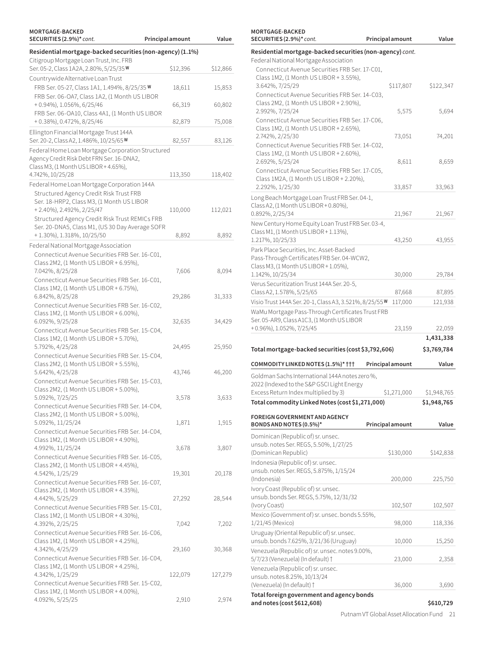| <b>MORTGAGE-BACKED</b><br>SECURITIES (2.9%)* cont.                                                                                                                                                                                                                    | <b>Principal amount</b> | Value    |
|-----------------------------------------------------------------------------------------------------------------------------------------------------------------------------------------------------------------------------------------------------------------------|-------------------------|----------|
| Residential mortgage-backed securities (non-agency) (1.1%)                                                                                                                                                                                                            |                         |          |
| Citigroup Mortgage Loan Trust, Inc. FRB<br>Ser. 05-2, Class 1A2A, 2.80%, 5/25/35 W                                                                                                                                                                                    | \$12,396                | \$12,866 |
| Countrywide Alternative Loan Trust<br>FRB Ser. 05-27, Class 1A1, 1.494%, 8/25/35 W                                                                                                                                                                                    | 18,611                  | 15,853   |
| FRB Ser. 06-OA7, Class 1A2, (1 Month US LIBOR<br>+ 0.94%), 1.056%, 6/25/46                                                                                                                                                                                            | 66,319                  | 60,802   |
| FRB Ser. 06-OA10, Class 4A1, (1 Month US LIBOR<br>+ 0.38%), 0.472%, 8/25/46                                                                                                                                                                                           | 82,879                  | 75,008   |
| Ellington Financial Mortgage Trust 144A<br>Ser. 20-2, Class A2, 1.486%, 10/25/65 W                                                                                                                                                                                    | 82,557                  | 83,126   |
| Federal Home Loan Mortgage Corporation Structured<br>Agency Credit Risk Debt FRN Ser. 16-DNA2,<br>Class M3, (1 Month US LIBOR + 4.65%),<br>4.742%, 10/25/28                                                                                                           | 113,350                 | 118,402  |
|                                                                                                                                                                                                                                                                       |                         |          |
| Federal Home Loan Mortgage Corporation 144A<br>Structured Agency Credit Risk Trust FRB<br>Ser. 18-HRP2, Class M3, (1 Month US LIBOR<br>+ 2.40%), 2.492%, 2/25/47<br>Structured Agency Credit Risk Trust REMICs FRB<br>Ser. 20-DNA5, Class M1, (US 30 Day Average SOFR | 110,000                 | 112,021  |
| + 1.30%), 1.318%, 10/25/50                                                                                                                                                                                                                                            | 8,892                   | 8,892    |
| Federal National Mortgage Association<br>Connecticut Avenue Securities FRB Ser. 16-C01,<br>Class 2M2, (1 Month US LIBOR + 6.95%),<br>7.042%, 8/25/28<br>Connecticut Avenue Securities FRB Ser. 16-C01,                                                                | 7,606                   | 8,094    |
| Class 1M2, (1 Month US LIBOR + 6.75%),<br>6.842%, 8/25/28<br>Connecticut Avenue Securities FRB Ser. 16-C02,<br>Class 1M2, (1 Month US LIBOR + 6.00%),                                                                                                                 | 29,286                  | 31,333   |
| 6.092%, 9/25/28<br>Connecticut Avenue Securities FRB Ser. 15-C04,                                                                                                                                                                                                     | 32,635                  | 34,429   |
| Class 1M2, (1 Month US LIBOR + 5.70%),<br>5.792%, 4/25/28<br>Connecticut Avenue Securities FRB Ser. 15-C04,                                                                                                                                                           | 24,495                  | 25,950   |
| Class 2M2, (1 Month US LIBOR + 5.55%),<br>5.642%, 4/25/28                                                                                                                                                                                                             | 43,746                  | 46,200   |
| Connecticut Avenue Securities FRB Ser. 15-C03.<br>Class 2M2, (1 Month US LIBOR + 5.00%),<br>5.092%, 7/25/25                                                                                                                                                           | 3,578                   | 3,633    |
| Connecticut Avenue Securities FRB Ser. 14-C04,<br>Class 2M2, (1 Month US LIBOR + 5.00%),                                                                                                                                                                              |                         |          |
| 5.092%, 11/25/24<br>Connecticut Avenue Securities FRB Ser. 14-C04,                                                                                                                                                                                                    | 1,871                   | 1,915    |
| Class 1M2, (1 Month US LIBOR + 4.90%),<br>4.992%, 11/25/24<br>Connecticut Avenue Securities FRB Ser. 16-C05,                                                                                                                                                          | 3,678                   | 3,807    |
| Class 2M2, (1 Month US LIBOR + 4.45%),<br>4.542%, 1/25/29                                                                                                                                                                                                             | 19,301                  | 20,178   |
| Connecticut Avenue Securities FRB Ser. 16-C07,<br>Class 2M2, (1 Month US LIBOR + 4.35%),<br>4.442%, 5/25/29                                                                                                                                                           | 27,292                  | 28,544   |
| Connecticut Avenue Securities FRB Ser. 15-C01,<br>Class 1M2, (1 Month US LIBOR + 4.30%),<br>4.392%, 2/25/25                                                                                                                                                           | 7,042                   | 7,202    |
| Connecticut Avenue Securities FRB Ser. 16-C06,<br>Class 1M2, (1 Month US LIBOR + 4.25%),<br>4.342%, 4/25/29                                                                                                                                                           | 29,160                  | 30,368   |
| Connecticut Avenue Securities FRB Ser. 16-C04,<br>Class 1M2, (1 Month US LIBOR + 4.25%),                                                                                                                                                                              |                         |          |
| 4.342%, 1/25/29<br>Connecticut Avenue Securities FRB Ser. 15-C02,<br>Class 1M2, (1 Month US LIBOR + 4.00%),                                                                                                                                                           | 122,079                 | 127,279  |
| 4.092%, 5/25/25                                                                                                                                                                                                                                                       | 2,910                   | 2,974    |

| <b>MORTGAGE-BACKED</b><br>SECURITIES (2.9%)* cont.                                                          | <b>Principal amount</b> | Value       |
|-------------------------------------------------------------------------------------------------------------|-------------------------|-------------|
| Residential mortgage-backed securities (non-agency) cont.                                                   |                         |             |
| Federal National Mortgage Association                                                                       |                         |             |
| Connecticut Avenue Securities FRB Ser. 17-C01,<br>Class 1M2, (1 Month US LIBOR + 3.55%),                    |                         |             |
| 3.642%, 7/25/29<br>Connecticut Avenue Securities FRB Ser. 14-C03,                                           | \$117,807               | \$122,347   |
| Class 2M2, (1 Month US LIBOR + 2.90%),<br>2.992%, 7/25/24<br>Connecticut Avenue Securities FRB Ser. 17-C06, | 5,575                   | 5,694       |
| Class 1M2, (1 Month US LIBOR + 2.65%),<br>2.742%, 2/25/30                                                   | 73,051                  | 74,201      |
| Connecticut Avenue Securities FRB Ser. 14-C02,<br>Class 1M2, (1 Month US LIBOR + 2.60%),                    |                         |             |
| 2.692%, 5/25/24                                                                                             | 8,611                   | 8,659       |
| Connecticut Avenue Securities FRB Ser. 17-C05,<br>Class 1M2A, (1 Month US LIBOR + 2.20%),                   |                         |             |
| 2.292%, 1/25/30                                                                                             | 33,857                  | 33,963      |
| Long Beach Mortgage Loan Trust FRB Ser. 04-1,<br>Class A2, (1 Month US LIBOR + 0.80%),                      |                         |             |
| 0.892%, 2/25/34<br>New Century Home Equity Loan Trust FRB Ser. 03-4,                                        | 21,967                  | 21,967      |
| Class M1, (1 Month US LIBOR + 1.13%),<br>1.217%, 10/25/33                                                   | 43,250                  | 43,955      |
| Park Place Securities, Inc. Asset-Backed                                                                    |                         |             |
| Pass-Through Certificates FRB Ser. 04-WCW2,<br>Class M3, (1 Month US LIBOR + 1.05%),                        |                         |             |
| 1.142%, 10/25/34                                                                                            | 30,000                  | 29,784      |
| Verus Securitization Trust 144A Ser. 20-5,<br>Class A2, 1.578%, 5/25/65                                     | 87,668                  | 87,895      |
| Visio Trust 144A Ser. 20-1, Class A3, 3.521%, 8/25/55 W                                                     | 117,000                 | 121,938     |
| WaMu Mortgage Pass-Through Certificates Trust FRB<br>Ser. 05-AR9, Class A1C3, (1 Month US LIBOR             |                         |             |
|                                                                                                             |                         |             |
| +0.96%), 1.052%, 7/25/45                                                                                    | 23,159                  | 22,059      |
|                                                                                                             |                         | 1,431,338   |
| Total mortgage-backed securities (cost \$3,792,606)                                                         |                         | \$3,769,784 |
| COMMODITY LINKED NOTES (1.5%)* †††                                                                          | Principal amount        | Value       |
| Goldman Sachs International 144A notes zero %,<br>2022 (Indexed to the S&P GSCI Light Energy                |                         |             |
| Excess Return Index multiplied by 3)                                                                        | \$1,271,000             | \$1,948,765 |
| Total commodity Linked Notes (cost \$1,271,000)                                                             |                         | \$1,948,765 |
| <b>FOREIGN GOVERNMENT AND AGENCY</b><br>BONDS AND NOTES (0.5%)*                                             | Principal amount        | Value       |
| Dominican (Republic of) sr. unsec.<br>unsub. notes Ser. REGS, 5.50%, 1/27/25                                |                         |             |
| (Dominican Republic)                                                                                        | \$130,000               | \$142,838   |
| Indonesia (Republic of) sr. unsec.<br>unsub. notes Ser. REGS, 5.875%, 1/15/24                               |                         |             |
| (Indonesia)                                                                                                 | 200,000                 | 225,750     |
| Ivory Coast (Republic of) sr. unsec.<br>unsub. bonds Ser. REGS, 5.75%, 12/31/32<br>(Ivory Coast)            | 102,507                 | 102,507     |
| Mexico (Government of) sr. unsec. bonds 5.55%,<br>1/21/45 (Mexico)                                          | 98,000                  | 118,336     |
| Uruguay (Oriental Republic of) sr. unsec.<br>unsub. bonds 7.625%, 3/21/36 (Uruguay)                         | 10,000                  | 15,250      |
| Venezuela (Republic of) sr. unsec. notes 9.00%,<br>5/7/23 (Venezuela) (In default) †                        | 23,000                  | 2,358       |
| Venezuela (Republic of) sr. unsec.<br>unsub. notes 8.25%, 10/13/24                                          |                         |             |
| (Venezuela) (In default) †<br>Total foreign government and agency bonds                                     | 36,000                  | 3,690       |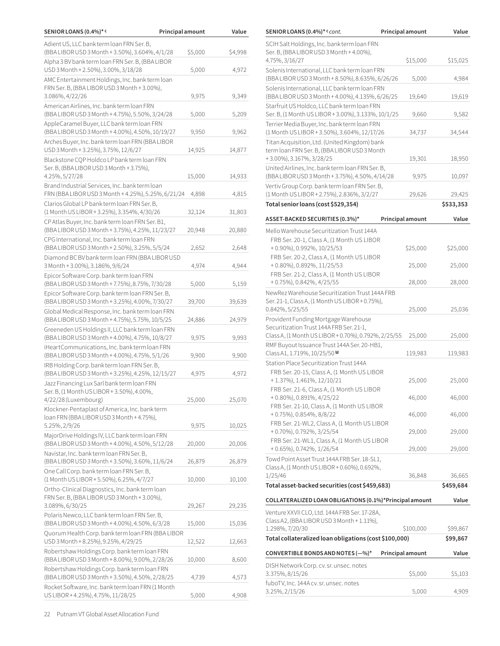| SENIOR LOANS (0.4%)*c                                                                                              | Principal amount | Value   |
|--------------------------------------------------------------------------------------------------------------------|------------------|---------|
| Adient US, LLC bank term loan FRN Ser. B,<br>(BBA LIBOR USD 3 Month + 3.50%), 3.604%, 4/1/28                       | \$5,000          | \$4,998 |
| Alpha 3 BV bank term loan FRN Ser. B, (BBA LIBOR<br>USD 3 Month + 2.50%), 3.00%, 3/18/28                           | 5,000            | 4,972   |
| AMC Entertainment Holdings, Inc. bank term loan<br>FRN Ser. B, (BBA LIBOR USD 3 Month + 3.00%),<br>3.086%, 4/22/26 | 9,975            | 9,349   |
| American Airlines, Inc. bank term loan FRN<br>(BBA LIBOR USD 3 Month + 4.75%), 5.50%, 3/24/28                      | 5,000            | 5,209   |
| AppleCaramel Buyer, LLC bank term loan FRN<br>(BBA LIBOR USD 3 Month + 4.00%), 4.50%, 10/19/27                     | 9,950            | 9,962   |
| Arches Buyer, Inc. bank term loan FRN (BBA LIBOR<br>USD 3 Month + 3.25%), 3.75%, 12/6/27                           | 14,925           | 14,877  |
| Blackstone CQP Holdco LP bank term loan FRN<br>Ser. B, (BBA LIBOR USD 3 Month + 3.75%),<br>4.25%, 5/27/28          | 15,000           | 14,933  |
| Brand Industrial Services, Inc. bank term loan<br>FRN (BBA LIBOR USD 3 Month + 4.25%), 5.25%, 6/21/24              | 4,898            | 4,815   |
| Clarios Global LP bank term loan FRN Ser. B,<br>(1 Month US LIBOR + 3.25%), 3.354%, 4/30/26                        | 32,124           | 31,803  |
| CP Atlas Buyer, Inc. bank term loan FRN Ser. B1,<br>(BBA LIBOR USD 3 Month + 3.75%), 4.25%, 11/23/27               | 20,948           | 20,880  |
| CPG International, Inc. bank term loan FRN<br>(BBALIBOR USD 3 Month + 2.50%), 3.25%, 5/5/24                        | 2,652            | 2,648   |
| Diamond BC BV bank term loan FRN (BBA LIBOR USD<br>3 Month + 3.00%), 3.186%, 9/6/24                                | 4,974            | 4,944   |
| Epicor Software Corp. bank term loan FRN<br>(BBALIBOR USD 3 Month + 7.75%), 8.75%, 7/30/28                         | 5,000            | 5,159   |
| Epicor Software Corp. bank term loan FRN Ser. B,<br>(BBA LIBOR USD 3 Month + 3.25%), 4.00%, 7/30/27                | 39,700           | 39,639  |
| Global Medical Response, Inc. bank term loan FRN<br>(BBA LIBOR USD 3 Month + 4.75%), 5.75%, 10/5/25                | 24,886           | 24,979  |
| Greeneden US Holdings II, LLC bank term loan FRN<br>(BBA LIBOR USD 3 Month + 4.00%), 4.75%, 10/8/27                | 9,975            | 9,993   |
| iHeartCommunications, Inc. bank term loan FRN<br>(BBA LIBOR USD 3 Month + 4.00%), 4.75%, 5/1/26                    | 9,900            | 9,900   |
| IRB Holding Corp. bank term loan FRN Ser. B,<br>(BBA LIBOR USD 3 Month + 3.25%), 4.25%, 12/15/27                   | 4,975            | 4,972   |
| Jazz Financing Lux Sarl bank term loan FRN<br>Ser. B, (1 Month US LIBOR + 3.50%), 4.00%,<br>4/22/28 (Luxembourg)   | 25,000           | 25,070  |
| Klockner-Pentaplast of America, Inc. bank term<br>loan FRN (BBA LIBOR USD 3 Month + 4.75%),                        |                  | 10,025  |
| 5.25%, 2/9/26<br>MajorDrive Holdings IV, LLC bank term loan FRN                                                    | 9,975            |         |
| (BBA LIBOR USD 3 Month + 4.00%), 4.50%, 5/12/28<br>Navistar, Inc. bank term loan FRN Ser. B,                       | 20,000           | 20,006  |
| (BBA LIBOR USD 3 Month + 3.50%), 3.60%, 11/6/24<br>One Call Corp. bank term loan FRN Ser. B,                       | 26,879           | 26,879  |
| (1 Month US LIBOR + 5.50%), 6.25%, 4/7/27<br>Ortho-Clinical Diagnostics, Inc. bank term loan                       | 10,000           | 10,100  |
| FRN Ser. B, (BBA LIBOR USD 3 Month + 3.00%),<br>3.089%, 6/30/25                                                    | 29,267           | 29,235  |
| Polaris Newco, LLC bank term loan FRN Ser. B,<br>(BBA LIBOR USD 3 Month + 4.00%), 4.50%, 6/3/28                    | 15,000           | 15,036  |
| Quorum Health Corp. bank term loan FRN (BBA LIBOR<br>USD 3 Month + 8.25%), 9.25%, 4/29/25                          | 12,522           | 12,663  |
| Robertshaw Holdings Corp. bank term loan FRN<br>(BBA LIBOR USD 3 Month + 8.00%), 9.00%, 2/28/26                    | 10,000           | 8,600   |
| Robertshaw Holdings Corp. bank term loan FRN<br>(BBA LIBOR USD 3 Month + 3.50%), 4.50%, 2/28/25                    | 4,739            | 4,573   |
| Rocket Software, Inc. bank term loan FRN (1 Month<br>US LIBOR + 4.25%), 4.75%, 11/28/25                            | 5,000            | 4,908   |

| SENIOR LOANS (0.4%)* c cont.                                                                                                             | <b>Principal amount</b> | Value     |
|------------------------------------------------------------------------------------------------------------------------------------------|-------------------------|-----------|
| SCIH Salt Holdings, Inc. bank term loan FRN                                                                                              |                         |           |
| Ser. B, (BBA LIBOR USD 3 Month + 4.00%),<br>4.75%, 3/16/27                                                                               | \$15,000                | \$15,025  |
| Solenis International, LLC bank term loan FRN<br>(BBA LIBOR USD 3 Month + 8.50%), 8.635%, 6/26/26                                        | 5,000                   | 4,984     |
| Solenis International, LLC bank term loan FRN<br>(BBA LIBOR USD 3 Month + 4.00%), 4.135%, 6/26/25                                        | 19,640                  | 19,619    |
| Starfruit US Holdco, LLC bank term loan FRN<br>Ser. B, (1 Month US LIBOR + 3.00%), 3.133%, 10/1/25                                       | 9,660                   | 9,582     |
| Terrier Media Buyer, Inc. bank term loan FRN<br>(1 Month US LIBOR + 3.50%), 3.604%, 12/17/26                                             | 34,737                  | 34,544    |
| Titan Acquisition, Ltd. (United Kingdom) bank<br>term loan FRN Ser. B, (BBA LIBOR USD 3 Month<br>+3.00%), 3.167%, 3/28/25                | 19,301                  | 18,950    |
| United Airlines, Inc. bank term loan FRN Ser. B,<br>(BBA LIBOR USD 3 Month + 3.75%), 4.50%, 4/14/28                                      | 9,975                   | 10,097    |
| Vertiv Group Corp. bank term loan FRN Ser. B,<br>(1 Month US LIBOR + 2.75%), 2.836%, 3/2/27                                              | 29,626                  | 29,425    |
| Total senior loans (cost \$529,354)                                                                                                      |                         | \$533,353 |
| ASSET-BACKED SECURITIES (0.3%)*                                                                                                          | <b>Principal amount</b> | Value     |
|                                                                                                                                          |                         |           |
| Mello Warehouse Securitization Trust 144A<br>FRB Ser. 20-1, Class A, (1 Month US LIBOR<br>+ 0.90%), 0.992%, 10/25/53                     | \$25,000                | \$25,000  |
| FRB Ser. 20-2, Class A, (1 Month US LIBOR<br>+ 0.80%), 0.892%, 11/25/53                                                                  | 25,000                  | 25,000    |
| FRB Ser. 21-2, Class A, (1 Month US LIBOR<br>+ 0.75%), 0.842%, 4/25/55                                                                   | 28,000                  | 28,000    |
| NewRez Warehouse Securitization Trust 144A FRB<br>Ser. 21-1, Class A, (1 Month US LIBOR + 0.75%),                                        |                         |           |
| 0.842%, 5/25/55                                                                                                                          | 25,000                  | 25,036    |
| Provident Funding Mortgage Warehouse<br>Securitization Trust 144A FRB Ser. 21-1,<br>Class A, (1 Month US LIBOR + 0.70%), 0.792%, 2/25/55 | 25,000                  | 25,000    |
| RMF Buyout Issuance Trust 144A Ser. 20-HB1,<br>Class A1, 1.719%, 10/25/50 W                                                              | 119,983                 | 119,983   |
| Station Place Securitization Trust 144A<br>FRB Ser. 20-15, Class A, (1 Month US LIBOR<br>$+1.37\%$ , 1.461%, 12/10/21                    | 25,000                  | 25,000    |
| FRB Ser. 21-6, Class A, (1 Month US LIBOR<br>+0.80%), 0.891%, 4/25/22                                                                    | 46,000                  | 46,000    |
| FRB Ser. 21-10, Class A, (1 Month US LIBOR                                                                                               |                         |           |
| + 0.75%), 0.854%, 8/8/22<br>FRB Ser. 21-WL2, Class A, (1 Month US LIBOR                                                                  | 46,000                  | 46,000    |
| + 0.70%), 0.792%, 3/25/54<br>FRB Ser. 21-WL1, Class A, (1 Month US LIBOR                                                                 | 29,000                  | 29,000    |
| + 0.65%), 0.742%, 1/26/54<br>Towd Point Asset Trust 144A FRB Ser. 18-SL1,                                                                | 29,000                  | 29,000    |
| Class A, (1 Month US LIBOR + 0.60%), 0.692%,<br>1/25/46                                                                                  | 36,848                  | 36,665    |
| Total asset-backed securities (cost \$459,683)                                                                                           |                         | \$459,684 |
| COLLATERALIZED LOAN OBLIGATIONS (0.1%)*Principal amount                                                                                  |                         | Value     |
| Venture XXVII CLO, Ltd. 144A FRB Ser. 17-28A,                                                                                            |                         |           |
| Class A2, (BBA LIBOR USD 3 Month + 1.11%),<br>1.298%, 7/20/30                                                                            | \$100,000               | \$99,867  |
| Total collateralized loan obligations (cost \$100,000)                                                                                   |                         | \$99,867  |
| CONVERTIBLE BONDS AND NOTES (-%)*                                                                                                        | <b>Principal amount</b> | Value     |
| DISH Network Corp. cv. sr. unsec. notes<br>3.375%, 8/15/26                                                                               | \$5,000                 | \$5,103   |
| fuboTV, Inc. 144A cv. sr. unsec. notes<br>3.25%, 2/15/26                                                                                 | 5,000                   | 4,909     |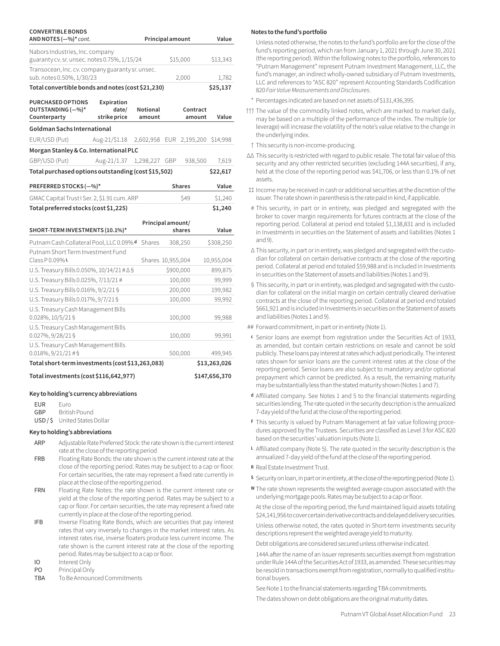| <b>CONVERTIBLE BONDS</b><br>AND NOTES (-%)* cont.             |                                     |                    | Principal amount |                    | Value        |
|---------------------------------------------------------------|-------------------------------------|--------------------|------------------|--------------------|--------------|
| Nabors Industries, Inc. company                               |                                     |                    |                  |                    |              |
| guaranty cv. sr. unsec. notes 0.75%, 1/15/24                  |                                     |                    |                  | \$15,000           | \$13,343     |
| Transocean, Inc. cv. company guaranty sr. unsec.              |                                     |                    |                  |                    |              |
| sub. notes 0.50%, 1/30/23                                     |                                     |                    |                  | 2,000              | 1,782        |
| Total convertible bonds and notes (cost \$21,230)             |                                     |                    |                  |                    | \$25,137     |
| <b>PURCHASED OPTIONS</b><br>OUTSTANDING (-%)*<br>Counterparty | Expiration<br>date/<br>strike price | Notional<br>amount |                  | Contract<br>amount | Value        |
| Goldman Sachs International                                   |                                     |                    |                  |                    |              |
| EUR/USD (Put)                                                 | Aug-21/\$1.18                       | 2,602,958          | <b>EUR</b>       | 2,195,200          | \$14,998     |
| Morgan Stanley & Co. International PLC                        |                                     |                    |                  |                    |              |
| GBP/USD (Put)                                                 | Aug-21/1.37                         | 1,298,227 GBP      |                  | 938,500            | 7,619        |
| Total purchased options outstanding (cost \$15,502)           |                                     |                    |                  |                    | \$22,617     |
| PREFERRED STOCKS (-%)*                                        |                                     |                    |                  | <b>Shares</b>      | Value        |
| GMAC Capital Trust I Ser. 2, \$1.91 cum. ARP                  |                                     |                    |                  | \$49               | \$1,240      |
| Total preferred stocks (cost \$1,225)                         |                                     |                    |                  |                    | \$1,240      |
|                                                               |                                     | Principal amount/  |                  |                    |              |
| SHORT-TERM INVESTMENTS (10.1%)*                               |                                     |                    |                  | shares             | Value        |
| Putnam Cash Collateral Pool, LLC 0.09% d                      |                                     | Shares             |                  | 308,250            | \$308,250    |
| Putnam Short Term Investment Fund                             |                                     |                    |                  |                    |              |
| Class P 0.09% L                                               |                                     | Shares 10,955,004  |                  |                    | 10,955,004   |
| U.S. Treasury Bills 0.050%, 10/14/21 # △§                     |                                     |                    | \$900,000        |                    | 899,875      |
| U.S. Treasury Bills 0.025%, 7/13/21 #                         |                                     |                    |                  | 100,000            | 99,999       |
| U.S. Treasury Bills 0.016%, 9/2/21 §                          |                                     |                    |                  | 200,000            | 199,982      |
| U.S. Treasury Bills 0.017%, 9/7/21 §                          |                                     |                    |                  | 100,000            | 99,992       |
| U.S. Treasury Cash Management Bills<br>0.028%, 10/5/21§       |                                     |                    |                  | 100,000            | 99,988       |
| U.S. Treasury Cash Management Bills<br>0.027%, 9/28/21§       |                                     |                    |                  | 100,000            | 99,991       |
| U.S. Treasury Cash Management Bills                           |                                     |                    |                  |                    |              |
| $0.018\%, 9/21/21 \,\texttt{\#}\, \$$                         |                                     |                    |                  | 500,000            | 499,945      |
| Total short-term investments (cost \$13,263,083)              |                                     |                    |                  |                    | \$13,263,026 |

# **Total investments (cost \$116,642,977) \$147,656,370**

#### **Key to holding's currency abbreviations**

| EUR | Furo                 |
|-----|----------------------|
| GBP | <b>British Pound</b> |

USD / \$ United States Dollar

#### **Key to holding's abbreviations**

- ARP Adjustable Rate Preferred Stock: the rate shown is the current interest rate at the close of the reporting period
- FRB Floating Rate Bonds: the rate shown is the current interest rate at the close of the reporting period. Rates may be subject to a cap or floor. For certain securities, the rate may represent a fixed rate currently in place at the close of the reporting period.
- FRN Floating Rate Notes: the rate shown is the current interest rate or yield at the close of the reporting period. Rates may be subject to a cap or floor. For certain securities, the rate may represent a fixed rate currently in place at the close of the reporting period.
- IFB Inverse Floating Rate Bonds, which are securities that pay interest rates that vary inversely to changes in the market interest rates. As interest rates rise, inverse floaters produce less current income. The rate shown is the current interest rate at the close of the reporting period. Rates may be subject to a cap or floor.
- IO Interest Only
- **PO** Principal Only<br> **TBA** To Be Announ
- To Be Announced Commitments

#### **Notes to the fund's portfolio**

Unless noted otherwise, the notes to the fund's portfolio are for the close of the fund's reporting period, which ran from January 1, 2021 through June 30, 2021 (the reporting period). Within the following notes to the portfolio, references to "Putnam Management" represent Putnam Investment Management, LLC, the fund's manager, an indirect wholly-owned subsidiary of Putnam Investments, LLC and references to "ASC 820" represent Accounting Standards Codification 820 *Fair Value Measurements and Disclosures*.

- \* Percentages indicated are based on net assets of \$131,436,395.
- ††† The value of the commodity linked notes, which are marked to market daily, may be based on a multiple of the performance of the index. The multiple (or leverage) will increase the volatility of the note's value relative to the change in the underlying index.
- † This security is non-income-producing.
- ∆∆ This security is restricted with regard to public resale. The total fair value of this security and any other restricted securities (excluding 144A securities), if any, held at the close of the reporting period was \$41,706, or less than 0.1% of net assets.
- ‡‡ Income may be received in cash or additional securities at the discretion of the issuer. The rate shown in parenthesis is the rate paid in kind, if applicable.
- # This security, in part or in entirety, was pledged and segregated with the broker to cover margin requirements for futures contracts at the close of the reporting period. Collateral at period end totaled \$1,138,831 and is included in Investments in securities on the Statement of assets and liabilities (Notes 1 and 9).
- ∆ This security, in part or in entirety, was pledged and segregated with the custodian for collateral on certain derivative contracts at the close of the reporting period. Collateral at period end totaled \$59,988 and is included in Investments in securities on the Statement of assets and liabilities (Notes 1 and 9).
- § This security, in part or in entirety, was pledged and segregated with the custodian for collateral on the initial margin on certain centrally cleared derivative contracts at the close of the reporting period. Collateral at period end totaled \$661,921 and is included in Investments in securities on the Statement of assets and liabilities (Notes 1 and 9).
- ## Forward commitment, in part or in entirety (Note 1).
- **<sup>c</sup>** Senior loans are exempt from registration under the Securities Act of 1933, as amended, but contain certain restrictions on resale and cannot be sold publicly. These loans pay interest at rates which adjust periodically. The interest rates shown for senior loans are the current interest rates at the close of the reporting period. Senior loans are also subject to mandatory and/or optional prepayment which cannot be predicted. As a result, the remaining maturity may be substantially less than the stated maturity shown (Notes 1 and 7).
- **<sup>d</sup>** Affiliated company. See Notes 1 and 5 to the financial statements regarding securities lending. The rate quoted in the security description is the annualized 7-day yield of the fund at the close of the reporting period.
- **<sup>F</sup>** This security is valued by Putnam Management at fair value following procedures approved by the Trustees. Securities are classified as Level 3 for ASC 820 based on the securities' valuation inputs (Note 1).
- **<sup>L</sup>** Affiliated company (Note 5). The rate quoted in the security description is the annualized 7-day yield of the fund at the close of the reporting period.
- **<sup>R</sup>** Real Estate Investment Trust.
- **<sup>S</sup>** Security on loan, in part or in entirety, at the close of the reporting period (Note 1).
- **<sup>W</sup>** The rate shown represents the weighted average coupon associated with the underlying mortgage pools. Rates may be subject to a cap or floor.

At the close of the reporting period, the fund maintained liquid assets totaling \$24,141,956 to cover certain derivative contracts and delayed delivery securities.

Unless otherwise noted, the rates quoted in Short-term investments security descriptions represent the weighted average yield to maturity.

Debt obligations are considered secured unless otherwise indicated.

144A after the name of an issuer represents securities exempt from registration under Rule 144A of the Securities Act of 1933, as amended. These securities may be resold in transactions exempt from registration, normally to qualified institutional buyers.

See Note 1 to the financial statements regarding TBA commitments.

The dates shown on debt obligations are the original maturity dates.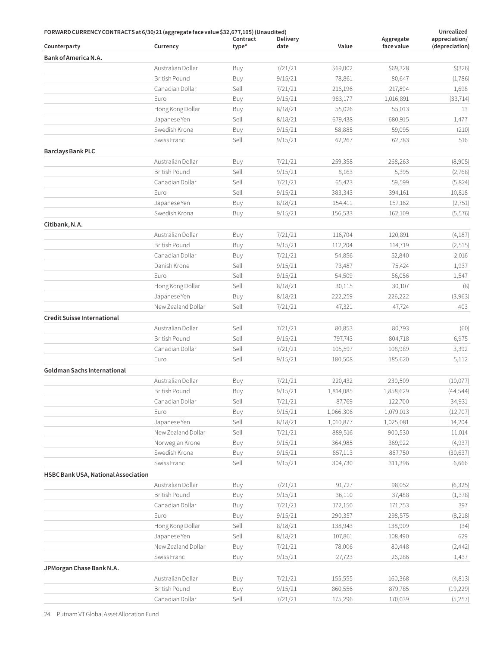|                                     |                      | FORWARD CURRENCY CONTRACTS at 6/30/21 (aggregate face value \$32,677,105) (Unaudited) |                  |           |                         | Unrealized                      |  |
|-------------------------------------|----------------------|---------------------------------------------------------------------------------------|------------------|-----------|-------------------------|---------------------------------|--|
| Counterparty                        | Currency             | Contract<br>type*                                                                     | Delivery<br>date | Value     | Aggregate<br>face value | appreciation/<br>(depreciation) |  |
| Bank of America N.A.                |                      |                                                                                       |                  |           |                         |                                 |  |
|                                     | Australian Dollar    | Buy                                                                                   | 7/21/21          | \$69,002  | \$69,328                | \$ (326)                        |  |
|                                     | <b>British Pound</b> | Buy                                                                                   | 9/15/21          | 78,861    | 80,647                  | (1,786)                         |  |
|                                     | Canadian Dollar      | Sell                                                                                  | 7/21/21          | 216,196   | 217,894                 | 1,698                           |  |
|                                     | Euro                 | Buy                                                                                   | 9/15/21          | 983,177   | 1,016,891               | (33, 714)                       |  |
|                                     | Hong Kong Dollar     | Buy                                                                                   | 8/18/21          | 55,026    | 55,013                  | 13                              |  |
|                                     | Japanese Yen         | Sell                                                                                  | 8/18/21          | 679,438   | 680,915                 | 1,477                           |  |
|                                     | Swedish Krona        | Buy                                                                                   | 9/15/21          | 58,885    | 59,095                  | (210)                           |  |
|                                     | Swiss Franc          | Sell                                                                                  | 9/15/21          | 62,267    | 62,783                  | 516                             |  |
| <b>Barclays Bank PLC</b>            |                      |                                                                                       |                  |           |                         |                                 |  |
|                                     | Australian Dollar    | Buy                                                                                   | 7/21/21          | 259,358   | 268,263                 | (8,905)                         |  |
|                                     | <b>British Pound</b> | Sell                                                                                  | 9/15/21          | 8,163     | 5,395                   | (2,768)                         |  |
|                                     | Canadian Dollar      | Sell                                                                                  | 7/21/21          | 65,423    | 59,599                  | (5,824)                         |  |
|                                     | Euro                 | Sell                                                                                  | 9/15/21          | 383,343   | 394,161                 | 10,818                          |  |
|                                     | Japanese Yen         | Buy                                                                                   | 8/18/21          | 154,411   | 157,162                 | (2,751)                         |  |
|                                     | Swedish Krona        | Buy                                                                                   | 9/15/21          | 156,533   | 162,109                 | (5,576)                         |  |
| Citibank, N.A.                      |                      |                                                                                       |                  |           |                         |                                 |  |
|                                     | Australian Dollar    | Buy                                                                                   | 7/21/21          | 116,704   | 120,891                 | (4,187)                         |  |
|                                     | <b>British Pound</b> | Buy                                                                                   | 9/15/21          | 112,204   | 114,719                 | (2, 515)                        |  |
|                                     | Canadian Dollar      | Buy                                                                                   | 7/21/21          | 54,856    | 52,840                  | 2,016                           |  |
|                                     | Danish Krone         | Sell                                                                                  | 9/15/21          | 73,487    | 75,424                  | 1,937                           |  |
|                                     | Euro                 | Sell                                                                                  | 9/15/21          | 54,509    | 56,056                  | 1,547                           |  |
|                                     | Hong Kong Dollar     | Sell                                                                                  | 8/18/21          | 30,115    | 30,107                  | (8)                             |  |
|                                     | Japanese Yen         | Buy                                                                                   | 8/18/21          | 222,259   | 226,222                 | (3,963)                         |  |
|                                     | New Zealand Dollar   | Sell                                                                                  | 7/21/21          | 47,321    | 47,724                  | 403                             |  |
| Credit Suisse International         |                      |                                                                                       |                  |           |                         |                                 |  |
|                                     | Australian Dollar    | Sell                                                                                  | 7/21/21          | 80,853    | 80,793                  | (60)                            |  |
|                                     | <b>British Pound</b> | Sell                                                                                  | 9/15/21          | 797,743   | 804,718                 | 6,975                           |  |
|                                     | Canadian Dollar      | Sell                                                                                  | 7/21/21          | 105,597   | 108,989                 | 3,392                           |  |
|                                     | Euro                 | Sell                                                                                  | 9/15/21          | 180,508   | 185,620                 | 5,112                           |  |
| Goldman Sachs International         |                      |                                                                                       |                  |           |                         |                                 |  |
|                                     | Australian Dollar    | Buy                                                                                   | 7/21/21          | 220,432   | 230,509                 | (10,077)                        |  |
|                                     | <b>British Pound</b> | Buy                                                                                   | 9/15/21          | 1,814,085 | 1,858,629               | (44, 544)                       |  |
|                                     | Canadian Dollar      | Sell                                                                                  | 7/21/21          | 87,769    | 122,700                 | 34,931                          |  |
|                                     | Euro                 | Buy                                                                                   | 9/15/21          | 1,066,306 | 1,079,013               | (12,707)                        |  |
|                                     | Japanese Yen         | Sell                                                                                  | 8/18/21          | 1,010,877 | 1,025,081               | 14,204                          |  |
|                                     | New Zealand Dollar   | Sell                                                                                  | 7/21/21          | 889,516   | 900,530                 | 11,014                          |  |
|                                     | Norwegian Krone      | Buy                                                                                   | 9/15/21          | 364,985   | 369,922                 | (4,937)                         |  |
|                                     | Swedish Krona        | Buy                                                                                   | 9/15/21          | 857,113   | 887,750                 | (30, 637)                       |  |
|                                     | Swiss Franc          | Sell                                                                                  | 9/15/21          | 304,730   | 311,396                 | 6,666                           |  |
| HSBC Bank USA, National Association |                      |                                                                                       |                  |           |                         |                                 |  |
|                                     | Australian Dollar    | Buy                                                                                   | 7/21/21          | 91,727    | 98,052                  | (6, 325)                        |  |
|                                     | British Pound        | Buy                                                                                   | 9/15/21          | 36,110    | 37,488                  | (1, 378)                        |  |
|                                     | Canadian Dollar      | Buy                                                                                   | 7/21/21          | 172,150   | 171,753                 | 397                             |  |
|                                     | Euro                 | Buy                                                                                   | 9/15/21          | 290,357   | 298,575                 | (8,218)                         |  |
|                                     | Hong Kong Dollar     | Sell                                                                                  | 8/18/21          | 138,943   | 138,909                 | (34)                            |  |
|                                     | Japanese Yen         | Sell                                                                                  | 8/18/21          | 107,861   | 108,490                 | 629                             |  |
|                                     | New Zealand Dollar   | Buy                                                                                   | 7/21/21          | 78,006    | 80,448                  | (2, 442)                        |  |
|                                     | Swiss Franc          | Buy                                                                                   | 9/15/21          | 27,723    | 26,286                  | 1,437                           |  |
| JPMorgan Chase Bank N.A.            |                      |                                                                                       |                  |           |                         |                                 |  |
|                                     | Australian Dollar    | Buy                                                                                   | 7/21/21          | 155,555   | 160,368                 | (4, 813)                        |  |
|                                     | <b>British Pound</b> | Buy                                                                                   | 9/15/21          | 860,556   | 879,785                 | (19, 229)                       |  |
|                                     | Canadian Dollar      | Sell                                                                                  | 7/21/21          | 175,296   | 170,039                 | (5,257)                         |  |
|                                     |                      |                                                                                       |                  |           |                         |                                 |  |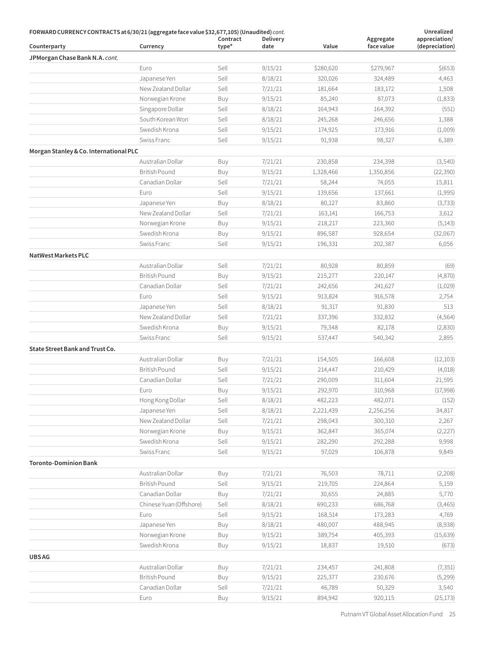|                                        | FORWARD CURRENCY CONTRACTS at 6/30/21 (aggregate face value \$32,677,105) (Unaudited) cont. | Contract | <b>Delivery</b> |           | Aggregate          | Unrealized<br>appreciation/ |
|----------------------------------------|---------------------------------------------------------------------------------------------|----------|-----------------|-----------|--------------------|-----------------------------|
| Counterparty                           | Currency                                                                                    | type*    | date            | Value     | face value         | (depreciation)              |
| JPMorgan Chase Bank N.A. cont.         |                                                                                             |          |                 |           |                    |                             |
|                                        | Euro                                                                                        | Sell     | 9/15/21         | \$280,620 | \$279,967          | \$ (653)                    |
|                                        | Japanese Yen                                                                                | Sell     | 8/18/21         | 320,026   | 324,489            | 4,463                       |
|                                        | New Zealand Dollar                                                                          | Sell     | 7/21/21         | 181,664   | 183,172            | 1,508                       |
|                                        | Norwegian Krone                                                                             | Buy      | 9/15/21         | 85,240    | 87,073             | (1,833)                     |
|                                        | Singapore Dollar                                                                            | Sell     | 8/18/21         | 164,943   | 164,392            | (551)                       |
|                                        | South Korean Won                                                                            | Sell     | 8/18/21         | 245,268   | 246,656            | 1,388                       |
|                                        | Swedish Krona                                                                               | Sell     | 9/15/21         | 174,925   | 173,916            | (1,009)                     |
|                                        | Swiss Franc                                                                                 | Sell     | 9/15/21         | 91,938    | 98,327             | 6,389                       |
| Morgan Stanley & Co. International PLC |                                                                                             |          |                 |           |                    |                             |
|                                        | Australian Dollar                                                                           | Buy      | 7/21/21         | 230,858   | 234,398            | (3,540)                     |
|                                        | <b>British Pound</b>                                                                        | Buy      | 9/15/21         | 1,328,466 | 1,350,856          | (22, 390)                   |
|                                        | Canadian Dollar                                                                             | Sell     | 7/21/21         | 58,244    | 74,055             | 15,811                      |
|                                        | Euro                                                                                        | Sell     | 9/15/21         | 139,656   | 137,661            | (1,995)                     |
|                                        | Japanese Yen                                                                                | Buy      | 8/18/21         | 80,127    | 83,860             | (3,733)                     |
|                                        | New Zealand Dollar                                                                          | Sell     | 7/21/21         | 163,141   | 166,753            | 3,612                       |
|                                        | Norwegian Krone                                                                             | Buy      | 9/15/21         | 218,217   | 223,360            | (5, 143)                    |
|                                        | Swedish Krona                                                                               | Buy      | 9/15/21         | 896,587   | 928,654            | (32,067)                    |
|                                        | Swiss Franc                                                                                 | Sell     | 9/15/21         | 196,331   | 202,387            | 6,056                       |
| <b>NatWest Markets PLC</b>             |                                                                                             |          |                 |           |                    |                             |
|                                        | Australian Dollar                                                                           | Sell     | 7/21/21         | 80,928    | 80,859             | (69)                        |
|                                        | <b>British Pound</b>                                                                        | Buy      | 9/15/21         | 215,277   | 220,147            | (4,870)                     |
|                                        | Canadian Dollar                                                                             | Sell     | 7/21/21         | 242,656   | 241,627            | (1,029)                     |
|                                        | Euro                                                                                        | Sell     | 9/15/21         | 913,824   | 916,578            | 2,754                       |
|                                        | Japanese Yen                                                                                | Sell     | 8/18/21         | 91,317    | 91,830             | 513                         |
|                                        | New Zealand Dollar                                                                          | Sell     | 7/21/21         | 337,396   | 332,832            | (4, 564)                    |
|                                        | Swedish Krona                                                                               | Buy      | 9/15/21         | 79,348    | 82,178             | (2,830)                     |
|                                        | Swiss Franc                                                                                 | Sell     | 9/15/21         | 537,447   | 540,342            | 2,895                       |
| State Street Bank and Trust Co.        |                                                                                             |          |                 |           |                    |                             |
|                                        | Australian Dollar                                                                           | Buy      | 7/21/21         | 154,505   | 166,608            | (12, 103)                   |
|                                        | <b>British Pound</b>                                                                        | Sell     | 9/15/21         | 214,447   | 210,429            | (4,018)                     |
|                                        | Canadian Dollar                                                                             | Sell     | 7/21/21         | 290,009   | 311,604            | 21,595                      |
|                                        | Euro                                                                                        | Buy      | 9/15/21         | 292,970   | 310,968            | (17,998)                    |
|                                        | Hong Kong Dollar                                                                            | Sell     | 8/18/21         | 482,223   | 482,071            | (152)                       |
|                                        | Japanese Yen                                                                                | Sell     | 8/18/21         | 2,221,439 | 2,256,256          | 34,817                      |
|                                        | New Zealand Dollar                                                                          | Sell     | 7/21/21         | 298,043   | 300,310            | 2,267                       |
|                                        | Norwegian Krone                                                                             | Buy      |                 | 362,847   | 365,074            |                             |
|                                        | Swedish Krona                                                                               | Sell     | 9/15/21         |           |                    | (2,227)                     |
|                                        | Swiss Franc                                                                                 | Sell     | 9/15/21         | 282,290   | 292,288<br>106,878 | 9,998                       |
|                                        |                                                                                             |          | 9/15/21         | 97,029    |                    | 9,849                       |
| <b>Toronto-Dominion Bank</b>           |                                                                                             |          |                 |           |                    |                             |
|                                        | Australian Dollar                                                                           | Buy      | 7/21/21         | 76,503    | 78,711             | (2,208)                     |
|                                        | British Pound                                                                               | Sell     | 9/15/21         | 219,705   | 224,864            | 5,159                       |
|                                        | Canadian Dollar                                                                             | Buy      | 7/21/21         | 30,655    | 24,885             | 5,770                       |
|                                        | Chinese Yuan (Offshore)                                                                     | Sell     | 8/18/21         | 690,233   | 686,768            | (3,465)                     |
|                                        | Euro                                                                                        | Sell     | 9/15/21         | 168,514   | 173,283            | 4,769                       |
|                                        | Japanese Yen                                                                                | Buy      | 8/18/21         | 480,007   | 488,945            | (8,938)                     |
|                                        | Norwegian Krone                                                                             | Buy      | 9/15/21         | 389,754   | 405,393            | (15, 639)                   |
|                                        | Swedish Krona                                                                               | Buy      | 9/15/21         | 18,837    | 19,510             | (673)                       |
| <b>UBSAG</b>                           |                                                                                             |          |                 |           |                    |                             |
|                                        | Australian Dollar                                                                           | Buy      | 7/21/21         | 234,457   | 241,808            | (7, 351)                    |
|                                        | British Pound                                                                               | Buy      | 9/15/21         | 225,377   | 230,676            | (5,299)                     |
|                                        | Canadian Dollar                                                                             | Sell     | 7/21/21         | 46,789    | 50,329             | 3,540                       |
|                                        | Euro                                                                                        | Buy      | 9/15/21         | 894,942   | 920,115            | (25, 173)                   |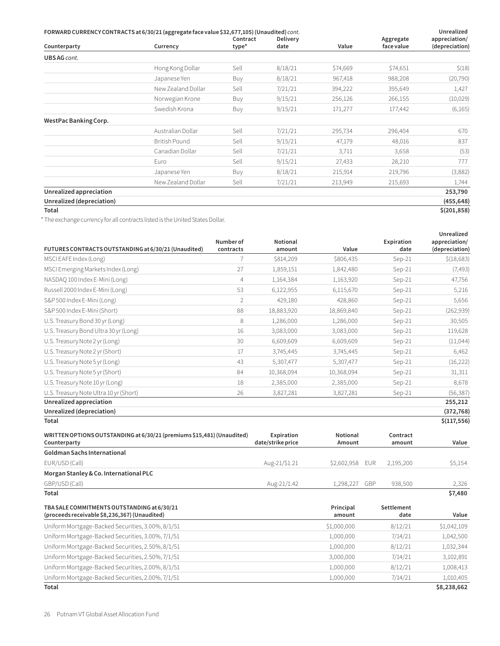| FORWARD CURRENCY CONTRACTS at 6/30/21 (aggregate face value \$32,677,105) (Unaudited) cont. |                      |          |                 |          |            | Unrealized     |
|---------------------------------------------------------------------------------------------|----------------------|----------|-----------------|----------|------------|----------------|
|                                                                                             |                      | Contract | <b>Delivery</b> |          | Aggregate  | appreciation/  |
| Counterparty                                                                                | Currency             | type*    | date            | Value    | face value | (depreciation) |
| <b>UBSAG</b> cont.                                                                          |                      |          |                 |          |            |                |
|                                                                                             | Hong Kong Dollar     | Sell     | 8/18/21         | \$74,669 | \$74,651   | $\zeta(18)$    |
|                                                                                             | Japanese Yen         | Buy      | 8/18/21         | 967,418  | 988,208    | (20, 790)      |
|                                                                                             | New Zealand Dollar   | Sell     | 7/21/21         | 394,222  | 395,649    | 1,427          |
|                                                                                             | Norwegian Krone      | Buy      | 9/15/21         | 256,126  | 266,155    | (10, 029)      |
|                                                                                             | Swedish Krona        | Buy      | 9/15/21         | 171,277  | 177,442    | (6,165)        |
| WestPac Banking Corp.                                                                       |                      |          |                 |          |            |                |
|                                                                                             | Australian Dollar    | Sell     | 7/21/21         | 295,734  | 296,404    | 670            |
|                                                                                             | <b>British Pound</b> | Sell     | 9/15/21         | 47,179   | 48,016     | 837            |
|                                                                                             | Canadian Dollar      | Sell     | 7/21/21         | 3,711    | 3,658      | (53)           |
|                                                                                             | Euro                 | Sell     | 9/15/21         | 27,433   | 28,210     | 777            |
|                                                                                             | Japanese Yen         | Buy      | 8/18/21         | 215,914  | 219,796    | (3,882)        |
|                                                                                             | New Zealand Dollar   | Sell     | 7/21/21         | 213,949  | 215,693    | 1,744          |
| Unrealized appreciation                                                                     |                      |          |                 |          |            | 253,790        |
| Unrealized (depreciation)                                                                   |                      |          |                 |          |            | (455, 648)     |
| Total                                                                                       |                      |          |                 |          |            | \$(201, 858)   |

\* The exchange currency for all contracts listed is the United States Dollar.

| FUTURES CONTRACTS OUTSTANDING at 6/30/21 (Unaudited)                                         | Number of<br>contracts | Notional<br>amount              | Value               | Expiration<br>date      | Unrealized<br>appreciation/<br>(depreciation) |
|----------------------------------------------------------------------------------------------|------------------------|---------------------------------|---------------------|-------------------------|-----------------------------------------------|
| MSCI EAFE Index (Long)                                                                       | $\overline{1}$         | \$814,209                       | \$806,435           | Sep-21                  | \$(18, 683)                                   |
| MSCI Emerging Markets Index (Long)                                                           | 27                     | 1,859,151                       | 1,842,480           | $Sep-21$                | (7,493)                                       |
| NASDAQ 100 Index E-Mini (Long)                                                               | $\overline{4}$         | 1,164,384                       | 1,163,920           | Sep-21                  | 47,756                                        |
| Russell 2000 Index E-Mini (Long)                                                             | 53                     | 6,122,955                       | 6,115,670           | Sep-21                  | 5,216                                         |
| S&P 500 Index E-Mini (Long)                                                                  | $\overline{2}$         | 429,180                         | 428,860             | $Sep-21$                | 5,656                                         |
| S&P 500 Index E-Mini (Short)                                                                 | 88                     | 18,883,920                      | 18,869,840          | $Sep-21$                | (262, 939)                                    |
| U.S. Treasury Bond 30 yr (Long)                                                              | 8                      | 1,286,000                       | 1,286,000           | $Sep-21$                | 30,505                                        |
| U.S. Treasury Bond Ultra 30 yr (Long)                                                        | 16                     | 3,083,000                       | 3,083,000           | Sep-21                  | 119,628                                       |
| U.S. Treasury Note 2 yr (Long)                                                               | 30                     | 6,609,609                       | 6,609,609           | Sep-21                  | (11, 044)                                     |
| U.S. Treasury Note 2 yr (Short)                                                              | 17                     | 3,745,445                       | 3,745,445           | $Sep-21$                | 6,462                                         |
| U.S. Treasury Note 5 yr (Long)                                                               | 43                     | 5,307,477                       | 5,307,477           | Sep-21                  | (16, 222)                                     |
| U.S. Treasury Note 5 yr (Short)                                                              | 84                     | 10,368,094                      | 10,368,094          | Sep-21                  | 31,311                                        |
| U.S. Treasury Note 10 yr (Long)                                                              | 18                     | 2,385,000                       | 2,385,000           | Sep-21                  | 8,678                                         |
| U.S. Treasury Note Ultra 10 yr (Short)                                                       | 26                     | 3,827,281                       | 3,827,281           | Sep-21                  | (56, 387)                                     |
| Unrealized appreciation                                                                      |                        |                                 |                     |                         | 255,212                                       |
| Unrealized (depreciation)                                                                    |                        |                                 |                     |                         | (372, 768)                                    |
| Total                                                                                        |                        |                                 |                     |                         | \$(117, 556)                                  |
| WRITTEN OPTIONS OUTSTANDING at 6/30/21 (premiums \$15,481) (Unaudited)<br>Counterparty       |                        | Expiration<br>date/strike price | Notional<br>Amount  | Contract<br>amount      | Value                                         |
| <b>Goldman Sachs International</b>                                                           |                        |                                 |                     |                         |                                               |
| EUR/USD (Call)                                                                               |                        | Aug-21/\$1.21                   | \$2,602,958         | <b>EUR</b><br>2,195,200 | \$5,154                                       |
| Morgan Stanley & Co. International PLC                                                       |                        |                                 |                     |                         |                                               |
| GBP/USD (Call)                                                                               |                        | Aug-21/1.42                     | 1,298,227           | GBP<br>938,500          | 2,326                                         |
| Total                                                                                        |                        |                                 |                     |                         | \$7,480                                       |
| TBA SALE COMMITMENTS OUTSTANDING at 6/30/21<br>(proceeds receivable \$8,236,367) (Unaudited) |                        |                                 | Principal<br>amount | Settlement<br>date      | Value                                         |
| Uniform Mortgage-Backed Securities, 3.00%, 8/1/51                                            |                        |                                 | \$1,000,000         | 8/12/21                 | \$1,042,109                                   |
| Uniform Mortgage-Backed Securities, 3.00%, 7/1/51                                            |                        |                                 | 1,000,000           | 7/14/21                 | 1,042,500                                     |
| Uniform Mortgage-Backed Securities, 2.50%, 8/1/51                                            |                        |                                 | 1,000,000           | 8/12/21                 | 1,032,344                                     |
| Uniform Mortgage-Backed Securities, 2.50%, 7/1/51                                            |                        |                                 | 3,000,000           | 7/14/21                 | 3,102,891                                     |
| Uniform Mortgage-Backed Securities, 2.00%, 8/1/51                                            |                        |                                 | 1,000,000           | 8/12/21                 | 1,008,413                                     |
| Uniform Mortgage-Backed Securities, 2.00%, 7/1/51                                            |                        |                                 | 1,000,000           | 7/14/21                 | 1,010,405                                     |
| Total                                                                                        |                        |                                 |                     |                         | \$8,238,662                                   |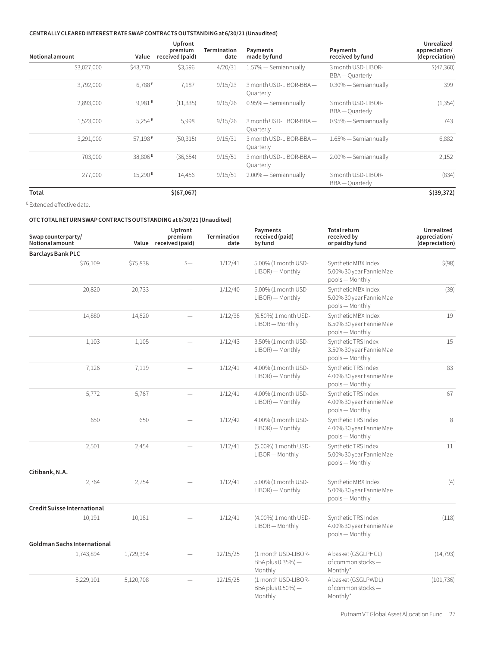# **CENTRALLY CLEARED INTEREST RATE SWAP CONTRACTS OUTSTANDING at 6/30/21 (Unaudited)**

| <b>Notional amount</b> | Value               | Upfront<br>premium<br>received (paid) | <b>Termination</b><br>date | Payments<br>made by fund            | Payments<br>received by fund                 | Unrealized<br>appreciation/<br>(depreciation) |
|------------------------|---------------------|---------------------------------------|----------------------------|-------------------------------------|----------------------------------------------|-----------------------------------------------|
| \$3,027,000            | \$43,770            | \$3,596                               | 4/20/31                    | 1.57% - Semiannually                | 3 month USD-LIBOR-<br><b>BBA</b> - Quarterly | \$(47,360)                                    |
| 3,792,000              | 6,788E              | 7,187                                 | 9/15/23                    | 3 month USD-LIBOR-BBA-<br>Quarterly | 0.30% - Semiannually                         | 399                                           |
| 2,893,000              | 9,981E              | (11, 335)                             | 9/15/26                    | $0.95\%$ - Semiannually             | 3 month USD-LIBOR-<br>BBA-Quarterly          | (1, 354)                                      |
| 1,523,000              | 5,254E              | 5,998                                 | 9/15/26                    | 3 month USD-LIBOR-BBA-<br>Quarterly | $0.95\%$ - Semiannually                      | 743                                           |
| 3,291,000              | 57,198 <sup>E</sup> | (50, 315)                             | 9/15/31                    | 3 month USD-LIBOR-BBA-<br>Quarterly | $1.65\%$ - Semiannually                      | 6,882                                         |
| 703,000                | 38,806 <sup>E</sup> | (36, 654)                             | 9/15/51                    | 3 month USD-LIBOR-BBA-<br>Quarterly | 2.00% - Semiannually                         | 2,152                                         |
| 277,000                | 15.290E             | 14,456                                | 9/15/51                    | 2.00% - Semiannually                | 3 month USD-LIBOR-<br>BBA-Quarterly          | (834)                                         |
| Total                  |                     | \$(67,067)                            |                            |                                     |                                              | \$(39,372)                                    |

<sup>E</sup> Extended effective date.

# **OTC TOTAL RETURN SWAP CONTRACTS OUTSTANDING at 6/30/21 (Unaudited)**

| Swap counterparty/<br>Notional amount |           | Upfront<br>premium<br>Value received (paid) | Termination<br>date | Payments<br>received (paid)<br>by fund              | <b>Total return</b><br>received by<br>or paid by fund              | Unrealized<br>appreciation/<br>(depreciation) |
|---------------------------------------|-----------|---------------------------------------------|---------------------|-----------------------------------------------------|--------------------------------------------------------------------|-----------------------------------------------|
| <b>Barclays Bank PLC</b>              |           |                                             |                     |                                                     |                                                                    |                                               |
| \$76,109                              | \$75,838  | $S-$                                        | 1/12/41             | 5.00% (1 month USD-<br>LIBOR) - Monthly             | Synthetic MBX Index<br>5.00% 30 year Fannie Mae<br>pools - Monthly | \$ (98)                                       |
| 20,820                                | 20,733    | $\overline{\phantom{0}}$                    | 1/12/40             | 5.00% (1 month USD-<br>$LIBOR$ ) - Monthly          | Synthetic MBX Index<br>5.00% 30 year Fannie Mae<br>pools-Monthly   | (39)                                          |
| 14,880                                | 14,820    |                                             | 1/12/38             | (6.50%) 1 month USD-<br>LIBOR - Monthly             | Synthetic MBX Index<br>6.50% 30 year Fannie Mae<br>pools-Monthly   | 19                                            |
| 1,103                                 | 1,105     |                                             | 1/12/43             | 3.50% (1 month USD-<br>$LIBOR$ ) - Monthly          | Synthetic TRS Index<br>3.50% 30 year Fannie Mae<br>pools - Monthly | 15                                            |
| 7,126                                 | 7,119     |                                             | 1/12/41             | 4.00% (1 month USD-<br>LIBOR) - Monthly             | Synthetic TRS Index<br>4.00% 30 year Fannie Mae<br>pools - Monthly | 83                                            |
| 5,772                                 | 5,767     |                                             | 1/12/41             | 4.00% (1 month USD-<br>LIBOR) - Monthly             | Synthetic TRS Index<br>4.00% 30 year Fannie Mae<br>pools - Monthly | 67                                            |
| 650                                   | 650       | $\overline{\phantom{0}}$                    | 1/12/42             | 4.00% (1 month USD-<br>$LIBOR$ ) — Monthly          | Synthetic TRS Index<br>4.00% 30 year Fannie Mae<br>pools - Monthly | 8                                             |
| 2,501                                 | 2,454     |                                             | 1/12/41             | (5.00%) 1 month USD-<br>LIBOR - Monthly             | Synthetic TRS Index<br>5.00% 30 year Fannie Mae<br>pools - Monthly | 11                                            |
| Citibank, N.A.                        |           |                                             |                     |                                                     |                                                                    |                                               |
| 2,764                                 | 2,754     |                                             | 1/12/41             | 5.00% (1 month USD-<br>$LIBOR$ ) - Monthly          | Synthetic MBX Index<br>5.00% 30 year Fannie Mae<br>pools - Monthly | (4)                                           |
| <b>Credit Suisse International</b>    |           |                                             |                     |                                                     |                                                                    |                                               |
| 10,191                                | 10,181    |                                             | 1/12/41             | (4.00%) 1 month USD-<br>LIBOR - Monthly             | Synthetic TRS Index<br>4.00% 30 year Fannie Mae<br>pools - Monthly | (118)                                         |
| Goldman Sachs International           |           |                                             |                     |                                                     |                                                                    |                                               |
| 1,743,894                             | 1,729,394 |                                             | 12/15/25            | (1 month USD-LIBOR-<br>BBA plus 0.35%) -<br>Monthly | A basket (GSGLPHCL)<br>of common stocks-<br>Monthly*               | (14, 793)                                     |
| 5,229,101                             | 5,120,708 | $\overline{\phantom{0}}$                    | 12/15/25            | (1 month USD-LIBOR-<br>BBA plus 0.50%) -<br>Monthly | A basket (GSGLPWDL)<br>of common stocks-<br>Monthly*               | (101, 736)                                    |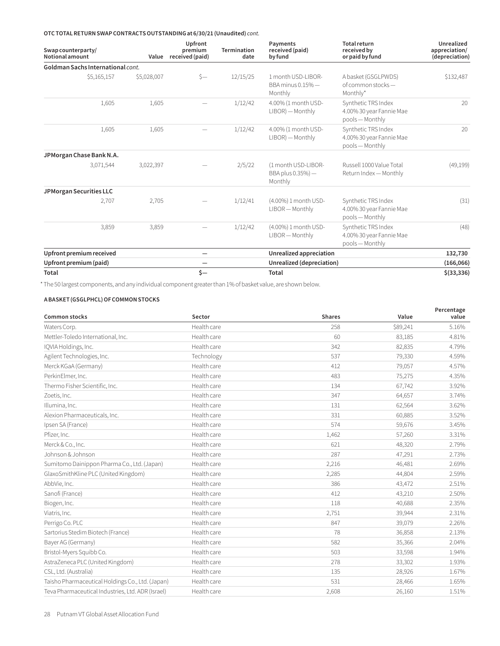# **OTC TOTAL RETURN SWAP CONTRACTS OUTSTANDING at 6/30/21 (Unaudited)** *cont.*

| Swap counterparty/<br>Notional amount |             | Upfront<br>premium<br>Value received (paid) | <b>Termination</b><br>date | Payments<br>received (paid)<br>by fund              | <b>Total return</b><br>received by<br>or paid by fund              | Unrealized<br>appreciation/<br>(depreciation) |
|---------------------------------------|-------------|---------------------------------------------|----------------------------|-----------------------------------------------------|--------------------------------------------------------------------|-----------------------------------------------|
| Goldman Sachs International cont.     |             |                                             |                            |                                                     |                                                                    |                                               |
| \$5,165,157                           | \$5,028,007 | $s-$                                        | 12/15/25                   | 1 month USD-LIBOR-<br>BBA minus 0.15% -<br>Monthly  | A basket (GSGLPWDS)<br>of common stocks -<br>Monthly*              | \$132,487                                     |
| 1,605                                 | 1.605       |                                             | 1/12/42                    | 4.00% (1 month USD-<br>$LIBOR$ ) - Monthly          | Synthetic TRS Index<br>4.00% 30 year Fannie Mae<br>pools - Monthly | 20                                            |
| 1,605                                 | 1,605       |                                             | 1/12/42                    | 4.00% (1 month USD-<br>LIBOR) - Monthly             | Synthetic TRS Index<br>4.00% 30 year Fannie Mae<br>pools - Monthly | 20                                            |
| JPMorgan Chase Bank N.A.              |             |                                             |                            |                                                     |                                                                    |                                               |
| 3,071,544                             | 3,022,397   |                                             | 2/5/22                     | (1 month USD-LIBOR-<br>BBA plus 0.35%) -<br>Monthly | Russell 1000 Value Total<br>Return Index - Monthly                 | (49, 199)                                     |
| JPMorgan Securities LLC               |             |                                             |                            |                                                     |                                                                    |                                               |
| 2,707                                 | 2,705       |                                             | 1/12/41                    | (4.00%) 1 month USD-<br>LIBOR - Monthly             | Synthetic TRS Index<br>4.00% 30 year Fannie Mae<br>pools - Monthly | (31)                                          |
| 3,859                                 | 3,859       |                                             | 1/12/42                    | (4.00%) 1 month USD-<br>LIBOR - Monthly             | Synthetic TRS Index<br>4.00% 30 year Fannie Mae<br>pools - Monthly | (48)                                          |
| Upfront premium received              |             |                                             |                            | Unrealized appreciation                             |                                                                    | 132,730                                       |
| Upfront premium (paid)                |             | $\qquad \qquad -$                           |                            | Unrealized (depreciation)                           |                                                                    | (166, 066)                                    |
| Total                                 |             | $s-$                                        |                            | Total                                               |                                                                    | $$$ (33,336)                                  |

\* The 50 largest components, and any individual component greater than 1% of basket value, are shown below.

# **A BASKET (GSGLPHCL) OF COMMON STOCKS**

| <b>Common stocks</b>                              | Sector      | <b>Shares</b> | Value    | Percentage<br>value |
|---------------------------------------------------|-------------|---------------|----------|---------------------|
| Waters Corp.                                      | Health care | 258           | \$89,241 | 5.16%               |
| Mettler-Toledo International, Inc.                | Health care | 60            | 83,185   | 4.81%               |
| IQVIA Holdings, Inc.                              | Health care | 342           | 82,835   | 4.79%               |
| Agilent Technologies, Inc.                        | Technology  | 537           | 79,330   | 4.59%               |
| Merck KGaA (Germany)                              | Health care | 412           | 79,057   | 4.57%               |
| PerkinElmer, Inc.                                 | Health care | 483           | 75,275   | 4.35%               |
| Thermo Fisher Scientific, Inc.                    | Health care | 134           | 67,742   | 3.92%               |
| Zoetis, Inc.                                      | Health care | 347           | 64,657   | 3.74%               |
| Illumina, Inc.                                    | Health care | 131           | 62,564   | 3.62%               |
| Alexion Pharmaceuticals, Inc.                     | Health care | 331           | 60,885   | 3.52%               |
| Ipsen SA (France)                                 | Health care | 574           | 59,676   | 3.45%               |
| Pfizer, Inc.                                      | Health care | 1,462         | 57,260   | 3.31%               |
| Merck & Co., Inc.                                 | Health care | 621           | 48,320   | 2.79%               |
| Johnson & Johnson                                 | Health care | 287           | 47,291   | 2.73%               |
| Sumitomo Dainippon Pharma Co., Ltd. (Japan)       | Health care | 2,216         | 46,481   | 2.69%               |
| GlaxoSmithKline PLC (United Kingdom)              | Health care | 2,285         | 44,804   | 2.59%               |
| AbbVie, Inc.                                      | Health care | 386           | 43,472   | 2.51%               |
| Sanofi (France)                                   | Health care | 412           | 43,210   | 2.50%               |
| Biogen, Inc.                                      | Health care | 118           | 40,688   | 2.35%               |
| Viatris, Inc.                                     | Health care | 2,751         | 39,944   | 2.31%               |
| Perrigo Co. PLC                                   | Health care | 847           | 39,079   | 2.26%               |
| Sartorius Stedim Biotech (France)                 | Health care | 78            | 36,858   | 2.13%               |
| Bayer AG (Germany)                                | Health care | 582           | 35,366   | 2.04%               |
| Bristol-Myers Squibb Co.                          | Health care | 503           | 33,598   | 1.94%               |
| AstraZeneca PLC (United Kingdom)                  | Health care | 278           | 33,302   | 1.93%               |
| CSL, Ltd. (Australia)                             | Health care | 135           | 28,926   | 1.67%               |
| Taisho Pharmaceutical Holdings Co., Ltd. (Japan)  | Health care | 531           | 28,466   | 1.65%               |
| Teva Pharmaceutical Industries, Ltd. ADR (Israel) | Health care | 2,608         | 26,160   | 1.51%               |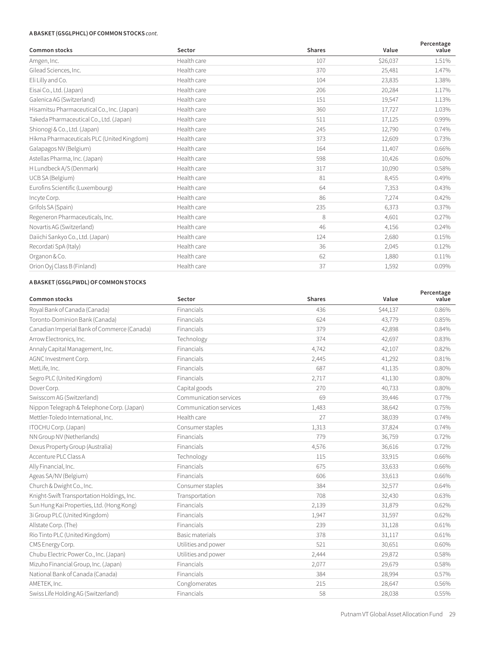# **A BASKET (GSGLPHCL) OF COMMON STOCKS** *cont.*

| <b>Common stocks</b>                       | Sector      | <b>Shares</b> | Value    | Percentage<br>value |
|--------------------------------------------|-------------|---------------|----------|---------------------|
| Amgen, Inc.                                | Health care | 107           | \$26,037 | 1.51%               |
| Gilead Sciences, Inc.                      | Health care | 370           | 25,481   | 1.47%               |
| Eli Lilly and Co.                          | Health care | 104           | 23,835   | 1.38%               |
| Eisai Co., Ltd. (Japan)                    | Health care | 206           | 20,284   | 1.17%               |
| Galenica AG (Switzerland)                  | Health care | 151           | 19,547   | 1.13%               |
| Hisamitsu Pharmaceutical Co., Inc. (Japan) | Health care | 360           | 17,727   | 1.03%               |
| Takeda Pharmaceutical Co., Ltd. (Japan)    | Health care | 511           | 17,125   | 0.99%               |
| Shionogi & Co., Ltd. (Japan)               | Health care | 245           | 12,790   | 0.74%               |
| Hikma Pharmaceuticals PLC (United Kingdom) | Health care | 373           | 12,609   | 0.73%               |
| Galapagos NV (Belgium)                     | Health care | 164           | 11,407   | 0.66%               |
| Astellas Pharma, Inc. (Japan)              | Health care | 598           | 10,426   | 0.60%               |
| H Lundbeck A/S (Denmark)                   | Health care | 317           | 10,090   | 0.58%               |
| UCB SA (Belgium)                           | Health care | 81            | 8,455    | 0.49%               |
| Eurofins Scientific (Luxembourg)           | Health care | 64            | 7,353    | 0.43%               |
| Incyte Corp.                               | Health care | 86            | 7,274    | 0.42%               |
| Grifols SA (Spain)                         | Health care | 235           | 6,373    | 0.37%               |
| Regeneron Pharmaceuticals, Inc.            | Health care | 8             | 4,601    | 0.27%               |
| Novartis AG (Switzerland)                  | Health care | 46            | 4,156    | 0.24%               |
| Daiichi Sankyo Co., Ltd. (Japan)           | Health care | 124           | 2,680    | 0.15%               |
| Recordati SpA (Italy)                      | Health care | 36            | 2,045    | 0.12%               |
| Organon & Co.                              | Health care | 62            | 1,880    | 0.11%               |
| Orion Oyj Class B (Finland)                | Health care | 37            | 1,592    | 0.09%               |
|                                            |             |               |          |                     |

# **A BASKET (GSGLPWDL) OF COMMON STOCKS**

| <b>Common stocks</b>                        | Sector                 | <b>Shares</b> | Value    | Percentage<br>value |
|---------------------------------------------|------------------------|---------------|----------|---------------------|
| Royal Bank of Canada (Canada)               | Financials             | 436           | \$44,137 | 0.86%               |
| Toronto-Dominion Bank (Canada)              | Financials             | 624           | 43,779   | 0.85%               |
| Canadian Imperial Bank of Commerce (Canada) | Financials             | 379           | 42,898   | 0.84%               |
| Arrow Electronics, Inc.                     | Technology             | 374           | 42,697   | 0.83%               |
| Annaly Capital Management, Inc.             | Financials             | 4,742         | 42,107   | 0.82%               |
| AGNC Investment Corp.                       | Financials             | 2,445         | 41,292   | 0.81%               |
| MetLife, Inc.                               | Financials             | 687           | 41,135   | 0.80%               |
| Segro PLC (United Kingdom)                  | Financials             | 2,717         | 41,130   | 0.80%               |
| Dover Corp.                                 | Capital goods          | 270           | 40,733   | 0.80%               |
| Swisscom AG (Switzerland)                   | Communication services | 69            | 39,446   | 0.77%               |
| Nippon Telegraph & Telephone Corp. (Japan)  | Communication services | 1,483         | 38,642   | 0.75%               |
| Mettler-Toledo International, Inc.          | Health care            | 27            | 38,039   | 0.74%               |
| ITOCHU Corp. (Japan)                        | Consumer staples       | 1,313         | 37,824   | 0.74%               |
| NN Group NV (Netherlands)                   | Financials             | 779           | 36,759   | 0.72%               |
| Dexus Property Group (Australia)            | Financials             | 4,576         | 36,616   | 0.72%               |
| Accenture PLC Class A                       | Technology             | 115           | 33,915   | 0.66%               |
| Ally Financial, Inc.                        | Financials             | 675           | 33,633   | 0.66%               |
| Ageas SA/NV (Belgium)                       | Financials             | 606           | 33,613   | 0.66%               |
| Church & Dwight Co., Inc.                   | Consumer staples       | 384           | 32,577   | 0.64%               |
| Knight-Swift Transportation Holdings, Inc.  | Transportation         | 708           | 32,430   | 0.63%               |
| Sun Hung Kai Properties, Ltd. (Hong Kong)   | Financials             | 2,139         | 31,879   | 0.62%               |
| 3i Group PLC (United Kingdom)               | Financials             | 1,947         | 31,597   | 0.62%               |
| Allstate Corp. (The)                        | Financials             | 239           | 31,128   | 0.61%               |
| Rio Tinto PLC (United Kingdom)              | <b>Basic materials</b> | 378           | 31,117   | 0.61%               |
| CMS Energy Corp.                            | Utilities and power    | 521           | 30,651   | 0.60%               |
| Chubu Electric Power Co., Inc. (Japan)      | Utilities and power    | 2,444         | 29,872   | 0.58%               |
| Mizuho Financial Group, Inc. (Japan)        | Financials             | 2,077         | 29,679   | 0.58%               |
| National Bank of Canada (Canada)            | Financials             | 384           | 28,994   | 0.57%               |
| AMETEK, Inc.                                | Conglomerates          | 215           | 28,647   | 0.56%               |
| Swiss Life Holding AG (Switzerland)         | Financials             | 58            | 28,038   | 0.55%               |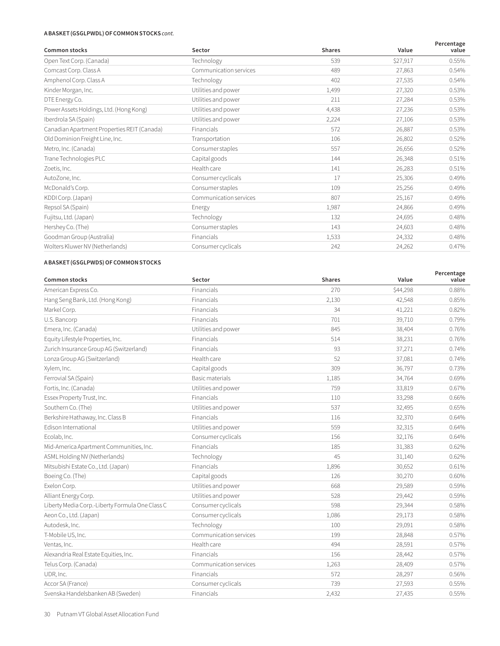# **A BASKET (GSGLPWDL) OF COMMON STOCKS** *cont.*

| <b>Common stocks</b>                        | Sector                 | <b>Shares</b> | Value    | Percentage<br>value |
|---------------------------------------------|------------------------|---------------|----------|---------------------|
| Open Text Corp. (Canada)                    | Technology             | 539           | \$27,917 | 0.55%               |
| Comcast Corp. Class A                       | Communication services | 489           | 27,863   | 0.54%               |
| Amphenol Corp. Class A                      | Technology             | 402           | 27,535   | 0.54%               |
| Kinder Morgan, Inc.                         | Utilities and power    | 1,499         | 27,320   | 0.53%               |
| DTE Energy Co.                              | Utilities and power    | 211           | 27,284   | 0.53%               |
| Power Assets Holdings, Ltd. (Hong Kong)     | Utilities and power    | 4,438         | 27,236   | 0.53%               |
| Iberdrola SA (Spain)                        | Utilities and power    | 2,224         | 27,106   | 0.53%               |
| Canadian Apartment Properties REIT (Canada) | Financials             | 572           | 26,887   | 0.53%               |
| Old Dominion Freight Line, Inc.             | Transportation         | 106           | 26,802   | 0.52%               |
| Metro, Inc. (Canada)                        | Consumer staples       | 557           | 26,656   | 0.52%               |
| Trane Technologies PLC                      | Capital goods          | 144           | 26,348   | 0.51%               |
| Zoetis, Inc.                                | Health care            | 141           | 26,283   | 0.51%               |
| AutoZone, Inc.                              | Consumer cyclicals     | 17            | 25,306   | 0.49%               |
| McDonald's Corp.                            | Consumer staples       | 109           | 25,256   | 0.49%               |
| KDDI Corp. (Japan)                          | Communication services | 807           | 25,167   | 0.49%               |
| Repsol SA (Spain)                           | Energy                 | 1,987         | 24,866   | 0.49%               |
| Fujitsu, Ltd. (Japan)                       | Technology             | 132           | 24,695   | 0.48%               |
| Hershey Co. (The)                           | Consumer staples       | 143           | 24,603   | 0.48%               |
| Goodman Group (Australia)                   | Financials             | 1,533         | 24,332   | 0.48%               |
| Wolters Kluwer NV (Netherlands)             | Consumer cyclicals     | 242           | 24,262   | 0.47%               |

# **A BASKET (GSGLPWDS) OF COMMON STOCKS**

| Common stocks                                   | Sector                 | <b>Shares</b> | Value    | Percentage<br>value |
|-------------------------------------------------|------------------------|---------------|----------|---------------------|
| American Express Co.                            | Financials             | 270           | \$44,298 | 0.88%               |
| Hang Seng Bank, Ltd. (Hong Kong)                | Financials             | 2,130         | 42,548   | 0.85%               |
| Markel Corp.                                    | Financials             | 34            | 41,221   | 0.82%               |
| U.S. Bancorp                                    | Financials             | 701           | 39,710   | 0.79%               |
| Emera, Inc. (Canada)                            | Utilities and power    | 845           | 38,404   | 0.76%               |
| Equity Lifestyle Properties, Inc.               | Financials             | 514           | 38,231   | 0.76%               |
| Zurich Insurance Group AG (Switzerland)         | Financials             | 93            | 37,271   | 0.74%               |
| Lonza Group AG (Switzerland)                    | Health care            | 52            | 37,081   | 0.74%               |
| Xylem, Inc.                                     | Capital goods          | 309           | 36,797   | 0.73%               |
| Ferrovial SA (Spain)                            | <b>Basic materials</b> | 1,185         | 34,764   | 0.69%               |
| Fortis, Inc. (Canada)                           | Utilities and power    | 759           | 33,819   | 0.67%               |
| Essex Property Trust, Inc.                      | Financials             | 110           | 33,298   | 0.66%               |
| Southern Co. (The)                              | Utilities and power    | 537           | 32,495   | 0.65%               |
| Berkshire Hathaway, Inc. Class B                | Financials             | 116           | 32,370   | 0.64%               |
| Edison International                            | Utilities and power    | 559           | 32,315   | 0.64%               |
| Ecolab, Inc.                                    | Consumer cyclicals     | 156           | 32,176   | 0.64%               |
| Mid-America Apartment Communities, Inc.         | Financials             | 185           | 31,383   | 0.62%               |
| ASML Holding NV (Netherlands)                   | Technology             | 45            | 31,140   | 0.62%               |
| Mitsubishi Estate Co., Ltd. (Japan)             | Financials             | 1,896         | 30,652   | 0.61%               |
| Boeing Co. (The)                                | Capital goods          | 126           | 30,270   | 0.60%               |
| Exelon Corp.                                    | Utilities and power    | 668           | 29,589   | 0.59%               |
| Alliant Energy Corp.                            | Utilities and power    | 528           | 29,442   | 0.59%               |
| Liberty Media Corp.-Liberty Formula One Class C | Consumer cyclicals     | 598           | 29,344   | 0.58%               |
| Aeon Co., Ltd. (Japan)                          | Consumer cyclicals     | 1,086         | 29,173   | 0.58%               |
| Autodesk, Inc.                                  | Technology             | 100           | 29,091   | 0.58%               |
| T-Mobile US, Inc.                               | Communication services | 199           | 28,848   | 0.57%               |
| Ventas, Inc.                                    | Health care            | 494           | 28,591   | 0.57%               |
| Alexandria Real Estate Equities, Inc.           | Financials             | 156           | 28,442   | 0.57%               |
| Telus Corp. (Canada)                            | Communication services | 1,263         | 28,409   | 0.57%               |
| UDR, Inc.                                       | Financials             | 572           | 28,297   | 0.56%               |
| Accor SA (France)                               | Consumer cyclicals     | 739           | 27,593   | 0.55%               |
| Svenska Handelsbanken AB (Sweden)               | Financials             | 2,432         | 27,435   | 0.55%               |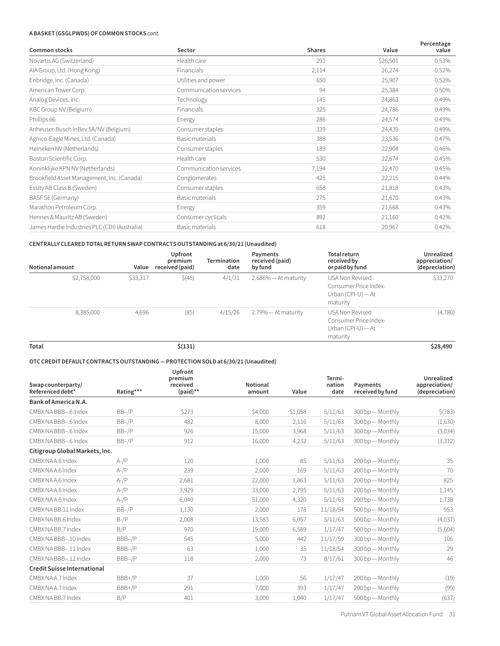# **A BASKET (GSGLPWDS) OF COMMON STOCKS** *cont.*

| <b>Common stocks</b>                          | Sector                 | <b>Shares</b> | Value    | Percentage<br>value |
|-----------------------------------------------|------------------------|---------------|----------|---------------------|
| Novartis AG (Switzerland)                     | Health care            | 291           | \$26,501 | 0.53%               |
| AIA Group, Ltd. (Hong Kong)                   | Financials             | 2,114         | 26,274   | 0.52%               |
| Enbridge, Inc. (Canada)                       | Utilities and power    | 650           | 25,907   | 0.52%               |
| American Tower Corp.                          | Communication services | 94            | 25,384   | 0.50%               |
| Analog Devices, Inc.                          | Technology             | 145           | 24,863   | 0.49%               |
| KBC Group NV (Belgium)                        | Financials             | 325           | 24,786   | 0.49%               |
| Phillips 66                                   | Energy                 | 286           | 24,574   | 0.49%               |
| Anheuser-Busch InBev SA/NV (Belgium)          | Consumer staples       | 339           | 24,439   | 0.49%               |
| Agnico-Eagle Mines, Ltd. (Canada)             | Basic materials        | 388           | 23,536   | 0.47%               |
| Heineken NV (Netherlands)                     | Consumer staples       | 189           | 22,904   | 0.46%               |
| Boston Scientific Corp.                       | Health care            | 530           | 22,674   | 0.45%               |
| Koninklijke KPN NV (Netherlands)              | Communication services | 7,194         | 22,470   | 0.45%               |
| Brookfield Asset Management, Inc. (Canada)    | Conglomerates          | 425           | 22,215   | 0.44%               |
| Essity AB Class B (Sweden)                    | Consumer staples       | 658           | 21,818   | 0.43%               |
| <b>BASF SE (Germany)</b>                      | <b>Basic materials</b> | 275           | 21,670   | 0.43%               |
| Marathon Petroleum Corp.                      | Energy                 | 359           | 21,668   | 0.43%               |
| Hennes & Mauritz AB (Sweden)                  | Consumer cyclicals     | 892           | 21,160   | 0.42%               |
| James Hardie Industries PLC (CDI) (Australia) | Basic materials        | 618           | 20,967   | 0.42%               |

# **CENTRALLY CLEARED TOTAL RETURN SWAP CONTRACTS OUTSTANDING at 6/30/21 (Unaudited)**

| Notional amount | Value    | Upfront<br>premium<br>received (paid) | Termination<br>date | Payments<br>received (paid)<br>by fund | <b>Total return</b><br>received by<br>or paid by fund                        | Unrealized<br>appreciation/<br>(depreciation) |
|-----------------|----------|---------------------------------------|---------------------|----------------------------------------|------------------------------------------------------------------------------|-----------------------------------------------|
| \$2,758,000     | \$33,317 | \$(46)                                | 4/1/31              | $2.686\%$ - At maturity                | USA Non Revised<br>Consumer Price Index-<br>Urban (CPI-U) $-$ At<br>maturity | \$33,270                                      |
| 8,385,000       | 4,696    | (85)                                  | 4/15/26             | 2.79% - At maturity                    | USA Non Revised<br>Consumer Price Index-<br>Urban (CPI-U) $-$ At<br>maturity | (4,780)                                       |
| Total           |          | \$(131)                               |                     |                                        |                                                                              | \$28,490                                      |

# **OTC CREDIT DEFAULT CONTRACTS OUTSTANDING — PROTECTION SOLD at 6/30/21 (Unaudited)**

| Swap counterparty/<br>Referenced debt* | Rating***  | <b>Upfront</b><br>premium<br>received<br>(paid)** | Notional<br>amount | Value   | Termi-<br>nation<br>date | Payments<br>received by fund | Unrealized<br>appreciation/<br>(depreciation) |
|----------------------------------------|------------|---------------------------------------------------|--------------------|---------|--------------------------|------------------------------|-----------------------------------------------|
| Bank of America N.A.                   |            |                                                   |                    |         |                          |                              |                                               |
| CMBX NA BBB-.6 Index                   | $BB-/P$    | \$273                                             | \$4,000            | \$1,058 | 5/11/63                  | 300 bp - Monthly             | \$ (783)                                      |
| CMBX NA BBB-.6 Index                   | $BB - /P$  | 482                                               | 8,000              | 2,116   | 5/11/63                  | $300$ bp $-$ Monthly         | (1,630)                                       |
| CMBX NA BBB-.6 Index                   | $BB-/P$    | 926                                               | 15,000             | 3,968   | 5/11/63                  | 300 bp - Monthly             | (3,034)                                       |
| CMBX NA BBB-.6 Index                   | $BB-/P$    | 912                                               | 16,000             | 4,232   | 5/11/63                  | $300$ bp $-$ Monthly         | (3,312)                                       |
| Citigroup Global Markets, Inc.         |            |                                                   |                    |         |                          |                              |                                               |
| CMBX NA A.6 Index                      | $A$ -/P    | 120                                               | 1,000              | 85      | 5/11/63                  | $200$ bp $-$ Monthly         | 35                                            |
| CMBX NA A.6 Index                      | $A$ -/P    | 239                                               | 2,000              | 169     | 5/11/63                  | 200 bp - Monthly             | 70                                            |
| CMBX NA A.6 Index                      | $A$ -/P    | 2,681                                             | 22,000             | 1,863   | 5/11/63                  | $200$ bp $-$ Monthly         | 825                                           |
| CMBX NA A.6 Index                      | $A$ -/P    | 3,929                                             | 33,000             | 2,795   | 5/11/63                  | $200$ bp $-$ Monthly         | 1,145                                         |
| CMBX NA A.6 Index                      | $A$ -/P    | 6,040                                             | 51,000             | 4,320   | 5/11/63                  | $200$ bp $-$ Monthly         | 1,738                                         |
| CMBX NA BB.11 Index                    | $BB-/P$    | 1,130                                             | 2,000              | 178     | 11/18/54                 | 500 bp - Monthly             | 953                                           |
| CMBX NA BB.6 Index                     | $B$ -/ $P$ | 2,008                                             | 13,583             | 6,057   | 5/11/63                  | 500 bp - Monthly             | (4,037)                                       |
| CMBX NA BB.7 Index                     | B/P        | 970                                               | 19,000             | 6,589   | 1/17/47                  | 500 bp - Monthly             | (5,604)                                       |
| CMBX NA BBB-.10 Index                  | BBB-/P     | 545                                               | 5,000              | 442     | 11/17/59                 | $300$ bp $-$ Monthly         | 106                                           |
| CMBX NA BBB-.11 Index                  | BBB-/P     | 63                                                | 1,000              | 35      | 11/18/54                 | 300 bp - Monthly             | 29                                            |
| CMBX NA BBB-.12 Index                  | BBB-/P     | 118                                               | 2,000              | 73      | 8/17/61                  | 300 bp - Monthly             | 46                                            |
| <b>Credit Suisse International</b>     |            |                                                   |                    |         |                          |                              |                                               |
| CMBX NAA.7 Index                       | BBB+/P     | 37                                                | 1,000              | 56      | 1/17/47                  | $200$ bp $-$ Monthly         | (19)                                          |
| CMBX NAA.7 Index                       | BBB+/P     | 291                                               | 7,000              | 393     | 1/17/47                  | $200$ bp $-$ Monthly         | (99)                                          |
| CMBX NA BB.7 Index                     | B/P        | 401                                               | 3,000              | 1,040   | 1/17/47                  | $500$ bp $-$ Monthly         | (637)                                         |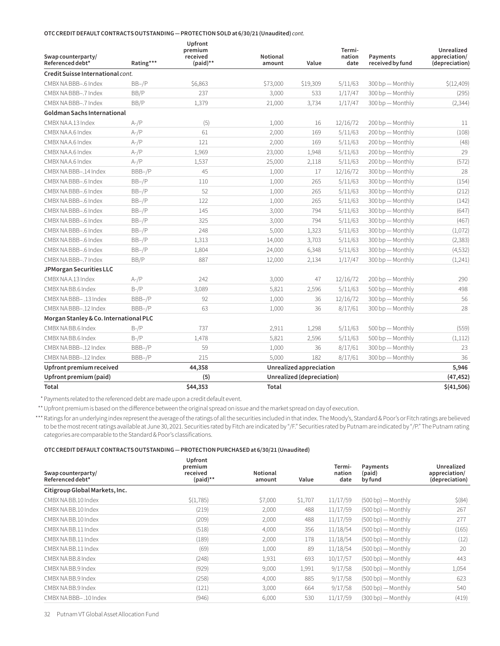#### **OTC CREDIT DEFAULT CONTRACTS OUTSTANDING — PROTECTION SOLD at 6/30/21 (Unaudited)** *cont.*

| Swap counterparty/<br>Referenced debt* | Rating***  | Upfront<br>premium<br>received<br>(paid)** | Notional<br>amount | Value                     | Termi-<br>nation<br>date | Payments<br>received by fund | Unrealized<br>appreciation/<br>(depreciation) |
|----------------------------------------|------------|--------------------------------------------|--------------------|---------------------------|--------------------------|------------------------------|-----------------------------------------------|
| Credit Suisse International cont.      |            |                                            |                    |                           |                          |                              |                                               |
| CMBX NA BBB-.6 Index                   | $BB-/P$    | \$6,863                                    | \$73,000           | \$19,309                  | 5/11/63                  | 300 bp - Monthly             | \$(12,409)                                    |
| CMBX NA BBB-.7 Index                   | BB/P       | 237                                        | 3,000              | 533                       | 1/17/47                  | 300 bp - Monthly             | (295)                                         |
| CMBX NA BBB-.7 Index                   | BB/P       | 1,379                                      | 21,000             | 3,734                     | 1/17/47                  | 300 bp - Monthly             | (2,344)                                       |
| <b>Goldman Sachs International</b>     |            |                                            |                    |                           |                          |                              |                                               |
| CMBX NA A.13 Index                     | $A - /P$   | (5)                                        | 1.000              | 16                        | 12/16/72                 | 200 bp - Monthly             | 11                                            |
| CMBX NA A.6 Index                      | $A - /P$   | 61                                         | 2,000              | 169                       | 5/11/63                  | 200 bp - Monthly             | (108)                                         |
| CMBX NA A.6 Index                      | $A$ -/P    | 121                                        | 2,000              | 169                       | 5/11/63                  | 200 bp - Monthly             | (48)                                          |
| CMBX NA A.6 Index                      | $A - /P$   | 1,969                                      | 23,000             | 1,948                     | 5/11/63                  | 200 bp - Monthly             | 29                                            |
| CMBX NA A.6 Index                      | $A - /P$   | 1,537                                      | 25,000             | 2,118                     | 5/11/63                  | 200 bp - Monthly             | (572)                                         |
| CMBX NA BBB-.14 Index                  | BBB-/P     | 45                                         | 1,000              | 17                        | 12/16/72                 | 300 bp - Monthly             | 28                                            |
| CMBX NA BBB-.6 Index                   | $BB-/P$    | 110                                        | 1,000              | 265                       | 5/11/63                  | 300 bp - Monthly             | (154)                                         |
| CMBX NA BBB-.6 Index                   | $BB-/P$    | 52                                         | 1,000              | 265                       | 5/11/63                  | 300 bp - Monthly             | (212)                                         |
| CMBX NA BBB-.6 Index                   | $BB-/P$    | 122                                        | 1,000              | 265                       | 5/11/63                  | $300$ bp $-$ Monthly         | (142)                                         |
| CMBX NA BBB-.6 Index                   | $BB - /P$  | 145                                        | 3,000              | 794                       | 5/11/63                  | 300 bp - Monthly             | (647)                                         |
| CMBX NA BBB-.6 Index                   | $BB-/P$    | 325                                        | 3,000              | 794                       | 5/11/63                  | 300 bp - Monthly             | (467)                                         |
| CMBX NA BBB-.6 Index                   | $BB-/P$    | 248                                        | 5,000              | 1,323                     | 5/11/63                  | 300 bp - Monthly             | (1,072)                                       |
| CMBX NA BBB-.6 Index                   | $BB - /P$  | 1,313                                      | 14,000             | 3,703                     | 5/11/63                  | 300 bp - Monthly             | (2, 383)                                      |
| CMBX NA BBB-.6 Index                   | $BB-/P$    | 1,804                                      | 24,000             | 6,348                     | 5/11/63                  | 300 bp - Monthly             | (4,532)                                       |
| CMBX NA BBB-.7 Index                   | BB/P       | 887                                        | 12,000             | 2,134                     | 1/17/47                  | 300 bp - Monthly             | (1,241)                                       |
| <b>JPMorgan Securities LLC</b>         |            |                                            |                    |                           |                          |                              |                                               |
| CMBX NA A.13 Index                     | $A-fP$     | 242                                        | 3,000              | 47                        | 12/16/72                 | 200 bp - Monthly             | 290                                           |
| CMBX NA BB.6 Index                     | $B$ -/ $P$ | 3,089                                      | 5,821              | 2,596                     | 5/11/63                  | 500 bp - Monthly             | 498                                           |
| CMBX NA BBB-.13 Index                  | BBB-/P     | 92                                         | 1,000              | 36                        | 12/16/72                 | 300 bp - Monthly             | 56                                            |
| CMBX NA BBB-.12 Index                  | BBB-/P     | 63                                         | 1,000              | 36                        | 8/17/61                  | 300 bp - Monthly             | 28                                            |
| Morgan Stanley & Co. International PLC |            |                                            |                    |                           |                          |                              |                                               |
| CMBX NA BB.6 Index                     | $B$ -/P    | 737                                        | 2,911              | 1,298                     | 5/11/63                  | $500bp - Monthly$            | (559)                                         |
| CMBX NA BB.6 Index                     | $B$ -/P    | 1,478                                      | 5,821              | 2,596                     | 5/11/63                  | 500 bp - Monthly             | (1,112)                                       |
| CMBX NA BBB-.12 Index                  | BBB-/P     | 59                                         | 1,000              | 36                        | 8/17/61                  | 300 bp - Monthly             | 23                                            |
| CMBX NA BBB-.12 Index                  | BBB-/P     | 215                                        | 5,000              | 182                       | 8/17/61                  | 300 bp - Monthly             | 36                                            |
| Upfront premium received               |            | 44,358                                     |                    | Unrealized appreciation   |                          |                              | 5,946                                         |
| Upfront premium (paid)                 |            | (5)                                        |                    | Unrealized (depreciation) |                          |                              | (47, 452)                                     |
| Total                                  |            | \$44,353                                   | Total              |                           |                          |                              | \$(41,506)                                    |

\* Payments related to the referenced debt are made upon a credit default event.

\*\* Upfront premium is based on the difference between the original spread on issue and the market spread on day of execution.

\*\*\* Ratings for an underlying index represent the average of the ratings of all the securities included in that index. The Moody's, Standard & Poor's or Fitch ratings are believed to be the most recent ratings available at June 30, 2021. Securities rated by Fitch are indicated by "/F." Securities rated by Putnam are indicated by "/P." The Putnam rating categories are comparable to the Standard & Poor's classifications.

#### **OTC CREDIT DEFAULT CONTRACTS OUTSTANDING — PROTECTION PURCHASED at 6/30/21 (Unaudited)**

| Swap counterparty/<br>Referenced debt* | Upfront<br>premium<br>received<br>$(paid)$ ** | Notional<br>amount | Value   | Termi-<br>nation<br>date | Payments<br>(paid)<br>by fund | Unrealized<br>appreciation/<br>(depreciation) |
|----------------------------------------|-----------------------------------------------|--------------------|---------|--------------------------|-------------------------------|-----------------------------------------------|
| Citigroup Global Markets, Inc.         |                                               |                    |         |                          |                               |                                               |
| CMBX NA BB.10 Index                    | \$(1,785)                                     | \$7,000            | \$1,707 | 11/17/59                 | $(500 bp)$ – Monthly          | \$ (84)                                       |
| CMBX NA BB.10 Index                    | (219)                                         | 2,000              | 488     | 11/17/59                 | $(500 bp)$ - Monthly          | 267                                           |
| CMBX NA BB.10 Index                    | (209)                                         | 2,000              | 488     | 11/17/59                 | $(500 bp)$ – Monthly          | 277                                           |
| CMBX NA BB.11 Index                    | (518)                                         | 4,000              | 356     | 11/18/54                 | $(500 bp)$ – Monthly          | (165)                                         |
| CMBX NA BB.11 Index                    | (189)                                         | 2,000              | 178     | 11/18/54                 | $(500 bp)$ – Monthly          | (12)                                          |
| CMBX NA BB.11 Index                    | (69)                                          | 1,000              | 89      | 11/18/54                 | $(500 bp)$ - Monthly          | 20                                            |
| CMBX NA BB.8 Index                     | (248)                                         | 1,931              | 693     | 10/17/57                 | $(500 bp)$ - Monthly          | 443                                           |
| CMBX NA BB.9 Index                     | (929)                                         | 9,000              | 1,991   | 9/17/58                  | $(500 bp)$ - Monthly          | 1,054                                         |
| CMBX NA BB.9 Index                     | (258)                                         | 4,000              | 885     | 9/17/58                  | $(500 bp)$ - Monthly          | 623                                           |
| CMBX NA BB.9 Index                     | (121)                                         | 3,000              | 664     | 9/17/58                  | $(500 bp)$ – Monthly          | 540                                           |
| CMBX NA BBB-.10 Index                  | (946)                                         | 6,000              | 530     | 11/17/59                 | $(300 bp)$ - Monthly          | (419)                                         |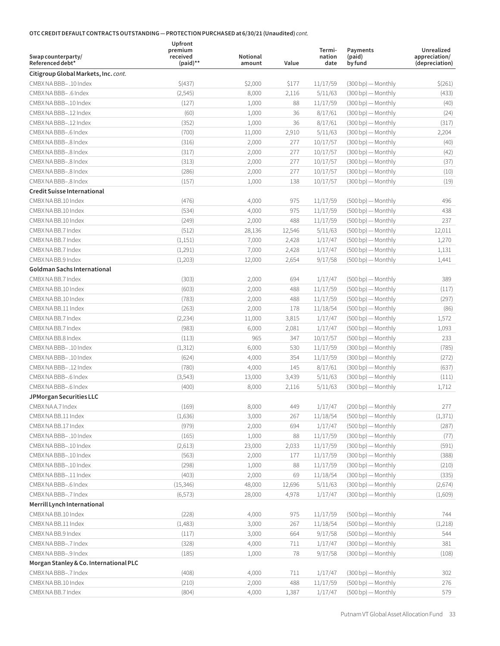# **OTC CREDIT DEFAULT CONTRACTS OUTSTANDING — PROTECTION PURCHASED at 6/30/21 (Unaudited)** *cont.*

|                                        | Upfront             |          |        |                  |                       |                             |
|----------------------------------------|---------------------|----------|--------|------------------|-----------------------|-----------------------------|
| Swap counterparty/                     | premium<br>received | Notional |        | Termi-<br>nation | Payments<br>(paid)    | Unrealized<br>appreciation/ |
| Referenced debt*                       | (paid)**            | amount   | Value  | date             | by fund               | (depreciation)              |
| Citigroup Global Markets, Inc. cont.   |                     |          |        |                  |                       |                             |
| CMBX NA BBB-.10 Index                  | \$ (437)            | \$2,000  | \$177  | 11/17/59         | $(300 bp)$ - Monthly  | \$(261)                     |
| CMBX NA BBB-.6 Index                   | (2, 545)            | 8,000    | 2,116  | 5/11/63          | $(300 bp)$ - Monthly  | (433)                       |
| CMBX NA BBB-.10 Index                  | (127)               | 1,000    | 88     | 11/17/59         | $(300 bp)$ - Monthly  | (40)                        |
| CMBX NA BBB-.12 Index                  | (60)                | 1,000    | 36     | 8/17/61          | (300 bp) - Monthly    | (24)                        |
| CMBX NA BBB-.12 Index                  | (352)               | 1,000    | 36     | 8/17/61          | (300 bp) - Monthly    | (317)                       |
| CMBX NA BBB-.6 Index                   | (700)               | 11,000   | 2,910  | 5/11/63          | (300 bp) - Monthly    | 2,204                       |
| CMBX NA BBB-.8 Index                   | (316)               | 2,000    | 277    | 10/17/57         | (300 bp) - Monthly    | (40)                        |
| CMBX NA BBB-.8 Index                   | (317)               | 2,000    | 277    | 10/17/57         | (300 bp) - Monthly    | (42)                        |
| CMBX NA BBB-.8 Index                   | (313)               | 2,000    | 277    | 10/17/57         | (300 bp) - Monthly    | (37)                        |
| CMBX NA BBB-.8 Index                   | (286)               | 2,000    | 277    | 10/17/57         | (300 bp) - Monthly    | (10)                        |
| CMBX NA BBB-.8 Index                   | (157)               | 1,000    | 138    | 10/17/57         | $(300 bp)$ - Monthly  | (19)                        |
| <b>Credit Suisse International</b>     |                     |          |        |                  |                       |                             |
| CMBX NA BB.10 Index                    | (476)               | 4,000    | 975    | 11/17/59         | $(500 bp)$ - Monthly  | 496                         |
| CMBX NA BB.10 Index                    | (534)               | 4,000    | 975    | 11/17/59         | $(500 bp)$ - Monthly  | 438                         |
| CMBX NA BB.10 Index                    | (249)               | 2,000    | 488    | 11/17/59         | $(500 bp)$ - Monthly  | 237                         |
| CMBX NA BB.7 Index                     | (512)               | 28,136   | 12,546 | 5/11/63          | (500 bp) - Monthly    | 12,011                      |
| CMBX NA BB.7 Index                     | (1, 151)            | 7,000    | 2,428  | 1/17/47          | (500 bp) - Monthly    | 1,270                       |
| CMBX NA BB.7 Index                     | (1,291)             | 7,000    | 2,428  | 1/17/47          | (500 bp) - Monthly    | 1,131                       |
| CMBX NA BB.9 Index                     | (1,203)             | 12,000   | 2,654  | 9/17/58          | $(500 bp)$ – Monthly  | 1,441                       |
| Goldman Sachs International            |                     |          |        |                  |                       |                             |
| CMBX NA BB.7 Index                     | (303)               | 2,000    | 694    | 1/17/47          | $(500 bp)$ - Monthly  | 389                         |
| CMBX NA BB.10 Index                    | (603)               | 2,000    | 488    | 11/17/59         | $(500 bp)$ - Monthly  | (117)                       |
| CMBX NA BB.10 Index                    | (783)               | 2,000    | 488    | 11/17/59         | (500 bp) - Monthly    | (297)                       |
| CMBX NA BB.11 Index                    | (263)               | 2,000    | 178    | 11/18/54         | (500 bp) - Monthly    | (86)                        |
| CMBX NA BB.7 Index                     | (2, 234)            | 11,000   | 3,815  | 1/17/47          | (500 bp) - Monthly    | 1,572                       |
| CMBX NA BB.7 Index                     | (983)               | 6,000    | 2,081  | 1/17/47          | (500 bp) - Monthly    | 1,093                       |
| CMBX NA BB.8 Index                     | (113)               | 965      | 347    | 10/17/57         | (500 bp) - Monthly    | 233                         |
| CMBX NA BBB-.10 Index                  | (1, 312)            | 6,000    | 530    | 11/17/59         | (300 bp) - Monthly    | (785)                       |
| CMBX NA BBB-.10 Index                  | (624)               | 4,000    | 354    | 11/17/59         | (300 bp) - Monthly    | (272)                       |
| CMBX NA BBB-.12 Index                  | (780)               | 4,000    | 145    | 8/17/61          | (300 bp) - Monthly    | (637)                       |
| CMBX NA BBB-.6 Index                   | (3,543)             | 13,000   | 3,439  | 5/11/63          | (300 bp) - Monthly    | (111)                       |
| CMBX NA BBB-.6 Index                   | (400)               | 8,000    | 2,116  | 5/11/63          | $(300 b p)$ – Monthly | 1,712                       |
| JPMorgan Securities LLC                |                     |          |        |                  |                       |                             |
| CMBX NA A.7 Index                      | (169)               | 8,000    | 449    | 1/17/47          | (200 bp) - Monthly    | 277                         |
| CMBX NA BB.11 Index                    | (1,636)             | 3,000    | 267    | 11/18/54         | $(500 bp)$ – Monthly  | (1, 371)                    |
| CMBX NA BB.17 Index                    | (979)               | 2,000    | 694    | 1/17/47          | $(500 bp)$ – Monthly  | (287)                       |
| CMBX NA BBB-.10 Index                  | (165)               | 1,000    | 88     | 11/17/59         | (300 bp) - Monthly    | (77)                        |
| CMBX NA BBB-.10 Index                  | (2,613)             | 23,000   | 2,033  | 11/17/59         | (300 bp) - Monthly    | (591)                       |
| CMBX NA BBB-.10 Index                  | (563)               | 2,000    | 177    | 11/17/59         | (300 bp) - Monthly    | (388)                       |
| CMBX NA BBB-.10 Index                  | (298)               | 1,000    | 88     | 11/17/59         | $(300 bp)$ - Monthly  | (210)                       |
| CMBX NA BBB-.11 Index                  | (403)               | 2,000    | 69     | 11/18/54         | $(300 bp)$ - Monthly  | (335)                       |
| CMBX NA BBB-.6 Index                   | (15, 346)           | 48,000   | 12,696 | 5/11/63          | $(300 bp)$ - Monthly  | (2,674)                     |
| CMBX NA BBB-.7 Index                   | (6, 573)            | 28,000   | 4,978  | 1/17/47          | (300 bp) - Monthly    | (1,609)                     |
| Merrill Lynch International            |                     |          |        |                  |                       |                             |
| CMBX NA BB.10 Index                    | (228)               | 4,000    | 975    | 11/17/59         | $(500 bp)$ - Monthly  | 744                         |
| CMBX NA BB.11 Index                    | (1,483)             | 3,000    | 267    | 11/18/54         | $(500 bp)$ - Monthly  | (1,218)                     |
| CMBX NA BB.9 Index                     | (117)               | 3,000    | 664    | 9/17/58          | $(500 bp)$ - Monthly  | 544                         |
| CMBX NA BBB-.7 Index                   | (328)               | 4,000    | 711    | 1/17/47          | (300 bp) - Monthly    | 381                         |
| CMBX NA BBB-.9 Index                   | (185)               | 1,000    | 78     | 9/17/58          | (300 bp) - Monthly    | (108)                       |
| Morgan Stanley & Co. International PLC |                     |          |        |                  |                       |                             |
| CMBX NA BBB-.7 Index                   | (408)               | 4,000    | 711    | 1/17/47          | (300 bp) - Monthly    | 302                         |
| CMBX NA BB.10 Index                    | (210)               | 2,000    | 488    | 11/17/59         | $(500 bp)$ - Monthly  | 276                         |
| CMBX NA BB.7 Index                     | (804)               | 4,000    | 1,387  | 1/17/47          | $(500 bp)$ - Monthly  | 579                         |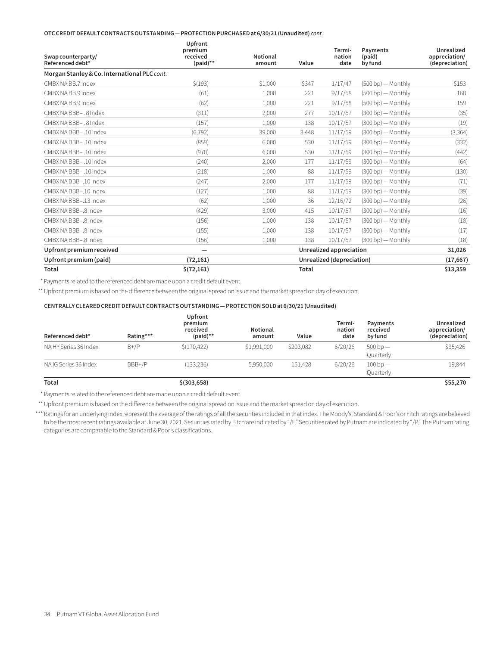#### **OTC CREDIT DEFAULT CONTRACTS OUTSTANDING — PROTECTION PURCHASED at 6/30/21 (Unaudited)** *cont.*

| Swap counterparty/<br>Referenced debt*       | Upfront<br>premium<br>received<br>(paid)** | <b>Notional</b><br>amount | Value | Termi-<br>nation<br>date  | Payments<br>(paid)<br>by fund | Unrealized<br>appreciation/<br>(depreciation) |
|----------------------------------------------|--------------------------------------------|---------------------------|-------|---------------------------|-------------------------------|-----------------------------------------------|
| Morgan Stanley & Co. International PLC cont. |                                            |                           |       |                           |                               |                                               |
| CMBX NA BB.7 Index                           | \$(193)                                    | \$1,000                   | \$347 | 1/17/47                   | $(500 bp)$ - Monthly          | \$153                                         |
| CMBX NA BB.9 Index                           | (61)                                       | 1,000                     | 221   | 9/17/58                   | $(500 bp)$ - Monthly          | 160                                           |
| CMBX NA BB.9 Index                           | (62)                                       | 1,000                     | 221   | 9/17/58                   | $(500 bp)$ - Monthly          | 159                                           |
| CMBX NA BBB-. 8 Index                        | (311)                                      | 2,000                     | 277   | 10/17/57                  | $(300 bp)$ – Monthly          | (35)                                          |
| CMBX NA BBB-. 8 Index                        | (157)                                      | 1,000                     | 138   | 10/17/57                  | (300 bp) — Monthly            | (19)                                          |
| CMBX NA BBB-.10 Index                        | (6, 792)                                   | 39,000                    | 3,448 | 11/17/59                  | $(300 bp)$ - Monthly          | (3, 364)                                      |
| CMBX NA BBB-.10 Index                        | (859)                                      | 6,000                     | 530   | 11/17/59                  | $(300 bp)$ - Monthly          | (332)                                         |
| CMBX NA BBB-.10 Index                        | (970)                                      | 6,000                     | 530   | 11/17/59                  | $(300 bp)$ - Monthly          | (442)                                         |
| CMBX NA BBB-.10 Index                        | (240)                                      | 2,000                     | 177   | 11/17/59                  | (300 bp) — Monthly            | (64)                                          |
| CMBX NA BBB-.10 Index                        | (218)                                      | 1,000                     | 88    | 11/17/59                  | $(300 bp)$ - Monthly          | (130)                                         |
| CMBX NA BBB-.10 Index                        | (247)                                      | 2,000                     | 177   | 11/17/59                  | $(300 bp)$ - Monthly          | (71)                                          |
| CMBX NA BBB-.10 Index                        | (127)                                      | 1,000                     | 88    | 11/17/59                  | $(300 bp)$ - Monthly          | (39)                                          |
| CMBX NA BBB-.13 Index                        | (62)                                       | 1,000                     | 36    | 12/16/72                  | $(300 bp)$ - Monthly          | (26)                                          |
| CMBX NA BBB-.8 Index                         | (429)                                      | 3,000                     | 415   | 10/17/57                  | $(300 bp)$ - Monthly          | (16)                                          |
| CMBX NA BBB-.8 Index                         | (156)                                      | 1,000                     | 138   | 10/17/57                  | $(300 bp)$ - Monthly          | (18)                                          |
| CMBX NA BBB-.8 Index                         | (155)                                      | 1,000                     | 138   | 10/17/57                  | (300 bp) — Monthly            | (17)                                          |
| CMBX NA BBB-.8 Index                         | (156)                                      | 1,000                     | 138   | 10/17/57                  | (300 bp) — Monthly            | (18)                                          |
| Upfront premium received                     | —                                          |                           |       | Unrealized appreciation   |                               | 31,026                                        |
| Upfront premium (paid)                       | (72, 161)                                  |                           |       | Unrealized (depreciation) |                               | (17, 667)                                     |
| Total                                        | \$(72,161)                                 |                           | Total |                           |                               | \$13,359                                      |

\* Payments related to the referenced debt are made upon a credit default event.

\*\* Upfront premium is based on the difference between the original spread on issue and the market spread on day of execution.

# **CENTRALLY CLEARED CREDIT DEFAULT CONTRACTS OUTSTANDING — PROTECTION SOLD at 6/30/21 (Unaudited)**

| Referenced debt*     | Rating*** | Upfront<br>premium<br>received<br>$(path**$ | Notional<br>amount | Value     | Termi-<br>nation<br>date | Payments<br>received<br>by fund | Unrealized<br>appreciation/<br>(depreciation) |
|----------------------|-----------|---------------------------------------------|--------------------|-----------|--------------------------|---------------------------------|-----------------------------------------------|
| NAHY Series 36 Index | $B+/P$    | \$(170, 422)                                | \$1,991,000        | \$203,082 | 6/20/26                  | $500bp -$<br>Ouarterly          | \$35,426                                      |
| NAIG Series 36 Index | BBB+/P    | (133, 236)                                  | 5,950,000          | 151,428   | 6/20/26                  | $100bp -$<br>Quarterly          | 19,844                                        |
| Total                |           | $$$ (303,658)                               |                    |           |                          |                                 | \$55,270                                      |

\* Payments related to the referenced debt are made upon a credit default event.

\*\* Upfront premium is based on the difference between the original spread on issue and the market spread on day of execution.

\*\*\* Ratings for an underlying index represent the average of the ratings of all the securities included in that index. The Moody's, Standard & Poor's or Fitch ratings are believed to be the most recent ratings available at June 30, 2021. Securities rated by Fitch are indicated by "/F." Securities rated by Putnam are indicated by "/P." The Putnam rating categories are comparable to the Standard & Poor's classifications.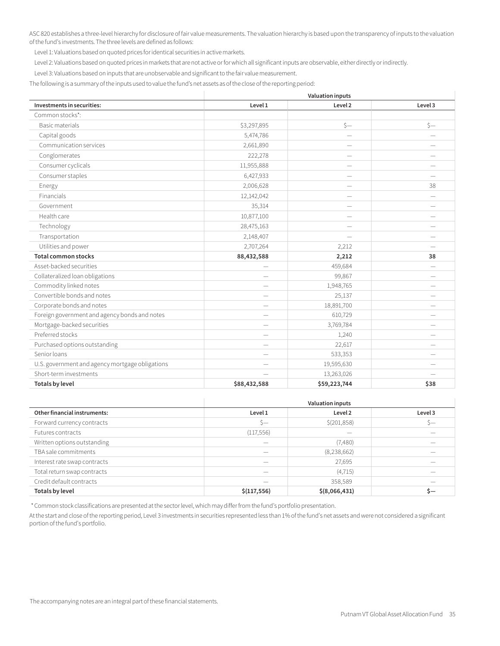ASC 820 establishes a three-level hierarchy for disclosure of fair value measurements. The valuation hierarchy is based upon the transparency of inputs to the valuation of the fund's investments. The three levels are defined as follows:

Level 1: Valuations based on quoted prices for identical securities in active markets.

Level 2: Valuations based on quoted prices in markets that are not active or for which all significant inputs are observable, either directly or indirectly.

Level 3: Valuations based on inputs that are unobservable and significant to the fair value measurement.

The following is a summary of the inputs used to value the fund's net assets as of the close of the reporting period:

|                                                 | <b>Valuation inputs</b>  |                          |          |  |  |
|-------------------------------------------------|--------------------------|--------------------------|----------|--|--|
| Investments in securities:                      | Level 1                  | Level 2                  | Level 3  |  |  |
| Common stocks*:                                 |                          |                          |          |  |  |
| <b>Basic materials</b>                          | \$3,297,895              | $s-$                     | $\zeta-$ |  |  |
| Capital goods                                   | 5,474,786                |                          |          |  |  |
| Communication services                          | 2,661,890                |                          |          |  |  |
| Conglomerates                                   | 222,278                  |                          |          |  |  |
| Consumer cyclicals                              | 11,955,888               | $\overline{\phantom{m}}$ |          |  |  |
| Consumer staples                                | 6,427,933                | $\overline{\phantom{0}}$ |          |  |  |
| Energy                                          | 2,006,628                | $\overline{\phantom{m}}$ | 38       |  |  |
| <b>Financials</b>                               | 12,142,042               | $\qquad \qquad$          |          |  |  |
| Government                                      | 35,314                   | $\qquad \qquad$          |          |  |  |
| Health care                                     | 10,877,100               | $\overline{\phantom{m}}$ |          |  |  |
| Technology                                      | 28,475,163               | $\qquad \qquad$          |          |  |  |
| Transportation                                  | 2,148,407                | $\overline{\phantom{m}}$ |          |  |  |
| Utilities and power                             | 2,707,264                | 2,212                    |          |  |  |
| <b>Total common stocks</b>                      | 88,432,588               | 2,212                    | 38       |  |  |
| Asset-backed securities                         |                          | 459,684                  |          |  |  |
| Collateralized loan obligations                 | $\overline{\phantom{0}}$ | 99,867                   |          |  |  |
| Commodity linked notes                          | $\overline{\phantom{m}}$ | 1,948,765                |          |  |  |
| Convertible bonds and notes                     | $\sim$                   | 25,137                   |          |  |  |
| Corporate bonds and notes                       |                          | 18,891,700               |          |  |  |
| Foreign government and agency bonds and notes   | $\sim$                   | 610,729                  |          |  |  |
| Mortgage-backed securities                      |                          | 3,769,784                |          |  |  |
| Preferred stocks                                |                          | 1,240                    |          |  |  |
| Purchased options outstanding                   | $\overline{\phantom{a}}$ | 22,617                   |          |  |  |
| Senior loans                                    |                          | 533,353                  |          |  |  |
| U.S. government and agency mortgage obligations | $\overline{\phantom{0}}$ | 19,595,630               |          |  |  |
| Short-term investments                          |                          | 13,263,026               |          |  |  |
| Totals by level                                 | \$88,432,588             | \$59,223,744             | \$38     |  |  |

|                              |              | Valuation inputs |         |
|------------------------------|--------------|------------------|---------|
| Other financial instruments: | Level 1      | Level 2          | Level 3 |
| Forward currency contracts   | $S-$         | \$(201, 858)     | $S-$    |
| Futures contracts            | (117, 556)   |                  |         |
| Written options outstanding  |              | (7,480)          |         |
| TBA sale commitments         |              | (8, 238, 662)    |         |
| Interest rate swap contracts |              | 27,695           |         |
| Total return swap contracts  |              | (4, 715)         |         |
| Credit default contracts     |              | 358,589          |         |
| Totals by level              | \$(117, 556) | \$(8,066,431)    |         |

\* Common stock classifications are presented at the sector level, which may differ from the fund's portfolio presentation.

At the start and close of the reporting period, Level 3 investments in securities represented less than 1% of the fund's net assets and were not considered a significant portion of the fund's portfolio.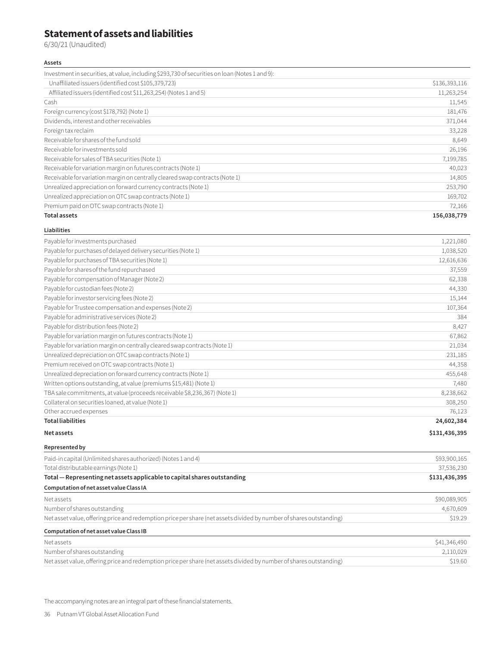# **Statement of assets and liabilities**

6/30/21 (Unaudited)

# **Assets**

| Investment in securities, at value, including \$293,730 of securities on loan (Notes 1 and 9): |               |
|------------------------------------------------------------------------------------------------|---------------|
| Unaffiliated issuers (identified cost \$105,379,723)                                           | \$136,393,116 |
| Affiliated issuers (identified cost \$11,263,254) (Notes 1 and 5)                              | 11,263,254    |
| Cash                                                                                           | 11,545        |
| Foreign currency (cost \$178,792) (Note 1)                                                     | 181,476       |
| Dividends, interest and other receivables                                                      | 371,044       |
| Foreign tax reclaim                                                                            | 33,228        |
| Receivable for shares of the fund sold                                                         | 8,649         |
| Receivable for investments sold                                                                | 26,196        |
| Receivable for sales of TBA securities (Note 1)                                                | 7,199,785     |
| Receivable for variation margin on futures contracts (Note 1)                                  | 40,023        |
| Receivable for variation margin on centrally cleared swap contracts (Note 1)                   | 14,805        |
| Unrealized appreciation on forward currency contracts (Note 1)                                 | 253,790       |
| Unrealized appreciation on OTC swap contracts (Note 1)                                         | 169,702       |
| Premium paid on OTC swap contracts (Note 1)                                                    | 72,166        |
| <b>Total assets</b>                                                                            | 156,038,779   |

# **Liabilities**

| Payable for investments purchased                                         | 1,221,080     |
|---------------------------------------------------------------------------|---------------|
| Payable for purchases of delayed delivery securities (Note 1)             | 1,038,520     |
| Payable for purchases of TBA securities (Note 1)                          | 12,616,636    |
| Payable for shares of the fund repurchased                                | 37,559        |
| Payable for compensation of Manager (Note 2)                              | 62,338        |
| Payable for custodian fees (Note 2)                                       | 44,330        |
| Payable for investor servicing fees (Note 2)                              | 15,144        |
| Payable for Trustee compensation and expenses (Note 2)                    | 107,364       |
| Payable for administrative services (Note 2)                              | 384           |
| Payable for distribution fees (Note 2)                                    | 8,427         |
| Payable for variation margin on futures contracts (Note 1)                | 67,862        |
| Payable for variation margin on centrally cleared swap contracts (Note 1) | 21,034        |
| Unrealized depreciation on OTC swap contracts (Note 1)                    | 231,185       |
| Premium received on OTC swap contracts (Note 1)                           | 44,358        |
| Unrealized depreciation on forward currency contracts (Note 1)            | 455,648       |
| Written options outstanding, at value (premiums \$15,481) (Note 1)        | 7,480         |
| TBA sale commitments, at value (proceeds receivable \$8,236,367) (Note 1) | 8,238,662     |
| Collateral on securities loaned, at value (Note 1)                        | 308,250       |
| Other accrued expenses                                                    | 76,123        |
| <b>Total liabilities</b>                                                  | 24,602,384    |
| Net assets                                                                | \$131,436,395 |

# **Represented by**

| Paid-in capital (Unlimited shares authorized) (Notes 1 and 4)                                                       | \$93,900,165  |
|---------------------------------------------------------------------------------------------------------------------|---------------|
| Total distributable earnings (Note 1)                                                                               | 37,536,230    |
| Total - Representing net assets applicable to capital shares outstanding                                            | \$131,436,395 |
| Computation of net asset value Class IA                                                                             |               |
| Net assets                                                                                                          | \$90,089,905  |
| Number of shares outstanding                                                                                        | 4,670,609     |
| Net asset value, offering price and redemption price per share (net assets divided by number of shares outstanding) | \$19.29       |
| Computation of net asset value Class IB                                                                             |               |
| Net assets                                                                                                          | \$41,346,490  |
| Number of shares outstanding                                                                                        | 2,110,029     |
| Net asset value, offering price and redemption price per share (net assets divided by number of shares outstanding) | \$19.60       |

The accompanying notes are an integral part of these financial statements.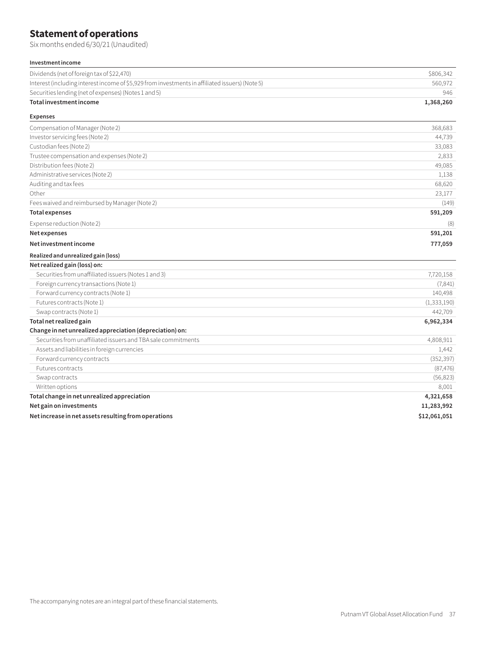# **Statement of operations**

Six months ended 6/30/21 (Unaudited)

| Investment income                                                                               |           |
|-------------------------------------------------------------------------------------------------|-----------|
| Dividends (net of foreign tax of \$22,470)                                                      | \$806,342 |
| Interest (including interest income of \$5,929 from investments in affiliated issuers) (Note 5) | 560.972   |
| Securities lending (net of expenses) (Notes 1 and 5)                                            | 946       |
| Total investment income                                                                         | 1,368,260 |

# **Expenses** Compensation of Manager (Note 2) 368,683 Investor servicing fees (Note 2) 44,739 Custodian fees (Note 2) 33,083 Trustee compensation and expenses (Note 2) 2,833 Distribution fees (Note 2) 49,085 Administrative services (Note 2) 1,138 Auditing and tax fees 68,620 Other 23,177 Fees waived and reimbursed by Manager (Note 2) (149) **Total expenses 591,209**  Expense reduction (Note 2) (8) **Net expenses 591,201 Net investment income 777,059 Realized and unrealized gain (loss)**

| Reduzed and unreduzed gain (1933)                             |               |
|---------------------------------------------------------------|---------------|
| Net realized gain (loss) on:                                  |               |
| Securities from unaffiliated issuers (Notes 1 and 3)          | 7,720,158     |
| Foreign currency transactions (Note 1)                        | (7,841)       |
| Forward currency contracts (Note 1)                           | 140,498       |
| Futures contracts (Note 1)                                    | (1, 333, 190) |
| Swap contracts (Note 1)                                       | 442,709       |
| Total net realized gain                                       | 6,962,334     |
| Change in net unrealized appreciation (depreciation) on:      |               |
| Securities from unaffiliated issuers and TBA sale commitments | 4,808,911     |
| Assets and liabilities in foreign currencies                  | 1,442         |
| Forward currency contracts                                    | (352, 397)    |
| Futures contracts                                             | (87, 476)     |
| Swap contracts                                                | (56, 823)     |
| Written options                                               | 8,001         |
| Total change in net unrealized appreciation                   | 4,321,658     |
| Net gain on investments                                       | 11,283,992    |
| Net increase in net assets resulting from operations          | \$12,061,051  |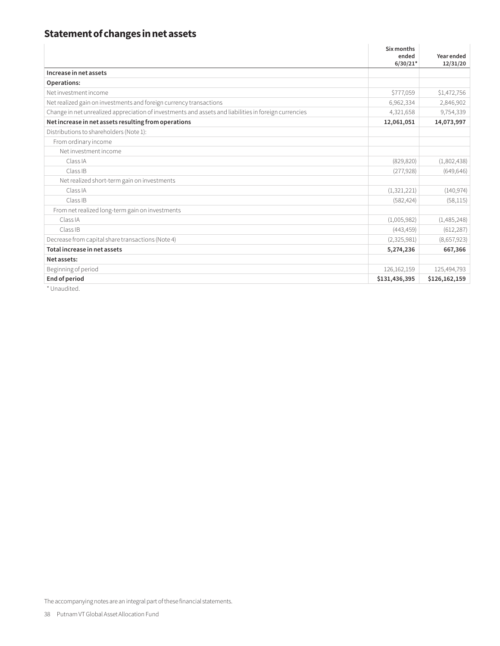# **Statement of changes in net assets**

|                                                                                                       | Six months<br>ended<br>$6/30/21*$ | Year ended<br>12/31/20 |
|-------------------------------------------------------------------------------------------------------|-----------------------------------|------------------------|
| Increase in net assets                                                                                |                                   |                        |
| Operations:                                                                                           |                                   |                        |
| Net investment income                                                                                 | \$777,059                         | \$1,472,756            |
| Net realized gain on investments and foreign currency transactions                                    | 6,962,334                         | 2,846,902              |
| Change in net unrealized appreciation of investments and assets and liabilities in foreign currencies | 4,321,658                         | 9,754,339              |
| Net increase in net assets resulting from operations                                                  | 12,061,051                        | 14,073,997             |
| Distributions to shareholders (Note 1):                                                               |                                   |                        |
| From ordinary income                                                                                  |                                   |                        |
| Net investment income                                                                                 |                                   |                        |
| Class IA                                                                                              | (829, 820)                        | (1,802,438)            |
| Class IB                                                                                              | (277, 928)                        | (649, 646)             |
| Net realized short-term gain on investments                                                           |                                   |                        |
| Class IA                                                                                              | (1, 321, 221)                     | (140, 974)             |
| Class IB                                                                                              | (582, 424)                        | (58, 115)              |
| From net realized long-term gain on investments                                                       |                                   |                        |
| Class IA                                                                                              | (1,005,982)                       | (1,485,248)            |
| Class IB                                                                                              | (443, 459)                        | (612, 287)             |
| Decrease from capital share transactions (Note 4)                                                     | (2,325,981)                       | (8,657,923)            |
| Total increase in net assets                                                                          | 5,274,236                         | 667,366                |
| Net assets:                                                                                           |                                   |                        |
| Beginning of period                                                                                   | 126, 162, 159                     | 125,494,793            |
| End of period                                                                                         | \$131,436,395                     | \$126,162,159          |

\* Unaudited.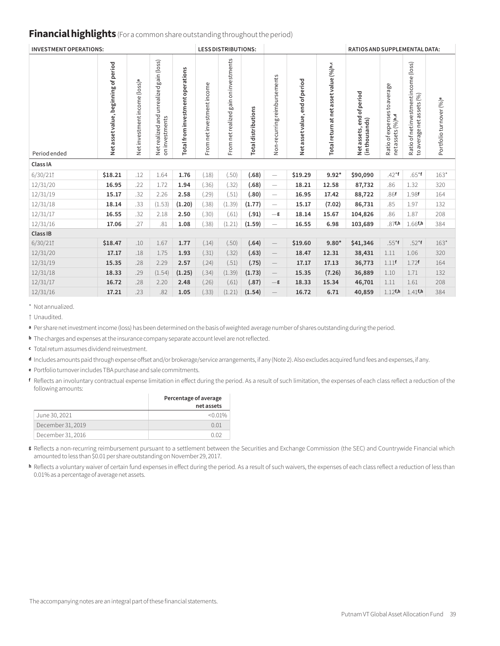# **Financial highlights** (For a common share outstanding throughout the period)

| <b>INVESTMENT OPERATIONS:</b> |                                      |                                           |                                                              |                                      |                            | <b>LESS DISTRIBUTIONS:</b>               |                            |                              |                                |                                        | <b>RATIOS AND SUPPLEMENTAL DATA:</b>        |                                                     |                                                                    |                         |
|-------------------------------|--------------------------------------|-------------------------------------------|--------------------------------------------------------------|--------------------------------------|----------------------------|------------------------------------------|----------------------------|------------------------------|--------------------------------|----------------------------------------|---------------------------------------------|-----------------------------------------------------|--------------------------------------------------------------------|-------------------------|
| Period ended                  | Net asset value, beginning of period | Net investment income (loss) <sup>a</sup> | gain (loss)<br>Net realized and unrealized<br>on investments | S<br>Total from investment operation | From net investment income | gain on investments<br>From net realized | <b>Total distributions</b> | Non-recurring reimbursements | Net asset value, end of period | Total return at net asset value (%)b,c | Net assets, end of period<br>(in thousands) | of expenses to average<br>netassets (%)b,d<br>Ratio | Ratio of net investment income (loss)<br>to average net assets (%) | Portfolio turnover (%)e |
| Class IA                      |                                      |                                           |                                                              |                                      |                            |                                          |                            |                              |                                |                                        |                                             |                                                     |                                                                    |                         |
| 6/30/21                       | \$18.21                              | .12                                       | 1.64                                                         | 1.76                                 | (.18)                      | (.50)                                    | (.68)                      | $\overline{\phantom{m}}$     | \$19.29                        | $9.92*$                                | \$90,090                                    | $.42*f$                                             | $.65*$ f                                                           | $163*$                  |
| 12/31/20                      | 16.95                                | .22                                       | 1.72                                                         | 1.94                                 | (.36)                      | (.32)                                    | (.68)                      | $\overline{\phantom{m}}$     | 18.21                          | 12.58                                  | 87,732                                      | .86                                                 | 1.32                                                               | 320                     |
| 12/31/19                      | 15.17                                | .32                                       | 2.26                                                         | 2.58                                 | (.29)                      | (.51)                                    | (.80)                      | $\overline{\phantom{m}}$     | 16.95                          | 17.42                                  | 88,722                                      | .86f                                                | 1.98f                                                              | 164                     |
| 12/31/18                      | 18.14                                | .33                                       | (1.53)                                                       | (1.20)                               | (.38)                      | (1.39)                                   | (1.77)                     | $\overline{\phantom{m}}$     | 15.17                          | (7.02)                                 | 86,731                                      | .85                                                 | 1.97                                                               | 132                     |
| 12/31/17                      | 16.55                                | .32                                       | 2.18                                                         | 2.50                                 | (.30)                      | (.61)                                    | (.91)                      | $-\mathsf{g}$                | 18.14                          | 15.67                                  | 104,826                                     | .86                                                 | 1.87                                                               | 208                     |
| 12/31/16                      | 17.06                                | .27                                       | .81                                                          | 1.08                                 | (.38)                      | (1.21)                                   | (1.59)                     | $\qquad \qquad -$            | 16.55                          | 6.98                                   | 103,689                                     | $.87$ f,h                                           | $1.66$ f,h                                                         | 384                     |
| Class IB                      |                                      |                                           |                                                              |                                      |                            |                                          |                            |                              |                                |                                        |                                             |                                                     |                                                                    |                         |
| 6/30/21                       | \$18.47                              | .10                                       | 1.67                                                         | 1.77                                 | (.14)                      | (.50)                                    | (.64)                      | $\overline{\phantom{m}}$     | \$19.60                        | $9.80*$                                | \$41,346                                    | $.55*f$                                             | $.52*f$                                                            | $163*$                  |
| 12/31/20                      | 17.17                                | .18                                       | 1.75                                                         | 1.93                                 | (.31)                      | (.32)                                    | (.63)                      | $\overline{\phantom{m}}$     | 18.47                          | 12.31                                  | 38,431                                      | 1.11                                                | 1.06                                                               | 320                     |
| 12/31/19                      | 15.35                                | .28                                       | 2.29                                                         | 2.57                                 | (.24)                      | (.51)                                    | (.75)                      | $\overline{\phantom{m}}$     | 17.17                          | 17.13                                  | 36,773                                      | 1.11f                                               | 1.72f                                                              | 164                     |
| 12/31/18                      | 18.33                                | .29                                       | (1.54)                                                       | (1.25)                               | (.34)                      | (1.39)                                   | (1.73)                     | $\overline{\phantom{m}}$     | 15.35                          | (7.26)                                 | 36,889                                      | 1.10                                                | 1.71                                                               | 132                     |
| 12/31/17                      | 16.72                                | .28                                       | 2.20                                                         | 2.48                                 | (.26)                      | (.61)                                    | (.87)                      | $-\mathsf{g}$                | 18.33                          | 15.34                                  | 46,701                                      | 1.11                                                | 1.61                                                               | 208                     |
| 12/31/16                      | 17.21                                | .23                                       | .82                                                          | 1.05                                 | (.33)                      | (1.21)                                   | (1.54)                     | $\overline{\phantom{m}}$     | 16.72                          | 6.71                                   | 40,859                                      | $1.12$ f,h                                          | $1.41$ f,h                                                         | 384                     |

\* Not annualized.

† Unaudited.

**<sup>a</sup>** Per share net investment income (loss) has been determined on the basis of weighted average number of shares outstanding during the period.

**<sup>b</sup>** The charges and expenses at the insurance company separate account level are not reflected.

**<sup>c</sup>** Total return assumes dividend reinvestment.

**<sup>d</sup>** Includes amounts paid through expense offset and/or brokerage/service arrangements, if any (Note 2). Also excludes acquired fund fees and expenses, if any.

- **<sup>e</sup>** Portfolio turnover includes TBA purchase and sale commitments.
- **<sup>f</sup>** Reflects an involuntary contractual expense limitation in effect during the period. As a result of such limitation, the expenses of each class reflect a reduction of the following amounts:

|                   | Percentage of average<br>net assets |
|-------------------|-------------------------------------|
| June 30, 2021     | $<$ 0.1%                            |
| December 31, 2019 | 0.01                                |
| December 31, 2016 | 0.02                                |

**<sup>g</sup>** Reflects a non-recurring reimbursement pursuant to a settlement between the Securities and Exchange Commission (the SEC) and Countrywide Financial which amounted to less than \$0.01 per share outstanding on November 29, 2017.

**<sup>h</sup>** Reflects a voluntary waiver of certain fund expenses in effect during the period. As a result of such waivers, the expenses of each class reflect a reduction of less than 0.01% as a percentage of average net assets.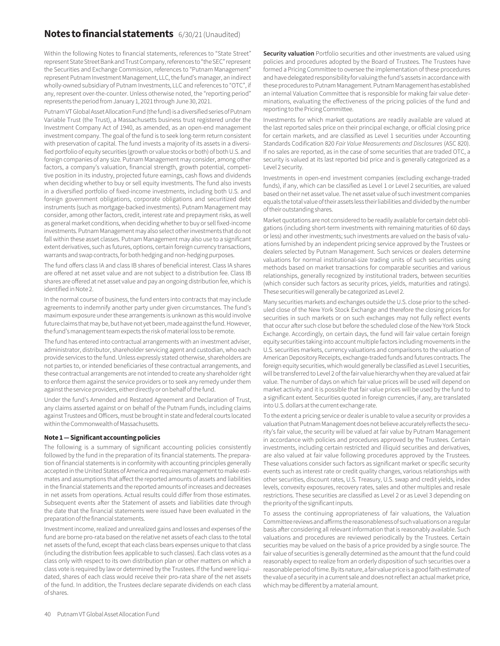# **Notes to financial statements** 6/30/21 (Unaudited)

Within the following Notes to financial statements, references to "State Street" represent State Street Bank and Trust Company, references to "the SEC" represent the Securities and Exchange Commission, references to "Putnam Management" represent Putnam Investment Management, LLC, the fund's manager, an indirect wholly-owned subsidiary of Putnam Investments, LLC and references to "OTC", if any, represent over-the-counter. Unless otherwise noted, the "reporting period" represents the period from January 1, 2021 through June 30, 2021.

Putnam VT Global Asset Allocation Fund (the fund) is a diversified series of Putnam Variable Trust (the Trust), a Massachusetts business trust registered under the Investment Company Act of 1940, as amended, as an open-end management investment company. The goal of the fund is to seek long-term return consistent with preservation of capital. The fund invests a majority of its assets in a diversified portfolio of equity securities (growth or value stocks or both) of both U.S. and foreign companies of any size. Putnam Management may consider, among other factors, a company's valuation, financial strength, growth potential, competitive position in its industry, projected future earnings, cash flows and dividends when deciding whether to buy or sell equity investments. The fund also invests in a diversified portfolio of fixed-income investments, including both U.S. and foreign government obligations, corporate obligations and securitized debt instruments (such as mortgage-backed investments). Putnam Management may consider, among other factors, credit, interest rate and prepayment risks, as well as general market conditions, when deciding whether to buy or sell fixed-income investments. Putnam Management may also select other investments that do not fall within these asset classes. Putnam Management may also use to a significant extent derivatives, such as futures, options, certain foreign currency transactions, warrants and swap contracts, for both hedging and non-hedging purposes.

The fund offers class IA and class IB shares of beneficial interest. Class IA shares are offered at net asset value and are not subject to a distribution fee. Class IB shares are offered at net asset value and pay an ongoing distribution fee, which is identified in Note 2.

In the normal course of business, the fund enters into contracts that may include agreements to indemnify another party under given circumstances. The fund's maximum exposure under these arrangements is unknown as this would involve future claims that may be, but have not yet been, made against the fund. However, the fund's management team expects the risk of material loss to be remote.

The fund has entered into contractual arrangements with an investment adviser, administrator, distributor, shareholder servicing agent and custodian, who each provide services to the fund. Unless expressly stated otherwise, shareholders are not parties to, or intended beneficiaries of these contractual arrangements, and these contractual arrangements are not intended to create any shareholder right to enforce them against the service providers or to seek any remedy under them against the service providers, either directly or on behalf of the fund.

Under the fund's Amended and Restated Agreement and Declaration of Trust, any claims asserted against or on behalf of the Putnam Funds, including claims against Trustees and Officers, must be brought in state and federal courts located within the Commonwealth of Massachusetts.

# **Note 1 — Significant accounting policies**

The following is a summary of significant accounting policies consistently followed by the fund in the preparation of its financial statements. The preparation of financial statements is in conformity with accounting principles generally accepted in the United States of America and requires management to make estimates and assumptions that affect the reported amounts of assets and liabilities in the financial statements and the reported amounts of increases and decreases in net assets from operations. Actual results could differ from those estimates. Subsequent events after the Statement of assets and liabilities date through the date that the financial statements were issued have been evaluated in the preparation of the financial statements.

Investment income, realized and unrealized gains and losses and expenses of the fund are borne pro-rata based on the relative net assets of each class to the total net assets of the fund, except that each class bears expenses unique to that class (including the distribution fees applicable to such classes). Each class votes as a class only with respect to its own distribution plan or other matters on which a class vote is required by law or determined by the Trustees. If the fund were liquidated, shares of each class would receive their pro-rata share of the net assets of the fund. In addition, the Trustees declare separate dividends on each class of shares.

**Security valuation** Portfolio securities and other investments are valued using policies and procedures adopted by the Board of Trustees. The Trustees have formed a Pricing Committee to oversee the implementation of these procedures and have delegated responsibility for valuing the fund's assets in accordance with these procedures to Putnam Management. Putnam Management has established an internal Valuation Committee that is responsible for making fair value determinations, evaluating the effectiveness of the pricing policies of the fund and reporting to the Pricing Committee.

Investments for which market quotations are readily available are valued at the last reported sales price on their principal exchange, or official closing price for certain markets, and are classified as Level 1 securities under Accounting Standards Codification 820 *Fair Value Measurements and Disclosures* (ASC 820). If no sales are reported, as in the case of some securities that are traded OTC, a security is valued at its last reported bid price and is generally categorized as a Level 2 security.

Investments in open-end investment companies (excluding exchange-traded funds), if any, which can be classified as Level 1 or Level 2 securities, are valued based on their net asset value. The net asset value of such investment companies equals the total value of their assets less their liabilities and divided by the number of their outstanding shares.

Market quotations are not considered to be readily available for certain debt obligations (including short-term investments with remaining maturities of 60 days or less) and other investments; such investments are valued on the basis of valuations furnished by an independent pricing service approved by the Trustees or dealers selected by Putnam Management. Such services or dealers determine valuations for normal institutional-size trading units of such securities using methods based on market transactions for comparable securities and various relationships, generally recognized by institutional traders, between securities (which consider such factors as security prices, yields, maturities and ratings). These securities will generally be categorized as Level 2.

Many securities markets and exchanges outside the U.S. close prior to the scheduled close of the New York Stock Exchange and therefore the closing prices for securities in such markets or on such exchanges may not fully reflect events that occur after such close but before the scheduled close of the New York Stock Exchange. Accordingly, on certain days, the fund will fair value certain foreign equity securities taking into account multiple factors including movements in the U.S. securities markets, currency valuations and comparisons to the valuation of American Depository Receipts, exchange-traded funds and futures contracts. The foreign equity securities, which would generally be classified as Level 1 securities, will be transferred to Level 2 of the fair value hierarchy when they are valued at fair value. The number of days on which fair value prices will be used will depend on market activity and it is possible that fair value prices will be used by the fund to a significant extent. Securities quoted in foreign currencies, if any, are translated into U.S. dollars at the current exchange rate.

To the extent a pricing service or dealer is unable to value a security or provides a valuation that Putnam Management does not believe accurately reflects the security's fair value, the security will be valued at fair value by Putnam Management in accordance with policies and procedures approved by the Trustees. Certain investments, including certain restricted and illiquid securities and derivatives, are also valued at fair value following procedures approved by the Trustees. These valuations consider such factors as significant market or specific security events such as interest rate or credit quality changes, various relationships with other securities, discount rates, U.S. Treasury, U.S. swap and credit yields, index levels, convexity exposures, recovery rates, sales and other multiples and resale restrictions. These securities are classified as Level 2 or as Level 3 depending on the priority of the significant inputs.

To assess the continuing appropriateness of fair valuations, the Valuation Committee reviews and affirms the reasonableness of such valuations on a regular basis after considering all relevant information that is reasonably available. Such valuations and procedures are reviewed periodically by the Trustees. Certain securities may be valued on the basis of a price provided by a single source. The fair value of securities is generally determined as the amount that the fund could reasonably expect to realize from an orderly disposition of such securities over a reasonable period of time. By its nature, a fair value price is a good faith estimate of the value of a security in a current sale and does not reflect an actual market price, which may be different by a material amount.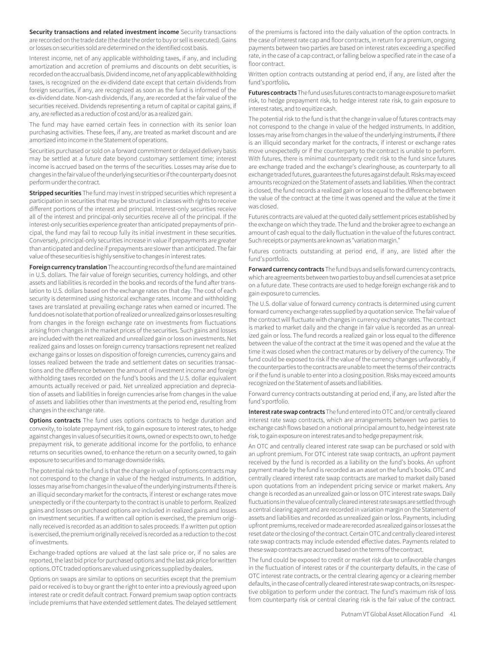**Security transactions and related investment income** Security transactions are recorded on the trade date (the date the order to buy or sell is executed). Gains or losses on securities sold are determined on the identified cost basis.

Interest income, net of any applicable withholding taxes, if any, and including amortization and accretion of premiums and discounts on debt securities, is recorded on the accrual basis. Dividend income, net of any applicable withholding taxes, is recognized on the ex-dividend date except that certain dividends from foreign securities, if any, are recognized as soon as the fund is informed of the ex-dividend date. Non-cash dividends, if any, are recorded at the fair value of the securities received. Dividends representing a return of capital or capital gains, if any, are reflected as a reduction of cost and/or as a realized gain.

The fund may have earned certain fees in connection with its senior loan purchasing activities. These fees, if any, are treated as market discount and are amortized into income in the Statement of operations.

Securities purchased or sold on a forward commitment or delayed delivery basis may be settled at a future date beyond customary settlement time; interest income is accrued based on the terms of the securities. Losses may arise due to changes in the fair value of the underlying securities or if the counterparty does not perform under the contract.

**Stripped securities** The fund may invest in stripped securities which represent a participation in securities that may be structured in classes with rights to receive different portions of the interest and principal. Interest-only securities receive all of the interest and principal-only securities receive all of the principal. If the interest-only securities experience greater than anticipated prepayments of principal, the fund may fail to recoup fully its initial investment in these securities. Conversely, principal-only securities increase in value if prepayments are greater than anticipated and decline if prepayments are slower than anticipated. The fair value of these securities is highly sensitive to changes in interest rates.

**Foreign currency translation** The accounting records of the fund are maintained in U.S. dollars. The fair value of foreign securities, currency holdings, and other assets and liabilities is recorded in the books and records of the fund after translation to U.S. dollars based on the exchange rates on that day. The cost of each security is determined using historical exchange rates. Income and withholding taxes are translated at prevailing exchange rates when earned or incurred. The fund does not isolate that portion of realized or unrealized gains or losses resulting from changes in the foreign exchange rate on investments from fluctuations arising from changes in the market prices of the securities. Such gains and losses are included with the net realized and unrealized gain or loss on investments. Net realized gains and losses on foreign currency transactions represent net realized exchange gains or losses on disposition of foreign currencies, currency gains and losses realized between the trade and settlement dates on securities transactions and the difference between the amount of investment income and foreign withholding taxes recorded on the fund's books and the U.S. dollar equivalent amounts actually received or paid. Net unrealized appreciation and depreciation of assets and liabilities in foreign currencies arise from changes in the value of assets and liabilities other than investments at the period end, resulting from changes in the exchange rate.

**Options contracts** The fund uses options contracts to hedge duration and convexity, to isolate prepayment risk, to gain exposure to interest rates, to hedge against changes in values of securities it owns, owned or expects to own, to hedge prepayment risk, to generate additional income for the portfolio, to enhance returns on securities owned, to enhance the return on a security owned, to gain exposure to securities and to manage downside risks.

The potential risk to the fund is that the change in value of options contracts may not correspond to the change in value of the hedged instruments. In addition, losses may arise from changes in the value of the underlying instruments if there is an illiquid secondary market for the contracts, if interest or exchange rates move unexpectedly or if the counterparty to the contract is unable to perform. Realized gains and losses on purchased options are included in realized gains and losses on investment securities. If a written call option is exercised, the premium originally received is recorded as an addition to sales proceeds. If a written put option is exercised, the premium originally received is recorded as a reduction to the cost of investments.

Exchange-traded options are valued at the last sale price or, if no sales are reported, the last bid price for purchased options and the last ask price for written options. OTC traded options are valued using prices supplied by dealers.

Options on swaps are similar to options on securities except that the premium paid or received is to buy or grant the right to enter into a previously agreed upon interest rate or credit default contract. Forward premium swap option contracts include premiums that have extended settlement dates. The delayed settlement of the premiums is factored into the daily valuation of the option contracts. In the case of interest rate cap and floor contracts, in return for a premium, ongoing payments between two parties are based on interest rates exceeding a specified rate, in the case of a cap contract, or falling below a specified rate in the case of a floor contract.

Written option contracts outstanding at period end, if any, are listed after the fund's portfolio**.**

**Futures contracts** The fund uses futures contracts to manage exposure to market risk, to hedge prepayment risk, to hedge interest rate risk, to gain exposure to interest rates, and to equitize cash.

The potential risk to the fund is that the change in value of futures contracts may not correspond to the change in value of the hedged instruments. In addition, losses may arise from changes in the value of the underlying instruments, if there is an illiquid secondary market for the contracts, if interest or exchange rates move unexpectedly or if the counterparty to the contract is unable to perform. With futures, there is minimal counterparty credit risk to the fund since futures are exchange traded and the exchange's clearinghouse, as counterparty to all exchange traded futures, guarantees the futures against default. Risks may exceed amounts recognized on the Statement of assets and liabilities. When the contract is closed, the fund records a realized gain or loss equal to the difference between the value of the contract at the time it was opened and the value at the time it was closed.

Futures contracts are valued at the quoted daily settlement prices established by the exchange on which they trade. The fund and the broker agree to exchange an amount of cash equal to the daily fluctuation in the value of the futures contract. Such receipts or payments are known as "variation margin."

Futures contracts outstanding at period end, if any, are listed after the fund's portfolio.

**Forward currency contracts** The fund buys and sells forward currency contracts, which are agreements between two parties to buy and sell currencies at a set price on a future date. These contracts are used to hedge foreign exchange risk and to gain exposure to currencies.

The U.S. dollar value of forward currency contracts is determined using current forward currency exchange rates supplied by a quotation service. The fair value of the contract will fluctuate with changes in currency exchange rates. The contract is marked to market daily and the change in fair value is recorded as an unrealized gain or loss. The fund records a realized gain or loss equal to the difference between the value of the contract at the time it was opened and the value at the time it was closed when the contract matures or by delivery of the currency. The fund could be exposed to risk if the value of the currency changes unfavorably, if the counterparties to the contracts are unable to meet the terms of their contracts or if the fund is unable to enter into a closing position. Risks may exceed amounts recognized on the Statement of assets and liabilities.

Forward currency contracts outstanding at period end, if any, are listed after the fund's portfolio.

**Interest rate swap contracts** The fund entered into OTC and/or centrally cleared interest rate swap contracts, which are arrangements between two parties to exchange cash flows based on a notional principal amount to, hedge interest rate risk, to gain exposure on interest rates and to hedge prepayment risk.

An OTC and centrally cleared interest rate swap can be purchased or sold with an upfront premium. For OTC interest rate swap contracts, an upfront payment received by the fund is recorded as a liability on the fund's books. An upfront payment made by the fund is recorded as an asset on the fund's books. OTC and centrally cleared interest rate swap contracts are marked to market daily based upon quotations from an independent pricing service or market makers. Any change is recorded as an unrealized gain or loss on OTC interest rate swaps. Daily fluctuations in the value of centrally cleared interest rate swaps are settled through a central clearing agent and are recorded in variation margin on the Statement of assets and liabilities and recorded as unrealized gain or loss. Payments, including upfront premiums, received or made are recorded as realized gains or losses at the reset date or the closing of the contract. Certain OTC and centrally cleared interest rate swap contracts may include extended effective dates. Payments related to these swap contracts are accrued based on the terms of the contract.

The fund could be exposed to credit or market risk due to unfavorable changes in the fluctuation of interest rates or if the counterparty defaults, in the case of OTC interest rate contracts, or the central clearing agency or a clearing member defaults, in the case of centrally cleared interest rate swap contracts, on its respective obligation to perform under the contract. The fund's maximum risk of loss from counterparty risk or central clearing risk is the fair value of the contract.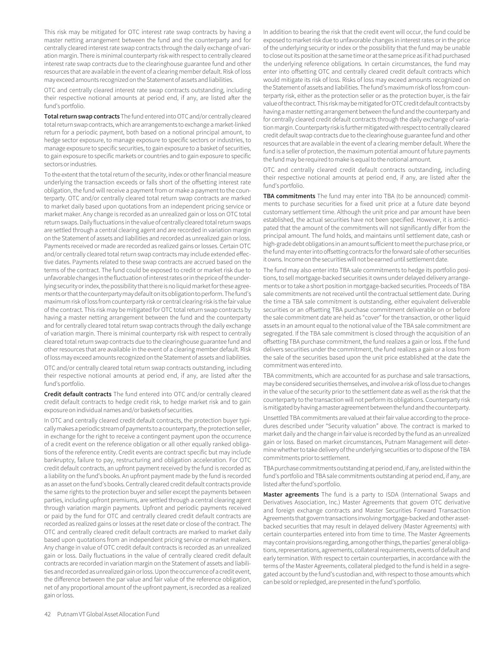This risk may be mitigated for OTC interest rate swap contracts by having a master netting arrangement between the fund and the counterparty and for centrally cleared interest rate swap contracts through the daily exchange of variation margin. There is minimal counterparty risk with respect to centrally cleared interest rate swap contracts due to the clearinghouse guarantee fund and other resources that are available in the event of a clearing member default. Risk of loss may exceed amounts recognized on the Statement of assets and liabilities.

OTC and centrally cleared interest rate swap contracts outstanding, including their respective notional amounts at period end, if any, are listed after the fund's portfolio.

**Total return swap contracts** The fund entered into OTC and/or centrally cleared total return swap contracts, which are arrangements to exchange a market-linked return for a periodic payment, both based on a notional principal amount, to hedge sector exposure, to manage exposure to specific sectors or industries, to manage exposure to specific securities, to gain exposure to a basket of securities, to gain exposure to specific markets or countries and to gain exposure to specific sectors or industries.

To the extent that the total return of the security, index or other financial measure underlying the transaction exceeds or falls short of the offsetting interest rate obligation, the fund will receive a payment from or make a payment to the counterparty. OTC and/or centrally cleared total return swap contracts are marked to market daily based upon quotations from an independent pricing service or market maker. Any change is recorded as an unrealized gain or loss on OTC total return swaps. Daily fluctuations in the value of centrally cleared total return swaps are settled through a central clearing agent and are recorded in variation margin on the Statement of assets and liabilities and recorded as unrealized gain or loss. Payments received or made are recorded as realized gains or losses. Certain OTC and/or centrally cleared total return swap contracts may include extended effective dates. Payments related to these swap contracts are accrued based on the terms of the contract. The fund could be exposed to credit or market risk due to unfavorable changes in the fluctuation of interest rates or in the price of the underlying security or index, the possibility that there is no liquid market for these agreements or that the counterparty may default on its obligation to perform. The fund's maximum risk of loss from counterparty risk or central clearing risk is the fair value of the contract. This risk may be mitigated for OTC total return swap contracts by having a master netting arrangement between the fund and the counterparty and for centrally cleared total return swap contracts through the daily exchange of variation margin. There is minimal counterparty risk with respect to centrally cleared total return swap contracts due to the clearinghouse guarantee fund and other resources that are available in the event of a clearing member default. Risk of loss may exceed amounts recognized on the Statement of assets and liabilities.

OTC and/or centrally cleared total return swap contracts outstanding, including their respective notional amounts at period end, if any, are listed after the fund's portfolio.

**Credit default contracts** The fund entered into OTC and/or centrally cleared credit default contracts to hedge credit risk, to hedge market risk and to gain exposure on individual names and/or baskets of securities.

In OTC and centrally cleared credit default contracts, the protection buyer typically makes a periodic stream of payments to a counterparty, the protection seller, in exchange for the right to receive a contingent payment upon the occurrence of a credit event on the reference obligation or all other equally ranked obligations of the reference entity. Credit events are contract specific but may include bankruptcy, failure to pay, restructuring and obligation acceleration. For OTC credit default contracts, an upfront payment received by the fund is recorded as a liability on the fund's books. An upfront payment made by the fund is recorded as an asset on the fund's books. Centrally cleared credit default contracts provide the same rights to the protection buyer and seller except the payments between parties, including upfront premiums, are settled through a central clearing agent through variation margin payments. Upfront and periodic payments received or paid by the fund for OTC and centrally cleared credit default contracts are recorded as realized gains or losses at the reset date or close of the contract. The OTC and centrally cleared credit default contracts are marked to market daily based upon quotations from an independent pricing service or market makers. Any change in value of OTC credit default contracts is recorded as an unrealized gain or loss. Daily fluctuations in the value of centrally cleared credit default contracts are recorded in variation margin on the Statement of assets and liabilities and recorded as unrealized gain or loss. Upon the occurrence of a credit event, the difference between the par value and fair value of the reference obligation, net of any proportional amount of the upfront payment, is recorded as a realized gain or loss.

In addition to bearing the risk that the credit event will occur, the fund could be exposed to market risk due to unfavorable changes in interest rates or in the price of the underlying security or index or the possibility that the fund may be unable to close out its position at the same time or at the same price as if it had purchased the underlying reference obligations. In certain circumstances, the fund may enter into offsetting OTC and centrally cleared credit default contracts which would mitigate its risk of loss. Risks of loss may exceed amounts recognized on the Statement of assets and liabilities. The fund's maximum risk of loss from counterparty risk, either as the protection seller or as the protection buyer, is the fair value of the contract. This risk may be mitigated for OTC credit default contracts by having a master netting arrangement between the fund and the counterparty and for centrally cleared credit default contracts through the daily exchange of variation margin. Counterparty risk is further mitigated with respect to centrally cleared credit default swap contracts due to the clearinghouse guarantee fund and other resources that are available in the event of a clearing member default. Where the fund is a seller of protection, the maximum potential amount of future payments the fund may be required to make is equal to the notional amount.

OTC and centrally cleared credit default contracts outstanding, including their respective notional amounts at period end, if any, are listed after the fund's portfolio.

**TBA commitments** The fund may enter into TBA (to be announced) commitments to purchase securities for a fixed unit price at a future date beyond customary settlement time. Although the unit price and par amount have been established, the actual securities have not been specified. However, it is anticipated that the amount of the commitments will not significantly differ from the principal amount. The fund holds, and maintains until settlement date, cash or high-grade debt obligations in an amount sufficient to meet the purchase price, or the fund may enter into offsetting contracts for the forward sale of other securities it owns. Income on the securities will not be earned until settlement date.

The fund may also enter into TBA sale commitments to hedge its portfolio positions, to sell mortgage-backed securities it owns under delayed delivery arrangements or to take a short position in mortgage-backed securities. Proceeds of TBA sale commitments are not received until the contractual settlement date. During the time a TBA sale commitment is outstanding, either equivalent deliverable securities or an offsetting TBA purchase commitment deliverable on or before the sale commitment date are held as "cover" for the transaction, or other liquid assets in an amount equal to the notional value of the TBA sale commitment are segregated. If the TBA sale commitment is closed through the acquisition of an offsetting TBA purchase commitment, the fund realizes a gain or loss. If the fund delivers securities under the commitment, the fund realizes a gain or a loss from the sale of the securities based upon the unit price established at the date the commitment was entered into.

TBA commitments, which are accounted for as purchase and sale transactions, may be considered securities themselves, and involve a risk of loss due to changes in the value of the security prior to the settlement date as well as the risk that the counterparty to the transaction will not perform its obligations. Counterparty risk is mitigated by having a master agreement between the fund and the counterparty.

Unsettled TBA commitments are valued at their fair value according to the procedures described under "Security valuation" above. The contract is marked to market daily and the change in fair value is recorded by the fund as an unrealized gain or loss. Based on market circumstances, Putnam Management will determine whether to take delivery of the underlying securities or to dispose of the TBA commitments prior to settlement.

TBA purchase commitments outstanding at period end, if any, are listed within the fund's portfolio and TBA sale commitments outstanding at period end, if any, are listed after the fund's portfolio.

**Master agreements** The fund is a party to ISDA (International Swaps and Derivatives Association, Inc.) Master Agreements that govern OTC derivative and foreign exchange contracts and Master Securities Forward Transaction Agreements that govern transactions involving mortgage-backed and other assetbacked securities that may result in delayed delivery (Master Agreements) with certain counterparties entered into from time to time. The Master Agreements may contain provisions regarding, among other things, the parties' general obligations, representations, agreements, collateral requirements, events of default and early termination. With respect to certain counterparties, in accordance with the terms of the Master Agreements, collateral pledged to the fund is held in a segregated account by the fund's custodian and, with respect to those amounts which can be sold or repledged, are presented in the fund's portfolio.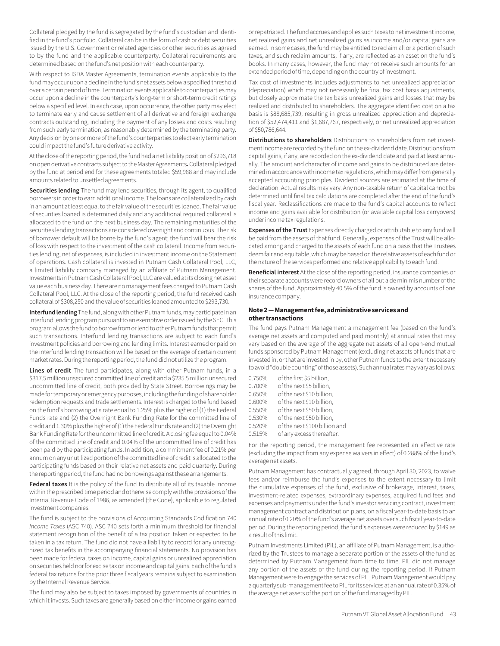Collateral pledged by the fund is segregated by the fund's custodian and identified in the fund's portfolio. Collateral can be in the form of cash or debt securities issued by the U.S. Government or related agencies or other securities as agreed to by the fund and the applicable counterparty. Collateral requirements are determined based on the fund's net position with each counterparty.

With respect to ISDA Master Agreements, termination events applicable to the fund may occur upon a decline in the fund's net assets below a specified threshold over a certain period of time. Termination events applicable to counterparties may occur upon a decline in the counterparty's long-term or short-term credit ratings below a specified level. In each case, upon occurrence, the other party may elect to terminate early and cause settlement of all derivative and foreign exchange contracts outstanding, including the payment of any losses and costs resulting from such early termination, as reasonably determined by the terminating party. Any decision by one or more of the fund's counterparties to elect early termination could impact the fund's future derivative activity.

At the close of the reporting period, the fund had a net liability position of \$296,718 on open derivative contracts subject to the Master Agreements**.** Collateral pledged by the fund at period end for these agreements totaled \$59,988 and may include amounts related to unsettled agreements.

**Securities lending** The fund may lend securities, through its agent, to qualified borrowers in order to earn additional income. The loans are collateralized by cash in an amount at least equal to the fair value of the securities loaned. The fair value of securities loaned is determined daily and any additional required collateral is allocated to the fund on the next business day. The remaining maturities of the securities lending transactions are considered overnight and continuous. The risk of borrower default will be borne by the fund's agent; the fund will bear the risk of loss with respect to the investment of the cash collateral. Income from securities lending, net of expenses, is included in investment income on the Statement of operations. Cash collateral is invested in Putnam Cash Collateral Pool, LLC, a limited liability company managed by an affiliate of Putnam Management. Investments in Putnam Cash Collateral Pool, LLC are valued at its closing net asset value each business day. There are no management fees charged to Putnam Cash Collateral Pool, LLC. At the close of the reporting period, the fund received cash collateral of \$308,250 and the value of securities loaned amounted to \$293,730.

**Interfund lending** The fund, along with other Putnam funds, may participate in an interfund lending program pursuant to an exemptive order issued by the SEC. This program allows the fund to borrow from or lend to other Putnam funds that permit such transactions. Interfund lending transactions are subject to each fund's investment policies and borrowing and lending limits. Interest earned or paid on the interfund lending transaction will be based on the average of certain current market rates. During the reporting period, the fund did not utilize the program.

**Lines of credit** The fund participates, along with other Putnam funds, in a \$317.5 million unsecured committed line of credit and a \$235.5 million unsecured uncommitted line of credit, both provided by State Street. Borrowings may be made for temporary or emergency purposes, including the funding of shareholder redemption requests and trade settlements. Interest is charged to the fund based on the fund's borrowing at a rate equal to 1.25% plus the higher of (1) the Federal Funds rate and (2) the Overnight Bank Funding Rate for the committed line of credit and 1.30% plus the higher of (1) the Federal Funds rate and (2) the Overnight Bank Funding Rate for the uncommitted line of credit. A closing fee equal to 0.04% of the committed line of credit and 0.04% of the uncommitted line of credit has been paid by the participating funds. In addition, a commitment fee of 0.21% per annum on any unutilized portion of the committed line of credit is allocated to the participating funds based on their relative net assets and paid quarterly. During the reporting period, the fund had no borrowings against these arrangements.

**Federal taxes** It is the policy of the fund to distribute all of its taxable income within the prescribed time period and otherwise comply with the provisions of the Internal Revenue Code of 1986, as amended (the Code), applicable to regulated investment companies.

The fund is subject to the provisions of Accounting Standards Codification 740 *Income Taxes* (ASC 740). ASC 740 sets forth a minimum threshold for financial statement recognition of the benefit of a tax position taken or expected to be taken in a tax return. The fund did not have a liability to record for any unrecognized tax benefits in the accompanying financial statements. No provision has been made for federal taxes on income, capital gains or unrealized appreciation on securities held nor for excise tax on income and capital gains. Each of the fund's federal tax returns for the prior three fiscal years remains subject to examination by the Internal Revenue Service.

The fund may also be subject to taxes imposed by governments of countries in which it invests. Such taxes are generally based on either income or gains earned

or repatriated. The fund accrues and applies such taxes to net investment income, net realized gains and net unrealized gains as income and/or capital gains are earned. In some cases, the fund may be entitled to reclaim all or a portion of such taxes, and such reclaim amounts, if any, are reflected as an asset on the fund's books. In many cases, however, the fund may not receive such amounts for an extended period of time, depending on the country of investment.

Tax cost of investments includes adjustments to net unrealized appreciation (depreciation) which may not necessarily be final tax cost basis adjustments, but closely approximate the tax basis unrealized gains and losses that may be realized and distributed to shareholders. The aggregate identified cost on a tax basis is \$88,685,739, resulting in gross unrealized appreciation and depreciation of \$52,474,411 and \$1,687,767, respectively, or net unrealized appreciation of \$50,786,644.

**Distributions to shareholders** Distributions to shareholders from net investment income are recorded by the fund on the ex-dividend date. Distributions from capital gains, if any, are recorded on the ex-dividend date and paid at least annually. The amount and character of income and gains to be distributed are determined in accordance with income tax regulations, which may differ from generally accepted accounting principles. Dividend sources are estimated at the time of declaration. Actual results may vary. Any non-taxable return of capital cannot be determined until final tax calculations are completed after the end of the fund's fiscal year. Reclassifications are made to the fund's capital accounts to reflect income and gains available for distribution (or available capital loss carryovers) under income tax regulations.

**Expenses of the Trust** Expenses directly charged or attributable to any fund will be paid from the assets of that fund. Generally, expenses of the Trust will be allocated among and charged to the assets of each fund on a basis that the Trustees deem fair and equitable, which may be based on the relative assets of each fund or the nature of the services performed and relative applicability to each fund.

**Beneficial interest** At the close of the reporting period, insurance companies or their separate accounts were record owners of all but a de minimis number of the shares of the fund. Approximately 40.5% of the fund is owned by accounts of one insurance company.

## **Note 2 — Management fee, administrative services and other transactions**

The fund pays Putnam Management a management fee (based on the fund's average net assets and computed and paid monthly) at annual rates that may vary based on the average of the aggregate net assets of all open-end mutual funds sponsored by Putnam Management (excluding net assets of funds that are invested in, or that are invested in by, other Putnam funds to the extent necessary to avoid "double counting" of those assets). Such annual rates may vary as follows:

| 0.750% | of the first \$5 billion,     |
|--------|-------------------------------|
| 0.700% | of the next \$5 billion,      |
| 0.650% | of the next \$10 billion,     |
| 0.600% | of the next \$10 billion,     |
| 0.550% | of the next \$50 billion,     |
| 0.530% | of the next \$50 billion,     |
| 0.520% | of the next \$100 billion and |
| 0.515% | of any excess thereafter.     |

For the reporting period, the management fee represented an effective rate (excluding the impact from any expense waivers in effect) of 0.288% of the fund's average net assets.

Putnam Management has contractually agreed, through April 30, 2023, to waive fees and/or reimburse the fund's expenses to the extent necessary to limit the cumulative expenses of the fund, exclusive of brokerage, interest, taxes, investment-related expenses, extraordinary expenses, acquired fund fees and expenses and payments under the fund's investor servicing contract, investment management contract and distribution plans, on a fiscal year-to-date basis to an annual rate of 0.20% of the fund's average net assets over such fiscal year-to-date period. During the reporting period, the fund's expenses were reduced by \$149 as a result of this limit.

Putnam Investments Limited (PIL), an affiliate of Putnam Management, is authorized by the Trustees to manage a separate portion of the assets of the fund as determined by Putnam Management from time to time. PIL did not manage any portion of the assets of the fund during the reporting period. If Putnam Management were to engage the services of PIL, Putnam Management would pay a quarterly sub-management fee to PIL for its services at an annual rate of 0.35% of the average net assets of the portion of the fund managed by PIL.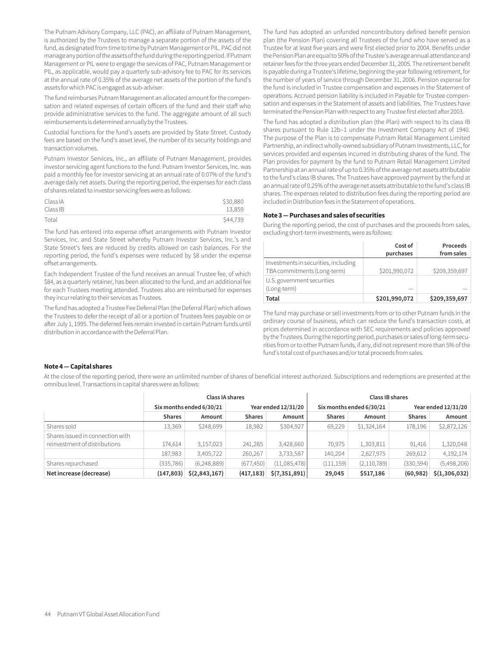The Putnam Advisory Company, LLC (PAC), an affiliate of Putnam Management, is authorized by the Trustees to manage a separate portion of the assets of the fund, as designated from time to time by Putnam Management or PIL. PAC did not manage any portion of the assets of the fund during the reporting period. If Putnam Management or PIL were to engage the services of PAC, Putnam Management or PIL, as applicable, would pay a quarterly sub-advisory fee to PAC for its services at the annual rate of 0.35% of the average net assets of the portion of the fund's assets for which PAC is engaged as sub-adviser.

The fund reimburses Putnam Management an allocated amount for the compensation and related expenses of certain officers of the fund and their staff who provide administrative services to the fund. The aggregate amount of all such reimbursements is determined annually by the Trustees.

Custodial functions for the fund's assets are provided by State Street. Custody fees are based on the fund's asset level, the number of its security holdings and transaction volumes.

Putnam Investor Services, Inc., an affiliate of Putnam Management, provides investor servicing agent functions to the fund. Putnam Investor Services, Inc. was paid a monthly fee for investor servicing at an annual rate of 0.07% of the fund's average daily net assets. During the reporting period, the expenses for each class of shares related to investor servicing fees were as follows:

| Class IA | \$30,880 |
|----------|----------|
| Class IB | 13.859   |
| Total    | \$44,739 |

The fund has entered into expense offset arrangements with Putnam Investor Services, Inc. and State Street whereby Putnam Investor Services, Inc.'s and State Street's fees are reduced by credits allowed on cash balances. For the reporting period, the fund's expenses were reduced by \$8 under the expense offset arrangements.

Each Independent Trustee of the fund receives an annual Trustee fee, of which \$84, as a quarterly retainer, has been allocated to the fund, and an additional fee for each Trustees meeting attended. Trustees also are reimbursed for expenses they incur relating to their services as Trustees.

The fund has adopted a Trustee Fee Deferral Plan (the Deferral Plan) which allows the Trustees to defer the receipt of all or a portion of Trustees fees payable on or after July 1, 1995. The deferred fees remain invested in certain Putnam funds until distribution in accordance with the Deferral Plan.

The fund has adopted an unfunded noncontributory defined benefit pension plan (the Pension Plan) covering all Trustees of the fund who have served as a Trustee for at least five years and were first elected prior to 2004. Benefits under the Pension Plan are equal to 50% of the Trustee's average annual attendance and retainer fees for the three years ended December 31, 2005. The retirement benefit is payable during a Trustee's lifetime, beginning the year following retirement, for the number of years of service through December 31, 2006. Pension expense for the fund is included in Trustee compensation and expenses in the Statement of operations. Accrued pension liability is included in Payable for Trustee compensation and expenses in the Statement of assets and liabilities. The Trustees have terminated the Pension Plan with respect to any Trustee first elected after 2003.

The fund has adopted a distribution plan (the Plan) with respect to its class IB shares pursuant to Rule 12b–1 under the Investment Company Act of 1940. The purpose of the Plan is to compensate Putnam Retail Management Limited Partnership, an indirect wholly-owned subsidiary of Putnam Investments, LLC, for services provided and expenses incurred in distributing shares of the fund. The Plan provides for payment by the fund to Putnam Retail Management Limited Partnership at an annual rate of up to 0.35% of the average net assets attributable to the fund's class IB shares. The Trustees have approved payment by the fund at an annual rate of 0.25% of the average net assets attributable to the fund's class IB shares. The expenses related to distribution fees during the reporting period are included in Distribution fees in the Statement of operations.

# **Note 3 — Purchases and sales of securities**

During the reporting period, the cost of purchases and the proceeds from sales, excluding short-term investments, were as follows:

|                                                                     | Cost of<br>purchases | Proceeds<br>from sales |
|---------------------------------------------------------------------|----------------------|------------------------|
| Investments in securities, including<br>TBA commitments (Long-term) | \$201,990,072        | \$209,359,697          |
| U.S. government securities<br>(Long-term)                           |                      |                        |
| Total                                                               | \$201,990,072        | \$209,359,697          |

The fund may purchase or sell investments from or to other Putnam funds in the ordinary course of business, which can reduce the fund's transaction costs, at prices determined in accordance with SEC requirements and policies approved by the Trustees. During the reporting period, purchases or sales of long-term securities from or to other Putnam funds, if any, did not represent more than 5% of the fund's total cost of purchases and/or total proceeds from sales.

# **Note 4 — Capital shares**

At the close of the reporting period, there were an unlimited number of shares of beneficial interest authorized. Subscriptions and redemptions are presented at the omnibus level. Transactions in capital shares were as follows:

|                                  |               | <b>Class IA shares</b>   |               |                     |               |                          | Class IB shares |                     |
|----------------------------------|---------------|--------------------------|---------------|---------------------|---------------|--------------------------|-----------------|---------------------|
|                                  |               | Six months ended 6/30/21 |               | Year ended 12/31/20 |               | Six months ended 6/30/21 |                 | Year ended 12/31/20 |
|                                  | <b>Shares</b> | Amount                   | <b>Shares</b> | Amount              | <b>Shares</b> | Amount                   | <b>Shares</b>   | Amount              |
| Shares sold                      | 13.369        | \$248,699                | 18,982        | \$304,927           | 69,229        | \$1,324,164              | 178,196         | \$2,872,126         |
| Shares issued in connection with |               |                          |               |                     |               |                          |                 |                     |
| reinvestment of distributions    | 174,614       | 3,157,023                | 241,285       | 3,428,660           | 70,975        | 1,303,811                | 91,416          | 1,320,048           |
|                                  | 187,983       | 3,405,722                | 260,267       | 3,733,587           | 140,204       | 2,627,975                | 269,612         | 4,192,174           |
| Shares repurchased               | (335, 786)    | (6, 248, 889)            | (677, 450)    | (11,085,478)        | (111, 159)    | (2, 110, 789)            | (330, 594)      | (5,498,206)         |
| Net increase (decrease)          | (147, 803)    | \$(2,843,167)            | (417, 183)    | \$(7,351,891)       | 29,045        | \$517,186                | (60, 982)       | \$(1,306,032)       |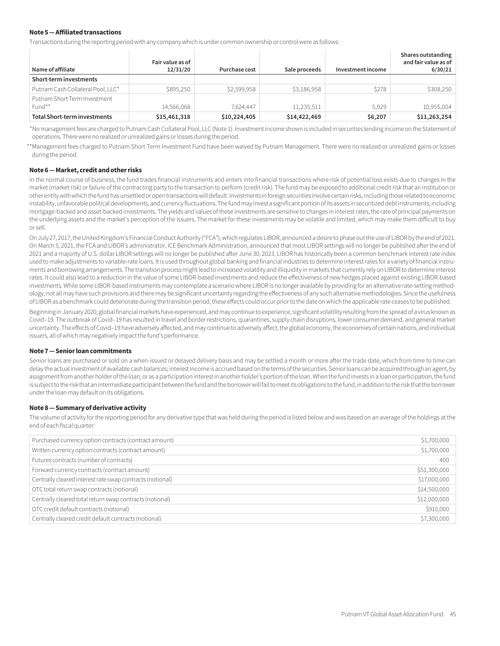## **Note 5 — Affiliated transactions**

Transactions during the reporting period with any company which is under common ownership or control were as follows:

| Name of affiliate                      | Fair value as of<br>12/31/20 | Purchase cost | Sale proceeds | Investment income | Shares outstanding<br>and fair value as of<br>6/30/21 |
|----------------------------------------|------------------------------|---------------|---------------|-------------------|-------------------------------------------------------|
| Short-term investments                 |                              |               |               |                   |                                                       |
| Putnam Cash Collateral Pool, LLC*      | \$895,250                    | \$2,599,958   | \$3,186,958   | \$278             | \$308,250                                             |
| Putnam Short Term Investment<br>Fund** | 14,566,068                   | 7.624.447     | 11,235,511    | 5.929             | 10,955,004                                            |
| <b>Total Short-term investments</b>    | \$15,461,318                 | \$10,224,405  | \$14,422,469  | \$6,207           | \$11,263,254                                          |

\*No management fees are charged to Putnam Cash Collateral Pool, LLC (Note 1). Investment income shown is included in securities lending income on the Statement of operations. There were no realized or unrealized gains or losses during the period.

\*\*Management fees charged to Putnam Short Term Investment Fund have been waived by Putnam Management. There were no realized or unrealized gains or losses during the period.

#### **Note 6 — Market, credit and other risks**

In the normal course of business, the fund trades financial instruments and enters into financial transactions where risk of potential loss exists due to changes in the market (market risk) or failure of the contracting party to the transaction to perform (credit risk). The fund may be exposed to additional credit risk that an institution or other entity with which the fund has unsettled or open transactions will default.Investments in foreign securities involve certain risks, including those related to economic instability, unfavorable political developments, and currency fluctuations. The fund may invest a significant portion of its assets in securitized debt instruments, including mortgage-backed and asset-backed investments. The yields and values of these investments are sensitive to changes in interest rates, the rate of principal payments on the underlying assets and the market's perception of the issuers. The market for these investments may be volatile and limited, which may make them difficult to buy or sell.

On July 27, 2017, the United Kingdom's Financial Conduct Authority ("FCA"), which regulates LIBOR, announced a desire to phase out the use of LIBOR by the end of 2021. On March 5, 2021, the FCA and LIBOR's administrator, ICE Benchmark Administration, announced that most LIBOR settings will no longer be published after the end of 2021 and a majority of U.S. dollar LIBOR settings will no longer be published after June 30, 2023. LIBOR has historically been a common benchmark interest rate index used to make adjustments to variable-rate loans. It is used throughout global banking and financial industries to determine interest rates for a variety of financial instruments and borrowing arrangements. The transition process might lead to increased volatility and illiquidity in markets that currently rely on LIBOR to determine interest rates. It could also lead to a reduction in the value of some LIBOR-based investments and reduce the effectiveness of new hedges placed against existing LIBOR-based investments. While some LIBOR-based instruments may contemplate a scenario where LIBOR is no longer available by providing for an alternative rate-setting methodology, not all may have such provisions and there may be significant uncertainty regarding the effectiveness of any such alternative methodologies. Since the usefulness of LIBOR as a benchmark could deteriorate during the transition period, these effects could occur prior to the date on which the applicable rate ceases to be published.

Beginning in January 2020, global financial markets have experienced, and may continue to experience, significant volatility resulting from the spread of a virus known as Covid–19. The outbreak of Covid–19 has resulted in travel and border restrictions, quarantines, supply chain disruptions, lower consumer demand, and general market uncertainty. The effects of Covid–19 have adversely affected, and may continue to adversely affect, the global economy, the economies of certain nations, and individual issuers, all of which may negatively impact the fund's performance.

#### **Note 7 — Senior loan commitments**

Senior loans are purchased or sold on a when-issued or delayed delivery basis and may be settled a month or more after the trade date, which from time to time can delay the actual investment of available cash balances; interest income is accrued based on the terms of the securities. Senior loans can be acquired through an agent, by assignment from another holder of the loan, or as a participation interest in another holder's portion of the loan. When the fund invests in a loan or participation, the fund is subject to the risk that an intermediate participant between the fund and the borrower will fail to meet its obligations to the fund, in addition to the risk that the borrower under the loan may default on its obligations.

#### **Note 8 — Summary of derivative activity**

The volume of activity for the reporting period for any derivative type that was held during the period is listed below and was based on an average of the holdings at the end of each fiscal quarter:

| Purchased currency option contracts (contract amount)     | \$1,700,000  |
|-----------------------------------------------------------|--------------|
| Written currency option contracts (contract amount)       | \$1,700,000  |
| Futures contracts (number of contracts)                   | 400          |
| Forward currency contracts (contract amount)              | \$51,300,000 |
| Centrally cleared interest rate swap contracts (notional) | \$17,000,000 |
| OTC total return swap contracts (notional)                | \$14,500,000 |
| Centrally cleared total return swap contracts (notional)  | \$12,000,000 |
| OTC credit default contracts (notional)                   | \$910,000    |
| Centrally cleared credit default contracts (notional)     | \$7,300,000  |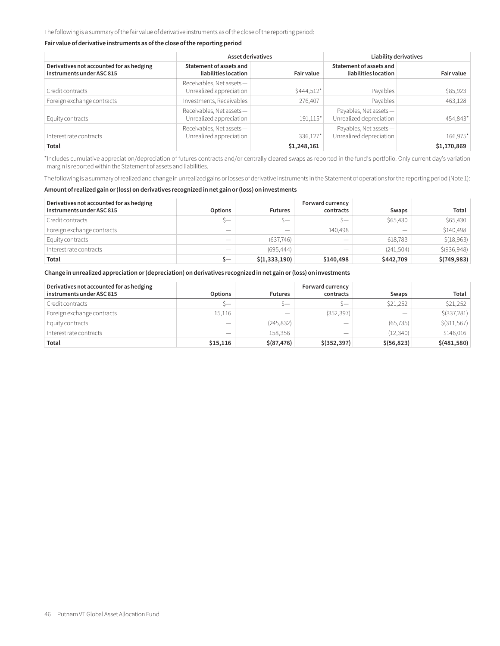The following is a summary of the fair value of derivative instruments as of the close of the reporting period:

## **Fair value of derivative instruments as of the close of the reporting period**

|                                                                       | Asset derivatives                                    |                   |                                                  | Liability derivatives |
|-----------------------------------------------------------------------|------------------------------------------------------|-------------------|--------------------------------------------------|-----------------------|
| Derivatives not accounted for as hedging<br>instruments under ASC 815 | Statement of assets and<br>liabilities location      | <b>Fair value</b> | Statement of assets and<br>liabilities location  | <b>Fair value</b>     |
| Credit contracts                                                      | Receivables, Net assets -<br>Unrealized appreciation | \$444,512*        | Payables                                         | \$85,923              |
| Foreign exchange contracts                                            | Investments, Receivables                             | 276,407           | Payables                                         | 463,128               |
| Equity contracts                                                      | Receivables, Net assets-<br>Unrealized appreciation  | $191,115*$        | Payables, Net assets-<br>Unrealized depreciation | 454,843*              |
| Interest rate contracts                                               | Receivables, Net assets-<br>Unrealized appreciation  | 336,127*          | Payables, Net assets-<br>Unrealized depreciation | 166,975*              |
| <b>Total</b>                                                          |                                                      | \$1,248,161       |                                                  | \$1,170,869           |

\*Includes cumulative appreciation/depreciation of futures contracts and/or centrally cleared swaps as reported in the fund's portfolio. Only current day's variation margin is reported within the Statement of assets and liabilities.

The following is a summary of realized and change in unrealized gains or losses of derivative instruments in the Statement of operations for the reporting period (Note 1):

# **Amount of realized gain or (loss) on derivatives recognized in net gain or (loss) on investments**

| Derivatives not accounted for as hedging<br>instruments under ASC 815 | Options | <b>Futures</b> | Forward currency<br>contracts | <b>Swaps</b> | Total         |
|-----------------------------------------------------------------------|---------|----------------|-------------------------------|--------------|---------------|
| Credit contracts                                                      | ╲—      | $\zeta$        | $\sim$                        | \$65,430     | \$65,430      |
| Foreign exchange contracts                                            |         |                | 140.498                       |              | \$140,498     |
| Equity contracts                                                      |         | (637,746)      |                               | 618.783      | \$(18,963)    |
| Interest rate contracts                                               |         | (695.444)      |                               | (241, 504)   | \$ (936, 948) |
| <b>Total</b>                                                          | $S-$    | \$(1,333,190)  | \$140,498                     | \$442,709    | \$(749, 983)  |

# **Change in unrealized appreciation or (depreciation) on derivatives recognized in net gain or (loss) on investments**

| Derivatives not accounted for as hedging<br>instruments under ASC 815 | <b>Options</b> | <b>Futures</b>           | <b>Forward currency</b><br>contracts | Swaps        | Total         |
|-----------------------------------------------------------------------|----------------|--------------------------|--------------------------------------|--------------|---------------|
| Credit contracts                                                      | S—             | S—                       |                                      | \$21,252     | \$21,252      |
| Foreign exchange contracts                                            | 15,116         | $\overline{\phantom{m}}$ | (352, 397)                           | _            | \$ (337, 281) |
| Equity contracts                                                      |                | (245, 832)               |                                      | (65, 735)    | $$$ (311,567) |
| Interest rate contracts                                               |                | 158,356                  | $\overline{\phantom{a}}$             | (12, 340)    | \$146,016     |
| Total                                                                 | \$15,116       | \$ (87, 476)             | \$(352, 397)                         | \$ (56, 823) | \$ (481, 580) |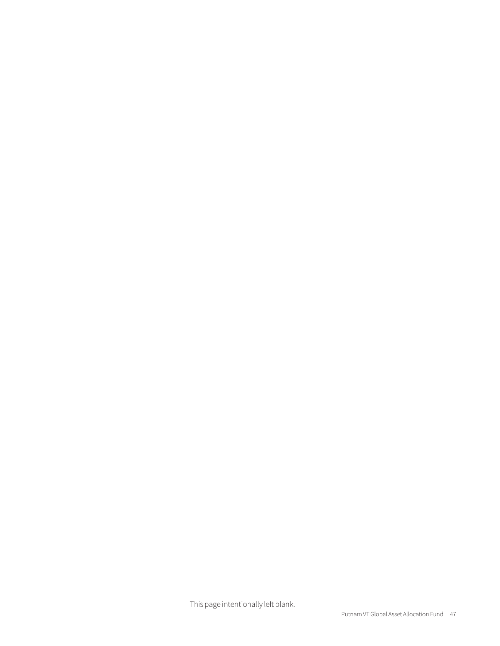This page intentionally left blank.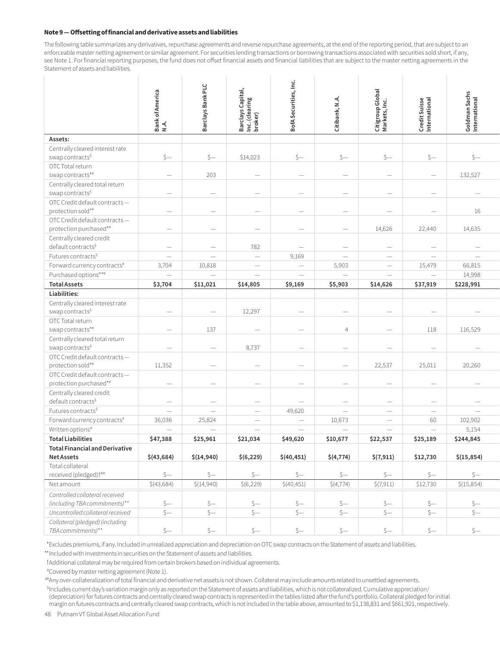# **Note 9 — Offsetting of financial and derivative assets and liabilities**

The following table summarizes any derivatives, repurchase agreements and reverse repurchase agreements, at the end of the reporting period, that are subject to an enforceable master netting agreement or similar agreement. For securities lending transactions or borrowing transactions associated with securities sold short, if any, see Note 1. For financial reporting purposes, the fund does not offset financial assets and financial liabilities that are subject to the master netting agreements in the Statement of assets and liabilities.

|                                         | erica<br>ξ<br>৳<br>Bank<br>N.A. | PLC<br>≚<br>≃<br>≃              | Barclays Capital,<br>Inc. (clearing<br>broker) | Securities, Inc.<br>BofA        | Citibank, N.A                   | Citigroup Global<br>Markets, Inc. | Credit Suisse<br>International  | Goldman Sachs<br>International  |
|-----------------------------------------|---------------------------------|---------------------------------|------------------------------------------------|---------------------------------|---------------------------------|-----------------------------------|---------------------------------|---------------------------------|
| Assets:                                 |                                 |                                 |                                                |                                 |                                 |                                   |                                 |                                 |
| Centrally cleared interest rate         |                                 |                                 |                                                |                                 |                                 |                                   |                                 |                                 |
| swap contracts <sup>§</sup>             | $\zeta-$                        | $\zeta-$                        | \$14,023                                       | $\zeta-$                        | $\zeta-$                        | $\zeta-$                          | $\zeta-$                        | $\zeta-$                        |
| OTC Total return                        |                                 |                                 |                                                |                                 |                                 |                                   |                                 |                                 |
| swap contracts*#                        | $\overline{\phantom{a}}$        | 203                             | $\hspace{0.1mm}-\hspace{0.1mm}$                | $\overline{\phantom{a}}$        | $\hspace{0.1mm}-\hspace{0.1mm}$ | $\hspace{0.1mm}-\hspace{0.1mm}$   | $\overline{\phantom{m}}$        | 132,527                         |
| Centrally cleared total return          |                                 |                                 |                                                |                                 |                                 |                                   |                                 |                                 |
| swap contracts <sup>§</sup>             | $\overline{\phantom{a}}$        | $\hspace{0.1mm}-\hspace{0.1mm}$ | $\overline{\phantom{a}}$                       | $\overline{\phantom{m}}$        | $\overline{\phantom{a}}$        | $\overline{\phantom{a}}$          | $\hspace{0.1mm}-\hspace{0.1mm}$ | $\overline{\phantom{a}}$        |
| OTC Credit default contracts-           |                                 |                                 |                                                |                                 |                                 |                                   |                                 |                                 |
| protection sold*#                       | $\overline{\phantom{a}}$        | $\hspace{0.1mm}-\hspace{0.1mm}$ | $\overline{\phantom{m}}$                       | $\overline{\phantom{a}}$        | $\hspace{0.1mm}-\hspace{0.1mm}$ | $\hspace{0.1mm}-\hspace{0.1mm}$   | $\overline{\phantom{m}}$        | 16                              |
| OTC Credit default contracts-           |                                 |                                 |                                                |                                 |                                 |                                   |                                 |                                 |
|                                         |                                 |                                 |                                                |                                 |                                 | 14,626                            | 22,440                          | 14,635                          |
| protection purchased*#                  | $\overline{\phantom{m}}$        | $\overline{\phantom{a}}$        | $\overline{\phantom{a}}$                       | $\overline{\phantom{a}}$        | $\hspace{0.1mm}-\hspace{0.1mm}$ |                                   |                                 |                                 |
| Centrally cleared credit                |                                 |                                 |                                                |                                 |                                 |                                   |                                 |                                 |
| default contracts <sup>§</sup>          | $\overline{\phantom{a}}$        | $\hspace{0.1mm}-\hspace{0.1mm}$ | 782                                            | $\hspace{0.1mm}-\hspace{0.1mm}$ | $\hspace{0.1mm}-\hspace{0.1mm}$ | $\hspace{0.1mm}-\hspace{0.1mm}$   | $\hspace{0.1mm}$                | $\hspace{0.1mm}-\hspace{0.1mm}$ |
| Futures contracts <sup>§</sup>          | $\overline{\phantom{m}}$        | $\overline{\phantom{a}}$        | $\overline{\phantom{m}}$                       | 9,169                           | $\overline{\phantom{a}}$        | $\overline{\phantom{m}}$          | $\overline{\phantom{m}}$        | $\overline{\phantom{a}}$        |
| Forward currency contracts <sup>#</sup> | 3,704                           | 10,818                          | $\overline{\phantom{m}}$                       | $\hspace{0.1mm}$                | 5,903                           | $\hspace{0.1mm}-\hspace{0.1mm}$   | 15,479                          | 66,815                          |
| Purchased options**#                    | $\hspace{0.1mm}$                | $\hspace{0.1mm}$                | $\hspace{0.1mm}-\hspace{0.1mm}$                | $\hspace{0.1mm}$                | $\overline{\phantom{a}}$        | $\hspace{0.1mm}$                  | $\hspace{0.1mm}$                | 14,998                          |
| <b>Total Assets</b>                     | \$3,704                         | \$11,021                        | \$14,805                                       | \$9,169                         | \$5,903                         | \$14,626                          | \$37,919                        | \$228,991                       |
| Liabilities:                            |                                 |                                 |                                                |                                 |                                 |                                   |                                 |                                 |
| Centrally cleared interest rate         |                                 |                                 |                                                |                                 |                                 |                                   |                                 |                                 |
| swap contracts <sup>§</sup>             | $\overline{\phantom{a}}$        | $\hspace{0.1mm}-\hspace{0.1mm}$ | 12,297                                         | $\hspace{0.1mm}$                | $\hspace{0.1mm}-\hspace{0.1mm}$ | $\hspace{0.1mm}-\hspace{0.1mm}$   | $\hspace{0.1mm}-\hspace{0.1mm}$ | $\hspace{0.1mm}-\hspace{0.1mm}$ |
| OTC Total return                        |                                 |                                 |                                                |                                 |                                 |                                   |                                 |                                 |
| swap contracts*#                        | $\overline{\phantom{m}}$        | 137                             | $\overline{\phantom{m}}$                       | $\hspace{0.1mm}-\hspace{0.1mm}$ | $\overline{4}$                  | $\overline{\phantom{m}}$          | 118                             | 116,529                         |
| Centrally cleared total return          |                                 |                                 |                                                |                                 |                                 |                                   |                                 |                                 |
| swap contracts <sup>§</sup>             | $\overline{\phantom{m}}$        | $\hspace{0.1mm}-\hspace{0.1mm}$ | 8,737                                          | $\hspace{0.1mm}$                | $\hspace{0.1mm}-\hspace{0.1mm}$ | $\overline{\phantom{m}}$          | $\hspace{0.1mm}$                | $\hspace{0.1mm}-\hspace{0.1mm}$ |
| OTC Credit default contracts-           |                                 |                                 |                                                |                                 |                                 |                                   |                                 |                                 |
| protection sold*#                       | 11,352                          | $\hspace{0.1mm}-\hspace{0.1mm}$ | $\overline{\phantom{a}}$                       | $\hspace{0.1cm}$                | $\hspace{0.1mm}-\hspace{0.1mm}$ | 22,537                            | 25,011                          | 20,260                          |
|                                         |                                 |                                 |                                                |                                 |                                 |                                   |                                 |                                 |
| OTC Credit default contracts-           |                                 |                                 |                                                |                                 |                                 |                                   |                                 |                                 |
| protection purchased*#                  | $\overline{\phantom{a}}$        | $\overline{\phantom{a}}$        | $\hspace{0.1mm}-\hspace{0.1mm}$                | $\overline{\phantom{a}}$        | $\overline{\phantom{a}}$        | $\overline{\phantom{m}}$          | $\hspace{0.1mm}-\hspace{0.1mm}$ | $\overline{\phantom{m}}$        |
| Centrally cleared credit                |                                 |                                 |                                                |                                 |                                 |                                   |                                 |                                 |
| default contracts <sup>§</sup>          | $\overline{\phantom{a}}$        | $\hspace{0.1mm}-\hspace{0.1mm}$ | $\hspace{0.1mm}-\hspace{0.1mm}$                | $\hspace{0.1mm}$                | $\hspace{0.1mm}-\hspace{0.1mm}$ | $\hspace{0.1mm}$                  | $\hspace{0.1mm}-\hspace{0.1mm}$ | $\overline{\phantom{m}}$        |
| Futures contracts <sup>§</sup>          | $\hspace{0.1mm}-\hspace{0.1mm}$ | $\hspace{0.1mm}-\hspace{0.1mm}$ | $\overline{\phantom{a}}$                       | 49,620                          | $\overline{\phantom{m}}$        | $\hspace{0.1mm}-\hspace{0.1mm}$   | $\hspace{0.1mm}$                | $\hspace{0.1mm}-\hspace{0.1mm}$ |
| Forward currency contracts <sup>#</sup> | 36,036                          | 25,824                          | $\overline{\phantom{m}}$                       | $\overline{\phantom{m}}$        | 10,673                          | $\overline{\phantom{m}}$          | 60                              | 102,902                         |
| Written options <sup>#</sup>            | $\overline{\phantom{m}}$        | $\hspace{0.1mm}-\hspace{0.1mm}$ | $\overline{\phantom{a}}$                       | $\overline{\phantom{m}}$        | $\hspace{0.1mm}-\hspace{0.1mm}$ | $\qquad \qquad -$                 | $\overline{\phantom{m}}$        | 5,154                           |
| <b>Total Liabilities</b>                | \$47,388                        | \$25,961                        | \$21,034                                       | \$49,620                        | \$10,677                        | \$22,537                          | \$25,189                        | \$244,845                       |
| <b>Total Financial and Derivative</b>   |                                 |                                 |                                                |                                 |                                 |                                   |                                 |                                 |
| <b>Net Assets</b>                       | \$(43, 684)                     | \$(14,940)                      | \$(6, 229)                                     | \$(40, 451)                     | \$(4,774)                       | \$(7,911)                         | \$12,730                        | \$(15,854)                      |
| Total collateral                        |                                 |                                 |                                                |                                 |                                 |                                   |                                 |                                 |
|                                         | $\zeta-$                        |                                 |                                                | $S-$                            | $\mathsf{S}-$                   | $\zeta-$                          |                                 |                                 |
| received (pledged) <sup>†##</sup>       |                                 | $S-$                            | $\zeta-$                                       |                                 |                                 |                                   | $\zeta-$                        | $\zeta-$                        |
| Net amount                              | \$(43, 684)                     | \$(14,940)                      | \$(6,229)                                      | \$(40, 451)                     | $\$(4,774)$                     | $\zeta(7,911)$                    | \$12,730                        | \$(15,854)                      |
| Controlled collateral received          |                                 |                                 |                                                |                                 |                                 |                                   |                                 |                                 |
| (including TBA commitments)**           | $s-$                            | $S-$                            | $s-$                                           | $\zeta-$                        | $\zeta-$                        | $\zeta-$                          | $S-$                            | $\zeta-$                        |
| Uncontrolled collateral received        | $\zeta-$                        | $S-$                            | $\zeta-$                                       | $S-$                            | $\zeta-$                        | $S-$                              | $S-$                            | $\zeta-$                        |
| Collateral (pledged) (including         |                                 |                                 |                                                |                                 |                                 |                                   |                                 |                                 |
| TBA commitments)**                      | $S-$                            |                                 | $\zeta$ —                                      |                                 | $\zeta$ –                       | $\zeta$ —                         | $\zeta$ —                       | $\zeta$ —                       |

\*Excludes premiums, if any. Included in unrealized appreciation and depreciation on OTC swap contracts on the Statement of assets and liabilities.

\*\*Included with Investments in securities on the Statement of assets and liabilities.

†Additional collateral may be required from certain brokers based on individual agreements.

# Covered by master netting agreement (Note 1).

##Any over-collateralization of total financial and derivative net assets is not shown. Collateral may include amounts related to unsettled agreements. § Includes current day's variation margin only as reported on the Statement of assets and liabilities, which is not collateralized. Cumulative appreciation/ (depreciation) for futures contracts and centrally cleared swap contracts is represented in the tables listed after the fund's portfolio. Collateral pledged for initial margin on futures contracts and centrally cleared swap contracts, which is not included in the table above, amounted to \$1,138,831 and \$661,921, respectively.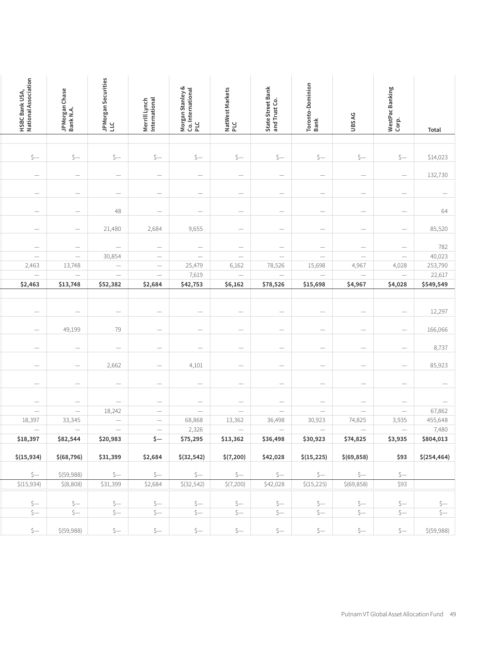| HSBC Bank USA,<br>National Association    | JPMorgan Chase<br>Bank N.A.        | JPMorgan Securities<br>LLC                | Merrill Lynch<br>International       | Morgan Stanley &<br>Co. International<br>PLC                      | NatWest Markets<br>PLC             | State Street Bank<br>and Trust Co. | Toronto-Dominion<br>Bank           | <b>UBSAG</b>                             | WestPac Banking<br>Corp.                 | Total                           |
|-------------------------------------------|------------------------------------|-------------------------------------------|--------------------------------------|-------------------------------------------------------------------|------------------------------------|------------------------------------|------------------------------------|------------------------------------------|------------------------------------------|---------------------------------|
|                                           |                                    |                                           |                                      |                                                                   |                                    |                                    |                                    |                                          |                                          |                                 |
|                                           | $\zeta-$                           | $\zeta-$                                  | $\zeta-$                             |                                                                   | $\zeta-$                           | $\zeta-$                           | $\zeta-$                           | $S-$                                     | $\zeta-$                                 | \$14,023                        |
| $\zeta-$                                  |                                    |                                           |                                      | $S-$                                                              |                                    |                                    |                                    |                                          |                                          |                                 |
| $\overline{\phantom{m}}$                  | $\overline{\phantom{m}}$           | $\hspace{0.1mm}-\hspace{0.1mm}$           | $\overline{\phantom{m}}$             | $\hspace{0.1cm}$                                                  | $\hspace{0.1mm}-\hspace{0.1mm}$    | $\hspace{0.1mm}-\hspace{0.1mm}$    | $\overline{\phantom{m}}$           | $\hspace{0.1mm}-\hspace{0.1mm}$          | $\hspace{0.1mm}-\hspace{0.1mm}$          | 132,730                         |
| $\overline{\phantom{m}}$                  | $\longrightarrow$                  | $\hspace{0.1mm}-\hspace{0.1mm}$           | $\overline{\phantom{m}}$             | $\hspace{0.1cm}$                                                  | $\longrightarrow$                  | $\overline{\phantom{m}}$           | $\overline{\phantom{m}}$           | $\hspace{0.1mm}$                         | $\hspace{0.1mm}-\hspace{0.1mm}$          | $\overline{\phantom{m}}$        |
|                                           |                                    |                                           |                                      |                                                                   |                                    |                                    |                                    |                                          |                                          |                                 |
| $\hspace{0.1mm}-\hspace{0.1mm}$           | $\hspace{0.1mm}$                   | 48                                        | $\hspace{0.1mm}$                     | $\hspace{0.1mm}$                                                  | $\hspace{0.1mm}-\hspace{0.1mm}$    | $\hspace{0.1mm}-\hspace{0.1mm}$    | $\hspace{0.1mm}$                   | $\hspace{0.1cm}$                         | $\hspace{0.1mm}-\hspace{0.1mm}$          | 64                              |
| $\overline{\phantom{m}}$                  | $\overline{\phantom{m}}$           | 21,480                                    | 2,684                                | 9,655                                                             | $\overline{\phantom{m}}$           | $\hspace{0.1mm}$                   | $\overline{\phantom{m}}$           | $\overline{\phantom{m}}$                 | $\overline{\phantom{m}}$                 | 85,520                          |
|                                           |                                    |                                           |                                      |                                                                   |                                    |                                    |                                    |                                          |                                          |                                 |
| $\hspace{0.1mm}-\hspace{0.1mm}$           | $\hspace{0.1mm}$                   | $\hspace{0.1mm}-\hspace{0.1mm}$           | $\overline{\phantom{m}}$             | $\hspace{0.1cm}$                                                  | $\overline{\phantom{a}}$           | $\hspace{0.1mm}-\hspace{0.1mm}$    | $\hspace{0.1mm}$                   | $\hspace{0.1mm}$                         | $\hspace{0.1mm}-\hspace{0.1mm}$          | 782                             |
| $\overline{\phantom{m}}$<br>2,463         | $\overline{\phantom{a}}$<br>13,748 | 30,854<br>$\hspace{0.1mm}-\hspace{0.1mm}$ | $\overline{\phantom{0}}$<br>$\equiv$ | $\hspace{0.1cm}$<br>25,479                                        | $\overline{\phantom{m}}$<br>6,162  | $\equiv$<br>78,526                 | $\hspace{0.1mm}$<br>15,698         | $\hspace{0.1mm}-\hspace{0.1mm}$<br>4,967 | $\hspace{0.1mm}-\hspace{0.1mm}$<br>4,028 | 40,023<br>253,790               |
| $\hspace{0.1mm}-\hspace{0.1mm}$           | $\hspace{0.1cm}$                   | $\overline{\phantom{m}}$                  | $\equiv$                             | 7,619                                                             | $\overline{\phantom{m}}$           | $\hspace{0.1mm}-\hspace{0.1mm}$    | $\hspace{0.1cm}$                   | $\sim$                                   | $\hspace{0.1mm}-\hspace{0.1mm}$          | 22,617                          |
| \$2,463                                   | \$13,748                           | \$52,382                                  | \$2,684                              | \$42,753                                                          | \$6,162                            | \$78,526                           | \$15,698                           | \$4,967                                  | \$4,028                                  | \$549,549                       |
|                                           |                                    |                                           |                                      |                                                                   |                                    |                                    |                                    |                                          |                                          |                                 |
| $\hspace{0.1mm}-\hspace{0.1mm}$           | $\hspace{0.1mm}-\hspace{0.1mm}$    | $\hspace{0.1mm}-\hspace{0.1mm}$           | $\hspace{0.1mm}-\hspace{0.1mm}$      | $\hspace{0.1mm}$                                                  | $\overline{\phantom{a}}$           | $\hspace{0.1mm}-\hspace{0.1mm}$    | $\hspace{0.1mm}-\hspace{0.1mm}$    | $\hspace{0.1mm}-\hspace{0.1mm}$          | $\overline{\phantom{m}}$                 | 12,297                          |
|                                           |                                    |                                           |                                      |                                                                   |                                    |                                    |                                    |                                          |                                          |                                 |
| $\overline{\phantom{m}}$                  | 49,199                             | 79                                        | $\overline{\phantom{m}}$             | $\hspace{0.1mm}$                                                  | $\overline{\phantom{a}}$           | $\hspace{0.1mm}-\hspace{0.1mm}$    | $\hspace{0.1mm}-\hspace{0.1mm}$    | $\overline{\phantom{m}}$                 | $\overline{\phantom{m}}$                 | 166,066                         |
| $\overline{\phantom{m}}$                  | $\hspace{0.1mm}$                   | $\hspace{0.1mm}-\hspace{0.1mm}$           | $\hspace{0.1mm}-\hspace{0.1mm}$      | $\hspace{0.1mm}$                                                  | $\hspace{0.1mm}-\hspace{0.1mm}$    | $\hspace{0.1mm}-\hspace{0.1mm}$    | $\hspace{0.1mm}-\hspace{0.1mm}$    | $\hspace{0.1mm}$                         | $\hspace{0.1mm}-\hspace{0.1mm}$          | 8,737                           |
|                                           |                                    |                                           |                                      |                                                                   |                                    |                                    |                                    |                                          |                                          |                                 |
| $\overline{\phantom{m}}$                  | $\overline{\phantom{m}}$           | 2,662                                     | $\equiv$                             | 4,101                                                             | $\hspace{0.1mm}-\hspace{0.1mm}$    | $\hspace{0.1mm}-\hspace{0.1mm}$    | $\overline{\phantom{a}}$           | $\overline{\phantom{a}}$                 | $\equiv$                                 | 85,923                          |
| $\overline{\phantom{m}}$                  | $\overline{\phantom{m}}$           | $\hspace{0.1mm}-\hspace{0.1mm}$           | $\overline{\phantom{m}}$             | $\hspace{0.1mm}-\hspace{0.1mm}$                                   | $\hspace{0.1mm}-\hspace{0.1mm}$    | $\hspace{0.1mm}-\hspace{0.1mm}$    | $\overline{\phantom{a}}$           | $\overline{\phantom{m}}$                 | $\overline{\phantom{m}}$                 | $\overline{\phantom{0}}$        |
|                                           |                                    |                                           |                                      |                                                                   |                                    |                                    |                                    |                                          |                                          |                                 |
|                                           |                                    |                                           |                                      |                                                                   |                                    |                                    | $\hspace{0.1mm}$                   | $\hspace{0.1mm}-\hspace{0.1mm}$          | $\hspace{0.1mm}-\hspace{0.1mm}$          |                                 |
| $\overline{\phantom{m}}$                  | $\hspace{0.1mm}-\hspace{0.1mm}$    | $\hspace{0.1mm}$                          | $-$                                  | $\hspace{0.1mm}$                                                  | $\hspace{0.1mm}-\hspace{0.1mm}$    | $\hspace{0.1mm}-\hspace{0.1mm}$    |                                    |                                          |                                          | $\hspace{0.1mm}-\hspace{0.1mm}$ |
| $\hspace{0.1mm}-\hspace{0.1mm}$<br>18,397 | $\hspace{0.1mm}$<br>33,345         | 18,242<br>$\overline{\phantom{m}}$        | $\overline{\phantom{m}}$<br>$\equiv$ | $\hspace{0.1mm}-\hspace{0.1mm}$<br>68,868                         | $\overline{\phantom{m}}$<br>13,362 | $\hspace{0.1mm}-\hspace{0.1mm}$    | $\overline{\phantom{m}}$<br>30,923 | $\hspace{0.1mm}$<br>74,825               | $\overline{\phantom{a}}$                 | 67,862                          |
| $\overline{\phantom{m}}$                  | $\overline{\phantom{m}}$           | $\overline{\phantom{m}}$                  | $\overline{\phantom{m}}$             | 2,326                                                             | $\overline{\phantom{m}}$           | 36,498<br>$\overline{\phantom{m}}$ | $\overline{\phantom{m}}$           | $\overline{\phantom{m}}$                 | 3,935<br>$\equiv$                        | 455,648<br>7,480                |
| \$18,397                                  | \$82,544                           | \$20,983                                  | $\zeta -$                            | \$75,295                                                          | \$13,362                           | \$36,498                           | \$30,923                           | \$74,825                                 | \$3,935                                  |                                 |
| $\frac{\xi(15,934)}{\xi(68,796)}$         |                                    | \$31,399                                  |                                      | $$2,684$ $$(32,542)$ $$(7,200)$ $$42,028$ $$(15,225)$ $$(69,858)$ |                                    |                                    |                                    |                                          |                                          |                                 |
|                                           |                                    |                                           |                                      |                                                                   |                                    |                                    |                                    |                                          |                                          | \$804,013                       |
| $\sim$ $\sim$ $\sim$<br>\$(15,934)        | \$ (59,988)<br>\$ (8,808)          | $S-$<br>\$31,399                          | $S-$<br>\$2,684                      | $S-$<br>\$ (32, 542)                                              | $S-$<br>\$(7,200)                  | $S-$<br>\$42,028                   | $\zeta-$<br>\$(15,225)             | $S-$<br>\$ (69, 858)                     | $S -$<br>\$93                            |                                 |
|                                           |                                    |                                           |                                      |                                                                   |                                    |                                    |                                    |                                          |                                          | $$93$ $$(254, 464)$             |
| $S-$                                      | $\zeta-$                           | $\zeta-$                                  | $S-$                                 | $S-$                                                              | $S-$                               | $S-$                               | $\zeta-$                           | $S-$                                     | $\zeta-$                                 | $S-$                            |
| $S-$                                      | $\zeta-$                           | $S-$                                      | $S-$                                 | $\zeta-$                                                          | $S-$                               | $S-$                               | $S-$                               | $S-$<br>$S_{-}$                          | $\zeta-$                                 | $S-$                            |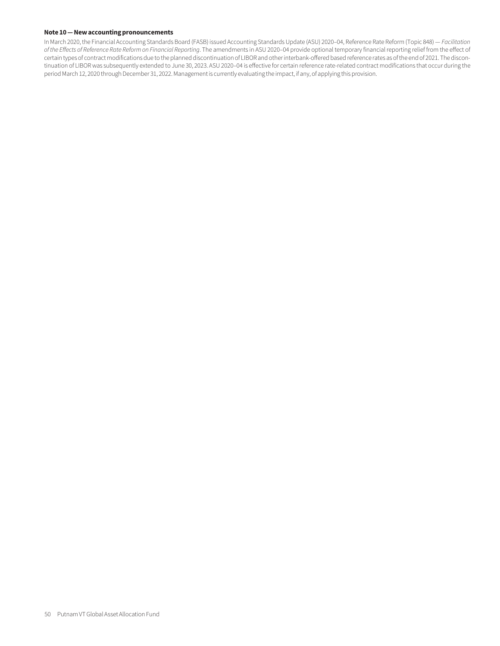# **Note 10 — New accounting pronouncements**

In March 2020, the Financial Accounting Standards Board (FASB) issued Accounting Standards Update (ASU) 2020–04, Reference Rate Reform (Topic 848) — *Facilitation of the Effects of Reference Rate Reform on Financial Reporting*. The amendments in ASU 2020–04 provide optional temporary financial reporting relief from the effect of certain types of contract modifications due to the planned discontinuation of LIBOR and other interbank-offered based reference rates as of the end of 2021. The discontinuation of LIBOR was subsequently extended to June 30, 2023. ASU 2020–04 is effective for certain reference rate-related contract modifications that occur during the period March 12, 2020 through December 31, 2022. Management is currently evaluating the impact, if any, of applying this provision.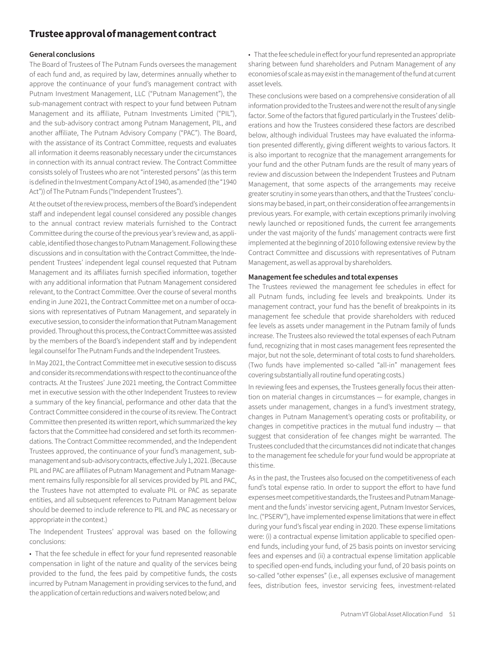# **Trustee approval of management contract**

# **General conclusions**

The Board of Trustees of The Putnam Funds oversees the management of each fund and, as required by law, determines annually whether to approve the continuance of your fund's management contract with Putnam Investment Management, LLC ("Putnam Management"), the sub-management contract with respect to your fund between Putnam Management and its affiliate, Putnam Investments Limited ("PIL"), and the sub-advisory contract among Putnam Management, PIL, and another affiliate, The Putnam Advisory Company ("PAC"). The Board, with the assistance of its Contract Committee, requests and evaluates all information it deems reasonably necessary under the circumstances in connection with its annual contract review. The Contract Committee consists solely of Trustees who are not "interested persons" (as this term is defined in the Investment Company Act of 1940, as amended (the "1940 Act")) of The Putnam Funds ("Independent Trustees").

At the outset of the review process, members of the Board's independent staff and independent legal counsel considered any possible changes to the annual contract review materials furnished to the Contract Committee during the course of the previous year's review and, as applicable, identified those changes to Putnam Management. Following these discussions and in consultation with the Contract Committee, the Independent Trustees' independent legal counsel requested that Putnam Management and its affiliates furnish specified information, together with any additional information that Putnam Management considered relevant, to the Contract Committee. Over the course of several months ending in June 2021, the Contract Committee met on a number of occasions with representatives of Putnam Management, and separately in executive session, to consider the information that Putnam Management provided. Throughout this process, the Contract Committee was assisted by the members of the Board's independent staff and by independent legal counsel for The Putnam Funds and the Independent Trustees.

In May 2021, the Contract Committee met in executive session to discuss and consider its recommendations with respect to the continuance of the contracts. At the Trustees' June 2021 meeting, the Contract Committee met in executive session with the other Independent Trustees to review a summary of the key financial, performance and other data that the Contract Committee considered in the course of its review. The Contract Committee then presented its written report, which summarized the key factors that the Committee had considered and set forth its recommendations. The Contract Committee recommended, and the Independent Trustees approved, the continuance of your fund's management, submanagement and sub-advisory contracts, effective July 1, 2021. (Because PIL and PAC are affiliates of Putnam Management and Putnam Management remains fully responsible for all services provided by PIL and PAC, the Trustees have not attempted to evaluate PIL or PAC as separate entities, and all subsequent references to Putnam Management below should be deemed to include reference to PIL and PAC as necessary or appropriate in the context.)

The Independent Trustees' approval was based on the following conclusions:

• That the fee schedule in effect for your fund represented reasonable compensation in light of the nature and quality of the services being provided to the fund, the fees paid by competitive funds, the costs incurred by Putnam Management in providing services to the fund, and the application of certain reductions and waivers noted below; and

• That the fee schedule in effect for your fund represented an appropriate sharing between fund shareholders and Putnam Management of any economies of scale as may exist in the management of the fund at current asset levels.

These conclusions were based on a comprehensive consideration of all information provided to the Trustees and were not the result of any single factor. Some of the factors that figured particularly in the Trustees' deliberations and how the Trustees considered these factors are described below, although individual Trustees may have evaluated the information presented differently, giving different weights to various factors. It is also important to recognize that the management arrangements for your fund and the other Putnam funds are the result of many years of review and discussion between the Independent Trustees and Putnam Management, that some aspects of the arrangements may receive greater scrutiny in some years than others, and that the Trustees' conclusions may be based, in part, on their consideration of fee arrangements in previous years. For example, with certain exceptions primarily involving newly launched or repositioned funds, the current fee arrangements under the vast majority of the funds' management contracts were first implemented at the beginning of 2010 following extensive review by the Contract Committee and discussions with representatives of Putnam Management, as well as approval by shareholders.

# **Management fee schedules and total expenses**

The Trustees reviewed the management fee schedules in effect for all Putnam funds, including fee levels and breakpoints. Under its management contract, your fund has the benefit of breakpoints in its management fee schedule that provide shareholders with reduced fee levels as assets under management in the Putnam family of funds increase. The Trustees also reviewed the total expenses of each Putnam fund, recognizing that in most cases management fees represented the major, but not the sole, determinant of total costs to fund shareholders. (Two funds have implemented so-called "all-in" management fees covering substantially all routine fund operating costs.)

In reviewing fees and expenses, the Trustees generally focus their attention on material changes in circumstances — for example, changes in assets under management, changes in a fund's investment strategy, changes in Putnam Management's operating costs or profitability, or changes in competitive practices in the mutual fund industry — that suggest that consideration of fee changes might be warranted. The Trustees concluded that the circumstances did not indicate that changes to the management fee schedule for your fund would be appropriate at this time.

As in the past, the Trustees also focused on the competitiveness of each fund's total expense ratio. In order to support the effort to have fund expenses meet competitive standards, the Trustees and Putnam Management and the funds' investor servicing agent, Putnam Investor Services, Inc. ("PSERV"), have implemented expense limitations that were in effect during your fund's fiscal year ending in 2020. These expense limitations were: (i) a contractual expense limitation applicable to specified openend funds, including your fund, of 25 basis points on investor servicing fees and expenses and (ii) a contractual expense limitation applicable to specified open-end funds, including your fund, of 20 basis points on so-called "other expenses" (i.e., all expenses exclusive of management fees, distribution fees, investor servicing fees, investment-related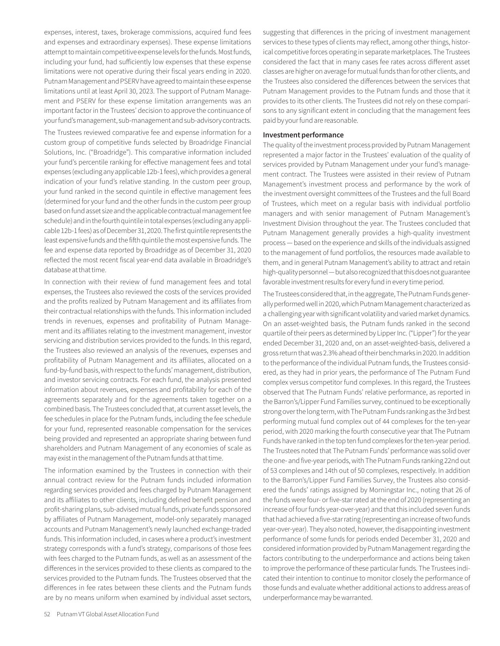expenses, interest, taxes, brokerage commissions, acquired fund fees and expenses and extraordinary expenses). These expense limitations attempt to maintain competitive expense levels for the funds. Most funds, including your fund, had sufficiently low expenses that these expense limitations were not operative during their fiscal years ending in 2020. Putnam Management and PSERV have agreed to maintain these expense limitations until at least April 30, 2023. The support of Putnam Management and PSERV for these expense limitation arrangements was an important factor in the Trustees' decision to approve the continuance of your fund's management, sub-management and sub-advisory contracts.

The Trustees reviewed comparative fee and expense information for a custom group of competitive funds selected by Broadridge Financial Solutions, Inc. ("Broadridge"). This comparative information included your fund's percentile ranking for effective management fees and total expenses (excluding any applicable 12b-1 fees), which provides a general indication of your fund's relative standing. In the custom peer group, your fund ranked in the second quintile in effective management fees (determined for your fund and the other funds in the custom peer group based on fund asset size and the applicable contractual management fee schedule) and in the fourth quintile in total expenses (excluding any applicable 12b-1 fees) as of December 31, 2020. The first quintile represents the least expensive funds and the fifth quintile the most expensive funds. The fee and expense data reported by Broadridge as of December 31, 2020 reflected the most recent fiscal year-end data available in Broadridge's database at that time.

In connection with their review of fund management fees and total expenses, the Trustees also reviewed the costs of the services provided and the profits realized by Putnam Management and its affiliates from their contractual relationships with the funds. This information included trends in revenues, expenses and profitability of Putnam Management and its affiliates relating to the investment management, investor servicing and distribution services provided to the funds. In this regard, the Trustees also reviewed an analysis of the revenues, expenses and profitability of Putnam Management and its affiliates, allocated on a fund-by-fund basis, with respect to the funds' management, distribution, and investor servicing contracts. For each fund, the analysis presented information about revenues, expenses and profitability for each of the agreements separately and for the agreements taken together on a combined basis. The Trustees concluded that, at current asset levels, the fee schedules in place for the Putnam funds, including the fee schedule for your fund, represented reasonable compensation for the services being provided and represented an appropriate sharing between fund shareholders and Putnam Management of any economies of scale as may exist in the management of the Putnam funds at that time.

The information examined by the Trustees in connection with their annual contract review for the Putnam funds included information regarding services provided and fees charged by Putnam Management and its affiliates to other clients, including defined benefit pension and profit-sharing plans, sub-advised mutual funds, private funds sponsored by affiliates of Putnam Management, model-only separately managed accounts and Putnam Management's newly launched exchange-traded funds. This information included, in cases where a product's investment strategy corresponds with a fund's strategy, comparisons of those fees with fees charged to the Putnam funds, as well as an assessment of the differences in the services provided to these clients as compared to the services provided to the Putnam funds. The Trustees observed that the differences in fee rates between these clients and the Putnam funds are by no means uniform when examined by individual asset sectors,

52 Putnam VT Global Asset Allocation Fund

suggesting that differences in the pricing of investment management services to these types of clients may reflect, among other things, historical competitive forces operating in separate marketplaces. The Trustees considered the fact that in many cases fee rates across different asset classes are higher on average for mutual funds than for other clients, and the Trustees also considered the differences between the services that Putnam Management provides to the Putnam funds and those that it provides to its other clients. The Trustees did not rely on these comparisons to any significant extent in concluding that the management fees paid by your fund are reasonable.

# **Investment performance**

The quality of the investment process provided by Putnam Management represented a major factor in the Trustees' evaluation of the quality of services provided by Putnam Management under your fund's management contract. The Trustees were assisted in their review of Putnam Management's investment process and performance by the work of the investment oversight committees of the Trustees and the full Board of Trustees, which meet on a regular basis with individual portfolio managers and with senior management of Putnam Management's Investment Division throughout the year. The Trustees concluded that Putnam Management generally provides a high-quality investment process — based on the experience and skills of the individuals assigned to the management of fund portfolios, the resources made available to them, and in general Putnam Management's ability to attract and retain high-quality personnel — but also recognized that this does not guarantee favorable investment results for every fund in every time period.

The Trustees considered that, in the aggregate, The Putnam Funds generally performed well in 2020, which Putnam Management characterized as a challenging year with significant volatility and varied market dynamics. On an asset-weighted basis, the Putnam funds ranked in the second quartile of their peers as determined by Lipper Inc. ("Lipper") for the year ended December 31, 2020 and, on an asset-weighted-basis, delivered a gross return that was 2.3% ahead of their benchmarks in 2020. In addition to the performance of the individual Putnam funds, the Trustees considered, as they had in prior years, the performance of The Putnam Fund complex versus competitor fund complexes. In this regard, the Trustees observed that The Putnam Funds' relative performance, as reported in the Barron's/Lipper Fund Families survey, continued to be exceptionally strong over the long term, with The Putnam Funds ranking as the 3rd best performing mutual fund complex out of 44 complexes for the ten-year period, with 2020 marking the fourth consecutive year that The Putnam Funds have ranked in the top ten fund complexes for the ten-year period. The Trustees noted that The Putnam Funds' performance was solid over the one- and five-year periods, with The Putnam Funds ranking 22nd out of 53 complexes and 14th out of 50 complexes, respectively. In addition to the Barron's/Lipper Fund Families Survey, the Trustees also considered the funds' ratings assigned by Morningstar Inc., noting that 26 of the funds were four- or five-star rated at the end of 2020 (representing an increase of four funds year-over-year) and that this included seven funds that had achieved a five-star rating (representing an increase of two funds year-over-year). They also noted, however, the disappointing investment performance of some funds for periods ended December 31, 2020 and considered information provided by Putnam Management regarding the factors contributing to the underperformance and actions being taken to improve the performance of these particular funds. The Trustees indicated their intention to continue to monitor closely the performance of those funds and evaluate whether additional actions to address areas of underperformance may be warranted.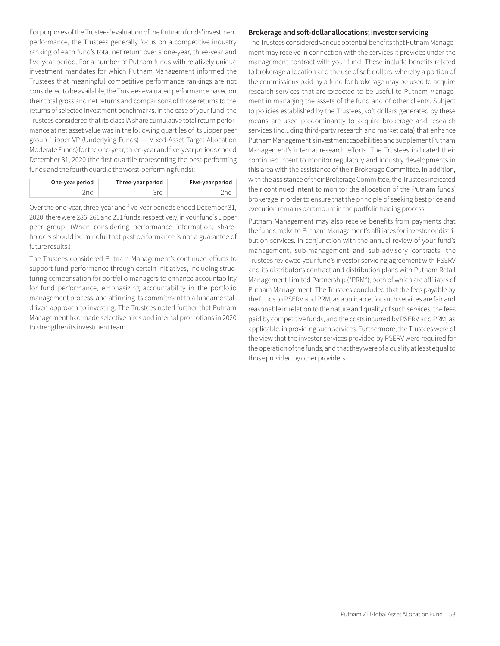For purposes of the Trustees' evaluation of the Putnam funds' investment performance, the Trustees generally focus on a competitive industry ranking of each fund's total net return over a one-year, three-year and five-year period. For a number of Putnam funds with relatively unique investment mandates for which Putnam Management informed the Trustees that meaningful competitive performance rankings are not considered to be available, the Trustees evaluated performance based on their total gross and net returns and comparisons of those returns to the returns of selected investment benchmarks. In the case of your fund, the Trustees considered that its class IA share cumulative total return performance at net asset value was in the following quartiles of its Lipper peer group (Lipper VP (Underlying Funds) — Mixed-Asset Target Allocation Moderate Funds) for the one-year, three-year and five-year periods ended December 31, 2020 (the first quartile representing the best-performing funds and the fourth quartile the worst-performing funds):

| One-year period | Three-year period | Five-year period |
|-----------------|-------------------|------------------|
| 'nd             |                   |                  |

Over the one-year, three-year and five-year periods ended December 31, 2020, there were 286, 261 and 231 funds, respectively, in your fund's Lipper peer group. (When considering performance information, shareholders should be mindful that past performance is not a guarantee of future results.)

The Trustees considered Putnam Management's continued efforts to support fund performance through certain initiatives, including structuring compensation for portfolio managers to enhance accountability for fund performance, emphasizing accountability in the portfolio management process, and affirming its commitment to a fundamentaldriven approach to investing. The Trustees noted further that Putnam Management had made selective hires and internal promotions in 2020 to strengthen its investment team.

# **Brokerage and soft-dollar allocations; investor servicing**

The Trustees considered various potential benefits that Putnam Management may receive in connection with the services it provides under the management contract with your fund. These include benefits related to brokerage allocation and the use of soft dollars, whereby a portion of the commissions paid by a fund for brokerage may be used to acquire research services that are expected to be useful to Putnam Management in managing the assets of the fund and of other clients. Subject to policies established by the Trustees, soft dollars generated by these means are used predominantly to acquire brokerage and research services (including third-party research and market data) that enhance Putnam Management's investment capabilities and supplement Putnam Management's internal research efforts. The Trustees indicated their continued intent to monitor regulatory and industry developments in this area with the assistance of their Brokerage Committee. In addition, with the assistance of their Brokerage Committee, the Trustees indicated their continued intent to monitor the allocation of the Putnam funds' brokerage in order to ensure that the principle of seeking best price and execution remains paramount in the portfolio trading process.

Putnam Management may also receive benefits from payments that the funds make to Putnam Management's affiliates for investor or distribution services. In conjunction with the annual review of your fund's management, sub-management and sub-advisory contracts, the Trustees reviewed your fund's investor servicing agreement with PSERV and its distributor's contract and distribution plans with Putnam Retail Management Limited Partnership ("PRM"), both of which are affiliates of Putnam Management. The Trustees concluded that the fees payable by the funds to PSERV and PRM, as applicable, for such services are fair and reasonable in relation to the nature and quality of such services, the fees paid by competitive funds, and the costs incurred by PSERV and PRM, as applicable, in providing such services. Furthermore, the Trustees were of the view that the investor services provided by PSERV were required for the operation of the funds, and that they were of a quality at least equal to those provided by other providers.